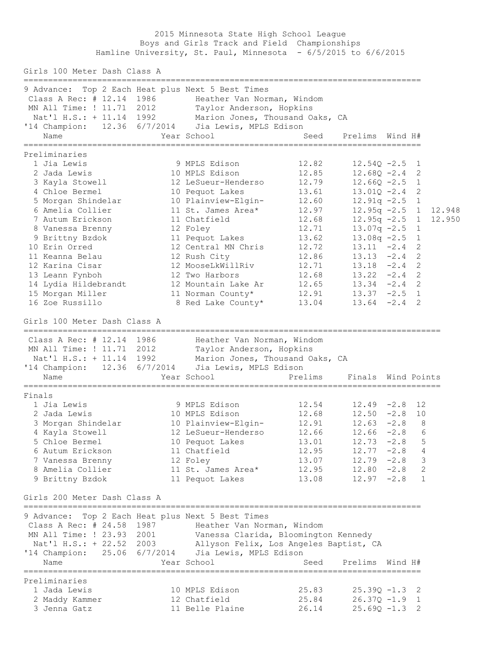2015 Minnesota State High School League Boys and Girls Track and Field Championships Hamline University, St. Paul, Minnesota - 6/5/2015 to 6/6/2015

Girls 100 Meter Dash Class A ================================================================================= 9 Advance: Top 2 Each Heat plus Next 5 Best Times Class A Rec: # 12.14 1986 Heather Van Norman, Windom MN All Time: ! 11.71 2012 Taylor Anderson, Hopkins Nat'l H.S.: + 11.14 1992 Marion Jones, Thousand Oaks, CA '14 Champion: 12.36 6/7/2014 Jia Lewis, MPLS Edison Name The Year School Contract Seed Prelims Wind H# ================================================================================= Preliminaries 1 Jia Lewis 9 MPLS Edison 12.82 12.54Q -2.5 1 2 Jada Lewis 10 MPLS Edison 12.85 12.68Q -2.4 2 3 Kayla Stowell 12 LeSueur-Henderso 12.79 12.66Q -2.5 1 4 Chloe Bermel 10 Pequot Lakes 13.61 13.01Q -2.4 2 5 Morgan Shindelar 10 Plainview-Elgin- 12.60 12.91q -2.5 1 6 Amelia Collier 11 St. James Area\* 12.97 12.95q -2.5 1 12.948 7 Autum Erickson 11 Chatfield 12.68 12.95q -2.5 1 12.950 8 Vanessa Brenny 12 Foley 12.71 13.07q -2.5 1 9 Brittny Bzdok 11 Pequot Lakes 13.62 13.08q -2.5 1 10 Erin Orred 12 Central MN Chris 12.72 13.11 -2.4 2 11 Keanna Belau 12 Rush City 12.86 13.13 -2.4 2 12 Karina Cisar 12 MooseLkWillRiv 12.71 13.18 -2.4 2 13 Leann Fynboh 12 Two Harbors 12.68 13.22 -2.4 2 14 Lydia Hildebrandt 12 Mountain Lake Ar 12.65 13.34 -2.4 2 15 Morgan Miller 11 Norman County\* 12.91 13.37 -2.5 1 16 Zoe Russillo 8 Red Lake County\* 13.04 13.64 -2.4 2 Girls 100 Meter Dash Class A ===================================================================================== Class A Rec: # 12.14 1986 Heather Van Norman, Windom MN All Time: ! 11.71 2012 Taylor Anderson, Hopkins Nat'l H.S.: + 11.14 1992 Marion Jones, Thousand Oaks, CA '14 Champion: 12.36 6/7/2014 Jia Lewis, MPLS Edison Name The Year School The Prelims Finals Wind Points ===================================================================================== Finals 1 Jia Lewis 9 MPLS Edison 12.54 12.49 -2.8 12 2 Jada Lewis 10 MPLS Edison 12.68 12.50 -2.8 10 3 Morgan Shindelar 10 Plainview-Elgin- 12.91 12.63 -2.8 8 4 Kayla Stowell 12 LeSueur-Henderso 12.66 12.66 -2.8 6 5 Chloe Bermel 10 Pequot Lakes 13.01 12.73 -2.8 5 6 Autum Erickson 11 Chatfield 12.95 12.77 -2.8 4 7 Vanessa Brenny 12 Foley 13.07 12.79 -2.8 3 8 Amelia Collier 11 St. James Area\* 12.95 12.80 -2.8 2 9 Brittny Bzdok 11 Pequot Lakes 13.08 12.97 -2.8 1 Girls 200 Meter Dash Class A ================================================================================= 9 Advance: Top 2 Each Heat plus Next 5 Best Times Class A Rec: # 24.58 1987 Heather Van Norman, Windom MN All Time: ! 23.93 2001 Vanessa Clarida, Bloomington Kennedy Nat'l H.S.: + 22.52 2003 Allyson Felix, Los Angeles Baptist, CA '14 Champion: 25.06 6/7/2014 Jia Lewis, MPLS Edison Name Year School Seed Prelims Wind H# ================================================================================= Preliminaries 1 Jada Lewis 10 MPLS Edison 25.83 25.39Q -1.3 2 2 Maddy Kammer 12 Chatfield 25.84 26.37Q -1.9 1 3 Jenna Gatz 11 Belle Plaine 26.14 25.69Q -1.3 2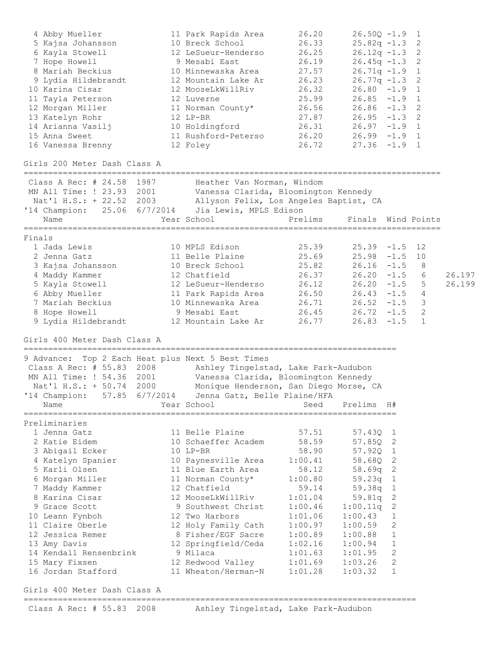| 4 Abby Mueller<br>5 Kajsa Johansson<br>6 Kayla Stowell<br>7 Hope Howell<br>8 Mariah Beckius<br>9 Lydia Hildebrandt<br>10 Karina Cisar<br>11 Tayla Peterson<br>12 Morgan Miller<br>13 Katelyn Rohr<br>14 Arianna Vasilj<br>15 Anna Sweet<br>16 Vanessa Brenny                                                                                | 11 Park Rapids Area<br>10 Breck School<br>12 LeSueur-Henderso<br>9 Mesabi East<br>10 Minnewaska Area<br>12 Mountain Lake Ar<br>12 MooseLkWillRiv<br>12 Luverne<br>11 Norman County*<br>12 LP-BR<br>10 Holdingford<br>11 Rushford-Peterso<br>12 Foley                                                                            | 26.20<br>26.33<br>26.25<br>26.19<br>27.57<br>26.23<br>26.32<br>25.99<br>26.56<br>27.87<br>26.31<br>26.20<br>26.72                                                  | $26.50Q - 1.9$<br>$25.82q -1.3$<br>$26.12q -1.3$<br>$26.45q -1.3$<br>$26.71q -1.9$<br>$26.77q - 1.3$<br>$26.80 - 1.9$<br>$26.85 - 1.9$<br>$26.86 - 1.3$<br>$26.95 - 1.3$<br>$26.97 - 1.9 1$<br>$26.99 - 1.9$ 1<br>$27.36 -1.9$ |                                                                | 1<br>2<br>2<br>2<br>1<br>2<br>1<br>1<br>2<br>2<br>1 |                  |
|---------------------------------------------------------------------------------------------------------------------------------------------------------------------------------------------------------------------------------------------------------------------------------------------------------------------------------------------|---------------------------------------------------------------------------------------------------------------------------------------------------------------------------------------------------------------------------------------------------------------------------------------------------------------------------------|--------------------------------------------------------------------------------------------------------------------------------------------------------------------|--------------------------------------------------------------------------------------------------------------------------------------------------------------------------------------------------------------------------------|----------------------------------------------------------------|-----------------------------------------------------|------------------|
| Girls 200 Meter Dash Class A                                                                                                                                                                                                                                                                                                                |                                                                                                                                                                                                                                                                                                                                 |                                                                                                                                                                    |                                                                                                                                                                                                                                |                                                                |                                                     |                  |
| Class A Rec: # 24.58 1987<br>MN All Time: ! 23.93 2001<br>Nat'l H.S.: + 22.52 2003<br>'14 Champion: 25.06 6/7/2014 Jia Lewis, MPLS Edison<br>Name                                                                                                                                                                                           | Heather Van Norman, Windom<br>Vanessa Clarida, Bloomington Kennedy<br>Allyson Felix, Los Angeles Baptist, CA<br>Year School                                                                                                                                                                                                     | Prelims                                                                                                                                                            | Finals Wind Points                                                                                                                                                                                                             |                                                                |                                                     |                  |
|                                                                                                                                                                                                                                                                                                                                             | =======================                                                                                                                                                                                                                                                                                                         |                                                                                                                                                                    |                                                                                                                                                                                                                                |                                                                |                                                     |                  |
| Finals<br>1 Jada Lewis<br>2 Jenna Gatz<br>3 Kajsa Johansson<br>4 Maddy Kammer<br>5 Kayla Stowell<br>6 Abby Mueller<br>7 Mariah Beckius<br>8 Hope Howell<br>9 Lydia Hildebrandt                                                                                                                                                              | 10 MPLS Edison<br>11 Belle Plaine<br>10 Breck School<br>12 Chatfield<br>12 LeSueur-Henderso<br>11 Park Rapids Area<br>10 Minnewaska Area<br>9 Mesabi East<br>12 Mountain Lake Ar                                                                                                                                                | 25.39<br>25.69<br>25.82<br>26.37<br>26.12<br>26.50<br>26.71<br>26.77                                                                                               | $25.39 - 1.5$<br>$25.98 - 1.5$<br>$26.16 - 1.5$<br>$26.20 - 1.5$<br>$26.20 - 1.5$<br>$26.43 - 1.5$<br>$26.52 -1.5$<br>$26.45$ $26.72$ $-1.5$<br>$26.83 - 1.5$                                                                  |                                                                | 12<br>10<br>8<br>6<br>5<br>4<br>3<br>2<br>1         | 26.197<br>26.199 |
| Girls 400 Meter Dash Class A                                                                                                                                                                                                                                                                                                                |                                                                                                                                                                                                                                                                                                                                 |                                                                                                                                                                    |                                                                                                                                                                                                                                |                                                                |                                                     |                  |
| 9 Advance: Top 2 Each Heat plus Next 5 Best Times<br>Class A Rec: # 55.83 2008 Ashley Tingelstad, Lake Park-Audubon<br>MN All Time: ! 54.36 2001<br>Nat'l H.S.: + 50.74 2000<br>'14 Champion: 57.85 6/7/2014 Jenna Gatz, Belle Plaine/HFA<br>Name                                                                                           | Vanessa Clarida, Bloomington Kennedy<br>Monique Henderson, San Diego Morse, CA<br>Year School                                                                                                                                                                                                                                   | Seed                                                                                                                                                               | Prelims                                                                                                                                                                                                                        | H#                                                             |                                                     |                  |
| Preliminaries                                                                                                                                                                                                                                                                                                                               |                                                                                                                                                                                                                                                                                                                                 |                                                                                                                                                                    |                                                                                                                                                                                                                                |                                                                |                                                     |                  |
| 1 Jenna Gatz<br>2 Katie Eidem<br>3 Abigail Ecker<br>4 Katelyn Spanier<br>5 Karli Olsen<br>6 Morgan Miller<br>7 Maddy Kammer<br>8 Karina Cisar<br>9 Grace Scott<br>10 Leann Fynboh<br>11 Claire Oberle<br>12 Jessica Remer<br>13 Amy Davis<br>14 Kendall Rensenbrink<br>15 Mary Fixsen<br>16 Jordan Stafford<br>Girls 400 Meter Dash Class A | 11 Belle Plaine<br>10 Schaeffer Academ<br>$10$ LP-BR<br>10 Paynesville Area<br>11 Blue Earth Area<br>11 Norman County*<br>12 Chatfield<br>12 MooseLkWillRiv<br>9 Southwest Christ<br>12 Two Harbors<br>12 Holy Family Cath<br>8 Fisher/EGF Sacre<br>12 Springfield/Ceda<br>9 Milaca<br>12 Redwood Valley<br>11 Wheaton/Herman-N | 57.51<br>58.59<br>58.90<br>1:00.41<br>58.12<br>1:00.80<br>59.14<br>1:01.04<br>1:00.46<br>1:01.06<br>1:00.97<br>1:00.89<br>1:02.16<br>1:01.63<br>1:01.69<br>1:01.28 | $57.43Q$ 1<br>57.85Q<br>57.920 1<br>58.680<br>$58.69q$ 2<br>59.23q<br>59.38q<br>59.81q<br>1:00.11q<br>1:00.43<br>1:00.59<br>1:00.88<br>1:00.94<br>1:01.95<br>1:03.26<br>1:03.32                                                | 2<br>-2<br>1<br>1<br>2<br>2<br>1<br>2<br>1<br>1<br>2<br>2<br>1 |                                                     |                  |
|                                                                                                                                                                                                                                                                                                                                             |                                                                                                                                                                                                                                                                                                                                 |                                                                                                                                                                    |                                                                                                                                                                                                                                |                                                                |                                                     |                  |
| Class A Rec: # 55.83 2008                                                                                                                                                                                                                                                                                                                   | Ashley Tingelstad, Lake Park-Audubon                                                                                                                                                                                                                                                                                            |                                                                                                                                                                    |                                                                                                                                                                                                                                |                                                                |                                                     |                  |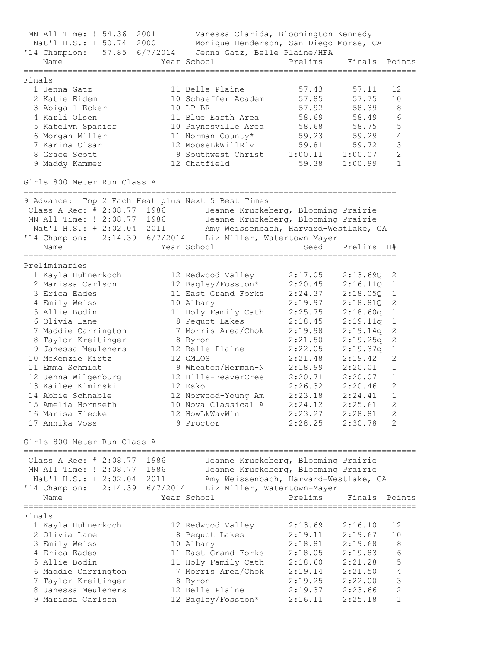MN All Time: ! 54.36 2001 Vanessa Clarida, Bloomington Kennedy Nat'l H.S.: + 50.74 2000 Monique Henderson, San Diego Morse, CA '14 Champion: 57.85 6/7/2014 Jenna Gatz, Belle Plaine/HFA Name Year School Prelims Finals Points ================================================================================ Finals 1 Jenna Gatz 11 Belle Plaine 57.43 57.11 12 2 Katie Eidem 10 Schaeffer Academ 57.85 57.75 10 3 Abigail Ecker 10 LP-BR 57.92 58.39 8 4 Karli Olsen 11 Blue Earth Area 58.69 58.49 6 5 Katelyn Spanier 10 Paynesville Area 58.68 58.75 5 6 Morgan Miller 11 Norman County\* 59.23 59.29 4 7 Karina Cisar 12 MooseLkWillRiv 59.81 59.72 3 8 Grace Scott 9 Southwest Christ 1:00.11 1:00.07 2 9 Maddy Kammer 12 Chatfield 59.38 1:00.99 1 Girls 800 Meter Run Class A ============================================================================ 9 Advance: Top 2 Each Heat plus Next 5 Best Times Class A Rec: # 2:08.77 1986 Jeanne Kruckeberg, Blooming Prairie MN All Time: ! 2:08.77 1986 Jeanne Kruckeberg, Blooming Prairie Nat'l H.S.: + 2:02.04 2011 Amy Weissenbach, Harvard-Westlake, CA '14 Champion: 2:14.39 6/7/2014 Liz Miller, Watertown-Mayer Name Year School Seed Prelims  $H#$ ============================================================================ Preliminaries 1 Kayla Huhnerkoch 12 Redwood Valley 2:17.05 2:13.69Q 2 2 Marissa Carlson 12 Bagley/Fosston\* 2:20.45 2:16.11Q 1 3 Erica Eades 11 East Grand Forks 2:24.37 2:18.05Q 1 4 Emily Weiss 10 Albany 2:19.97 2:18.81Q 2 5 Allie Bodin 11 Holy Family Cath 2:25.75 2:18.60q 1 6 Olivia Lane 8 Pequot Lakes 2:18.45 2:19.11q 1 7 Maddie Carrington 7 Morris Area/Chok 2:19.98 2:19.14q 2 8 Taylor Kreitinger 8 Byron 2:21.50 2:19.25q 2 9 Janessa Meuleners 12 Belle Plaine 2:22.05 2:19.37q 1 10 McKenzie Kirtz 12 GMLOS 2:21.48 2:19.42 2 11 Emma Schmidt 9 Wheaton/Herman-N 2:18.99 2:20.01 1 12 Jenna Wilgenburg 12 Hills-BeaverCree 2:20.71 2:20.07 1 13 Kailee Kiminski 12 Esko 2:26.32 2:20.46 2 14 Abbie Schnable 12 Norwood-Young Am 2:23.18 2:24.41 1 15 Amelia Hornseth 10 Nova Classical A 2:24.12 2:25.61 2 16 Marisa Fiecke 12 HowLkWavWin 2:23.27 2:28.81 2 17 Annika Voss 9 Proctor 2:28.25 2:30.78 2 Girls 800 Meter Run Class A ================================================================================ Class A Rec: # 2:08.77 1986 Jeanne Kruckeberg, Blooming Prairie MN All Time: ! 2:08.77 1986 Jeanne Kruckeberg, Blooming Prairie Nat'l H.S.: + 2:02.04 2011 Amy Weissenbach, Harvard-Westlake, CA '14 Champion: 2:14.39 6/7/2014 Liz Miller, Watertown-Mayer Name Year School Prelims Finals Points ================================================================================ Finals 1 Kayla Huhnerkoch 12 Redwood Valley 2:13.69 2:16.10 12 2 Olivia Lane 8 Pequot Lakes 2:19.11 2:19.67 10 3 Emily Weiss 10 Albany 2:18.81 2:19.68 8 4 Erica Eades 11 East Grand Forks 2:18.05 2:19.83 6 5 Allie Bodin 11 Holy Family Cath 2:18.60 2:21.28 5 6 Maddie Carrington 7 Morris Area/Chok 2:19.14 2:21.50 4 7 Taylor Kreitinger 8 Byron 2:19.25 2:22.00 3 8 Janessa Meuleners 12 Belle Plaine 2:19.37 2:23.66 2 9 Marissa Carlson 12 Bagley/Fosston\* 2:16.11 2:25.18 1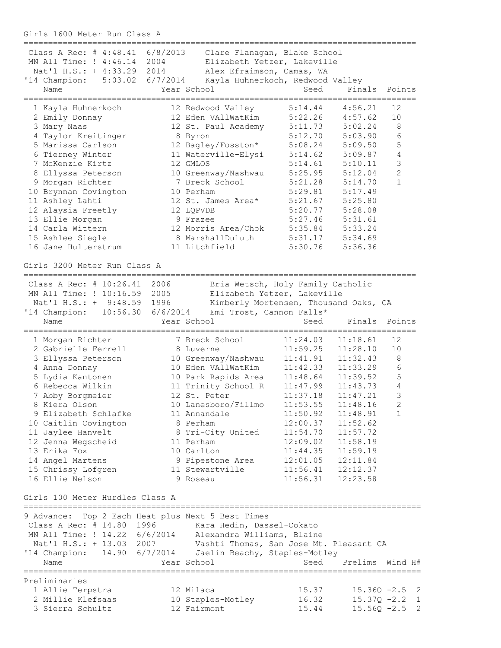Girls 1600 Meter Run Class A

| Class A Rec: # 4:48.41 6/8/2013                   |                  | Clare Flanagan, Blake School            |                                       |          |                 |
|---------------------------------------------------|------------------|-----------------------------------------|---------------------------------------|----------|-----------------|
| MN All Time: ! 4:46.14 2004                       |                  |                                         | Elizabeth Yetzer, Lakeville           |          |                 |
| Nat'l H.S.: + 4:33.29 2014                        |                  | Alex Efraimson, Camas, WA               |                                       |          |                 |
| '14 Champion:                                     | 5:03.02 6/7/2014 |                                         | Kayla Huhnerkoch, Redwood Valley      |          |                 |
| Name                                              |                  | Year School                             | Seed                                  | Finals   | Points          |
|                                                   |                  |                                         |                                       |          |                 |
| 1 Kayla Huhnerkoch                                |                  | 12 Redwood Valley                       | 5:14.44                               | 4:56.21  | 12              |
| 2 Emily Donnay                                    |                  | 12 Eden VAllWatKim                      | 5:22.26                               | 4:57.62  | 10              |
| 3 Mary Naas                                       |                  | 12 St. Paul Academy                     | 5:11.73                               | 5:02.24  | 8               |
| 4 Taylor Kreitinger                               |                  | 8 Byron                                 | 5:12.70                               | 5:03.90  | 6               |
| 5 Marissa Carlson                                 |                  | 12 Bagley/Fosston*                      | 5:08.24                               | 5:09.50  | $\mathsf S$     |
| 6 Tierney Winter                                  |                  | 11 Waterville-Elysi                     | 5:14.62                               | 5:09.87  | $\sqrt{4}$      |
| 7 McKenzie Kirtz                                  |                  | 12 GMLOS                                | 5:14.61                               | 5:10.11  | $\mathsf 3$     |
| 8 Ellyssa Peterson                                |                  | 10 Greenway/Nashwau                     | 5:25.95                               | 5:12.04  | $\overline{c}$  |
| 9 Morgan Richter                                  |                  | 7 Breck School                          | 5:21.28                               | 5:14.70  | $\mathbf{1}$    |
| 10 Brynnan Covington                              |                  | 10 Perham                               | 5:29.81                               | 5:17.49  |                 |
| 11 Ashley Lahti                                   |                  | 12 St. James Area*                      | 5:21.67                               | 5:25.80  |                 |
| 12 Alaysia Freetly                                |                  | 12 LQPVDB                               | 5:20.77                               | 5:28.08  |                 |
| 13 Ellie Morgan                                   |                  | 9 Frazee                                | 5:27.46                               | 5:31.61  |                 |
| 14 Carla Wittern                                  |                  | 12 Morris Area/Chok                     | 5:35.84                               | 5:33.24  |                 |
| 15 Ashlee Siegle                                  |                  | 8 MarshallDuluth                        | 5:31.17                               | 5:34.69  |                 |
| 16 Jane Hulterstrum                               |                  | 11 Litchfield                           | 5:30.76                               | 5:36.36  |                 |
|                                                   |                  |                                         |                                       |          |                 |
| Girls 3200 Meter Run Class A                      |                  |                                         |                                       |          |                 |
|                                                   |                  |                                         |                                       |          |                 |
| Class A Rec: # 10:26.41 2006                      |                  |                                         | Bria Wetsch, Holy Family Catholic     |          |                 |
| MN All Time: ! 10:16.59                           | 2005             |                                         | Elizabeth Yetzer, Lakeville           |          |                 |
| Nat'l H.S.: + 9:48.59 1996                        |                  |                                         | Kimberly Mortensen, Thousand Oaks, CA |          |                 |
| '14 Champion: 10:56.30                            | 6/6/2014         |                                         | Emi Trost, Cannon Falls*              |          |                 |
| Name                                              |                  | Year School                             | Seed                                  | Finals   | Points          |
|                                                   |                  |                                         |                                       |          |                 |
| 1 Morgan Richter                                  |                  | 7 Breck School                          | 11:24.03                              | 11:18.61 | 12              |
| 2 Gabrielle Ferrell                               |                  | 8 Luverne                               | 11:59.25                              | 11:28.10 | 10              |
| 3 Ellyssa Peterson                                |                  | 10 Greenway/Nashwau                     | 11:41.91                              | 11:32.43 | $\,8\,$         |
| 4 Anna Donnay                                     |                  | 10 Eden VAllWatKim                      | 11:42.33                              | 11:33.29 | $\epsilon$      |
| 5 Lydia Kantonen                                  |                  | 10 Park Rapids Area                     | 11:48.64                              | 11:39.52 | $\mathsf S$     |
| 6 Rebecca Wilkin                                  |                  | 11 Trinity School R                     | 11:47.99                              | 11:43.73 | $\sqrt{4}$      |
| 7 Abby Borgmeier                                  |                  | 12 St. Peter                            | 11:37.18                              | 11:47.21 | $\mathfrak{Z}$  |
| 8 Kiera Olson                                     |                  | 10 Lanesboro/Fillmo                     | 11:53.55                              | 11:48.16 | $\overline{c}$  |
| 9 Elizabeth Schlafke                              |                  | 11 Annandale                            | 11:50.92                              | 11:48.91 | 1               |
| 10 Caitlin Covington                              |                  | 8 Perham                                | 12:00.37                              | 11:52.62 |                 |
| 11 Jaylee Hanvelt                                 |                  | 8 Tri-City United                       | 11:54.70                              | 11:57.72 |                 |
| 12 Jenna Wegscheid                                |                  | 11 Perham                               | 12:09.02                              | 11:58.19 |                 |
| 13 Erika Fox                                      |                  | 10 Carlton                              | 11:44.35                              | 11:59.19 |                 |
| 14 Angel Martens                                  |                  | 9 Pipestone Area                        | 12:01.05                              | 12:11.84 |                 |
| 15 Chrissy Lofgren                                |                  | 11 Stewartville                         | 11:56.41                              | 12:12.37 |                 |
| 16 Ellie Nelson                                   |                  | 9 Roseau                                | 11:56.31                              | 12:23.58 |                 |
|                                                   |                  |                                         |                                       |          |                 |
| Girls 100 Meter Hurdles Class A                   |                  |                                         |                                       |          |                 |
|                                                   |                  |                                         |                                       |          |                 |
| 9 Advance: Top 2 Each Heat plus Next 5 Best Times |                  |                                         |                                       |          |                 |
| Class A Rec: # 14.80 1996                         |                  | Kara Hedin, Dassel-Cokato               |                                       |          |                 |
| MN All Time: ! 14.22 6/6/2014                     |                  | Alexandra Williams, Blaine              |                                       |          |                 |
| Nat'l H.S.: + 13.03 2007                          |                  | Vashti Thomas, San Jose Mt. Pleasant CA |                                       |          |                 |
| '14 Champion: 14.90 6/7/2014                      |                  | Jaelin Beachy, Staples-Motley           |                                       |          |                 |
| Name                                              |                  | Year School                             | Seed                                  | Prelims  | Wind H#         |
|                                                   |                  |                                         |                                       |          |                 |
| Preliminaries                                     |                  |                                         |                                       |          |                 |
| 1 Allie Terpstra                                  |                  | 12 Milaca                               | 15.37                                 |          | $15.36Q -2.5$ 2 |
| 2 Millie Klefsaas                                 |                  | 10 Staples-Motley                       | 16.32                                 |          | $15.37Q -2.2$ 1 |
| 3 Sierra Schultz                                  |                  | 12 Fairmont                             | 15.44                                 |          | $15.56Q -2.5$ 2 |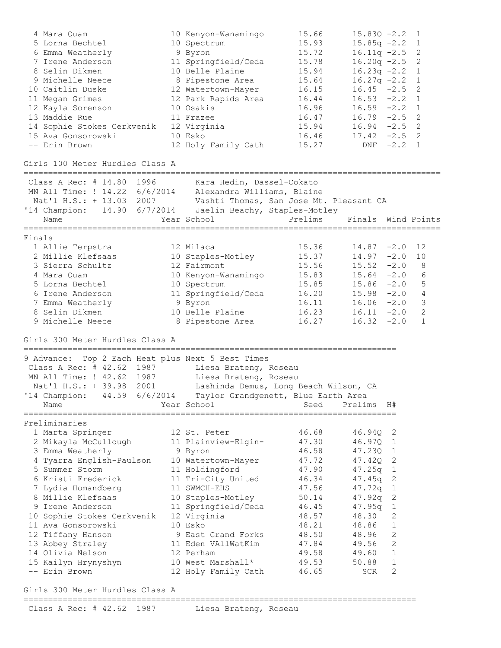| 4 Mara Quam<br>5 Lorna Bechtel<br>6 Emma Weatherly<br>7 Irene Anderson<br>8 Selin Dikmen<br>9 Michelle Neece<br>10 Caitlin Duske<br>11 Megan Grimes<br>12 Kayla Sorenson<br>13 Maddie Rue<br>14 Sophie Stokes Cerkvenik<br>15 Ava Gonsorowski<br>-- Erin Brown | 10 Kenyon-Wanamingo<br>10 Spectrum<br>9 Byron<br>11 Springfield/Ceda<br>10 Belle Plaine<br>8 Pipestone Area<br>12 Watertown-Mayer<br>12 Park Rapids Area<br>10 Osakis<br>11 Frazee<br>12 Virginia<br>10 Esko<br>12 Holy Family Cath | 15.66<br>15.93<br>15.72<br>15.78<br>15.94<br>15.64<br>16.15<br>16.44<br>16.96<br>16.47<br>15.94<br>16.46<br>15.27 | $15.83Q - 2.2$<br>$15.85q -2.2$<br>$16.11q -2.5$<br>$16.20q -2.5$<br>$16.23q -2.2$<br>$16.27q -2.2$<br>$16.45 -2.5$<br>$16.53 - 2.2$<br>$16.59 - 2.2$<br>$16.79 - 2.5$<br>$16.94 -2.5$ 2<br>$17.42 -2.5$ 2 | $DNF -2.2 1$   | $\overline{1}$<br>1<br>2<br>2<br>$\mathbf{1}$<br>$\mathbf 1$<br>2<br>$\mathbf{1}$<br>1<br>2 |
|----------------------------------------------------------------------------------------------------------------------------------------------------------------------------------------------------------------------------------------------------------------|-------------------------------------------------------------------------------------------------------------------------------------------------------------------------------------------------------------------------------------|-------------------------------------------------------------------------------------------------------------------|------------------------------------------------------------------------------------------------------------------------------------------------------------------------------------------------------------|----------------|---------------------------------------------------------------------------------------------|
| Girls 100 Meter Hurdles Class A<br>====================================                                                                                                                                                                                        |                                                                                                                                                                                                                                     |                                                                                                                   |                                                                                                                                                                                                            |                |                                                                                             |
| Class A Rec: # 14.80 1996<br>MN All Time: ! 14.22 6/6/2014<br>Nat'l H.S.: + 13.03 2007<br>'14 Champion: 14.90 6/7/2014 Jaelin Beachy, Staples-Motley<br>Name                                                                                                   | Kara Hedin, Dassel-Cokato<br>Alexandra Williams, Blaine<br>Vashti Thomas, San Jose Mt. Pleasant CA<br>Year School                                                                                                                   | Prelims                                                                                                           | Finals Wind Points                                                                                                                                                                                         |                |                                                                                             |
| Finals                                                                                                                                                                                                                                                         |                                                                                                                                                                                                                                     |                                                                                                                   |                                                                                                                                                                                                            |                |                                                                                             |
| 1 Allie Terpstra                                                                                                                                                                                                                                               | 12 Milaca                                                                                                                                                                                                                           | 15.36                                                                                                             | $14.87 - 2.0$                                                                                                                                                                                              |                | 12                                                                                          |
| 2 Millie Klefsaas                                                                                                                                                                                                                                              | 10 Staples-Motley                                                                                                                                                                                                                   | 15.37                                                                                                             | $14.97 - 2.0$                                                                                                                                                                                              |                | 10                                                                                          |
| 3 Sierra Schultz                                                                                                                                                                                                                                               | 12 Fairmont                                                                                                                                                                                                                         | 15.56                                                                                                             | $15.52 -2.0$                                                                                                                                                                                               |                | 8                                                                                           |
| 4 Mara Quam                                                                                                                                                                                                                                                    | 10 Kenyon-Wanamingo                                                                                                                                                                                                                 | 15.83                                                                                                             | $15.64 - 2.0$                                                                                                                                                                                              |                | 6                                                                                           |
| 5 Lorna Bechtel<br>6 Irene Anderson                                                                                                                                                                                                                            | 10 Spectrum<br>11 Springfield/Ceda                                                                                                                                                                                                  | 15.85<br>16.20                                                                                                    | $15.86 - 2.0$<br>$15.98 - 2.0$                                                                                                                                                                             |                | 5<br>$\overline{4}$                                                                         |
| 7 Emma Weatherly                                                                                                                                                                                                                                               | 9 Byron                                                                                                                                                                                                                             | 16.11                                                                                                             | $16.06 - 2.0$                                                                                                                                                                                              |                | 3                                                                                           |
| 8 Selin Dikmen                                                                                                                                                                                                                                                 | 10 Belle Plaine                                                                                                                                                                                                                     | 16.23                                                                                                             | $16.11 - 2.0$                                                                                                                                                                                              |                | 2                                                                                           |
| 9 Michelle Neece                                                                                                                                                                                                                                               | 8 Pipestone Area                                                                                                                                                                                                                    | 16.27                                                                                                             | $16.32 - 2.0$                                                                                                                                                                                              |                | $\mathbf 1$                                                                                 |
| Girls 300 Meter Hurdles Class A                                                                                                                                                                                                                                |                                                                                                                                                                                                                                     |                                                                                                                   |                                                                                                                                                                                                            |                |                                                                                             |
| 9 Advance: Top 2 Each Heat plus Next 5 Best Times<br>Class A Rec: # 42.62 1987<br>MN All Time: ! 42.62 1987<br>Nat'l H.S.: + 39.98<br>2001<br>'14 Champion: 44.59 6/6/2014 Taylor Grandgenett, Blue Earth Area<br>Name                                         | Liesa Brateng, Roseau<br>Liesa Brateng, Roseau<br>Lashinda Demus, Long Beach Wilson, CA<br>Year School                                                                                                                              | Seed                                                                                                              | Prelims                                                                                                                                                                                                    | H#             |                                                                                             |
| Preliminaries                                                                                                                                                                                                                                                  |                                                                                                                                                                                                                                     |                                                                                                                   |                                                                                                                                                                                                            |                |                                                                                             |
| 1 Marta Springer                                                                                                                                                                                                                                               | 12 St. Peter                                                                                                                                                                                                                        | 46.68                                                                                                             | 46.94Q                                                                                                                                                                                                     | 2              |                                                                                             |
| 2 Mikayla McCullough                                                                                                                                                                                                                                           | 11 Plainview-Elgin-                                                                                                                                                                                                                 | 47.30                                                                                                             | 46.97Q                                                                                                                                                                                                     | 1              |                                                                                             |
| 3 Emma Weatherly                                                                                                                                                                                                                                               | 9 Byron                                                                                                                                                                                                                             | 46.58                                                                                                             | 47.23Q                                                                                                                                                                                                     | $\mathbf 1$    |                                                                                             |
| 4 Tyarra English-Paulson                                                                                                                                                                                                                                       | 10 Watertown-Mayer                                                                                                                                                                                                                  | 47.72                                                                                                             | 47.42Q                                                                                                                                                                                                     | 2              |                                                                                             |
| 5 Summer Storm                                                                                                                                                                                                                                                 | 11 Holdingford                                                                                                                                                                                                                      | 47.90                                                                                                             | 47.25q                                                                                                                                                                                                     | $\mathbf 1$    |                                                                                             |
| 6 Kristi Frederick<br>7 Lydia Homandberg                                                                                                                                                                                                                       | 11 Tri-City United<br>11 SWMCH-EHS                                                                                                                                                                                                  | 46.34<br>47.56                                                                                                    | 47.45q<br>47.72q                                                                                                                                                                                           | 2<br>1         |                                                                                             |
| 8 Millie Klefsaas                                                                                                                                                                                                                                              | 10 Staples-Motley                                                                                                                                                                                                                   | 50.14                                                                                                             | 47.92q                                                                                                                                                                                                     | 2              |                                                                                             |
| 9 Irene Anderson                                                                                                                                                                                                                                               | 11 Springfield/Ceda                                                                                                                                                                                                                 | 46.45                                                                                                             | 47.95q                                                                                                                                                                                                     | 1              |                                                                                             |
| 10 Sophie Stokes Cerkvenik                                                                                                                                                                                                                                     | 12 Virginia                                                                                                                                                                                                                         | 48.57                                                                                                             | 48.30                                                                                                                                                                                                      | 2              |                                                                                             |
| 11 Ava Gonsorowski                                                                                                                                                                                                                                             | 10 Esko                                                                                                                                                                                                                             | 48.21                                                                                                             | 48.86                                                                                                                                                                                                      | 1              |                                                                                             |
| 12 Tiffany Hanson                                                                                                                                                                                                                                              | 9 East Grand Forks                                                                                                                                                                                                                  | 48.50                                                                                                             | 48.96                                                                                                                                                                                                      | $\overline{c}$ |                                                                                             |
| 13 Abbey Straley                                                                                                                                                                                                                                               | 11 Eden VAllWatKim                                                                                                                                                                                                                  | 47.84                                                                                                             | 49.56                                                                                                                                                                                                      | $\overline{c}$ |                                                                                             |
| 14 Olivia Nelson                                                                                                                                                                                                                                               | 12 Perham                                                                                                                                                                                                                           | 49.58                                                                                                             | 49.60                                                                                                                                                                                                      | 1              |                                                                                             |
| 15 Kailyn Hrynyshyn<br>-- Erin Brown                                                                                                                                                                                                                           | 10 West Marshall*<br>12 Holy Family Cath                                                                                                                                                                                            | 49.53<br>46.65                                                                                                    | 50.88<br>SCR                                                                                                                                                                                               | 1<br>2         |                                                                                             |
|                                                                                                                                                                                                                                                                |                                                                                                                                                                                                                                     |                                                                                                                   |                                                                                                                                                                                                            |                |                                                                                             |

Girls 300 Meter Hurdles Class A ================================================================================

Class A Rec: # 42.62 1987 Liesa Brateng, Roseau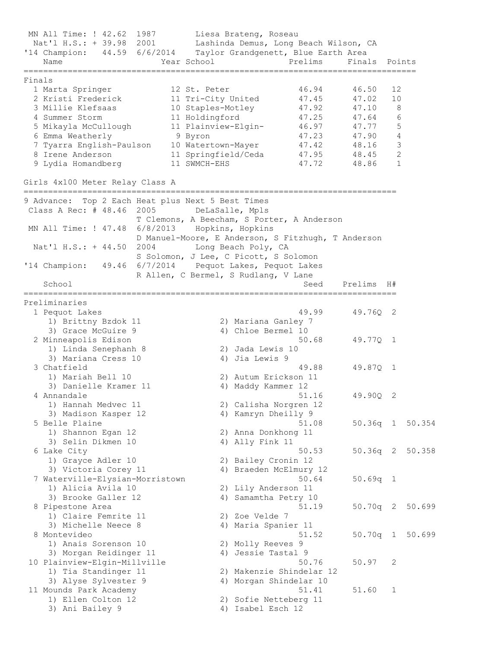MN All Time: ! 42.62 1987 Liesa Brateng, Roseau Nat'l H.S.: + 39.98 2001 Lashinda Demus, Long Beach Wilson, CA '14 Champion: 44.59 6/6/2014 Taylor Grandgenett, Blue Earth Area Name Year School Prelims Finals Points ================================================================================ Finals 1 Marta Springer 12 St. Peter 46.94 46.50 12 2 Kristi Frederick 11 Tri-City United 47.45 47.02 10 3 Millie Klefsaas 10 Staples-Motley 47.92 47.10 8 4 Summer Storm 11 Holdingford 47.25 47.64 6 5 Mikayla McCullough 11 Plainview-Elgin- 46.97 47.77 5 6 Emma Weatherly 9 Byron 47.23 47.90 4 7 Tyarra English-Paulson 10 Watertown-Mayer 47.42 48.16 3 8 Irene Anderson 11 Springfield/Ceda 47.95 48.45 2 9 Lydia Homandberg 11 SWMCH-EHS 47.72 48.86 1 Girls 4x100 Meter Relay Class A ============================================================================ 9 Advance: Top 2 Each Heat plus Next 5 Best Times Class A Rec: # 48.46 2005 DeLaSalle, Mpls T Clemons, A Beecham, S Porter, A Anderson MN All Time: ! 47.48 6/8/2013 Hopkins, Hopkins D Manuel-Moore, E Anderson, S Fitzhugh, T Anderson Nat'l H.S.: + 44.50 2004 Long Beach Poly, CA S Solomon, J Lee, C Picott, S Solomon '14 Champion: 49.46 6/7/2014 Pequot Lakes, Pequot Lakes R Allen, C Bermel, S Rudlang, V Lane School Seed Prelims H# ============================================================================ Preliminaries 1 Pequot Lakes 49.99 49.76Q 2 1) Brittny Bzdok 11 2) Mariana Ganley 7 3) Grace McGuire 9 4) Chloe Bermel 10 2 Minneapolis Edison 50.68 49.77Q 1 1) Linda Senephanh 8 2) Jada Lewis 10 3) Mariana Cress 10 4) Jia Lewis 9 3 Chatfield 49.88 49.87Q 1 1) Mariah Bell 10 2) Autum Erickson 11 3) Danielle Kramer 11 4) Maddy Kammer 12 4 Annandale 51.16 49.90Q 2 1) Hannah Medvec 11 2) Calisha Norgren 12 3) Madison Kasper 12 19 4) Kamryn Dheilly 9 5 Belle Plaine 51.08 50.36q 1 50.354 1) Shannon Egan 12 2) Anna Donkhong 11 3) Selin Dikmen 10 4) Ally Fink 11 6 Lake City 50.53 50.36q 2 50.358 1) Grayce Adler 10 2) Bailey Cronin 12 3) Victoria Corey 11 4) Braeden McElmury 12 7 Waterville-Elysian-Morristown 50.64 50.69q 1 1) Alicia Avila 10 2) Lily Anderson 11 1) Alicia Avila 10 (2) Lily Anderson 11<br>3) Brooke Galler 12 (4) Samamtha Petry 10<br>2) Pipestone Area (51.19 (50.70q 2 50.699) 8 Pipestone Area 51.19 50.70q 2 50.699 1) Claire Femrite 11 2) Zoe Velde 7 3) Michelle Neece 8 4) Maria Spanier 11 8 Montevideo 51.52 50.70q 1 50.699 1) Anais Sorenson 10 2) Molly Reeves 9 3) Morgan Reidinger 11 (4) Jessie Tastal 9 10 Plainview-Elgin-Millville 50.76 50.97 2 1) Tia Standinger 11 2) Makenzie Shindelar 12 3) Alyse Sylvester 9 4) Morgan Shindelar 10 11 Mounds Park Academy 51.41 51.60 1 1) Ellen Colton 12 2) Sofie Netteberg 11 3) Ani Bailey 9 4) Isabel Esch 12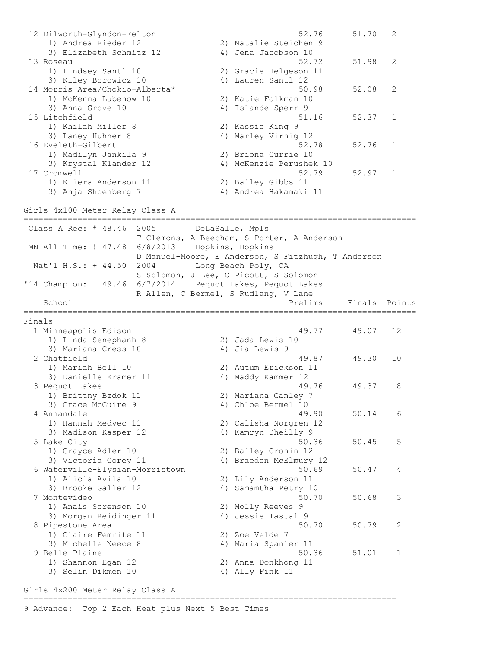12 Dilworth-Glyndon-Felton 52.76 51.70 2 1) Andrea Rieder 12 2) Natalie Steichen 9 3) Elizabeth Schmitz 12 (4) Jena Jacobson 10 13 Roseau 52.72 51.98 2 1) Lindsey Santl 10 2) Gracie Helgeson 11 3) Kiley Borowicz 10 4) Lauren Santl 12 14 Morris Area/Chokio-Alberta\* 50.98 52.08 2 1) McKenna Lubenow 10 2) Katie Folkman 10 3) Anna Grove 10 10 10 10 10 10 4 4 1 1 slande Sperr 9 15 Litchfield 51.16 52.37 1 1) Khilah Miller 8 2) Kassie King 9 3) Laney Huhner 8 4) Marley Virnig 12 16 Eveleth-Gilbert 52.78 52.76 1 1) Madilyn Jankila 9 2) Briona Currie 10 3) Krystal Klander 12 4) McKenzie Perushek 10 17 Cromwell 52.79 52.97 1 1) Kiiera Anderson 11 2) Bailey Gibbs 11 3) Anja Shoenberg 7 4) Andrea Hakamaki 11 Girls 4x100 Meter Relay Class A ================================================================================ Class A Rec: # 48.46 2005 DeLaSalle, Mpls T Clemons, A Beecham, S Porter, A Anderson MN All Time: ! 47.48 6/8/2013 Hopkins, Hopkins D Manuel-Moore, E Anderson, S Fitzhugh, T Anderson Nat'l H.S.: + 44.50 2004 Long Beach Poly, CA S Solomon, J Lee, C Picott, S Solomon '14 Champion: 49.46 6/7/2014 Pequot Lakes, Pequot Lakes End Transport Communist Communist Communist Communist Communist Communist Communist Communist Communist Communist Communist Communist Communist Communist Communist Communist Communist Communist Communist Communist Communis School **Prelims** Finals Points ================================================================================ Finals 1 Minneapolis Edison 49.77 49.07 12 1) Linda Senephanh 8 2) Jada Lewis 10 3) Mariana Cress 10 4) Jia Lewis 9 2 Chatfield 49.87 49.30 10 1) Mariah Bell 10 2) Autum Erickson 11 3) Danielle Kramer 11 (4) Maddy Kammer 12 3 Pequot Lakes 49.76 49.37 8 1) Brittny Bzdok 11 2) Mariana Ganley 7 3) Grace McGuire 9 4) Chloe Bermel 10 4 Annandale 49.90 50.14 6 1) Hannah Medvec 11 2) Calisha Norgren 12 3) Madison Kasper 12 4) Kamryn Dheilly 9 5 Lake City **50.36** 50.45 50.45 50.45 50.45 50.45 50.45 50.45 50.45 50.45 50.45 50.45 50.45 50.45 50.45 50.45 50.5 1) Grayce Adler 10 2) Bailey Cronin 12 3) Victoria Corey 11 4) Braeden McElmury 12 6 Waterville-Elysian-Morristown 50.69 50.47 4 1) Alicia Avila 10 2) Lily Anderson 11 3) Brooke Galler 12 4) Samamtha Petry 10 7 Montevideo 50.70 50.68 3 1) Anais Sorenson 10 2) Molly Reeves 9 3) Morgan Reidinger 11 4) Jessie Tastal 9 8 Pipestone Area 50.70 50.79 2 1) Claire Femrite 11 2) Zoe Velde 7 3) Michelle Neece 8 4) Maria Spanier 11 9 Belle Plaine 50.36 51.01 1 1) Shannon Egan 12 2) Anna Donkhong 11 3) Selin Dikmen 10 4) Ally Fink 11

Girls 4x200 Meter Relay Class A ============================================================================

9 Advance: Top 2 Each Heat plus Next 5 Best Times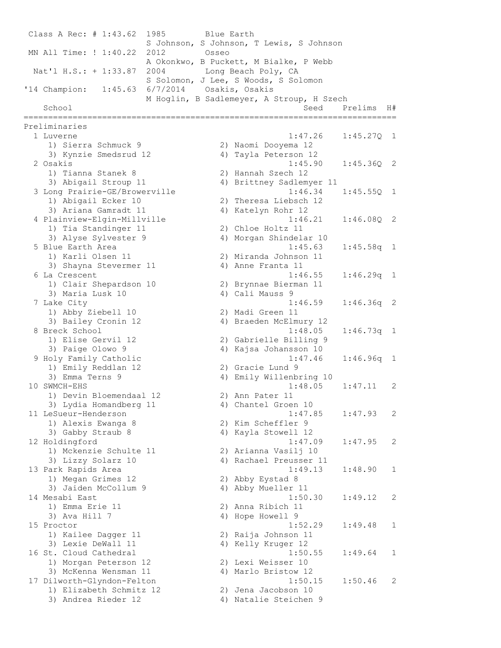Class A Rec: # 1:43.62 1985 Blue Earth S Johnson, S Johnson, T Lewis, S Johnson MN All Time: ! 1:40.22 2012 Osseo A Okonkwo, B Puckett, M Bialke, P Webb Nat'l H.S.: + 1:33.87 2004 Long Beach Poly, CA S Solomon, J Lee, S Woods, S Solomon '14 Champion: 1:45.63 6/7/2014 Osakis, Osakis M Hoglin, B Sadlemeyer, A Stroup, H Szech School Seed Prelims H# ============================================================================ Preliminaries 1 Luverne 1:47.26 1:45.27Q 1 1) Sierra Schmuck 9 2) Naomi Dooyema 12 3) Kynzie Smedsrud 12 4) Tayla Peterson 12 2 Osakis 1:45.90 1:45.36Q 2 1) Tianna Stanek 8 2) Hannah Szech 12 3) Abigail Stroup 11 4) Brittney Sadlemyer 11 3 Long Prairie-GE/Browerville 1:46.34 1:45.55Q 1 1) Abigail Ecker 10 2) Theresa Liebsch 12 3) Ariana Gamradt 11 4) Katelyn Rohr 12 4 Plainview-Elgin-Millville 1:46.21 1:46.08Q 2 1) Tia Standinger 11 2) Chloe Holtz 11 3) Alyse Sylvester 9 4) Morgan Shindelar 10 5 Blue Earth Area 1:45.63 1:45.58q 1 1) Karli Olsen 11 2) Miranda Johnson 11 3) Shayna Stevermer 11 (4) Anne Franta 11 6 La Crescent 1:46.55 1:46.29q 1 1) Clair Shepardson 10 2) Brynnae Bierman 11 3) Maria Lusk 10 4) Cali Mauss 9 7 Lake City 1:46.59 1:46.36q 2 1) Abby Ziebell 10 2) Madi Green 11 3) Bailey Cronin 12 4) Braeden McElmury 12 8 Breck School 1:48.05 1:46.73q 1 1) Elise Gervil 12 2) Gabrielle Billing 9 3) Paige Olowo 9 4) Kajsa Johansson 10 9 Holy Family Catholic 1:47.46 1:46.96q 1 1) Emily Reddlan 12 2) Gracie Lund 9 3) Emma Terns 9 4) Emily Willenbring 10 10 SWMCH-EHS 1:48.05 1:47.11 2 1) Devin Bloemendaal 12 2) Ann Pater 11 3) Lydia Homandberg 11 <a>>4) Chantel Groen 10 11 LeSueur-Henderson 1:47.85 1:47.93 2 1) Alexis Ewanga 8 2) Kim Scheffler 9 3) Gabby Straub 8 4) Kayla Stowell 12 12 Holdingford 1:47.09 1:47.95 2 1) Mckenzie Schulte 11 2) Arianna Vasilj 10 3) Lizzy Solarz 10 4) Rachael Preusser 11 13 Park Rapids Area 1:49.13 1:48.90 1 1) Megan Grimes 12 2) Abby Eystad 8 3) Jaiden McCollum 9 4) Abby Mueller 11 3) Jaiden McCollum 9 (a) 4) Abby Mueller 11<br>14 Mesabi East (1:50.30 1:49.12 2)<br>11 Emma Erie 11 (2) 2) Anna Ribich 11 1) Emma Erie 11 2) Anna Ribich 11<br>3) Ava Hill 7 30 4) Hope Howell 9 3) Ava Hill 7 4) Hope Howell 9 15 Proctor 1:52.29 1:49.48 1 1) Kailee Dagger 11 2) Raija Johnson 11 3) Lexie DeWall 11 4) Kelly Kruger 12 16 St. Cloud Cathedral 1:50.55 1:49.64 1 1) Morgan Peterson 12 2) Lexi Weisser 10 3) McKenna Wensman 11 4) Marlo Bristow 12 17 Dilworth-Glyndon-Felton 1:50.15 1:50.46 2 1) Elizabeth Schmitz 12 2) Jena Jacobson 10 3) Andrea Rieder 12 4) Natalie Steichen 9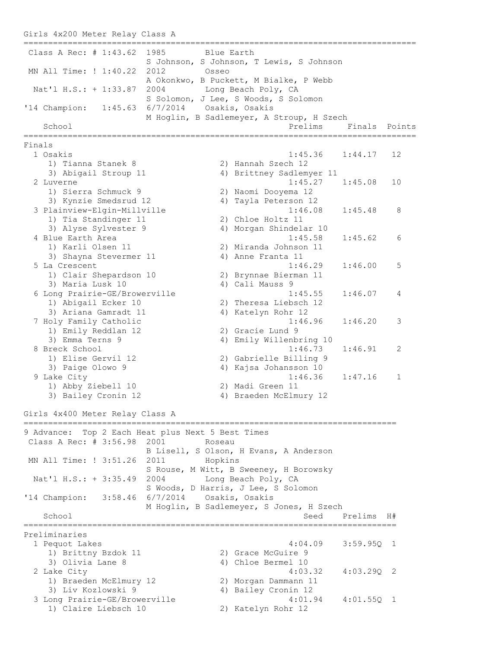```
Girls 4x200 Meter Relay Class A
================================================================================
Class A Rec: # 1:43.62 1985 Blue Earth
                  S Johnson, S Johnson, T Lewis, S Johnson 
MN All Time: ! 1:40.22 2012 Osseo 
                  A Okonkwo, B Puckett, M Bialke, P Webb 
Nat'l H.S.: + 1:33.87 2004 Long Beach Poly, CA
S Solomon, J Lee, S Woods, S Solomon
'14 Champion: 1:45.63 6/7/2014 Osakis, Osakis 
              M Hoglin, B Sadlemeyer, A Stroup, H Szech 
  School Prelims Finals Points
================================================================================
Finals
 1 Osakis 1:45.36 1:44.17 12 
 1) Tianna Stanek 8 2) Hannah Szech 12 
 3) Abigail Stroup 11 4) Brittney Sadlemyer 11 
 2 Luverne 1:45.27 1:45.08 10 
 1) Sierra Schmuck 9 2) Naomi Dooyema 12 
 3) Kynzie Smedsrud 12 4) Tayla Peterson 12 
 3 Plainview-Elgin-Millville 1:46.08 1:45.48 8 
 1) Tia Standinger 11 2) Chloe Holtz 11 
3) Alyse Sylvester 9 4) Morgan Shindelar 10
 4 Blue Earth Area 1:45.58 1:45.62 6 
 1) Karli Olsen 11 2) Miranda Johnson 11 
3) Shayna Stevermer 11 (4) Anne Franta 11
 5 La Crescent 1:46.29 1:46.00 5 
 1) Clair Shepardson 10 2) Brynnae Bierman 11 
3) Maria Lusk 10 4) Cali Mauss 9
 6 Long Prairie-GE/Browerville 1:45.55 1:46.07 4 
 1) Abigail Ecker 10 2) Theresa Liebsch 12 
 3) Ariana Gamradt 11 4) Katelyn Rohr 12 
 7 Holy Family Catholic 1:46.96 1:46.20 3 
1) Emily Reddlan 12 2) Gracie Lund 9
 3) Emma Terns 9 4) Emily Willenbring 10 
 8 Breck School 1:46.73 1:46.91 2 
 1) Elise Gervil 12 2) Gabrielle Billing 9 
 3) Paige Olowo 9 4) Kajsa Johansson 10 
 9 Lake City 1:46.36 1:47.16 1 
 1) Abby Ziebell 10 2) Madi Green 11 
 3) Bailey Cronin 12 4) Braeden McElmury 12 
Girls 4x400 Meter Relay Class A
============================================================================
9 Advance: Top 2 Each Heat plus Next 5 Best Times
Class A Rec: # 3:56.98 2001 Roseau 
                  B Lisell, S Olson, H Evans, A Anderson 
MN All Time: ! 3:51.26 2011 Hopkins
                  S Rouse, M Witt, B Sweeney, H Borowsky 
Nat'l H.S.: + 3:35.49 2004 Long Beach Poly, CA
                  S Woods, D Harris, J Lee, S Solomon 
'14 Champion: 3:58.46 6/7/2014 Osakis, Osakis 
             M Hoglin, B Sadlemeyer, S Jones, H Szech 
   School Seed Prelims H#
============================================================================
Preliminaries
  1 Pequot Lakes 4:04.09 3:59.95Q 1 
1) Brittny Bzdok 11 2) Grace McGuire 9
3) Olivia Lane 8 4) Chloe Bermel 10
  2 Lake City 4:03.32 4:03.29Q 2 
 1) Braeden McElmury 12 2) Morgan Dammann 11 
3) Liv Kozlowski 9 1922 - 4 4 Bailey Cronin 12
 3 Long Prairie-GE/Browerville 4:01.94 4:01.55Q 1 
 1) Claire Liebsch 10 2) Katelyn Rohr 12
```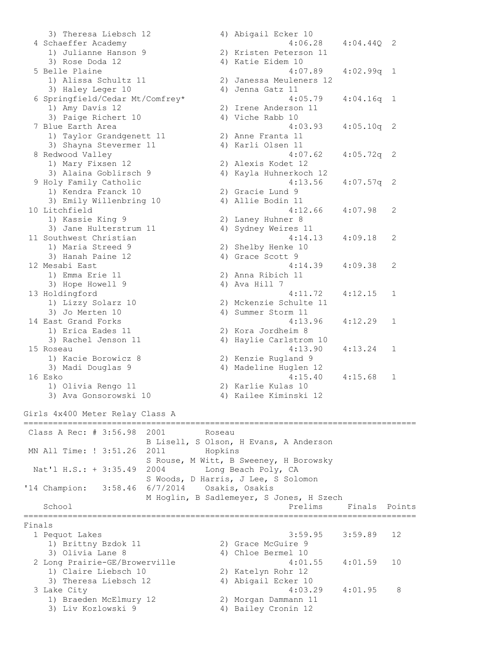3) Theresa Liebsch 12 (4) Abigail Ecker 10 4 Schaeffer Academy 4:06.28 4:04.44Q 2 1) Julianne Hanson 9 2) Kristen Peterson 11 3) Rose Doda 12 4) Katie Eidem 10 5 Belle Plaine 4:07.89 4:02.99q 1 1) Alissa Schultz 11 2) Janessa Meuleners 12 3) Haley Leger 10 (4) Jenna Gatz 11 6 Springfield/Cedar Mt/Comfrey\* 4:05.79 4:04.16q 1 1) Amy Davis 12 2) Irene Anderson 11 3) Paige Richert 10 4) Viche Rabb 10 7 Blue Earth Area 4:03.93 4:05.10q 2 1) Taylor Grandgenett 11 2) Anne Franta 11 3) Shayna Stevermer 11 (4) Karli Olsen 11 8 Redwood Valley 4:07.62 4:05.72q 2 1) Mary Fixsen 12 2) Alexis Kodet 12 3) Alaina Goblirsch 9 4) Kayla Huhnerkoch 12 9 Holy Family Catholic 4:13.56 4:07.57q 2 1) Kendra Franck 10 2) Gracie Lund 9 3) Emily Willenbring 10 (4) Allie Bodin 11 10 Litchfield 4:12.66 4:07.98 2 1) Kassie King 9 2) Laney Huhner 8 3) Jane Hulterstrum 11 4) Sydney Weires 11 11 Southwest Christian 4:14.13 4:09.18 2 1) Maria Streed 9 2) Shelby Henke 10 3) Hanah Paine 12 4) Grace Scott 9 12 Mesabi East 4:14.39 4:09.38 2 1) Emma Erie 11 2) Anna Ribich 11 3) Hope Howell 9 4) Ava Hill 7 13 Holdingford 4:11.72 4:12.15 1 1) Lizzy Solarz 10 2) Mckenzie Schulte 11 3) Jo Merten 10 4) Summer Storm 11 14 East Grand Forks 4:13.96 4:12.29 1 1) Erica Eades 11 2) Kora Jordheim 8 3) Rachel Jenson 11 4) Haylie Carlstrom 10 15 Roseau 4:13.90 4:13.24 1 1) Kacie Borowicz 8 2) Kenzie Rugland 9 3) Madi Douglas 9 4) Madeline Huglen 12 16 Esko 4:15.40 4:15.68 1 1) Olivia Rengo 11 2) Karlie Kulas 10 3) Ava Gonsorowski 10 4) Kailee Kiminski 12 Girls 4x400 Meter Relay Class A ================================================================================ Class A Rec: # 3:56.98 2001 Roseau B Lisell, S Olson, H Evans, A Anderson MN All Time: ! 3:51.26 2011 Hopkins S Rouse, M Witt, B Sweeney, H Borowsky Nat'l H.S.: + 3:35.49 2004 Long Beach Poly, CA S Woods, D Harris, J Lee, S Solomon '14 Champion: 3:58.46 6/7/2014 Osakis, Osakis M Hoglin, B Sadlemeyer, S Jones, H Szech School **Prelims** Finals Points Points Points Points Points Points Points Points Points Points Points Points Points Points Points Points Points Points Points Points Points Points Points Points Points Points Points Points Po ================================================================================ Finals 1 Pequot Lakes 3:59.95 3:59.89 12 1) Brittny Bzdok 11 2) Grace McGuire 9 3) Olivia Lane 8 4) Chloe Bermel 10 2 Long Prairie-GE/Browerville 4:01.55 4:01.59 10 1) Claire Liebsch 10 2) Katelyn Rohr 12 3) Theresa Liebsch 12 4) Abigail Ecker 10 3 Lake City 4:03.29 4:01.95 8 1) Braeden McElmury 12 2) Morgan Dammann 11 3) Liv Kozlowski 9 4) Bailey Cronin 12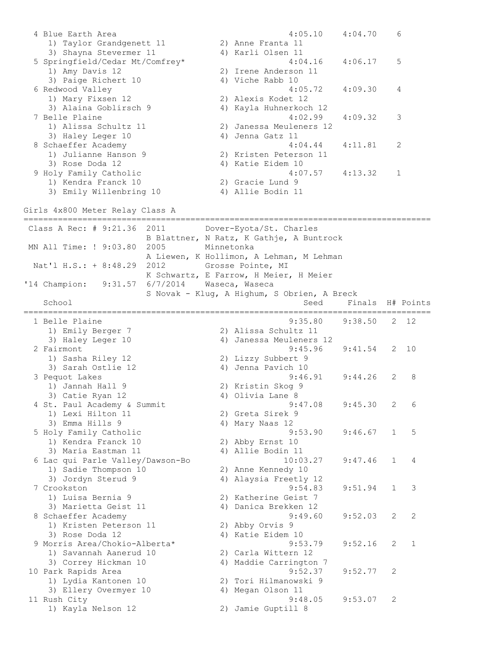4 Blue Earth Area 4:05.10 4:04.70 6 1) Taylor Grandgenett 11 2) Anne Franta 11 3) Shayna Stevermer 11 (4) Karli Olsen 11 5 Springfield/Cedar Mt/Comfrey\* 4:04.16 4:06.17 5 1) Amy Davis 12 2) Irene Anderson 11 3) Paige Richert 10 4) Viche Rabb 10 6 Redwood Valley 4:05.72 4:09.30 4 1) Mary Fixsen 12 2) Alexis Kodet 12 3) Alaina Goblirsch 9 4) Kayla Huhnerkoch 12 7 Belle Plaine 4:02.99 4:09.32 3 1) Alissa Schultz 11 2) Janessa Meuleners 12 3) Haley Leger 10 (4) Jenna Gatz 11 8 Schaeffer Academy 4:04.44 4:11.81 2 1) Julianne Hanson 9 2) Kristen Peterson 11 3) Rose Doda 12 4) Katie Eidem 10 9 Holy Family Catholic 4:07.57 4:13.32 1 1) Kendra Franck 10 2) Gracie Lund 9 3) Emily Willenbring 10 (4) Allie Bodin 11 Girls 4x800 Meter Relay Class A =================================================================================== Class A Rec: # 9:21.36 2011 Dover-Eyota/St. Charles B Blattner, N Ratz, K Gathje, A Buntrock MN All Time: ! 9:03.80 2005 Minnetonka A Liewen, K Hollimon, A Lehman, M Lehman Nat'l H.S.: + 8:48.29 2012 Grosse Pointe, MI K Schwartz, E Farrow, H Meier, H Meier '14 Champion: 9:31.57 6/7/2014 Waseca, Waseca S Novak - Klug, A Highum, S Obrien, A Breck School Seed Finals H# Points =================================================================================== 1 Belle Plaine 9:35.80 9:38.50 2 12 1) Emily Berger 7 2) Alissa Schultz 11 3) Haley Leger 10 4) Janessa Meuleners 12 2 Fairmont 9:45.96 9:41.54 2 10 1) Sasha Riley 12<br>
1) Sasha Riley 12<br>
3) Sarah Ostlie 12<br>
2) Lizzy Subbert 9<br>
4) Jenna Pavich 10 3) Sarah Ostlie 12 (4) Jenna Pavich 10 3 Pequot Lakes 9:46.91 9:44.26 2 8 1) Jannah Hall 9 2) Kristin Skog 9 3) Catie Ryan 12 4) Olivia Lane 8 4 St. Paul Academy & Summit 9:47.08 9:45.30 2 6 1) Lexi Hilton 11 2) Greta Sirek 9 3) Emma Hills 9 4) Mary Naas 12 5 Holy Family Catholic 9:53.90 9:46.67 1 5 1) Kendra Franck 10 2) Abby Ernst 10 3) Maria Eastman 11 4) Allie Bodin 11 6 Lac qui Parle Valley/Dawson-Bo 10:03.27 9:47.46 1 4 1) Sadie Thompson 10 2) Anne Kennedy 10 3) Jordyn Sterud 9 4) Alaysia Freetly 12 7 Crookston 9:54.83 9:51.94 1 3 1) Luisa Bernia 9 2) Katherine Geist 7 3) Marietta Geist 11 4) Danica Brekken 12 8 Schaeffer Academy 9:49.60 9:52.03 2 2 1) Kristen Peterson 11 2) Abby Orvis 9 3) Rose Doda 12 4) Katie Eidem 10 9 Morris Area/Chokio-Alberta\* 9:53.79 9:52.16 2 1 1) Savannah Aanerud 10 2) Carla Wittern 12 3) Correy Hickman 10 4) Maddie Carrington 7 10 Park Rapids Area 9:52.37 9:52.77 2 1) Lydia Kantonen 10 2) Tori Hilmanowski 9 3) Ellery Overmyer 10 (4) Megan Olson 11 11 Rush City 9:48.05 9:53.07 2 1) Kayla Nelson 12 2) Jamie Guptill 8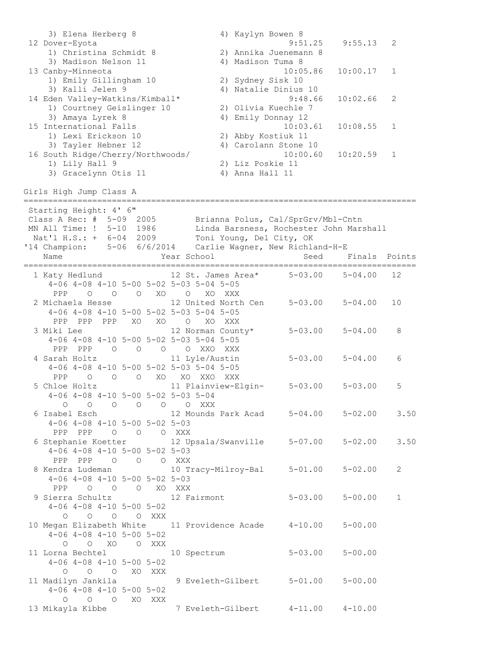3) Elena Herberg 8 4) Kaylyn Bowen 8 12 Dover-Eyota 9:51.25 9:55.13 2 1) Christina Schmidt 8 2) Annika Juenemann 8 3) Madison Nelson 11 4) Madison Tuma 8 13 Canby-Minneota 10:05.86 10:00.17 1 1) Emily Gillingham 10 2) Sydney Sisk 10 3) Kalli Jelen 9 4) Natalie Dinius 10 14 Eden Valley-Watkins/Kimball\* 9:48.66 10:02.66 2 1) Courtney Geislinger 10 2) Olivia Kuechle 7 3) Amaya Lyrek 8 4) Emily Donnay 12 15 International Falls 10:03.61 10:08.55 1 1) Lexi Erickson 10 2) Abby Kostiuk 11 3) Tayler Hebner 12 4) Carolann Stone 10 16 South Ridge/Cherry/Northwoods/ 10:00.60 10:20.59 1 1) Lily Hall 9 2) Liz Poskie 11 3) Gracelynn Otis 11 (4) Anna Hall 11 Girls High Jump Class A ================================================================================ Starting Height: 4' 6" Class A Rec: # 5-09 2005 Brianna Polus, Cal/SprGrv/Mbl-Cntn MN All Time: ! 5-10 1986 Linda Barsness, Rochester John Marshall Nat'l H.S.: + 6-04 2009 Toni Young, Del City, OK '14 Champion: 5-06 6/6/2014 Carlie Wagner, New Richland-H-E Name The Sear School Communicated Finals Points ================================================================================ 1 Katy Hedlund 12 St. James Area\* 5-03.00 5-04.00 12 4-06 4-08 4-10 5-00 5-02 5-03 5-04 5-05 PPP O O O XO O XO XXX 2 Michaela Hesse 12 United North Cen 5-03.00 5-04.00 10 4-06 4-08 4-10 5-00 5-02 5-03 5-04 5-05 PPP PPP PPP XO XO O XO XXX 3 Miki Lee 12 Norman County\* 5-03.00 5-04.00 8 4-06 4-08 4-10 5-00 5-02 5-03 5-04 5-05 PPP PPP O O O O XXO XXX 4 Sarah Holtz 11 Lyle/Austin 5-03.00 5-04.00 6 4-06 4-08 4-10 5-00 5-02 5-03 5-04 5-05 PPP O O O XO XO XXO XXX 5 Chloe Holtz 11 Plainview-Elgin- 5-03.00 5-03.00 5 4-06 4-08 4-10 5-00 5-02 5-03 5-04 O O O O O O XXX 6 Isabel Esch 12 Mounds Park Acad 5-04.00 5-02.00 3.50 4-06 4-08 4-10 5-00 5-02 5-03 PPP PPP O O O XXX 6 Stephanie Koetter 12 Upsala/Swanville 5-07.00 5-02.00 3.50 4-06 4-08 4-10 5-00 5-02 5-03 PPP PPP O O O XXX 8 Kendra Ludeman 10 Tracy-Milroy-Bal 5-01.00 5-02.00 2 4-06 4-08 4-10 5-00 5-02 5-03 PPP O O O XO XXX 9 Sierra Schultz 12 Fairmont 5-03.00 5-00.00 1 4-06 4-08 4-10 5-00 5-02 O O O O XXX 10 Megan Elizabeth White 11 Providence Acade 4-10.00 5-00.00 4-06 4-08 4-10 5-00 5-02 O O XO O XXX 11 Lorna Bechtel 10 Spectrum 5-03.00 5-00.00 4-06 4-08 4-10 5-00 5-02 O O O XO XXX 11 Madilyn Jankila 9 Eveleth-Gilbert 5-01.00 5-00.00 4-06 4-08 4-10 5-00 5-02 O O O XO XXX 13 Mikayla Kibbe 7 Eveleth-Gilbert 4-11.00 4-10.00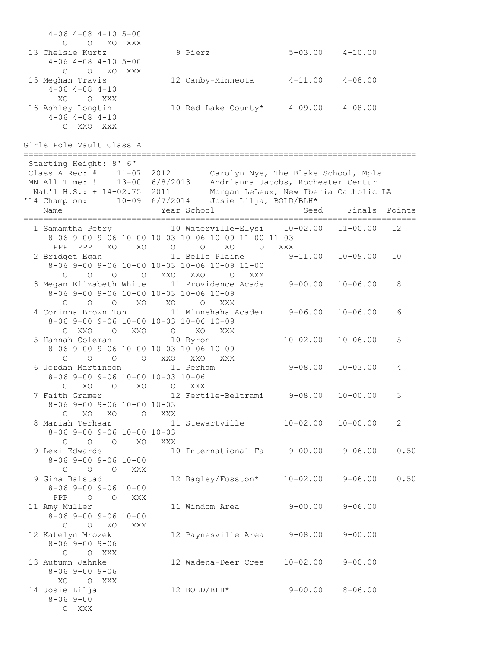| $4-06$ $4-08$ $4-10$ $5-00$<br>$\circ$<br>O XO<br>XXX<br>13 Chelsie Kurtz<br>$4-06$ $4-08$ $4-10$ $5-00$<br>O O XO XXX<br>15 Meghan Travis<br>$4 - 06$ $4 - 08$ $4 - 10$<br>XO<br>O XXX<br>16 Ashley Longtin<br>$4 - 06$ $4 - 08$ $4 - 10$<br>O XXO XXX | 9 Pierz<br>12 Canby-Minneota 4-11.00 4-08.00<br>10 Red Lake County* 4-09.00 4-08.00                                                                 | $5 - 03.00$ $4 - 10.00$ |                          |        |
|---------------------------------------------------------------------------------------------------------------------------------------------------------------------------------------------------------------------------------------------------------|-----------------------------------------------------------------------------------------------------------------------------------------------------|-------------------------|--------------------------|--------|
| Girls Pole Vault Class A                                                                                                                                                                                                                                |                                                                                                                                                     |                         |                          |        |
| Starting Height: 8' 6"<br>Class A Rec: # 11-07 2012 Carolyn Nye, The Blake School, Mpls<br>MN All Time: ! 13-00 6/8/2013 Andrianna Jacobs, Rochester Centur<br>'14 Champion:                                                                            | Nat'l H.S.: + 14-02.75 2011 Morgan LeLeux, New Iberia Catholic LA<br>10-09 $6/7/2014$ Josie Lilja, BOLD/BLH*                                        |                         |                          |        |
| Name                                                                                                                                                                                                                                                    | Year School                                                                                                                                         | Seed                    | Finals                   | Points |
| PPP PPP XO XO                                                                                                                                                                                                                                           | 1 Samamtha Petry 10 Waterville-Elysi 10-02.00<br>8-06 9-00 9-06 10-00 10-03 10-06 10-09 11-00 11-03<br>$\begin{matrix} 0 & 0 & X0 & 0 \end{matrix}$ | XXX                     | $11 - 00.00$             | 12     |
| 2 Bridget Egan<br>$O$ $O$ $O$ $XXO$<br>$\circ$                                                                                                                                                                                                          | 11 Belle Plaine<br>8-06 9-00 9-06 10-00 10-03 10-06 10-09 11-00<br>XXO<br>XXX<br>$\circ$                                                            | $9 - 11.00$             | $10 - 09.00$             | 10     |
| 8-06 9-00 9-06 10-00 10-03 10-06 10-09<br>$\circ$<br>$\overline{O}$<br>XO<br>$\circ$                                                                                                                                                                    | 3 Megan Elizabeth White 11 Providence Acade 9-00.00<br>XO<br>$\overline{O}$<br>XXX                                                                  |                         | $10 - 06.00$             | 8      |
| 8-06 9-00 9-06 10-00 10-03 10-06 10-09<br>O XXO O XXO                                                                                                                                                                                                   | 4 Corinna Brown Ton 11 Minnehaha Academ 9-06.00<br>O XO<br>XXX                                                                                      |                         | $10 - 06.00$             | 6      |
| 5 Hannah Coleman 10 Byron<br>8-06 9-00 9-06 10-00 10-03 10-06 10-09<br>$O$ $O$ $O$ $XXO$<br>$\circ$                                                                                                                                                     | XXO<br>XXX                                                                                                                                          | $10 - 02.00$            | $10 - 06.00$             | 5      |
| 6 Jordan Martinson<br>8-06 9-00 9-06 10-00 10-03 10-06<br>XO<br>$\circ$<br>O XO                                                                                                                                                                         | 11 Perham<br>XXX<br>$\circ$                                                                                                                         | $9 - 08.00$             | $10 - 03.00$             | 4      |
| $8-06$ 9-00 9-06 10-00 10-03<br>O XO XO O                                                                                                                                                                                                               | 7 Faith Gramer 12 Fertile-Beltrami 9-08.00<br>XXX                                                                                                   |                         | $10 - 00.00$             | 3      |
| 8 Mariah Terhaar<br>$8 - 06$ 9-00 9-06 10-00 10-03<br>$O$ $O$ $XO$<br>$\circ$                                                                                                                                                                           | 11 Stewartville<br>XXX                                                                                                                              | $10 - 02.00$            | $10 - 00.00$             | 2      |
| 9 Lexi Edwards<br>$8 - 06$ 9 - 00 9 - 06 10 - 00<br>$\circ$<br>$\circ$ $\circ$<br>XXX                                                                                                                                                                   | 10 International Fa  9-00.00  9-06.00                                                                                                               |                         |                          | 0.50   |
| 9 Gina Balstad<br>$8 - 069 - 009 - 0610 - 00$<br>PPP 0 0<br>XXX                                                                                                                                                                                         | 12 Bagley/Fosston*                                                                                                                                  |                         | $10 - 02.00$ $9 - 06.00$ | 0.50   |
| 11 Amy Muller<br>$8 - 06$ 9-00 9-06 10-00<br>$O$ XO<br>$\circ$<br>XXX                                                                                                                                                                                   | 11 Windom Area                                                                                                                                      | $9 - 00.00$             | $9 - 06.00$              |        |
| 12 Katelyn Mrozek<br>$8 - 06$ 9 - 00 9 - 06<br>$\circ$<br>O XXX                                                                                                                                                                                         | 12 Paynesville Area                                                                                                                                 | $9 - 08.00$             | $9 - 00.00$              |        |
| 13 Autumn Jahnke<br>$8 - 069 - 009 - 06$<br>XO O XXX                                                                                                                                                                                                    | 12 Wadena-Deer Cree                                                                                                                                 | $10 - 02.00$            | $9 - 00.00$              |        |
| 14 Josie Lilja<br>$8 - 069 - 00$<br>O XXX                                                                                                                                                                                                               | 12 BOLD/BLH*                                                                                                                                        |                         | $9 - 00.00$ $8 - 06.00$  |        |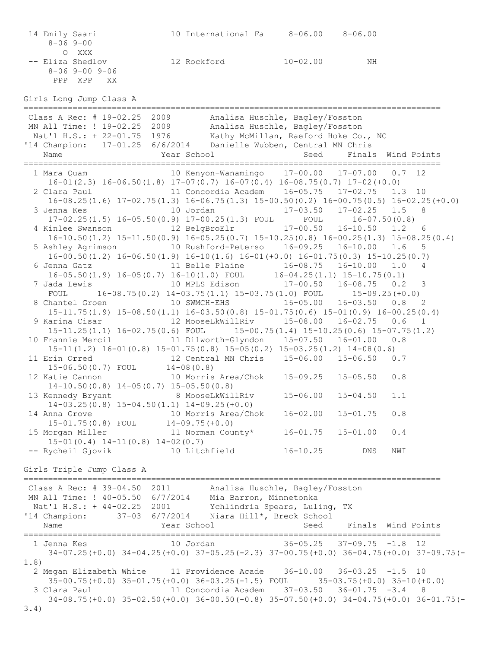|      | 14 Emily Saari<br>$8 - 069 - 00$                                                                                                                                                                                                             | 10 International Fa  8-06.00  8-06.00        |      |                                 |                    |
|------|----------------------------------------------------------------------------------------------------------------------------------------------------------------------------------------------------------------------------------------------|----------------------------------------------|------|---------------------------------|--------------------|
|      | O XXX<br>-- Eliza Shedlov<br>$8 - 06$ 9 - 00 9 - 06<br>PPP XPP<br>XX                                                                                                                                                                         | 12 Rockford 10-02.00                         |      | NH                              |                    |
|      | Girls Long Jump Class A                                                                                                                                                                                                                      |                                              |      |                                 |                    |
|      | Class A Rec: # 19-02.25 2009 Analisa Huschle, Bagley/Fosston<br>MN All Time: ! 19-02.25 2009 Analisa Huschle, Bagley/Fosston<br>Nat'l H.S.: + 22-01.75 1976 Kathy McMillan, Raeford Hoke Co., NC<br>14 Champion: 17-01.25 6/6/2014 D<br>Name | Year School                                  | Seed |                                 | Finals Wind Points |
|      |                                                                                                                                                                                                                                              |                                              |      |                                 |                    |
|      | $16-01(2.3)$ $16-06.50(1.8)$ $17-07(0.7)$ $16-07(0.4)$ $16-08.75(0.7)$ $17-02(+0.0)$<br>2 Clara Paul 11 Concordia Academ 16-05.75 17-02.75 1.3 10                                                                                            |                                              |      |                                 |                    |
|      | $16-08.25(1.6)$ $17-02.75(1.3)$ $16-06.75(1.3)$ $15-00.50(0.2)$ $16-00.75(0.5)$ $16-02.25(+0.0)$<br>10 Jordan 17-03.50 17-02.25 1.5 8<br>3 Jenna Kes                                                                                         |                                              |      |                                 |                    |
|      | $17-02.25(1.5)$ $16-05.50(0.9)$ $17-00.25(1.3)$ FOUL FOUL                                                                                                                                                                                    |                                              |      | $16 - 07.50(0.8)$               |                    |
|      | 4 Kinlee Swanson 12 BelgBroElr<br>$16-10.50(1.2)$ $15-11.50(0.9)$ $16-05.25(0.7)$ $15-10.25(0.8)$ $16-00.25(1.3)$ $15-08.25(0.4)$                                                                                                            |                                              |      | 17-00.50  16-10.50  1.2  6      |                    |
|      | 5 Ashley Agrimson 10 Rushford-Peterso 16-09.25 16-10.00 1.6                                                                                                                                                                                  |                                              |      |                                 | 5                  |
|      | $16-00.50(1.2)$ $16-06.50(1.9)$ $16-10(1.6)$ $16-01(+0.0)$ $16-01.75(0.3)$ $15-10.25(0.7)$                                                                                                                                                   |                                              |      |                                 | 1.0<br>4           |
|      | $16-05.50(1.9)$ $16-05(0.7)$ $16-10(1.0)$ FOUL $16-04.25(1.1)$ $15-10.75(0.1)$                                                                                                                                                               |                                              |      |                                 |                    |
|      | 7 Jada Lewis                       10 MPLS Edison           17-00.50   16-08.75   0.2   3<br>FOUL 16-08.75(0.2) $14-03.75(1.1)$ $15-03.75(1.0)$ FOUL $15-09.25(+0.0)$                                                                        |                                              |      |                                 |                    |
|      | 8 Chantel Groen 10 SWMCH-EHS 16-05.00 16-03.50 0.8 2                                                                                                                                                                                         |                                              |      |                                 |                    |
|      | $15-11.75(1.9)$ $15-08.50(1.1)$ $16-03.50(0.8)$ $15-01.75(0.6)$ $15-01(0.9)$ $16-00.25(0.4)$<br>9 Karina Cisar               12 MooseLkWillRiv       15-08.00   16-02.75   0.6   1                                                           |                                              |      |                                 |                    |
|      | $15-11.25(1.1)$ $16-02.75(0.6)$ FOUL $15-00.75(1.4)$ $15-10.25(0.6)$ $15-07.75(1.2)$                                                                                                                                                         |                                              |      |                                 |                    |
|      | 10 Frannie Mercil 11 Dilworth-Glyndon 15-07.50 16-01.00 0.8<br>$15-11(1.2)$ $16-01(0.8)$ $15-01.75(0.8)$ $15-05(0.2)$ $15-03.25(1.2)$ $14-08(0.6)$                                                                                           |                                              |      |                                 |                    |
|      | 11 Erin Orred                                                                                                                                                                                                                                |                                              |      |                                 |                    |
|      | $15-06.50(0.7)$ FOUL $14-08(0.8)$<br>12 Katie Cannon 10 Morris Area/Chok 15-09.25 15-05.50 0.8<br>$14-10.50(0.8)$ $14-05(0.7)$ $15-05.50(0.8)$                                                                                               |                                              |      |                                 |                    |
|      | 13 Kennedy Bryant 68 MooseLkWillRiv                                                                                                                                                                                                          |                                              |      | $15 - 06.00$ $15 - 04.50$ $1.1$ |                    |
|      | $14-03.25(0.8)$ $15-04.50(1.1)$ $14-09.25(+0.0)$<br>14 Anna Grove                                                                                                                                                                            | 10 Morris Area/Chok  16-02.00  15-01.75  0.8 |      |                                 |                    |
|      | $15-01.75(0.8)$ FOUL $14-09.75(+0.0)$                                                                                                                                                                                                        |                                              |      |                                 |                    |
|      | 15 Morgan Miller<br>$15-01(0.4)$ $14-11(0.8)$ $14-02(0.7)$                                                                                                                                                                                   | 11 Norman County* 16-01.75 15-01.00          |      |                                 | 0.4                |
|      | -- Rycheil Gjovik 10 Litchfield 16-10.25                                                                                                                                                                                                     |                                              |      | DNS                             | NWI                |
|      | Girls Triple Jump Class A                                                                                                                                                                                                                    |                                              |      |                                 |                    |
|      | Class A Rec: # 39-04.50 2011 Analisa Huschle, Bagley/Fosston                                                                                                                                                                                 |                                              |      |                                 |                    |
|      | MN All Time: ! 40-05.50 6/7/2014 Mia Barron, Minnetonka<br>Nat'l H.S.: + 44-02.25 2001 Ychlindria Spears, Luling, TX                                                                                                                         |                                              |      |                                 |                    |
|      | '14 Champion: 37-03 6/7/2014 Niara Hill*, Breck School                                                                                                                                                                                       |                                              |      |                                 |                    |
|      |                                                                                                                                                                                                                                              |                                              |      |                                 |                    |
|      | 1 Jenna Kes                           10 Jordan                     36-05.25     37-09.75   -1.8   12                                                                                                                                        |                                              |      |                                 |                    |
| 1.8) | 34-07.25(+0.0) 34-04.25(+0.0) 37-05.25(-2.3) 37-00.75(+0.0) 36-04.75(+0.0) 37-09.75(-                                                                                                                                                        |                                              |      |                                 |                    |
|      | 2 Megan Elizabeth White 11 Providence Acade 36-10.00 36-03.25 -1.5 10                                                                                                                                                                        |                                              |      |                                 |                    |
|      | $35-00.75(+0.0)$ $35-01.75(+0.0)$ $36-03.25(-1.5)$ FOUL $35-03.75(+0.0)$ $35-10(+0.0)$<br>11 Concordia Academ 37-03.50 36-01.75 -3.4 8<br>3 Clara Paul                                                                                       |                                              |      |                                 |                    |
| 3.4) | $34-08.75(+0.0)$ $35-02.50(+0.0)$ $36-00.50(-0.8)$ $35-07.50(+0.0)$ $34-04.75(+0.0)$ $36-01.75(-0.0)$                                                                                                                                        |                                              |      |                                 |                    |
|      |                                                                                                                                                                                                                                              |                                              |      |                                 |                    |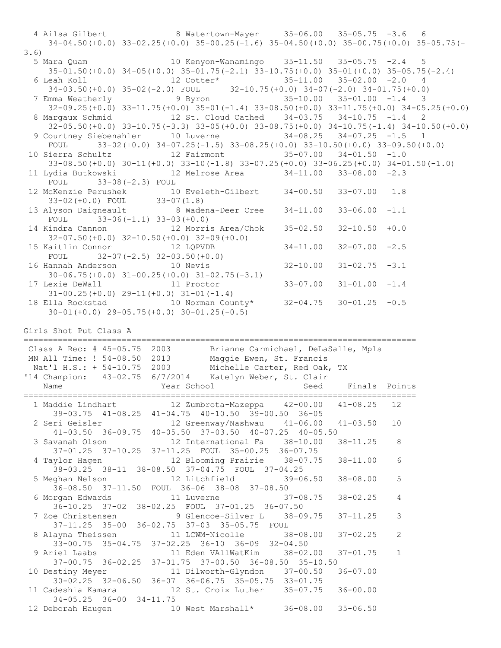4 Ailsa Gilbert 8 Watertown-Mayer 35-06.00 35-05.75 -3.6 6 34-04.50(+0.0) 33-02.25(+0.0) 35-00.25(-1.6) 35-04.50(+0.0) 35-00.75(+0.0) 35-05.75(- 3.6) 5 Mara Quam 10 Kenyon-Wanamingo 35-11.50 35-05.75 -2.4 5 35-01.50(+0.0) 34-05(+0.0) 35-01.75(-2.1) 33-10.75(+0.0) 35-01(+0.0) 35-05.75(-2.4) 6 Leah Koll 12 Cotter\* 35-11.00 35-02.00 -2.0 4 34-03.50(+0.0) 35-02(-2.0) FOUL 32-10.75(+0.0) 34-07(-2.0) 34-01.75(+0.0) 7 Emma Weatherly 9 Byron 35-10.00 35-01.00 -1.4 3 32-09.25(+0.0) 33-11.75(+0.0) 35-01(-1.4) 33-08.50(+0.0) 33-11.75(+0.0) 34-05.25(+0.0) 8 Margaux Schmid 12 St. Cloud Cathed 34-03.75 34-10.75 -1.4 2 32-05.50(+0.0) 33-10.75(-3.3) 33-05(+0.0) 33-08.75(+0.0) 34-10.75(-1.4) 34-10.50(+0.0) 9 Courtney Siebenahler 10 Luverne 34-08.25 34-07.25 -1.5 1 FOUL 33-02(+0.0) 34-07.25(-1.5) 33-08.25(+0.0) 33-10.50(+0.0) 33-09.50(+0.0) 10 Sierra Schultz 12 Fairmont 35-07.00 34-01.50 -1.0 33-08.50(+0.0) 30-11(+0.0) 33-10(-1.8) 33-07.25(+0.0) 33-06.25(+0.0) 34-01.50(-1.0) 11 Lydia Butkowski 12 Melrose Area 34-11.00 33-08.00 -2.3 FOUL 33-08(-2.3) FOUL 12 McKenzie Perushek 10 Eveleth-Gilbert 34-00.50 33-07.00 1.8 33-02(+0.0) FOUL 33-07(1.8) 13 Alyson Daigneault 8 Wadena-Deer Cree 34-11.00 33-06.00 -1.1 FOUL 33-06(-1.1) 33-03(+0.0) 14 Kindra Cannon 12 Morris Area/Chok 35-02.50 32-10.50 +0.0 32-07.50(+0.0) 32-10.50(+0.0) 32-09(+0.0) 15 Kaitlin Connor 12 LQPVDB 34-11.00 32-07.00 -2.5 FOUL 32-07(-2.5) 32-03.50(+0.0)<br>16 Hannah Anderson 10 Nevis 16 Hannah Anderson 10 Nevis 32-10.00 31-02.75 -3.1 30-06.75(+0.0) 31-00.25(+0.0) 31-02.75(-3.1) 17 Lexie DeWall 11 Proctor 33-07.00 31-01.00 -1.4 Lexie DeWall 11 Proctor<br>31-00.25(+0.0) 29-11(+0.0) 31-01(-1.4) 18 Ella Rockstad 10 Norman County\* 32-04.75 30-01.25 -0.5 30-01(+0.0) 29-05.75(+0.0) 30-01.25(-0.5) Girls Shot Put Class A ================================================================================ Class A Rec: # 45-05.75 2003 Brianne Carmichael, DeLaSalle, Mpls MN All Time: ! 54-08.50 2013 Maggie Ewen, St. Francis Nat'l H.S.: + 54-10.75 2003 Michelle Carter, Red Oak, TX '14 Champion: 43-02.75 6/7/2014 Katelyn Weber, St. Clair Name The Year School Seed Finals Points ================================================================================ 1 Maddie Lindhart 12 Zumbrota-Mazeppa 42-00.00 41-08.25 12 39-03.75 41-08.25 41-04.75 40-10.50 39-00.50 36-05 2 Seri Geisler 12 Greenway/Nashwau 41-06.00 41-03.50 10 41-03.50 36-09.75 40-05.50 37-03.50 40-07.25 40-05.50 3 Savanah Olson 12 International Fa 38-10.00 38-11.25 8 37-01.25 37-10.25 37-11.25 FOUL 35-00.25 36-07.75 4 Taylor Hagen 12 Blooming Prairie 38-07.75 38-11.00 6 38-03.25 38-11 38-08.50 37-04.75 FOUL 37-04.25 5 Meghan Nelson 12 Litchfield 39-06.50 38-08.00 5 36-08.50 37-11.50 FOUL 36-06 38-08 37-08.50 6 Morgan Edwards 11 Luverne 37-08.75 38-02.25 4 36-10.25 37-02 38-02.25 FOUL 37-01.25 36-07.50 7 Zoe Christensen 9 Glencoe-Silver L 38-09.75 37-11.25 3 37-11.25 35-00 36-02.75 37-03 35-05.75 FOUL 8 Alayna Theissen 11 LCWM-Nicolle 38-08.00 37-02.25 2 33-00.75 35-04.75 37-02.25 36-10 36-09 32-04.50 9 Ariel Laabs 11 Eden VAllWatKim 38-02.00 37-01.75 1 37-00.75 36-02.25 37-01.75 37-00.50 36-08.50 35-10.50 10 Destiny Meyer 11 Dilworth-Glyndon 37-00.50 36-07.00 30-02.25 32-06.50 36-07 36-06.75 35-05.75 33-01.75 11 Cadeshia Kamara 12 St. Croix Luther 35-07.75 36-00.00 34-05.25 36-00 34-11.75 12 Deborah Haugen 10 West Marshall\* 36-08.00 35-06.50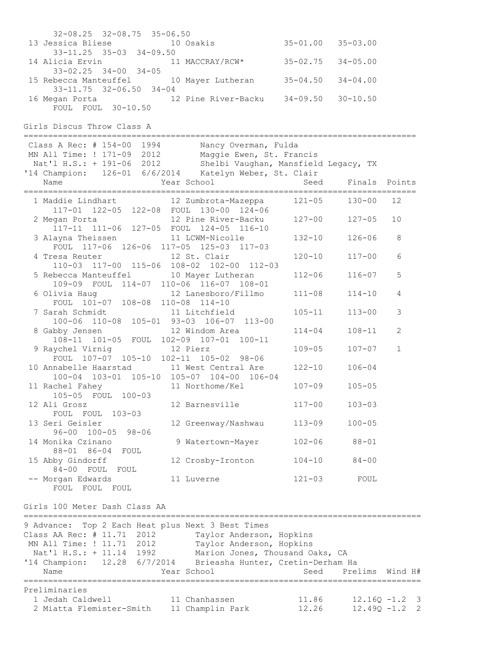| Preliminaries<br>1 Jedah Caldwell<br>2 Miatta Flemister-Smith                                                                                                                                                                                      | 11 Chanhassen<br>11 Champlin Park                                   | 11.86<br>12.26 |                           | $12.16Q - 1.2$ 3<br>$12.49Q - 1.2$ 2 |
|----------------------------------------------------------------------------------------------------------------------------------------------------------------------------------------------------------------------------------------------------|---------------------------------------------------------------------|----------------|---------------------------|--------------------------------------|
| 9 Advance: Top 2 Each Heat plus Next 3 Best Times<br>Class AA Rec: # 11.71 2012<br>MN All Time: ! 11.71 2012<br>Nat'l H.S.: + 11.14 1992 Marion Jones, Thousand Oaks, CA<br>'14 Champion: 12.28 6/7/2014 Brieasha Hunter, Cretin-Derham Ha<br>Name | Taylor Anderson, Hopkins<br>Taylor Anderson, Hopkins<br>Year School | Seed           | Prelims                   | Wind H#                              |
| Girls 100 Meter Dash Class AA                                                                                                                                                                                                                      |                                                                     |                |                           |                                      |
| -- Morgan Edwards<br>FOUL FOUL FOUL                                                                                                                                                                                                                | 11 Luverne                                                          | $121 - 03$     | FOUL                      |                                      |
| 15 Abby Gindorff<br>84-00 FOUL FOUL                                                                                                                                                                                                                | 12 Crosby-Ironton                                                   | $104 - 10$     | $84 - 00$                 |                                      |
| 14 Monika Czinano<br>88-01 86-04 FOUL                                                                                                                                                                                                              | 9 Watertown-Mayer                                                   | $102 - 06$     | $88 - 01$                 |                                      |
| 13 Seri Geisler<br>$96 - 00$ $100 - 05$ $98 - 06$                                                                                                                                                                                                  | 12 Greenway/Nashwau                                                 | $113 - 09$     | $100 - 05$                |                                      |
| 12 Ali Grosz<br>FOUL FOUL 103-03                                                                                                                                                                                                                   | 12 Barnesville                                                      | $117 - 00$     | $103 - 03$                |                                      |
| 11 Rachel Fahey<br>105-05 FOUL 100-03                                                                                                                                                                                                              | 11 Northome/Kel                                                     | $107 - 09$     | $105 - 05$                |                                      |
| 10 Annabelle Haarstad 11 West Central Are 122-10<br>100-04 103-01 105-10 105-07 104-00 106-04                                                                                                                                                      |                                                                     |                | $106 - 04$                |                                      |
| 9 Raychel Virnig<br>FOUL 107-07 105-10 102-11 105-02 98-06                                                                                                                                                                                         | 12 Pierz                                                            | $109 - 05$     | $107 - 07$                | $\mathbf 1$                          |
| 8 Gabby Jensen<br>108-11 101-05 FOUL 102-09 107-01 100-11                                                                                                                                                                                          | 12 Windom Area                                                      | $114 - 04$     | $108 - 11$                | $\mathbf{2}$                         |
| 7 Sarah Schmidt<br>100-06 110-08 105-01 93-03 106-07 113-00                                                                                                                                                                                        |                                                                     | $105 - 11$     | $113 - 00$                | $\mathfrak{Z}$                       |
| 6 Olivia Haug 12 Lanesboro/Fillmo<br>FOUL 101-07 108-08 110-08 114-10                                                                                                                                                                              |                                                                     | $111 - 08$     | $114 - 10$                | 4                                    |
| 5 Rebecca Manteuffel 10 Mayer Lutheran<br>109-09 FOUL 114-07 110-06 116-07 108-01                                                                                                                                                                  |                                                                     | $112 - 06$     | $116 - 07$                | 5                                    |
| $110-03$ $117-00$ $115-06$ $108-02$ $102-00$ $112-03$                                                                                                                                                                                              |                                                                     |                |                           |                                      |
| FOUL 117-06 126-06 117-05 125-03 117-03<br>4 Tresa Reuter 12 St. Clair                                                                                                                                                                             |                                                                     | $120 - 10$     | $117 - 00$                | 6                                    |
| 117-11 111-06 127-05 FOUL 124-05 116-10<br>3 Alayna Theissen 11 LCWM-Nicolle                                                                                                                                                                       |                                                                     | $132 - 10$     | $126 - 06$                | 8                                    |
| 117-01 122-05 122-08 FOUL 130-00 124-06<br>2 Megan Porta 12 Pine River-Backu 127-00                                                                                                                                                                |                                                                     |                | $127 - 05$                | 10                                   |
| 1 Maddie Lindhart 12 Zumbrota-Mazeppa 121-05 130-00                                                                                                                                                                                                |                                                                     |                |                           | 12                                   |
| Class A Rec: # 154-00 1994<br>MN All Time: ! 171-09 2012 Maggie Ewen, St. Francis<br>Nat'l H.S.: + 191-06 2012 Shelbi Vaughan, Mansfield Legacy, TX<br>'14 Champion: 126-01 6/6/2014 Katelyn Weber, St. Clair<br>Name                              | Nancy Overman, Fulda<br>Year School                                 |                | Seed Finals Points        |                                      |
| Girls Discus Throw Class A                                                                                                                                                                                                                         |                                                                     |                |                           |                                      |
| 16 Megan Porta 12 Pine River-Backu 34-09.50 30-10.50<br>FOUL FOUL 30-10.50                                                                                                                                                                         |                                                                     |                |                           |                                      |
| 15 Rebecca Manteuffel 10 Mayer Lutheran 35-04.50<br>$33 - 11.75$ $32 - 06.50$ $34 - 04$                                                                                                                                                            |                                                                     |                | $34 - 04.00$              |                                      |
| 14 Alicia Ervin 11 MACCRAY/RCW* 35-02.75<br>$33 - 02.25$ $34 - 00$ $34 - 05$                                                                                                                                                                       |                                                                     |                | $34 - 05.00$              |                                      |
| 13 Jessica Bliese 10 Osakis<br>$33 - 11.25$ $35 - 03$ $34 - 09.50$                                                                                                                                                                                 |                                                                     |                | $35 - 01.00$ $35 - 03.00$ |                                      |
| 32-08.25 32-08.75 35-06.50                                                                                                                                                                                                                         |                                                                     |                |                           |                                      |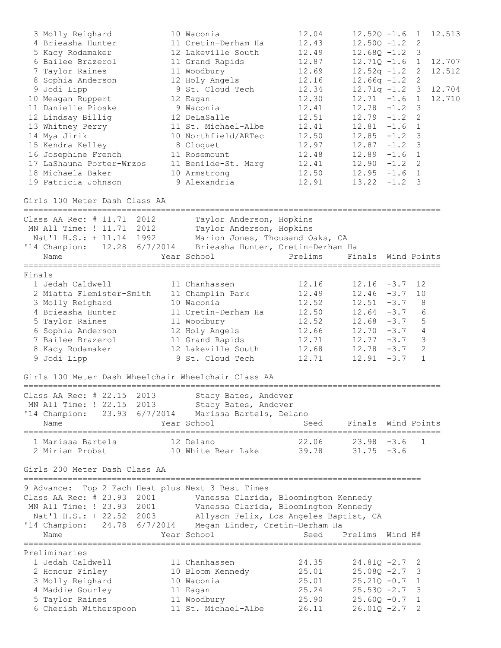| 3 Molly Reighard<br>4 Brieasha Hunter<br>5 Kacy Rodamaker<br>6 Bailee Brazerol<br>7 Taylor Raines<br>8 Sophia Anderson<br>9 Jodi Lipp<br>10 Meagan Ruppert<br>11 Danielle Pioske<br>12 Lindsay Billig | 10 Waconia<br>11 Cretin-Derham Ha<br>12 Lakeville South<br>11 Grand Rapids<br>11 Woodbury<br>12 Holy Angels<br>9 St. Cloud Tech<br>12 Eagan<br>9 Waconia<br>12 DeLaSalle | 12.04<br>12.43<br>12.49<br>12.87<br>12.69<br>12.16<br>12.34<br>12.30<br>12.41<br>12.51 | $12.52Q - 1.6$<br>$12.50Q - 1.2$<br>$12.68Q - 1.2$<br>$12.71Q - 1.6$ 1<br>$12.52q - 1.2$<br>$12.66q -1.2$<br>$12.71q - 1.2$ 3<br>$12.71 - 1.6$<br>12.78<br>$12.79 - 1.2$ | $-1.2$           | $\mathbf{1}$<br>2<br>3<br>2<br>2<br>$\overline{1}$<br>$\mathcal{S}$<br>$\mathbf{2}$ | 12.513<br>12.707<br>12.512<br>12.704<br>12.710 |
|-------------------------------------------------------------------------------------------------------------------------------------------------------------------------------------------------------|--------------------------------------------------------------------------------------------------------------------------------------------------------------------------|----------------------------------------------------------------------------------------|--------------------------------------------------------------------------------------------------------------------------------------------------------------------------|------------------|-------------------------------------------------------------------------------------|------------------------------------------------|
| 13 Whitney Perry<br>14 Mya Jirik<br>15 Kendra Kelley<br>16 Josephine French<br>17 LaShauna Porter-Wrzos<br>18 Michaela Baker                                                                          | 11 St. Michael-Albe<br>10 Northfield/ARTec<br>8 Cloquet<br>11 Rosemount<br>11 Benilde-St. Marg<br>10 Armstrong                                                           | 12.41<br>12.50<br>12.97<br>12.48<br>12.41<br>12.50                                     | 12.81<br>$12.85 - 1.2$<br>$12.87 - 1.2$<br>$12.89 - 1.6$<br>$12.90 - 1.2$ 2<br>$12.95 - 1.6 1$                                                                           | $-1.6$           | 1<br>3<br>3<br>1                                                                    |                                                |
| 19 Patricia Johnson<br>Girls 100 Meter Dash Class AA                                                                                                                                                  | 9 Alexandria                                                                                                                                                             | 12.91                                                                                  | $13.22 -1.2$ 3                                                                                                                                                           |                  |                                                                                     |                                                |
| Class AA Rec: # 11.71 2012<br>MN All Time: ! 11.71 2012<br>Nat'l H.S.: + 11.14 1992<br>'14 Champion: 12.28 6/7/2014<br>Name                                                                           | Taylor Anderson, Hopkins<br>Taylor Anderson, Hopkins<br>Marion Jones, Thousand Oaks, CA<br>Brieasha Hunter, Cretin-Derham Ha<br>Year School                              | Prelims                                                                                | Finals Wind Points                                                                                                                                                       |                  |                                                                                     |                                                |
|                                                                                                                                                                                                       |                                                                                                                                                                          |                                                                                        |                                                                                                                                                                          |                  |                                                                                     |                                                |
| Finals<br>1 Jedah Caldwell<br>2 Miatta Flemister-Smith<br>3 Molly Reighard<br>4 Brieasha Hunter<br>5 Taylor Raines<br>6 Sophia Anderson<br>7 Bailee Brazerol<br>8 Kacy Rodamaker<br>9 Jodi Lipp       | 11 Chanhassen<br>11 Champlin Park<br>10 Waconia<br>11 Cretin-Derham Ha<br>11 Woodbury<br>12 Holy Angels<br>11 Grand Rapids<br>12 Lakeville South<br>9 St. Cloud Tech     | 12.16<br>12.49<br>12.52<br>12.50<br>12.52<br>12.66<br>12.71<br>12.68<br>12.71          | $12.16 - 3.7$<br>$12.46 - 3.7$<br>12.51<br>$12.64 - 3.7$<br>$12.68 - 3.7$<br>$12.70 - 3.7$<br>$12.77 - 3.7$<br>$12.78 - 3.7$<br>12.91                                    | $-3.7$<br>$-3.7$ | 12<br>10<br>- 8<br>- 6<br>5<br>$\overline{4}$<br>$\mathcal{E}$<br>2<br>1            |                                                |
| Girls 100 Meter Dash Wheelchair Wheelchair Class AA                                                                                                                                                   |                                                                                                                                                                          |                                                                                        |                                                                                                                                                                          |                  |                                                                                     |                                                |
| Class AA Rec: # 22.15 2013<br>MN All Time: ! 22.15 2013<br>'14 Champion: 23.93 6/7/2014<br>Name                                                                                                       | Stacy Bates, Andover<br>Stacy Bates, Andover<br>Marissa Bartels, Delano<br>Year School                                                                                   | Seed                                                                                   | Finals Wind Points                                                                                                                                                       |                  |                                                                                     |                                                |
| 1 Marissa Bartels<br>2 Miriam Probst                                                                                                                                                                  | 12 Delano<br>10 White Bear Lake                                                                                                                                          | 39.78                                                                                  | $22.06$ $23.98$ $-3.6$<br>$31.75 - 3.6$                                                                                                                                  |                  | 1                                                                                   |                                                |
| Girls 200 Meter Dash Class AA                                                                                                                                                                         |                                                                                                                                                                          |                                                                                        |                                                                                                                                                                          |                  |                                                                                     |                                                |
| 9 Advance: Top 2 Each Heat plus Next 3 Best Times<br>Class AA Rec: # 23.93 2001<br>MN All Time: ! 23.93 2001<br>Nat'l H.S.: + 22.52 2003<br>'14 Champion: 24.78 6/7/2014<br>Name                      | Vanessa Clarida, Bloomington Kennedy<br>Vanessa Clarida, Bloomington Kennedy<br>Allyson Felix, Los Angeles Baptist, CA<br>Megan Linder, Cretin-Derham Ha<br>Year School  | Seed                                                                                   | Prelims Wind H#                                                                                                                                                          |                  |                                                                                     |                                                |
| Preliminaries<br>1 Jedah Caldwell<br>2 Honour Finley<br>3 Molly Reighard<br>4 Maddie Gourley<br>5 Taylor Raines<br>6 Cherish Witherspoon                                                              | 11 Chanhassen<br>10 Bloom Kennedy<br>10 Waconia<br>11 Eagan<br>11 Woodbury<br>11 St. Michael-Albe                                                                        | 24.35<br>25.01<br>25.01<br>25.24<br>25.90<br>26.11                                     | $24.81Q - 2.7$<br>$25.08Q - 2.7$<br>$25.21Q - 0.7$<br>$25.53Q - 2.7$<br>$25.60Q - 0.7$<br>$26.01Q - 2.7$                                                                 |                  | 2<br>3<br>1<br>3<br>1<br>2                                                          |                                                |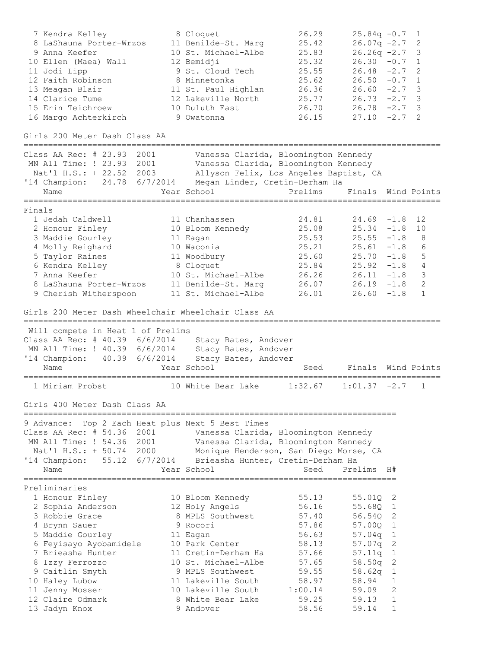7 Kendra Kelley 8 Cloquet 26.29 25.84q -0.7 1 8 LaShauna Porter-Wrzos 11 Benilde-St. Marg 25.42 26.07q -2.7 2 9 Anna Keefer 10 St. Michael-Albe 25.83 26.26q -2.7 3 10 Ellen (Maea) Wall 12 Bemidji 25.32 26.30 -0.7 1 11 Jodi Lipp 9 St. Cloud Tech 25.55 26.48 -2.7 2 12 Faith Robinson 8 Minnetonka 25.62 26.50 -0.7 1 13 Meagan Blair 11 St. Paul Highlan 26.36 26.60 -2.7 3 14 Clarice Tume 12 Lakeville North 25.77 26.73 -2.7 3 15 Erin Teichroew 10 Duluth East 26.70 26.78 -2.7 3 16 Margo Achterkirch 9 Owatonna 26.15 27.10 -2.7 2 Girls 200 Meter Dash Class AA ===================================================================================== Class AA Rec: # 23.93 2001 Vanessa Clarida, Bloomington Kennedy MN All Time: ! 23.93 2001 Vanessa Clarida, Bloomington Kennedy Nat'l H.S.: + 22.52 2003 Allyson Felix, Los Angeles Baptist, CA '14 Champion: 24.78 6/7/2014 Megan Linder, Cretin-Derham Ha Name The Year School The Prelims Finals Wind Points ===================================================================================== Finals 1 Jedah Caldwell 11 Chanhassen 24.81 24.69 -1.8 12 2 Honour Finley 10 Bloom Kennedy 25.08 25.34 -1.8 10 3 Maddie Gourley 11 Eagan 25.53 25.55 -1.8 8 4 Molly Reighard 10 Waconia 25.21 25.61 -1.8 6 5 Taylor Raines 11 Woodbury 25.60 25.70 -1.8 5 6 Kendra Kelley 8 Cloquet 25.84 25.92 -1.8 4 7 Anna Keefer 10 St. Michael-Albe 26.26 26.11 -1.8 3 8 LaShauna Porter-Wrzos 11 Benilde-St. Marg 26.07 26.19 -1.8 2 9 Cherish Witherspoon 11 St. Michael-Albe 26.01 26.60 -1.8 1 Girls 200 Meter Dash Wheelchair Wheelchair Class AA ===================================================================================== Will compete in Heat 1 of Prelims Class AA Rec: # 40.39 6/6/2014 Stacy Bates, Andover MN All Time: ! 40.39 6/6/2014 Stacy Bates, Andover '14 Champion: 40.39 6/6/2014 Stacy Bates, Andover Name Year School Seed Finals Wind Points ===================================================================================== 1 Miriam Probst 10 White Bear Lake 1:32.67 1:01.37 -2.7 1 Girls 400 Meter Dash Class AA ============================================================================ 9 Advance: Top 2 Each Heat plus Next 5 Best Times Class AA Rec: # 54.36 2001 Vanessa Clarida, Bloomington Kennedy MN All Time: ! 54.36 2001 Vanessa Clarida, Bloomington Kennedy Nat'l H.S.: + 50.74 2000 Monique Henderson, San Diego Morse, CA '14 Champion: 55.12 6/7/2014 Brieasha Hunter, Cretin-Derham Ha Name The Sear School Seed Prelims H# ============================================================================ Preliminaries 1 Honour Finley 10 Bloom Kennedy 55.13 55.01Q 2 2 Sophia Anderson 12 Holy Angels 56.16 55.68Q 1 3 Robbie Grace 8 MPLS Southwest 57.40 56.54Q 2 4 Brynn Sauer 9 Rocori 57.86 57.00Q 1 5 Maddie Gourley 11 Eagan 56.63 57.04q 1 6 Feyisayo Ayobamidele 10 Park Center 58.13 57.07q 2 7 Brieasha Hunter 11 Cretin-Derham Ha 57.66 57.11q 1 8 Izzy Ferrozzo 10 St. Michael-Albe 57.65 58.50q 2 9 Caitlin Smyth 9 MPLS Southwest 59.55 58.62q 1 10 Haley Lubow 11 Lakeville South 58.97 58.94 1 11 Jenny Mosser 10 Lakeville South 1:00.14 59.09 2 12 Claire Odmark 8 White Bear Lake 59.25 59.13 1 13 Jadyn Knox 9 Andover 58.56 59.14 1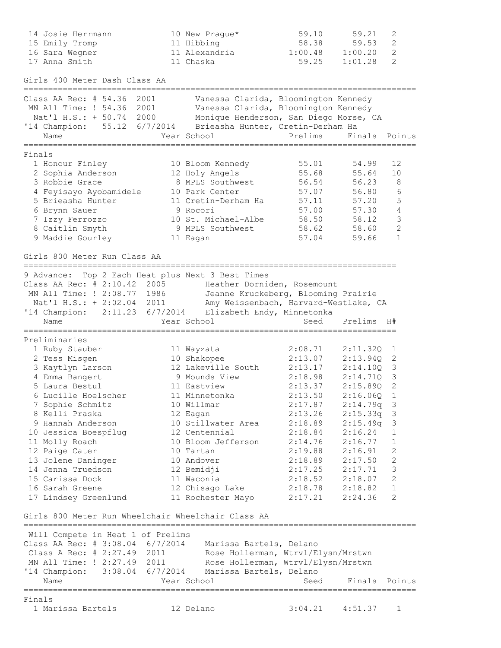|        | 14 Josie Herrmann<br>15 Emily Tromp<br>16 Sara Wegner<br>17 Anna Smith                                                     | 10 New Prague*<br>11 Hibbing<br>11 Alexandria<br>11 Chaska                                                                                                  | 59.10<br>58.38<br>1:00.48<br>59.25 | 59.21<br>59.53<br>1:00.20<br>1:01.28 | $\sqrt{2}$<br>$\mathbf{2}$<br>2<br>2 |
|--------|----------------------------------------------------------------------------------------------------------------------------|-------------------------------------------------------------------------------------------------------------------------------------------------------------|------------------------------------|--------------------------------------|--------------------------------------|
|        | Girls 400 Meter Dash Class AA<br>__________________________________                                                        |                                                                                                                                                             |                                    |                                      |                                      |
|        | Class AA Rec: # 54.36 2001<br>MN All Time: ! 54.36<br>2001<br>Nat'l H.S.: + 50.74<br>2000<br>'14 Champion: 55.12 6/7/2014  | Vanessa Clarida, Bloomington Kennedy<br>Vanessa Clarida, Bloomington Kennedy<br>Monique Henderson, San Diego Morse, CA<br>Brieasha Hunter, Cretin-Derham Ha |                                    |                                      |                                      |
|        | Name                                                                                                                       | Year School                                                                                                                                                 | Prelims                            | Finals                               | Points                               |
| Finals |                                                                                                                            |                                                                                                                                                             |                                    |                                      |                                      |
|        | 1 Honour Finley<br>2 Sophia Anderson                                                                                       | 10 Bloom Kennedy<br>12 Holy Angels                                                                                                                          | 55.01<br>55.68                     | 54.99<br>55.64                       | 12<br>10                             |
|        | 3 Robbie Grace                                                                                                             | 8 MPLS Southwest                                                                                                                                            | 56.54                              | 56.23                                | $\,8\,$                              |
|        | 4 Feyisayo Ayobamidele                                                                                                     | 10 Park Center                                                                                                                                              | 57.07                              | 56.80                                | 6                                    |
|        | 5 Brieasha Hunter                                                                                                          | 11 Cretin-Derham Ha                                                                                                                                         | 57.11                              | 57.20                                | 5                                    |
|        | 6 Brynn Sauer                                                                                                              | 9 Rocori                                                                                                                                                    | 57.00                              | 57.30                                | 4                                    |
|        | 7 Izzy Ferrozzo                                                                                                            | 10 St. Michael-Albe                                                                                                                                         | 58.50                              | 58.12                                | 3                                    |
|        | 8 Caitlin Smyth                                                                                                            | 9 MPLS Southwest                                                                                                                                            | 58.62                              | 58.60                                | $\overline{c}$                       |
|        | 9 Maddie Gourley                                                                                                           | 11 Eagan                                                                                                                                                    | 57.04                              | 59.66                                | $\mathbf{1}$                         |
|        | Girls 800 Meter Run Class AA                                                                                               |                                                                                                                                                             |                                    |                                      |                                      |
|        | 9 Advance: Top 2 Each Heat plus Next 3 Best Times                                                                          |                                                                                                                                                             |                                    |                                      |                                      |
|        | Class AA Rec: # 2:10.42 2005 Heather Dorniden, Rosemount                                                                   |                                                                                                                                                             |                                    |                                      |                                      |
|        | MN All Time: ! 2:08.77 1986                                                                                                | Jeanne Kruckeberg, Blooming Prairie                                                                                                                         |                                    |                                      |                                      |
|        | Nat'l H.S.: + 2:02.04 2011                                                                                                 | Amy Weissenbach, Harvard-Westlake, CA                                                                                                                       |                                    |                                      |                                      |
|        | '14 Champion: 2:11.23 6/7/2014<br>Name                                                                                     | Elizabeth Endy, Minnetonka<br>Year School                                                                                                                   | Seed                               | Prelims                              | H#                                   |
|        |                                                                                                                            |                                                                                                                                                             |                                    |                                      |                                      |
|        | Preliminaries                                                                                                              |                                                                                                                                                             |                                    |                                      |                                      |
|        | 1 Ruby Stauber                                                                                                             | 11 Wayzata                                                                                                                                                  | 2:08.71                            | 2:11.32Q                             | 1                                    |
|        | 2 Tess Misgen<br>3 Kaytlyn Larson                                                                                          | 10 Shakopee<br>12 Lakeville South                                                                                                                           | 2:13.07<br>2:13.17                 | 2:13.94Q<br>2:14.10Q                 | 2<br>$\overline{\mathbf{3}}$         |
|        | 4 Emma Bangert                                                                                                             | 9 Mounds View                                                                                                                                               | 2:18.98                            | 2:14.71Q                             | $\overline{\mathbf{3}}$              |
|        | 5 Laura Bestul                                                                                                             | 11 Eastview                                                                                                                                                 | 2:13.37                            | 2:15.89Q                             | 2                                    |
|        | 6 Lucille Hoelscher                                                                                                        | 11 Minnetonka                                                                                                                                               | 2:13.50                            | $2:16.06Q$ 1                         |                                      |
|        | 7 Sophie Schmitz                                                                                                           | 10 Willmar                                                                                                                                                  | 2:17.87                            | 2:14.79q                             | 3                                    |
|        | 8 Kelli Praska                                                                                                             | 12 Eagan                                                                                                                                                    |                                    | $2:13.26$ $2:15.33q$ 3               |                                      |
|        | 9 Hannah Anderson                                                                                                          | 10 Stillwater Area                                                                                                                                          | 2:18.89                            | 2:15.49q                             | 3                                    |
|        | 10 Jessica Boespflug                                                                                                       | 12 Centennial                                                                                                                                               | 2:18.84                            | 2:16.24                              | 1                                    |
|        | 11 Molly Roach                                                                                                             | 10 Bloom Jefferson                                                                                                                                          | 2:14.76                            | 2:16.77                              | $\mathbf 1$                          |
|        | 12 Paige Cater                                                                                                             | 10 Tartan                                                                                                                                                   | 2:19.88                            | 2:16.91                              | 2                                    |
|        | 13 Jolene Daninger<br>14 Jenna Truedson                                                                                    | 10 Andover<br>12 Bemidji                                                                                                                                    | 2:18.89<br>$2:17.25$ $2:17.71$     | 2:17.50                              | $\mathbf{2}$<br>3                    |
|        | 15 Carissa Dock                                                                                                            | 11 Waconia                                                                                                                                                  | $2:18.52$ $2:18.07$                |                                      | 2                                    |
|        | 16 Sarah Greene                                                                                                            | 12 Chisago Lake                                                                                                                                             | $2:18.78$ $2:18.82$                |                                      | $\mathbf 1$                          |
|        | 17 Lindsey Greenlund                                                                                                       | 11 Rochester Mayo 2:17.21                                                                                                                                   |                                    | 2:24.36                              | 2                                    |
|        | Girls 800 Meter Run Wheelchair Wheelchair Class AA                                                                         |                                                                                                                                                             |                                    |                                      |                                      |
|        |                                                                                                                            |                                                                                                                                                             |                                    |                                      |                                      |
|        | Will Compete in Heat 1 of Prelims                                                                                          |                                                                                                                                                             |                                    |                                      |                                      |
|        | Class AA Rec: # 3:08.04 6/7/2014 Marissa Bartels, Delano<br>Class A Rec: # 2:27.49 2011 Rose Hollerman, Wtrvl/Elysn/Mrstwn |                                                                                                                                                             |                                    |                                      |                                      |
|        | MN All Time: ! 2:27.49 2011 Rose Hollerman, Wtrvl/Elysn/Mrstwn                                                             |                                                                                                                                                             |                                    |                                      |                                      |
|        | '14 Champion: 3:08.04 6/7/2014 Marissa Bartels, Delano                                                                     |                                                                                                                                                             |                                    |                                      |                                      |
|        | Name                                                                                                                       | Year School                                                                                                                                                 | Seed                               | Finals Points                        |                                      |
| Finals |                                                                                                                            |                                                                                                                                                             |                                    |                                      |                                      |
|        | 1 Marissa Bartels                                                                                                          | 12 Delano                                                                                                                                                   |                                    | $3:04.21$ $4:51.37$                  | 1                                    |
|        |                                                                                                                            |                                                                                                                                                             |                                    |                                      |                                      |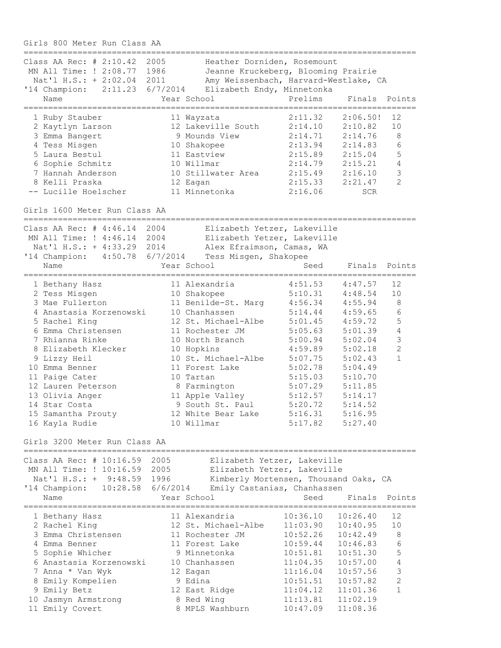Girls 800 Meter Run Class AA ================================================================================ Class AA Rec: # 2:10.42 2005 Heather Dorniden, Rosemount MN All Time: ! 2:08.77 1986 Jeanne Kruckeberg, Blooming Prairie Nat'l H.S.: + 2:02.04 2011 Amy Weissenbach, Harvard-Westlake, CA '14 Champion: 2:11.23 6/7/2014 Elizabeth Endy, Minnetonka Name Year School Prelims Finals Points ================================================================================ 1 Ruby Stauber 11 Wayzata 2:11.32 2:06.50! 12 2 Kaytlyn Larson 12 Lakeville South 2:14.10 2:10.82 10 3 Emma Bangert 9 Mounds View 2:14.71 2:14.76 8 4 Tess Misgen 10 Shakopee 2:13.94 2:14.83 6 5 Laura Bestul 11 Eastview 2:15.89 2:15.04 5 6 Sophie Schmitz 10 Willmar 2:14.79 2:15.21 4 7 Hannah Anderson 10 Stillwater Area 2:15.49 2:16.10 3 8 Kelli Praska 12 Eagan 2:15.33 2:21.47 2 -- Lucille Hoelscher 11 Minnetonka 2:16.06 SCR Girls 1600 Meter Run Class AA ================================================================================ Class AA Rec: # 4:46.14 2004 Elizabeth Yetzer, Lakeville MN All Time: ! 4:46.14 2004 Elizabeth Yetzer, Lakeville Nat'l H.S.: + 4:33.29 2014 Alex Efraimson, Camas, WA '14 Champion: 4:50.78 6/7/2014 Tess Misgen, Shakopee Name Year School Seed Finals Points ================================================================================ 1 Bethany Hasz 11 Alexandria 4:51.53 4:47.57 12 2 Tess Misgen 10 Shakopee 5:10.31 4:48.54 10 3 Mae Fullerton 11 Benilde-St. Marg 4:56.34 4:55.94 8 4 Anastasia Korzenowski 10 Chanhassen 5:14.44 4:59.65 6 5 Rachel King 12 St. Michael-Albe 5:01.45 4:59.72 5 6 Emma Christensen 11 Rochester JM 5:05.63 5:01.39 4 7 Rhianna Rinke 10 North Branch 5:00.94 5:02.04 3 8 Elizabeth Klecker 10 Hopkins 4:59.89 5:02.18 2 9 Lizzy Heil 10 St. Michael-Albe 5:07.75 5:02.43 1 10 Emma Benner 11 Forest Lake 5:02.78 5:04.49 11 Paige Cater 10 Tartan 5:15.03 5:10.70 12 Lauren Peterson 8 Farmington 5:07.29 5:11.85 13 Olivia Anger 11 Apple Valley 5:12.57 5:14.17 14 Star Costa 9 South St. Paul 5:20.72 5:14.52 15 Samantha Prouty 12 White Bear Lake 5:16.31 5:16.95 16 Kayla Rudie 10 Willmar 5:17.82 5:27.40 Girls 3200 Meter Run Class AA ================================================================================ Class AA Rec: # 10:16.59 2005 Elizabeth Yetzer, Lakeville MN All Time: ! 10:16.59 2005 Elizabeth Yetzer, Lakeville Nat'l H.S.: + 9:48.59 1996 Kimberly Mortensen, Thousand Oaks, CA '14 Champion: 10:28.58 6/6/2014 Emily Castanias, Chanhassen Name The Year School Contract Seed Finals Points ================================================================================ 1 Bethany Hasz 11 Alexandria 10:36.10 10:26.40 12 2 Rachel King 12 St. Michael-Albe 11:03.90 10:40.95 10 3 Emma Christensen 11 Rochester JM 10:52.26 10:42.49 8 4 Emma Benner 11 Forest Lake 10:59.44 10:46.83 6 5 Sophie Whicher 9 Minnetonka 10:51.81 10:51.30 5 6 Anastasia Korzenowski 10 Chanhassen 11:04.35 10:57.00 4 7 Anna \* Van Wyk 12 Eagan 11:16.04 10:57.56 3 8 Emily Kompelien 9 Edina 10:51.51 10:57.82 2 9 Emily Betz 12 East Ridge 11:04.12 11:01.36 1 10 Jasmyn Armstrong 8 Red Wing 11:13.81 11:02.19 11 Emily Covert 8 MPLS Washburn 10:47.09 11:08.36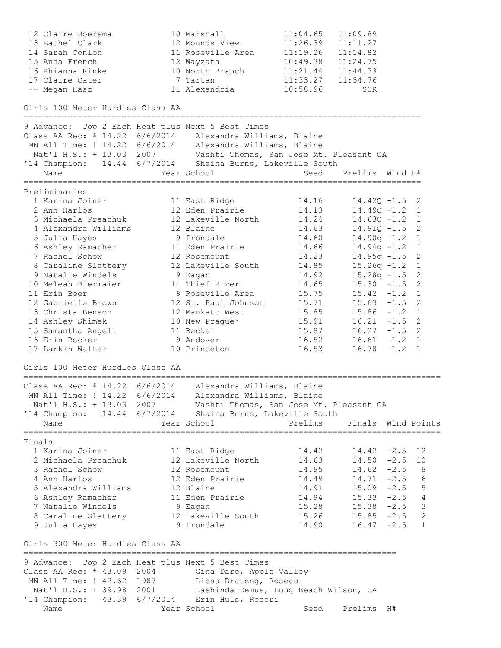| 12 Claire Boersma                                                  | 10 Marshall                           | 11:04.65       | 11:09.89                                   |           |   |
|--------------------------------------------------------------------|---------------------------------------|----------------|--------------------------------------------|-----------|---|
| 13 Rachel Clark                                                    | 12 Mounds View                        | 11:26.39       | 11:11.27                                   |           |   |
| 14 Sarah Conlon                                                    | 11 Roseville Area                     | 11:19.26       | 11:14.82                                   |           |   |
| 15 Anna French                                                     | 12 Wayzata                            | 10:49.38       | 11:24.75                                   |           |   |
| 16 Rhianna Rinke<br>17 Claire Cater                                | 10 North Branch<br>7 Tartan           |                | $11:21.44$ $11:44.73$<br>11:33.27 11:54.76 |           |   |
| -- Megan Hasz                                                      | 11 Alexandria                         | 10:58.96       | SCR                                        |           |   |
|                                                                    |                                       |                |                                            |           |   |
| Girls 100 Meter Hurdles Class AA                                   |                                       |                |                                            |           |   |
| 9 Advance: Top 2 Each Heat plus Next 5 Best Times                  |                                       |                |                                            |           |   |
| Class AA Rec: # 14.22 6/6/2014 Alexandra Williams, Blaine          |                                       |                |                                            |           |   |
| MN All Time: ! 14.22 6/6/2014 Alexandra Williams, Blaine           |                                       |                |                                            |           |   |
| Nat'l H.S.: + 13.03 2007 Vashti Thomas, San Jose Mt. Pleasant CA   |                                       |                |                                            |           |   |
| '14 Champion: 14.44 6/7/2014 Shaina Burns, Lakeville South<br>Name | Year School                           | Seed           | Prelims Wind H#                            |           |   |
|                                                                    |                                       |                |                                            |           |   |
| Preliminaries                                                      |                                       |                |                                            |           |   |
| 1 Karina Joiner                                                    | 11 East Ridge                         | 14.16          | $14.42Q - 1.5$ 2                           |           |   |
| 2 Ann Harlos                                                       | 12 Eden Prairie                       | 14.13          | $14.49Q - 1.2$ 1                           |           |   |
| 3 Michaela Preachuk                                                | 12 Lakeville North                    | 14.24          | $14.63Q - 1.2$ 1                           |           |   |
| 4 Alexandra Williams                                               | 12 Blaine                             | 14.63          | $14.91Q - 1.5$ 2                           |           |   |
| 5 Julia Hayes                                                      | 9 Irondale                            | 14.60          | $14.90q - 1.2$ 1                           |           |   |
| 6 Ashley Ramacher                                                  | 11 Eden Prairie                       | 14.66          | $14.94q - 1.2$ 1                           |           |   |
| 7 Rachel Schow                                                     | 12 Rosemount                          | 14.23          | $14.95q - 1.5$ 2                           |           |   |
| 8 Caraline Slattery<br>9 Natalie Windels                           | 12 Lakeville South                    | 14.85<br>14.92 | $15.26q - 1.2$ 1<br>$15.28q - 1.5$ 2       |           |   |
| 10 Meleah Biermaier                                                | 9 Eagan<br>11 Thief River             | 14.65          | $15.30 -1.5$ 2                             |           |   |
| 11 Erin Beer                                                       | 8 Roseville Area                      | 15.75          | $15.42 -1.2 1$                             |           |   |
| 12 Gabrielle Brown                                                 | 12 St. Paul Johnson                   | 15.71          | $15.63 - 1.5$ 2                            |           |   |
| 13 Christa Benson                                                  | 12 Mankato West                       | 15.85          | $15.86 -1.2 1$                             |           |   |
| 14 Ashley Shimek                                                   | 10 New Prague*                        | 15.91          | $16.21 - 1.5$ 2                            |           |   |
| 15 Samantha Angell                                                 | 11 Becker                             | 15.87          | $16.27 - 1.5$ 2                            |           |   |
| 16 Erin Becker                                                     | 9 Andover                             | 16.52          | $16.61 - 1.2 1$                            |           |   |
| 17 Larkin Walter                                                   | 10 Princeton                          | 16.53          | $16.78 - 1.2 1$                            |           |   |
| Girls 100 Meter Hurdles Class AA                                   |                                       |                |                                            |           |   |
| Class AA Rec: # 14.22 6/6/2014 Alexandra Williams, Blaine          |                                       |                |                                            |           |   |
| MN All Time: ! 14.22 6/6/2014 Alexandra Williams, Blaine           |                                       |                |                                            |           |   |
| Nat'l H.S.: + 13.03 2007 Vashti Thomas, San Jose Mt. Pleasant CA   |                                       |                |                                            |           |   |
| '14 Champion: 14.44 6/7/2014 Shaina Burns, Lakeville South         |                                       |                |                                            |           |   |
| Name                                                               | Year School                           | Prelims        | Finals Wind Points                         |           |   |
| Finals                                                             |                                       |                |                                            |           |   |
| 1 Karina Joiner                                                    | 11 East Ridge                         | 14.42          | $14.42 -2.5$ 12                            |           |   |
| 2 Michaela Preachuk                                                | 12 Lakeville North                    | 14.63          | 14.50                                      | $-2.5$ 10 |   |
| 3 Rachel Schow                                                     | 12 Rosemount                          | 14.95          | $14.62 - 2.5$                              |           | 8 |
| 4 Ann Harlos                                                       | 12 Eden Prairie                       | 14.49          | $14.71 - 2.5$                              |           | 6 |
| 5 Alexandra Williams                                               | 12 Blaine                             | 14.91          | $15.09 - 2.5$                              |           | 5 |
| 6 Ashley Ramacher                                                  | 11 Eden Prairie                       | 14.94          | $15.33 -2.5$                               |           | 4 |
| 7 Natalie Windels                                                  | 9 Eagan                               | 15.28          | $15.38 -2.5$                               |           | 3 |
| 8 Caraline Slattery                                                | 12 Lakeville South                    | 15.26          | $15.85 - 2.5$                              |           | 2 |
| 9 Julia Hayes                                                      | 9 Irondale                            | 14.90          | $16.47 - 2.5$                              |           | 1 |
| Girls 300 Meter Hurdles Class AA                                   |                                       |                |                                            |           |   |
| 9 Advance: Top 2 Each Heat plus Next 5 Best Times                  |                                       |                |                                            |           |   |
| Class AA Rec: # 43.09 2004 Gina Dare, Apple Valley                 |                                       |                |                                            |           |   |
| MN All Time: ! 42.62 1987                                          | Liesa Brateng, Roseau                 |                |                                            |           |   |
| Nat'l H.S.: + 39.98 2001                                           | Lashinda Demus, Long Beach Wilson, CA |                |                                            |           |   |
| '14 Champion: 43.39 6/7/2014 Erin Huls, Rocori                     |                                       |                |                                            |           |   |
| Name                                                               | Year School                           | Seed           | Prelims H#                                 |           |   |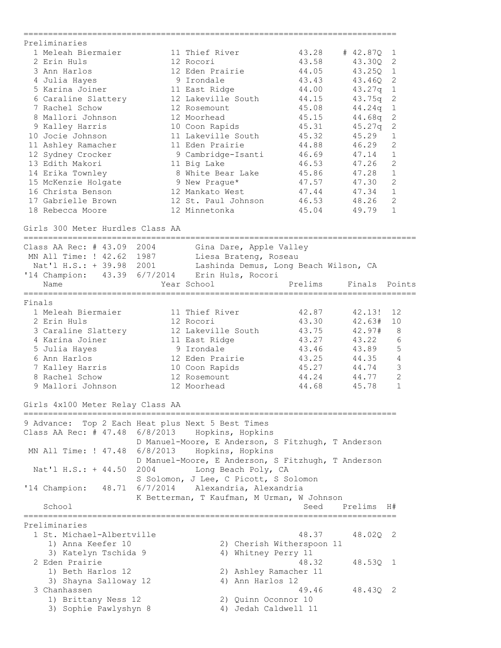| Preliminaries                                                             |          |                                                    |                           |                            |                |
|---------------------------------------------------------------------------|----------|----------------------------------------------------|---------------------------|----------------------------|----------------|
| 1 Meleah Biermaier                                                        |          | 11 Thief River                                     | 43.28                     | # 42.87Q                   | 1              |
| 2 Erin Huls                                                               |          | 12 Rocori                                          | 43.58                     | 43.30Q                     | 2              |
| 3 Ann Harlos                                                              |          | 12 Eden Prairie                                    | 44.05                     | 43.250                     | 1              |
| 4 Julia Hayes                                                             |          | 9 Irondale                                         | 43.43                     | 43.46Q                     | $\overline{c}$ |
| 5 Karina Joiner                                                           |          | 11 East Ridge                                      | 44.00                     | 43.27q                     | $\mathbf 1$    |
| 6 Caraline Slattery                                                       |          | 12 Lakeville South                                 | 44.15                     | 43.75q                     | $\sqrt{2}$     |
| 7 Rachel Schow                                                            |          | 12 Rosemount                                       | 45.08                     | 44.24q                     | $\mathbf 1$    |
| 8 Mallori Johnson                                                         |          | 12 Moorhead                                        | 45.15                     | 44.68q                     | 2              |
| 9 Kalley Harris                                                           |          | 10 Coon Rapids                                     | 45.31                     | 45.27q                     | $\mathbf{2}$   |
| 10 Jocie Johnson                                                          |          | 11 Lakeville South                                 | 45.32                     | 45.29                      | 1              |
| 11 Ashley Ramacher                                                        |          | 11 Eden Prairie                                    | 44.88                     | 46.29                      | 2              |
| 12 Sydney Crocker                                                         |          | 9 Cambridge-Isanti                                 | 46.69                     | 47.14                      | 1              |
| 13 Edith Makori                                                           |          | 11 Big Lake                                        | 46.53                     | 47.26                      | $\overline{c}$ |
| 14 Erika Townley                                                          |          | 8 White Bear Lake                                  | 45.86                     | 47.28                      | $\mathbf 1$    |
| 15 McKenzie Holgate                                                       |          | 9 New Praque*                                      | 47.57                     | 47.30                      | $\mathbf{2}$   |
| 16 Christa Benson                                                         |          | 12 Mankato West                                    | 47.44                     | 47.34                      | $\mathbf{1}$   |
| 17 Gabrielle Brown                                                        |          | 12 St. Paul Johnson                                | 46.53                     | 48.26                      | $\overline{2}$ |
| 18 Rebecca Moore                                                          |          | 12 Minnetonka                                      | 45.04                     | 49.79                      | $\mathbf{1}$   |
|                                                                           |          |                                                    |                           |                            |                |
| Girls 300 Meter Hurdles Class AA<br>.____________________________________ |          |                                                    |                           |                            |                |
| Class AA Rec: $#$ 43.09                                                   | 2004     | Gina Dare, Apple Valley                            |                           |                            |                |
| MN All Time: ! 42.62 1987                                                 |          | Liesa Brateng, Roseau                              |                           |                            |                |
| Nat'l H.S.: + 39.98 2001                                                  |          | Lashinda Demus, Long Beach Wilson, CA              |                           |                            |                |
| '14 Champion: 43.39 6/7/2014                                              |          | Erin Huls, Rocori                                  |                           |                            |                |
| Name                                                                      |          | Year School                                        | Prelims                   | Finals Points              |                |
|                                                                           |          |                                                    |                           |                            |                |
| Finals                                                                    |          |                                                    |                           |                            |                |
| 1 Meleah Biermaier                                                        |          | 11 Thief River                                     | 42.87                     | 42.13!                     | 12             |
| 2 Erin Huls                                                               |          | 12 Rocori                                          | 43.30                     | 42.63#                     | 10             |
| 3 Caraline Slattery                                                       |          | 12 Lakeville South                                 | 43.75                     | 42.97#                     | 8              |
| 4 Karina Joiner                                                           |          | 11 East Ridge                                      | 43.27                     | 43.22                      | 6              |
| 5 Julia Hayes                                                             |          | 9 Irondale                                         | 43.46                     | 43.89                      | 5              |
| 6 Ann Harlos                                                              |          | 12 Eden Prairie                                    | 43.25                     | 44.35                      | 4              |
| 7 Kalley Harris                                                           |          | 10 Coon Rapids                                     | 45.27                     | 44.74                      | 3              |
| 8 Rachel Schow                                                            |          | 12 Rosemount                                       | 44.24                     | 44.77                      | $\overline{2}$ |
| 9 Mallori Johnson                                                         |          | 12 Moorhead                                        | 44.68                     | 45.78                      | $\mathbf{1}$   |
| Girls 4x100 Meter Relay Class AA                                          |          |                                                    |                           |                            |                |
| =================================                                         |          |                                                    |                           |                            |                |
| 9 Advance: Top 2 Each Heat plus Next 5 Best Times                         |          |                                                    |                           |                            |                |
| Class AA Rec: # 47.48 6/8/2013 Hopkins, Hopkins                           |          |                                                    |                           |                            |                |
|                                                                           |          | D Manuel-Moore, E Anderson, S Fitzhugh, T Anderson |                           |                            |                |
| MN All Time: ! 47.48                                                      | 6/8/2013 | Hopkins, Hopkins                                   |                           |                            |                |
|                                                                           |          | D Manuel-Moore, E Anderson, S Fitzhugh, T Anderson |                           |                            |                |
| Nat'l H.S.: + 44.50                                                       | 2004     | Long Beach Poly, CA                                |                           |                            |                |
|                                                                           |          | S Solomon, J Lee, C Picott, S Solomon              |                           |                            |                |
| '14 Champion:                                                             |          | 48.71 6/7/2014 Alexandria, Alexandria              |                           |                            |                |
|                                                                           |          | K Betterman, T Kaufman, M Urman, W Johnson         |                           |                            |                |
| School                                                                    |          |                                                    | Seed                      | Prelims H#                 |                |
|                                                                           |          |                                                    |                           | ========================== |                |
| Preliminaries                                                             |          |                                                    |                           |                            |                |
| 1 St. Michael-Albertville                                                 |          |                                                    | 48.37                     | 48.02Q 2                   |                |
| 1) Anna Keefer 10                                                         |          |                                                    | 2) Cherish Witherspoon 11 |                            |                |
| 3) Katelyn Tschida 9                                                      |          | 4) Whitney Perry 11                                |                           |                            |                |
| 2 Eden Prairie                                                            |          |                                                    | 48.32                     | 48.530 1                   |                |
| 1) Beth Harlos 12                                                         |          |                                                    | 2) Ashley Ramacher 11     |                            |                |
| 3) Shayna Salloway 12                                                     |          | 4) Ann Harlos 12                                   |                           |                            |                |
| 3 Chanhassen                                                              |          |                                                    | 49.46                     | 48.43Q 2                   |                |
| 1) Brittany Ness 12                                                       |          | 2) Quinn Oconnor 10                                |                           |                            |                |
| 3) Sophie Pawlyshyn 8                                                     |          |                                                    | 4) Jedah Caldwell 11      |                            |                |
|                                                                           |          |                                                    |                           |                            |                |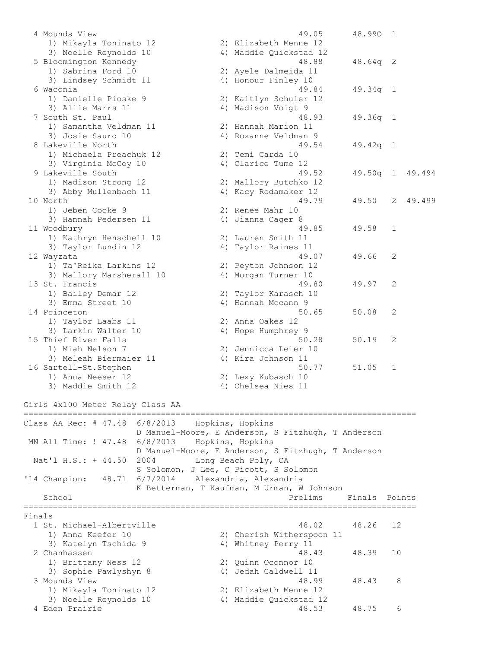4 Mounds View 49.05 48.99Q 1 1) Mikayla Toninato 12 2) Elizabeth Menne 12 3) Noelle Reynolds 10 4) Maddie Quickstad 12 5 Bloomington Kennedy 48.88 48.64q 2 1) Sabrina Ford 10 2) Ayele Dalmeida 11 3) Lindsey Schmidt 11 4) Honour Finley 10 6 Waconia 49.84 49.34q 1 1) Danielle Pioske 9 2) Kaitlyn Schuler 12 3) Allie Marrs 11 (4) Madison Voigt 9 7 South St. Paul 48.93 49.36q 1 1) Samantha Veldman 11 2) Hannah Marion 11 3) Josie Sauro 10 4) Roxanne Veldman 9 8 Lakeville North 19.54 49.54 49.42q 1 1) Michaela Preachuk 12 2) Temi Carda 10 3) Virginia McCoy 10 4) Clarice Tume 12 9 Lakeville South 49.52 49.50q 1 49.494 1) Madison Strong 12 2) Mallory Butchko 12 3) Abby Mullenbach 11 4) Kacy Rodamaker 12 10 North 49.79 49.50 2 49.499 1) Jeben Cooke 9 2) Renee Mahr 10 3) Hannah Pedersen 11 (4) Jianna Cager 8 11 Woodbury 49.85 49.58 1 1) Kathryn Henschell 10 2) Lauren Smith 11 3) Taylor Lundin 12 4) Taylor Raines 11 12 Wayzata 49.07 49.66 2 1) Ta'Reika Larkins 12 2) Peyton Johnson 12 3) Mallory Marsherall 10  $\hskip1cm$  4) Morgan Turner 10 13 St. Francis 49.80 49.97 2 1) Bailey Demar 12 2) Taylor Karasch 10 3) Emma Street 10 4) Hannah Mccann 9 14 Princeton 50.65 50.08 2 1) Taylor Laabs 11 2) Anna Oakes 12 3) Larkin Walter 10 4) Hope Humphrey 9 15 Thief River Falls **50.28** 50.19 2 1) Miah Nelson 7 2) Jennicca Leier 10 3) Meleah Biermaier 11 (4) Kira Johnson 11 16 Sartell-St.Stephen 50.77 51.05 1 1) Anna Neeser 12 2) Lexy Kubasch 10 3) Maddie Smith 12 4) Chelsea Nies 11 Girls 4x100 Meter Relay Class AA ================================================================================ Class AA Rec: # 47.48 6/8/2013 Hopkins, Hopkins D Manuel-Moore, E Anderson, S Fitzhugh, T Anderson MN All Time: ! 47.48 6/8/2013 Hopkins, Hopkins D Manuel-Moore, E Anderson, S Fitzhugh, T Anderson Nat'l H.S.: + 44.50 2004 Long Beach Poly, CA S Solomon, J Lee, C Picott, S Solomon '14 Champion: 48.71 6/7/2014 Alexandria, Alexandria K Betterman, T Kaufman, M Urman, W Johnson School **Prelims** Finals Points For Prelims Finals Points ================================================================================ Finals 1 St. Michael-Albertville 48.02 48.26 12 1) Anna Keefer 10 2) Cherish Witherspoon 11 3) Katelyn Tschida 9 1988 1989 Mitney Perry 11 2 Chanhassen 48.43 48.39 10 1) Brittany Ness 12 2) Quinn Oconnor 10 3) Sophie Pawlyshyn 8 4) Jedah Caldwell 11 3 Mounds View 48.99 48.43 8 1) Mikayla Toninato 12 2) Elizabeth Menne 12 3) Noelle Reynolds 10 4) Maddie Quickstad 12 4 Eden Prairie 48.53 48.75 6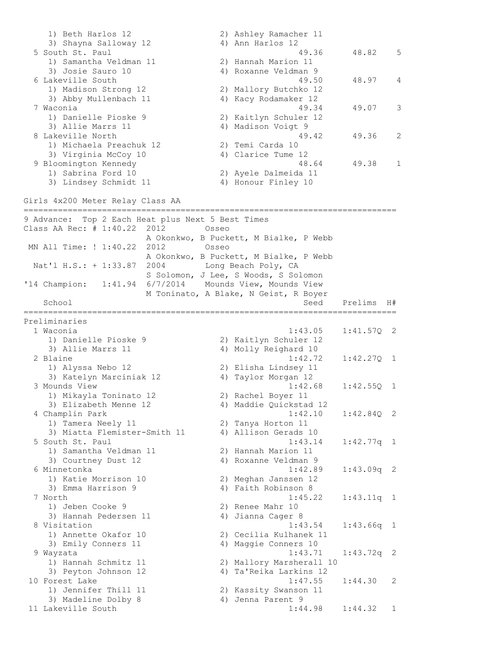1) Beth Harlos 12 2) Ashley Ramacher 11 3) Shayna Salloway 12 4) Ann Harlos 12 5 South St. Paul 49.36 48.82 5 1) Samantha Veldman 11 2) Hannah Marion 11 3) Josie Sauro 10 4) Roxanne Veldman 9 6 Lakeville South 49.50 48.97 4 1) Madison Strong 12 2) Mallory Butchko 12 3) Abby Mullenbach 11 4) Kacy Rodamaker 12 7 Waconia 49.34 49.07 3 1) Danielle Pioske 9 2) Kaitlyn Schuler 12 3) Allie Marrs 11 4) Madison Voigt 9 8 Lakeville North 19.36 2 1) Michaela Preachuk 12 2) Temi Carda 10 3) Virginia McCoy 10 (4) Clarice Tume 12 9 Bloomington Kennedy 48.64 49.38 1 1) Sabrina Ford 10 2) Ayele Dalmeida 11 3) Lindsey Schmidt 11 4) Honour Finley 10 Girls 4x200 Meter Relay Class AA ============================================================================ 9 Advance: Top 2 Each Heat plus Next 5 Best Times Class AA Rec: # 1:40.22 2012 Osseo A Okonkwo, B Puckett, M Bialke, P Webb MN All Time: ! 1:40.22 2012 Osseo A Okonkwo, B Puckett, M Bialke, P Webb Nat'l H.S.: + 1:33.87 2004 Long Beach Poly, CA S Solomon, J Lee, S Woods, S Solomon '14 Champion: 1:41.94 6/7/2014 Mounds View, Mounds View M Toninato, A Blake, N Geist, R Boyer School Seed Prelims H# ============================================================================ Preliminaries 1 Waconia 1:43.05 1:41.57Q 2 1) Danielle Pioske 9 2) Kaitlyn Schuler 12 3) Allie Marrs 11 4) Molly Reighard 10 2 Blaine 1:42.72 1:42.27Q 1 1) Alyssa Nebo 12 2) Elisha Lindsey 11 3) Katelyn Marciniak 12 <a>> 4) Taylor Morgan<br/> 12 3 Mounds View 1:42.68 1:42.55Q 1 1) Mikayla Toninato 12 2) Rachel Boyer 11 3) Elizabeth Menne 12 4) Maddie Quickstad 12 4 Champlin Park 1:42.10 1:42.84Q 2 1) Tamera Neely 11 2) Tanya Horton 11 3) Miatta Flemister-Smith 11 4) Allison Gerads 10 5 South St. Paul 1:43.14 1:42.77q 1 1) Samantha Veldman 11 2) Hannah Marion 11 3) Courtney Dust 12 4) Roxanne Veldman 9 6 Minnetonka 1:42.89 1:43.09q 2 1) Katie Morrison 10 2) Meghan Janssen 12 3) Emma Harrison 9 4) Faith Robinson 8 7 North 1:45.22 1:43.11q 1 1) Jeben Cooke 9 2) Renee Mahr 10 3) Hannah Pedersen 11 (4) Jianna Cager 8 8 Visitation 1:43.54 1:43.66q 1 1) Annette Okafor 10 2) Cecilia Kulhanek 11 3) Emily Conners 11 4) Maggie Conners 10 9 Wayzata 1:43.71 1:43.72q 2 1) Hannah Schmitz 11 2) Mallory Marsherall 10 3) Peyton Johnson 12 4) Ta'Reika Larkins 12 10 Forest Lake 1:47.55 1:44.30 2 1) Jennifer Thill 11 2) Kassity Swanson 11 3) Madeline Dolby 8 4) Jenna Parent 9 11 Lakeville South 1:44.98 1:44.32 1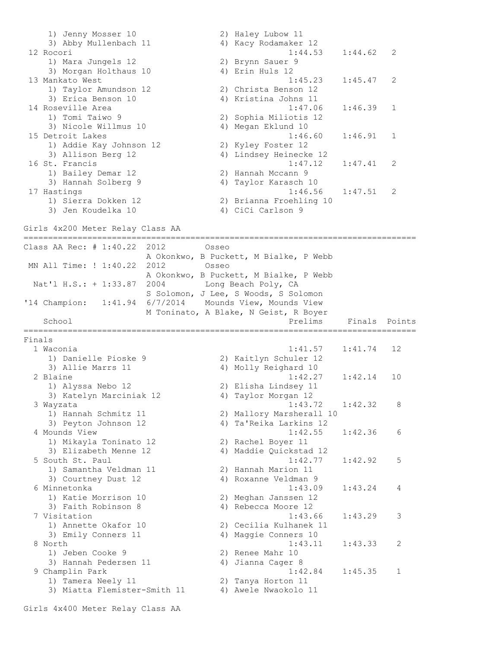1) Jenny Mosser 10 2) Haley Lubow 11 3) Abby Mullenbach 11 4) Kacy Rodamaker 12 12 Rocori 1:44.53 1:44.62 2 1) Mara Jungels 12 2) Brynn Sauer 9 3) Morgan Holthaus 10 4) Erin Huls 12 13 Mankato West 1:45.23 1:45.47 2 1) Taylor Amundson 12 2) Christa Benson 12 3) Erica Benson 10 4) Kristina Johns 11 14 Roseville Area 1:47.06 1:46.39 1 1) Tomi Taiwo 9 2) Sophia Miliotis 12 3) Nicole Willmus 10 4) Megan Eklund 10 15 Detroit Lakes 1:46.60 1:46.91 1 1) Addie Kay Johnson 12 2) Kyley Foster 12 3) Allison Berg 12 4) Lindsey Heinecke 12 16 St. Francis 1:47.12 1:47.41 2 1) Bailey Demar 12 2) Hannah Mccann 9 3) Hannah Solberg 9 4) Taylor Karasch 10 17 Hastings 1:46.56 1:47.51 2 1) Sierra Dokken 12 2) Brianna Froehling 10 3) Jen Koudelka 10 <a>
4) CiCi Carlson 9 Girls 4x200 Meter Relay Class AA ================================================================================ Class AA Rec: # 1:40.22 2012 Osseo A Okonkwo, B Puckett, M Bialke, P Webb MN All Time: ! 1:40.22 2012 Osseo A Okonkwo, B Puckett, M Bialke, P Webb Nat'l H.S.: + 1:33.87 2004 Long Beach Poly, CA S Solomon, J Lee, S Woods, S Solomon '14 Champion: 1:41.94 6/7/2014 Mounds View, Mounds View M Toninato, A Blake, N Geist, R Boyer School **Prelims** Finals Points **Prelims** Finals Points ================================================================================ Finals 1 Waconia 1:41.57 1:41.74 12 1) Danielle Pioske 9 2) Kaitlyn Schuler 12 3) Allie Marrs 11 4) Molly Reighard 10 2 Blaine 1:42.27 1:42.14 10 1) Alyssa Nebo 12 2) Elisha Lindsey 11 3) Katelyn Marciniak 12 4) Taylor Morgan 12 3 Wayzata 1:43.72 1:42.32 8 1) Hannah Schmitz 11 2) Mallory Marsherall 10 3) Peyton Johnson 12 4) Ta'Reika Larkins 12 4 Mounds View 1:42.55 1:42.36 6 1) Mikayla Toninato 12 2) Rachel Boyer 11 3) Elizabeth Menne 12 4) Maddie Quickstad 12 5 South St. Paul 1:42.77 1:42.92 5 1) Samantha Veldman 11 2) Hannah Marion 11 3) Courtney Dust 12 4) Roxanne Veldman 9 6 Minnetonka 1:43.09 1:43.24 4 1) Katie Morrison 10 2) Meghan Janssen 12 3) Faith Robinson 8 4) Rebecca Moore 12 7 Visitation 1:43.66 1:43.29 3 1) Annette Okafor 10 2) Cecilia Kulhanek 11 3) Emily Conners 11 4) Maggie Conners 10 8 North 1:43.11 1:43.33 2 1) Jeben Cooke 9 2) Renee Mahr 10 3) Hannah Pedersen 11 (4) Jianna Cager 8 9 Champlin Park 1:42.84 1:45.35 1 1) Tamera Neely 11 2) Tanya Horton 11 3) Miatta Flemister-Smith 11 4) Awele Nwaokolo 11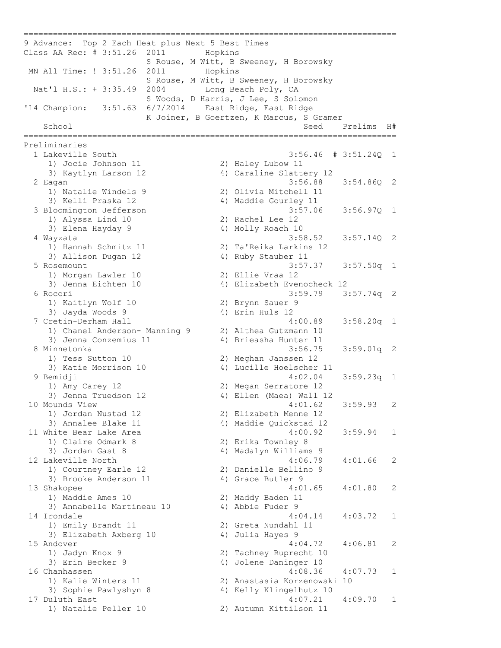9 Advance: Top 2 Each Heat plus Next 5 Best Times Class AA Rec: # 3:51.26 2011 Hopkins S Rouse, M Witt, B Sweeney, H Borowsky MN All Time: ! 3:51.26 2011 Hopkins S Rouse, M Witt, B Sweeney, H Borowsky Nat'l H.S.: + 3:35.49 2004 Long Beach Poly, CA S Woods, D Harris, J Lee, S Solomon '14 Champion: 3:51.63 6/7/2014 East Ridge, East Ridge K Joiner, B Goertzen, K Marcus, S Gramer School School Seed Prelims  $H#$ ============================================================================ Preliminaries 1 Lakeville South 3:56.46 # 3:51.24Q 1 1) Jocie Johnson 11 2) Haley Lubow 11 3) Kaytlyn Larson 12 4) Caraline Slattery 12 2 Eagan 3:56.88 3:54.86Q 2 1) Natalie Windels 9 2) Olivia Mitchell 11 3) Kelli Praska 12 4) Maddie Gourley 11 3 Bloomington Jefferson 3:57.06 3:56.97Q 1 1) Alyssa Lind 10 2) Rachel Lee 12 3) Elena Hayday 9 4) Molly Roach 10 4 Wayzata 3:58.52 3:57.14Q 2 1) Hannah Schmitz 11 2) Ta'Reika Larkins 12 3) Allison Dugan 12 4) Ruby Stauber 11 5 Rosemount 3:57.37 3:57.50q 1 1) Morgan Lawler 10 2) Ellie Vraa 12 3) Jenna Eichten 10 4) Elizabeth Evenocheck 12 6 Rocori 3:59.79 3:57.74q 2 1) Kaitlyn Wolf 10 2) Brynn Sauer 9 3) Jayda Woods 9 4) Erin Huls 12 7 Cretin-Derham Hall 4:00.89 3:58.20q 1 1) Chanel Anderson- Manning 9 2) Althea Gutzmann 10 3) Jenna Conzemius 11 4) Brieasha Hunter 11 8 Minnetonka 3:56.75 3:59.01q 2 1) Tess Sutton 10 2) Meghan Janssen 12 3) Katie Morrison 10 4) Lucille Hoelscher 11 9 Bemidji 4:02.04 3:59.23q 1 1) Amy Carey 12 2) Megan Serratore 12 3) Jenna Truedson 12 4) Ellen (Maea) Wall 12 10 Mounds View 4:01.62 3:59.93 2 1) Jordan Nustad 12 2) Elizabeth Menne 12 3) Annalee Blake 11 4) Maddie Quickstad 12 11 White Bear Lake Area 2001 2002 4:00.92 3:59.94 1 1) Claire Odmark 8 2) Erika Townley 8 3) Jordan Gast 8 4) Madalyn Williams 9 12 Lakeville North 4:06.79 4:01.66 2 1) Courtney Earle 12 2) Danielle Bellino 9 3) Brooke Anderson 11 (4) Grace Butler 9 13 Shakopee 4:01.65 4:01.80 2 1) Maddie Ames 10 2) Maddy Baden 11 3) Annabelle Martineau 10 4) Abbie Fuder 9 14 Irondale 4:04.14 4:03.72 1 1) Emily Brandt 11 2) Greta Nundahl 11 3) Elizabeth Axberg 10 (4) Julia Hayes 9 15 Andover 4:04.72 4:06.81 2 1) Jadyn Knox 9 2) Tachney Ruprecht 10 3) Erin Becker 9 4) Jolene Daninger 10 16 Chanhassen 4:08.36 4:07.73 1 1) Kalie Winters 11 2) Anastasia Korzenowski 10 3) Sophie Pawlyshyn 8 4) Kelly Klingelhutz 10 17 Duluth East 4:07.21 4:09.70 1 1) Natalie Peller 10 2) Autumn Kittilson 11

============================================================================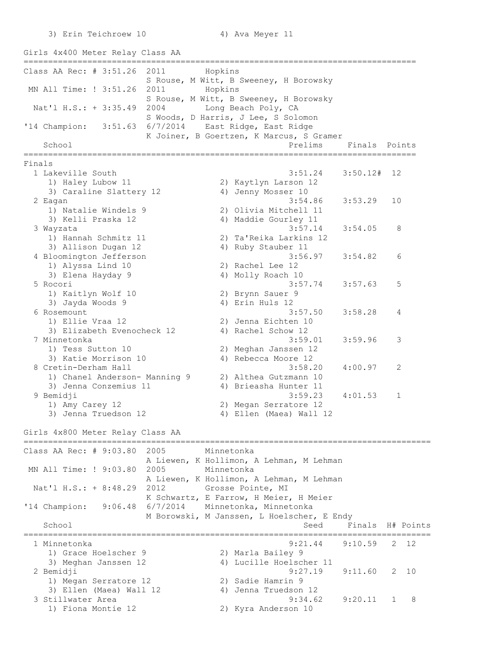3) Erin Teichroew 10 4) Ava Meyer 11

Girls 4x400 Meter Relay Class AA ================================================================================ Class AA Rec: # 3:51.26 2011 Hopkins S Rouse, M Witt, B Sweeney, H Borowsky MN All Time: ! 3:51.26 2011 Hopkins S Rouse, M Witt, B Sweeney, H Borowsky Nat'l H.S.: + 3:35.49 2004 Long Beach Poly, CA S Woods, D Harris, J Lee, S Solomon '14 Champion: 3:51.63 6/7/2014 East Ridge, East Ridge K Joiner, B Goertzen, K Marcus, S Gramer School School **Prelims** Finals Points ================================================================================ Finals 1 Lakeville South 3:51.24 3:50.12# 12 1) Haley Lubow 11 2) Kaytlyn Larson 12 3) Caraline Slattery 12 (4) Jenny Mosser 10 2 Eagan 3:54.86 3:53.29 10 1) Natalie Windels 9 2) Olivia Mitchell 11 3) Kelli Praska 12 4) Maddie Gourley 11 3 Wayzata 3:57.14 3:54.05 8 1) Hannah Schmitz 11 2) Ta'Reika Larkins 12 3) Allison Dugan 12 4) Ruby Stauber 11 4 Bloomington Jefferson 3:56.97 3:54.82 6 1) Alyssa Lind 10 2) Rachel Lee 12 3) Elena Hayday 9 4) Molly Roach 10 5 Rocori 3:57.74 3:57.63 5<br>1) Kaitlyn Wolf 10 2) Brynn Sauer 9 1) Kaitlyn Wolf 10<br>3) Jayda Woods 9<br>Bosomourt 3) Jayda Woods 9 4) Erin Huls 12 6 Rosemount 3:57.50 3:58.28 4 1) Ellie Vraa 12 2) Jenna Eichten 10 3) Elizabeth Evenocheck 12 4) Rachel Schow 12 7 Minnetonka 3:59.01 3:59.96 3 1) Tess Sutton 10 2) Meghan Janssen 12 3) Katie Morrison 10 (4) Rebecca Moore 12 8 Cretin-Derham Hall 3:58.20 4:00.97 2 1) Chanel Anderson- Manning 9 2) Althea Gutzmann 10 3) Jenna Conzemius 11 4) Brieasha Hunter 11 9 Bemidji 3:59.23 4:01.53 1 1) Amy Carey 12 2) Megan Serratore 12 3) Jenna Truedson 12 4) Ellen (Maea) Wall 12 Girls 4x800 Meter Relay Class AA =================================================================================== Class AA Rec: # 9:03.80 2005 Minnetonka A Liewen, K Hollimon, A Lehman, M Lehman MN All Time: ! 9:03.80 2005 Minnetonka A Liewen, K Hollimon, A Lehman, M Lehman Nat'l H.S.: + 8:48.29 2012 Grosse Pointe, MI K Schwartz, E Farrow, H Meier, H Meier '14 Champion: 9:06.48 6/7/2014 Minnetonka, Minnetonka M Borowski, M Janssen, L Hoelscher, E Endy School Seed Finals H# Points =================================================================================== 1 Minnetonka 9:21.44 9:10.59 2 12 1) Grace Hoelscher 9 2) Marla Bailey 9 3) Meghan Janssen 12 4) Lucille Hoelscher 11 2 Bemidji 9:27.19 9:11.60 2 10 1) Megan Serratore 12 2) Sadie Hamrin 9 3) Ellen (Maea) Wall 12 4) Jenna Truedson 12 3 Stillwater Area 9:34.62 9:20.11 1 8 1) Fiona Montie 12 2) Kyra Anderson 10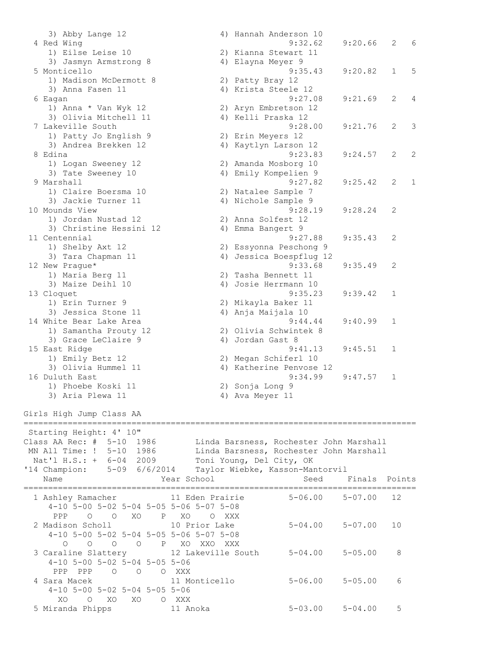3) Abby Lange 12 4) Hannah Anderson 10 4 Red Wing 9:32.62 9:20.66 2 6 1) Eilse Leise 10 2) Kianna Stewart 11 3) Jasmyn Armstrong 8 4) Elayna Meyer 9 5 Monticello 9:35.43 9:20.82 1 5 1) Madison McDermott 8 2) Patty Bray 12 3) Anna Fasen 11 4) Krista Steele 12 5) Anna Fasen II (4) Arista Steele 12<br>6 Eagan (9:27.08 9:21.69 2 4) 1) Anna \* Van Wyk 12 2) Aryn Embretson 12 3) Olivia Mitchell 11 4) Kelli Praska 12 7 Lakeville South 9:28.00 9:21.76 2 3 1) Patty Jo English 9 2) Erin Meyers 12 3) Andrea Brekken 12 4) Kaytlyn Larson 12 8 Edina 9:23.83 9:24.57 2 2 1) Logan Sweeney 12 2) Amanda Mosborg 10 3) Tate Sweeney 10 4) Emily Kompelien 9 9 Marshall 9:27.82 9:25.42 2 1 1) Claire Boersma 10 2) Natalee Sample 7 3) Jackie Turner 11 (4) Nichole Sample 9 10 Mounds View 9:28.19 9:28.24 2 1) Jordan Nustad 12 2) Anna Solfest 12 3) Christine Hessini 12 (4) Emma Bangert 9 11 Centennial 9:27.88 9:35.43 2 1) Shelby Axt 12 2) Essyonna Peschong 9 3) Tara Chapman 11 4) Jessica Boespflug 12 12 New Prague\* 9:33.68 9:35.49 2 1) Maria Berg 11 2) Tasha Bennett 11 3) Maize Deihl 10 4) Josie Herrmann 10 13 Cloquet 9:35.23 9:39.42 1 1) Erin Turner 9 2) Mikayla Baker 11 3) Jessica Stone 11 4) Anja Maijala 10 14 White Bear Lake Area 9:44.44 9:40.99 1 1) Samantha Prouty 12 2) Olivia Schwintek 8 3) Grace LeClaire 9 4) Jordan Gast 8 15 East Ridge 9:41.13 9:45.51 1 1) Emily Betz 12 2) Megan Schiferl 10 East Kluge 19.41.13<br>1) Emily Betz 12 2) Megan Schiferl 10<br>3) Olivia Hummel 11 4) Katherine Penvose 12 16 Duluth East 9:34.99 9:47.57 1 1) Phoebe Koski 11 2) Sonja Long 9 3) Aria Plewa 11 (4) 4) Ava Meyer 11 Girls High Jump Class AA ================================================================================ Starting Height: 4' 10" Class AA Rec: # 5-10 1986 Linda Barsness, Rochester John Marshall MN All Time: ! 5-10 1986 Linda Barsness, Rochester John Marshall Nat'l H.S.: + 6-04 2009 Toni Young, Del City, OK '14 Champion: 5-09 6/6/2014 Taylor Wiebke, Kasson-Mantorvil Name Seed Finals Points (Name Seed Finals Points ================================================================================ 1 Ashley Ramacher 11 Eden Prairie 5-06.00 5-07.00 12 4-10 5-00 5-02 5-04 5-05 5-06 5-07 5-08 PPP O O XO P XO O XXX 2 Madison Scholl 10 Prior Lake 5-04.00 5-07.00 10 4-10 5-00 5-02 5-04 5-05 5-06 5-07 5-08 O O O O P XO XXO XXX 3 Caraline Slattery 12 Lakeville South 5-04.00 5-05.00 8 4-10 5-00 5-02 5-04 5-05 5-06 PPP PPP O O O XXX 4 Sara Macek 11 Monticello 5-06.00 5-05.00 6 4-10 5-00 5-02 5-04 5-05 5-06 XO O XO XO O XXX 5 Miranda Phipps 11 Anoka 5-03.00 5-04.00 5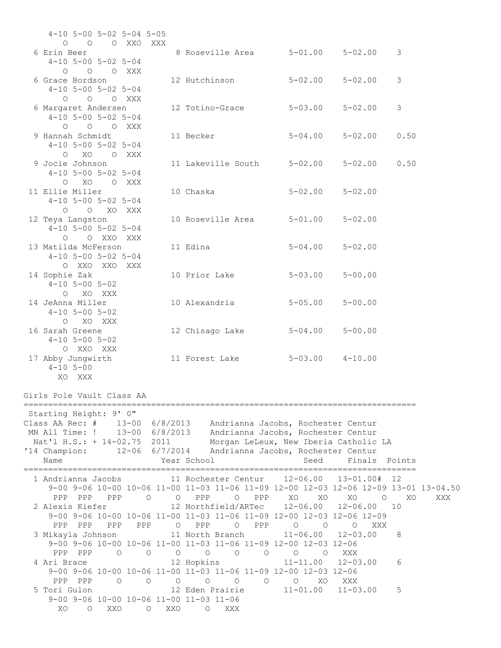| $4-10$ 5-00 5-02 5-04 5-05                                                                                 |                                       |                                                         |                           |                      |           |
|------------------------------------------------------------------------------------------------------------|---------------------------------------|---------------------------------------------------------|---------------------------|----------------------|-----------|
| O O O XXO XXX<br>6 Erin Beer                                                                               |                                       | 8 Roseville Area   5-01.00   5-02.00   3                |                           |                      |           |
| $4-10$ 5-00 5-02 5-04                                                                                      |                                       |                                                         |                           |                      |           |
| O O O XXX<br>6 Grace Bordson                                                                               |                                       | 12 Hutchinson                                           | $5-02.00$ $5-02.00$       |                      | 3         |
| $4-10$ 5-00 5-02 5-04<br>O O O XXX                                                                         |                                       |                                                         |                           |                      |           |
| 6 Margaret Andersen                                                                                        |                                       | 12 Totino-Grace 5-03.00                                 |                           | $5 - 02.00$          | 3         |
| $4-10$ 5-00 5-02 5-04<br>O O O XXX                                                                         |                                       |                                                         |                           |                      |           |
| 9 Hannah Schmidt                                                                                           |                                       | 11 Becker                                               | $5 - 04.00$               | $5 - 02.00$          | 0.50      |
| $4-10$ 5-00 5-02 5-04<br>O XO O XXX                                                                        |                                       |                                                         |                           |                      |           |
| 9 Jocie Johnson<br>$4-10$ 5-00 5-02 5-04                                                                   |                                       | 11 Lakeville South 5-02.00                              |                           | $5 - 02.00$          | 0.50      |
| O XO O XXX                                                                                                 |                                       |                                                         |                           |                      |           |
| 11 Ellie Miller<br>$4-10$ 5-00 5-02 5-04                                                                   |                                       | 10 Chaska                                               | $5 - 02.00$               | $5 - 02.00$          |           |
| O O XO XXX<br>12 Teya Langston                                                                             |                                       | 10 Roseville Area 5-01.00                               |                           | $5 - 02.00$          |           |
| $4-10$ 5-00 5-02 5-04                                                                                      |                                       |                                                         |                           |                      |           |
| O O XXO XXX<br>13 Matilda McFerson                                                                         |                                       | 11 Edina                                                | $5 - 04.00$               | $5 - 02.00$          |           |
| $4-10$ 5-00 5-02 5-04                                                                                      |                                       |                                                         |                           |                      |           |
| O XXO XXO XXX<br>14 Sophie Zak                                                                             |                                       | 10 Prior Lake                                           | $5 - 03.00$               | $5 - 00.00$          |           |
| $4-10$ 5-00 5-02<br>O XO XXX                                                                               |                                       |                                                         |                           |                      |           |
| 14 JeAnna Miller                                                                                           |                                       | 10 Alexandria                                           | $5 - 05.00$               | $5 - 00.00$          |           |
| $4-10$ 5-00 5-02<br>O XO XXX                                                                               |                                       |                                                         |                           |                      |           |
| 16 Sarah Greene<br>$4-10$ 5-00 5-02                                                                        |                                       | 12 Chisago Lake                                         | $5 - 04.00$               | $5 - 00.00$          |           |
| O XXO XXX                                                                                                  |                                       |                                                         |                           |                      |           |
| 17 Abby Jungwirth<br>$4 - 10$ 5-00                                                                         |                                       | 11 Forest Lake                                          | $5 - 03.00$ $4 - 10.00$   |                      |           |
| XO XXX                                                                                                     |                                       |                                                         |                           |                      |           |
| Girls Pole Vault Class AA                                                                                  |                                       |                                                         |                           |                      |           |
| Starting Height: 9' 0"                                                                                     |                                       |                                                         |                           |                      |           |
| Class AA Rec: # 13-00 6/8/2013 Andrianna Jacobs, Rochester Centur                                          |                                       |                                                         |                           |                      |           |
| MN All Time: ! 13-00 6/8/2013 Andrianna Jacobs, Rochester Centur<br>Nat'l H.S.: + 14-02.75 2011            |                                       | Morgan LeLeux, New Iberia Catholic LA                   |                           |                      |           |
| '14 Champion:                                                                                              |                                       | 12-06 6/7/2014 Andrianna Jacobs, Rochester Centur       |                           |                      |           |
| Name                                                                                                       |                                       | Year School                                             | Seed                      | Finals               | Points    |
| 1 Andrianna Jacobs<br>9-00 9-06 10-00 10-06 11-00 11-03 11-06 11-09 12-00 12-03 12-06 12-09 13-01 13-04.50 |                                       | 11 Rochester Centur 12-06.00 13-01.00# 12               |                           |                      |           |
| PPP PPP PPP                                                                                                | $\circlearrowright$                   | O PPP O PPP                                             | XO XO                     | XO<br>$\overline{O}$ | XO<br>XXX |
| 2 Alexis Kiefer<br>9-00 9-06 10-00 10-06 11-00 11-03 11-06 11-09 12-00 12-03 12-06 12-09                   |                                       | 12 Northfield/ARTec                                     | $12 - 06.00$              | $12 - 06.00$         | 10        |
| PPP PPP<br>PPP<br>PPP                                                                                      |                                       | O PPP<br>$\circ$<br>PPP                                 | $\circ$<br>$\overline{O}$ | $\circ$<br>XXX       |           |
| 3 Mikayla Johnson 11 North Branch<br>9-00 9-06 10-00 10-06 11-00 11-03 11-06 11-09 12-00 12-03 12-06       |                                       |                                                         | $11 - 06.00$              | $12 - 03.00$         | 8         |
| PPP PPP<br>$\circ$                                                                                         | $\circ$<br>$\circ$                    | $\overline{O}$<br>$\overline{O}$<br>$\circ$             | O<br>$\circ$              | XXX                  |           |
| 4 Ari Brace<br>9-00 9-06 10-00 10-06 11-00 11-03 11-06 11-09 12-00 12-03 12-06                             |                                       | 12 Hopkins                                              | $11 - 11.00$              | $12 - 03.00$         | 6         |
| PPP PPP<br>$\overline{O}$                                                                                  | $\circlearrowright$<br>$\overline{O}$ | $\begin{matrix} 0 & 0 \\ 0 & 0 \end{matrix}$<br>$\circ$ | $\circ$<br>XO.            | XXX                  |           |
| 5 Tori Gulon<br>9-00 9-06 10-00 10-06 11-00 11-03 11-06                                                    |                                       | 12 Eden Prairie                                         | $11 - 01.00$              | $11 - 03.00$         | 5         |
| XO O XXO                                                                                                   | O XXO                                 | O XXX                                                   |                           |                      |           |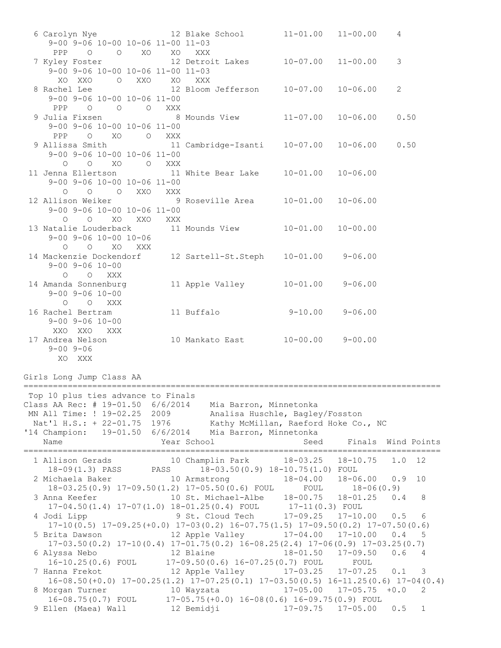6 Carolyn Nye 12 Blake School 11-01.00 11-00.00 4 9-00 9-06 10-00 10-06 11-00 11-03 PPP O O XO XO XXX 7 Kyley Foster 12 Detroit Lakes 10-07.00 11-00.00 3 9-00 9-06 10-00 10-06 11-00 11-03 XO XXO O XXO XO XXX<br>8 Rachel Lee 12 Bloom 12 Bloom Jefferson 10-07.00 10-06.00 2 9-00 9-06 10-00 10-06 11-00 PPP O O O XXX<br>9 Julia Fixsen 8 8 Mounds View 11-07.00 10-06.00 0.50 9-00 9-06 10-00 10-06 11-00 PPP O XO O XXX<br>9 Allissa Smith 11 11 Cambridge-Isanti 10-07.00 10-06.00 0.50 9-00 9-06 10-00 10-06 11-00 O O XO O XXX 11 Jenna Ellertson 11 White Bear Lake 10-01.00 10-06.00 9-00 9-06 10-00 10-06 11-00 O O O XXO XXX 12 Allison Weiker 9 Roseville Area 10-01.00 10-06.00 9-00 9-06 10-00 10-06 11-00 O O XO XXO XXX 13 Natalie Louderback 11 Mounds View 10-01.00 10-00.00 9-00 9-06 10-00 10-06 O O XO XXX 14 Mackenzie Dockendorf 12 Sartell-St.Steph 10-01.00 9-06.00 9-00 9-06 10-00 O O XXX 14 Amanda Sonnenburg 11 Apple Valley 10-01.00 9-06.00 9-00 9-06 10-00 O O XXX 16 Rachel Bertram 11 Buffalo 9-10.00 9-06.00 9-00 9-06 10-00 XXO XXO XXX 17 Andrea Nelson 10 Mankato East 10-00.00 9-00.00 9-00 9-06 XO XXX Girls Long Jump Class AA ===================================================================================== Top 10 plus ties advance to Finals Class AA Rec: # 19-01.50 6/6/2014 Mia Barron, Minnetonka MN All Time: ! 19-02.25 2009 Analisa Huschle, Bagley/Fosston Nat'l H.S.: + 22-01.75 1976 Kathy McMillan, Raeford Hoke Co., NC '14 Champion: 19-01.50 6/6/2014 Mia Barron, Minnetonka Name The Year School Seed Finals Wind Points ===================================================================================== 1 Allison Gerads 10 Champlin Park 18-03.25 18-10.75 1.0 12 18-09(1.3) PASS PASS 18-03.50(0.9) 18-10.75(1.0) FOUL 2 Michaela Baker 10 Armstrong 18-04.00 18-06.00 0.9 10 18-03.25(0.9) 17-09.50(1.2) 17-05.50(0.6) FOUL FOUL 18-06(0.9) 3 Anna Keefer 10 St. Michael-Albe 18-00.75 18-01.25 0.4 8 17-04.50(1.4) 17-07(1.0) 18-01.25(0.4) FOUL 17-11(0.3) FOUL 4 Jodi Lipp 9 St. Cloud Tech 17-09.25 17-10.00 0.5 6 17-10(0.5) 17-09.25(+0.0) 17-03(0.2) 16-07.75(1.5) 17-09.50(0.2) 17-07.50(0.6) 5 Brita Dawson 12 Apple Valley 17-04.00 17-10.00 0.4 5 17-03.50(0.2) 17-10(0.4) 17-01.75(0.2) 16-08.25(2.4) 17-06(0.9) 17-03.25(0.7) 6 Alyssa Nebo 12 Blaine 18-01.50 17-09.50 0.6 4 16-10.25(0.6) FOUL 17-09.50(0.6) 16-07.25(0.7) FOUL FOUL 7 Hanna Frekot 12 Apple Valley 17-03.25 17-07.25 0.1 3 16-08.50(+0.0) 17-00.25(1.2) 17-07.25(0.1) 17-03.50(0.5) 16-11.25(0.6) 17-04(0.4) 8 Morgan Turner 10 Wayzata 17-05.00 17-05.75 +0.0 2 16-08.75(0.7) FOUL 17-05.75(+0.0) 16-08(0.6) 16-09.75(0.9) FOUL 9 Ellen (Maea) Wall 12 Bemidji 17-09.75 17-05.00 0.5 1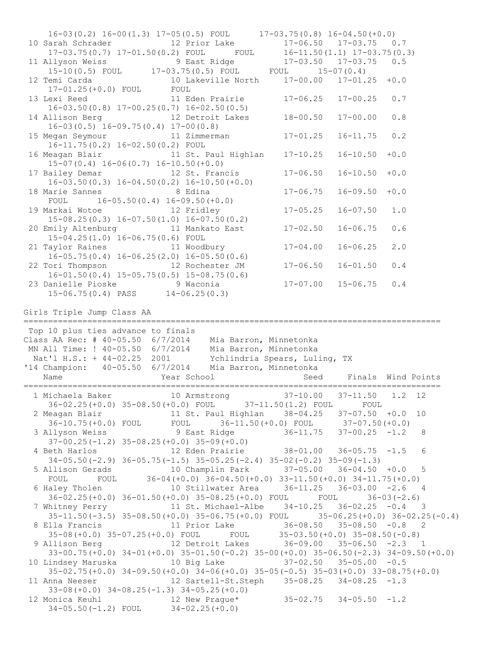16-03(0.2) 16-00(1.3) 17-05(0.5) FOUL 17-03.75(0.8) 16-04.50(+0.0) 10 Sarah Schrader 12 Prior Lake 17-06.50 17-03.75 0.7 17-03.75(0.7) 17-01.50(0.2) FOUL FOUL 16-11.50(1.1) 17-03.75(0.3) 11 Allyson Weiss 9 East Ridge 17-03.50 17-03.75 0.5 15-10(0.5) FOUL 17-03.75(0.5) FOUL FOUL 15-07(0.4) 12 Temi Carda 10 Lakeville North 17-00.00 17-01.25 +0.0 17-01.25(+0.0) FOUL FOUL 13 Lexi Reed 11 Eden Prairie 17-06.25 17-00.25 0.7 16-03.50(0.8) 17-00.25(0.7) 16-02.50(0.5) 10-03.30(0.6) 1/-00.23(0.7) 10-02.30(0.3)<br>14 Allison Berg 12 Detroit Lakes 18-00.50 17-00.00 0.8 16-03(0.5) 16-09.75(0.4) 17-00(0.8) 15 Megan Seymour 11 Zimmerman 17-01.25 16-11.75 0.2 16-11.75(0.2) 16-02.50(0.2) FOUL 16 Meagan Blair 11 St. Paul Highlan 17-10.25 16-10.50 +0.0 15-07(0.4) 16-06(0.7) 16-10.50(+0.0) 17 Bailey Demar 12 St. Francis 17-06.50 16-10.50 +0.0  $16-03.50(0.3)$   $16-04.50(0.2)$   $16-10.50(+0.0)$ 16-03.50(0.3) 16-04.50(0.2) 16-10.00(0.0)<br>18 Marie Sannes 8 Edina 17-06.75 16-09.50 +0.0 FOUL 16-05.50(0.4) 16-09.50(+0.0) 19 Markai Wotoe 12 Fridley 17-05.25 16-07.50 1.0 15-08.25(0.3) 16-07.50(1.0) 16-07.50(0.2) 20 Emily Altenburg 11 Mankato East 17-02.50 16-06.75 0.6 15-04.25(1.0) 16-06.75(0.6) FOUL 21 Taylor Raines 11 Woodbury 17-04.00 16-06.25 2.0 16-05.75(0.4) 16-06.25(2.0) 16-05.50(0.6) 22 Tori Thompson 12 Rochester JM 17-06.50 16-01.50 0.4 16-01.50(0.4) 15-05.75(0.5) 15-08.75(0.6) 23 Danielle Pioske 9 Waconia 17-07.00 15-06.75 0.4 15-06.75(0.4) PASS 14-06.25(0.3) Girls Triple Jump Class AA ===================================================================================== Top 10 plus ties advance to finals Class AA Rec: # 40-05.50 6/7/2014 Mia Barron, Minnetonka MN All Time: ! 40-05.50 6/7/2014 Mia Barron, Minnetonka Nat'l H.S.: + 44-02.25 2001 Ychlindria Spears, Luling, TX '14 Champion: 40-05.50 6/7/2014 Mia Barron, Minnetonka Name Year School Seed Finals Wind Points ===================================================================================== 1 Michaela Baker 10 Armstrong 37-10.00 37-11.50 1.2 12 36-02.25(+0.0) 35-08.50(+0.0) FOUL 37-11.50(1.2) FOUL FOUL 2 Meagan Blair 11 St. Paul Highlan 38-04.25 37-07.50 +0.0 10 36-10.75(+0.0) FOUL FOUL 36-11.50(+0.0) FOUL 37-07.50(+0.0) 3 Allyson Weiss 9 East Ridge 36-11.75 37-00.25 -1.2 8 37-00.25(-1.2) 35-08.25(+0.0) 35-09(+0.0) 4 Beth Harlos 12 Eden Prairie 38-01.00 36-05.75 -1.5 6 34-05.50(-2.9) 36-05.75(-1.5) 35-05.25(-2.4) 35-02(-0.2) 35-09(-1.3) 5 Allison Gerads 10 Champlin Park 37-05.00 36-04.50 +0.0 5 FOUL FOUL 36-04(+0.0) 36-04.50(+0.0) 33-11.50(+0.0) 34-11.75(+0.0) 6 Haley Tholen 10 Stillwater Area 36-11.25 36-03.00 -2.6 4 36-02.25(+0.0) 36-01.50(+0.0) 35-08.25(+0.0) FOUL FOUL 36-03(-2.6) 7 Whitney Perry 11 St. Michael-Albe 34-10.25 36-02.25 -0.4 3 35-11.50(-3.5) 35-08.50(+0.0) 35-06.75(+0.0) FOUL 35-06.25(+0.0) 36-02.25(-0.4) 8 Ella Francis 11 Prior Lake 36-08.50 35-08.50 -0.8 2 35-08(+0.0) 35-07.25(+0.0) FOUL FOUL 35-03.50(+0.0) 35-08.50(-0.8) 9 Allison Berg 12 Detroit Lakes 36-09.00 35-06.50 -2.3 1 33-00.75(+0.0) 34-01(+0.0) 35-01.50(-0.2) 35-00(+0.0) 35-06.50(-2.3) 34-09.50(+0.0) 10 Lindsey Maruska 10 Big Lake 37-02.50 35-05.00 -0.5 35-02.75(+0.0) 34-09.50(+0.0) 34-06(+0.0) 35-05(-0.5) 35-03(+0.0) 33-08.75(+0.0) 11 Anna Neeser 12 Sartell-St.Steph 35-08.25 34-08.25 -1.3 33-08(+0.0) 34-08.25(-1.3) 34-05.25(+0.0) 12 Monica Keuhl 12 New Prague\* 35-02.75 34-05.50 -1.2 34-05.50(-1.2) FOUL 34-02.25(+0.0)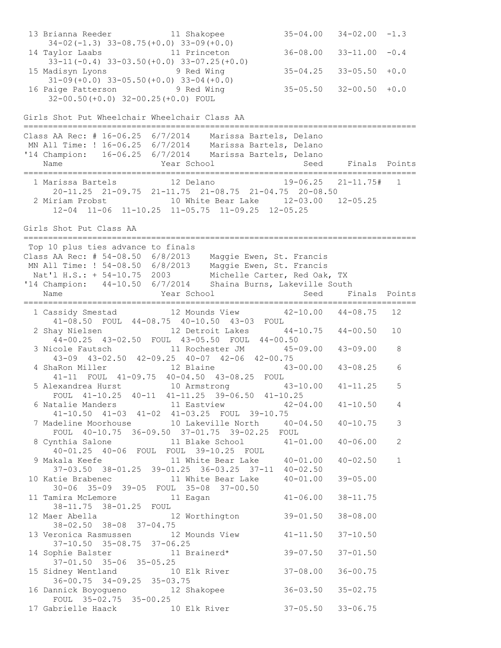```
13 Brianna Reeder 11 Shakopee 35-04.00 34-02.00 -1.3 
    34-02(-1.3) 33-08.75(+0.0) 33-09(+0.0) 
14 Taylor Laabs 11 Princeton 36-08.00 33-11.00 -0.4 
 33-11(-0.4) 33-03.50(+0.0) 33-07.25(+0.0) 
15 Madisyn Lyons 9 Red Wing 35-04.25 33-05.50 +0.0 
 31-09(+0.0) 33-05.50(+0.0) 33-04(+0.0) 
16 Paige Patterson 9 Red Wing 35-05.50 32-00.50 +0.0 
     32-00.50(+0.0) 32-00.25(+0.0) FOUL 
Girls Shot Put Wheelchair Wheelchair Class AA
================================================================================
Class AA Rec: # 16-06.25 6/7/2014 Marissa Bartels, Delano 
MN All Time: ! 16-06.25 6/7/2014 Marissa Bartels, Delano 
'14 Champion: 16-06.25 6/7/2014 Marissa Bartels, Delano 
  Name The Year School Contract Seed Finals Points
================================================================================
  1 Marissa Bartels 12 Delano 19-06.25 21-11.75# 1 
     20-11.25 21-09.75 21-11.75 21-08.75 21-04.75 20-08.50
  2 Miriam Probst 10 White Bear Lake 12-03.00 12-05.25 
     12-04 11-06 11-10.25 11-05.75 11-09.25 12-05.25
Girls Shot Put Class AA
================================================================================
Top 10 plus ties advance to finals
Class AA Rec: # 54-08.50 6/8/2013 Maggie Ewen, St. Francis 
MN All Time: ! 54-08.50 6/8/2013 Maggie Ewen, St. Francis 
 Nat'l H.S.: + 54-10.75 2003 Michelle Carter, Red Oak, TX 
'14 Champion: 44-10.50 6/7/2014 Shaina Burns, Lakeville South 
  Name Year School Seed Finals Points
================================================================================
  1 Cassidy Smestad 12 Mounds View 42-10.00 44-08.75 12 
     41-08.50 FOUL 44-08.75 40-10.50 43-03 FOUL
  2 Shay Nielsen 12 Detroit Lakes 44-10.75 44-00.50 10 
     44-00.25 43-02.50 FOUL 43-05.50 FOUL 44-00.50
  3 Nicole Fautsch 11 Rochester JM 45-09.00 43-09.00 8 
     43-09 43-02.50 42-09.25 40-07 42-06 42-00.75
 4 ShaRon Miller 12 Blaine 43-00.00 43-08.25 6 
 41-11 FOUL 41-09.75 40-04.50 43-08.25 FOUL
  5 Alexandrea Hurst 10 Armstrong 43-10.00 41-11.25 5 
    FOUL 41-10.25 40-11 41-11.25 39-06.50 41-10.25<br>atalie Manders 11 Eastview 42-04.00 41-10.50
  6 Natalie Manders 11 Eastview 42-04.00 41-10.50 4 
     41-10.50 41-03 41-02 41-03.25 FOUL 39-10.75
  7 Madeline Moorhouse 10 Lakeville North 40-04.50 40-10.75 3 
     FOUL 40-10.75 36-09.50 37-01.75 39-02.25 FOUL
 8 Cynthia Salone 11 Blake School 41-01.00 40-06.00 2
 40-01.25 40-06 FOUL FOUL 39-10.25 FOUL
 9 Makala Keefe 11 White Bear Lake 40-01.00 40-02.50 1 
     37-03.50 38-01.25 39-01.25 36-03.25 37-11 40-02.50
10 Katie Brabenec 11 White Bear Lake 40-01.00 39-05.00 
    30-06 35-09 39-05 FOUL 35-08 37-00.50<br>amira McLemore 11 Eagan 41-06.00 38-11.75
11 Tamira McLemore 11 Eagan
     38-11.75 38-01.25 FOUL 
12 Maer Abella 12 Worthington 39-01.50 38-08.00 
     38-02.50 38-08 37-04.75 
13 Veronica Rasmussen 12 Mounds View 41-11.50 37-10.50 
     37-10.50 35-08.75 37-06.25 
14 Sophie Balster 11 Brainerd* 39-07.50 37-01.50 
     37-01.50 35-06 35-05.25 
15 Sidney Wentland 10 Elk River 37-08.00 36-00.75 
     36-00.75 34-09.25 35-03.75 
16 Dannick Boyogueno 12 Shakopee 36-03.50 35-02.75 
     FOUL 35-02.75 35-00.25 
17 Gabrielle Haack 10 Elk River 37-05.50 33-06.75
```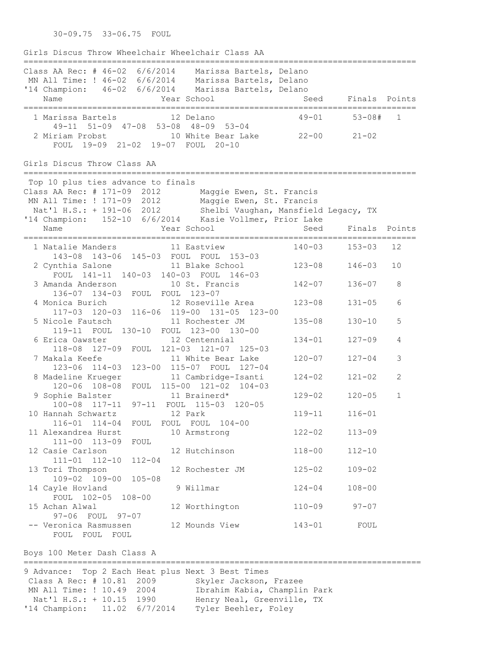30-09.75 33-06.75 FOUL

Girls Discus Throw Wheelchair Wheelchair Class AA ================================================================================ Class AA Rec: # 46-02 6/6/2014 Marissa Bartels, Delano MN All Time: ! 46-02 6/6/2014 Marissa Bartels, Delano '14 Champion: 46-02 6/6/2014 Marissa Bartels, Delano Name The Year School Seed Finals Points ================================================================================ 1 Marissa Bartels 12 Delano 49-01 53-08# 1 49-11 51-09 47-08 53-08 48-09 53-04 2 Miriam Probst 10 White Bear Lake 22-00 21-02 FOUL 19-09 21-02 19-07 FOUL 20-10 Girls Discus Throw Class AA ================================================================================ Top 10 plus ties advance to finals Class AA Rec: # 171-09 2012 Maggie Ewen, St. Francis MN All Time: ! 171-09 2012 Maggie Ewen, St. Francis Nat'l H.S.: + 191-06 2012 Shelbi Vaughan, Mansfield Legacy, TX '14 Champion: 152-10 6/6/2014 Kasie Vollmer, Prior Lake Name Year School Seed Finals Points ================================================================================ 1 Natalie Manders 11 Eastview 140-03 153-03 12 143-08 143-06 145-03 FOUL FOUL 153-03 2 Cynthia Salone 11 Blake School 123-08 146-03 10 FOUL 141-11 140-03 140-03 FOUL 146-03 3 Amanda Anderson 10 St. Francis 142-07 136-07 8 136-07 134-03 FOUL FOUL 123-07 4 Monica Burich 12 Roseville Area 123-08 131-05 6 117-03 120-03 116-06 119-00 131-05 123-00 5 Nicole Fautsch 11 Rochester JM 135-08 130-10 5 119-11 FOUL 130-10 FOUL 123-00 130-00 6 Erica Oawster 12 Centennial 134-01 127-09 4 118-08 127-09 FOUL 121-03 121-07 125-03 7 Makala Keefe 11 White Bear Lake 120-07 127-04 3 123-06 114-03 123-00 115-07 FOUL 127-04 8 Madeline Krueger 11 Cambridge-Isanti 124-02 121-02 2 120-06 108-08 FOUL 115-00 121-02 104-03 9 Sophie Balster 11 Brainerd\* 129-02 120-05 1 100-08 117-11 97-11 FOUL 115-03 120-05 10 Hannah Schwartz 12 Park 119-11 116-01 116-01 114-04 FOUL FOUL FOUL 104-00 11 Alexandrea Hurst 10 Armstrong 122-02 113-09 111-00 113-09 FOUL 12 Casie Carlson 12 Hutchinson 118-00 112-10 111-01 112-10 112-04 13 Tori Thompson 12 Rochester JM 125-02 109-02 109-02 109-00 105-08 14 Cayle Hovland 9 Willmar 124-04 108-00 FOUL 102-05 108-00 15 Achan Alwal 12 Worthington 110-09 97-07 97-06 FOUL 97-07 -- Veronica Rasmussen 12 Mounds View 143-01 FOUL FOUL FOUL FOUL

Boys 100 Meter Dash Class A

================================================================================= 9 Advance: Top 2 Each Heat plus Next 3 Best Times Class A Rec: # 10.81 2009 Skyler Jackson, Frazee MN All Time: ! 10.49 2004 Ibrahim Kabia, Champlin Park Nat'l H.S.: + 10.15 1990 Henry Neal, Greenville, TX '14 Champion: 11.02 6/7/2014 Tyler Beehler, Foley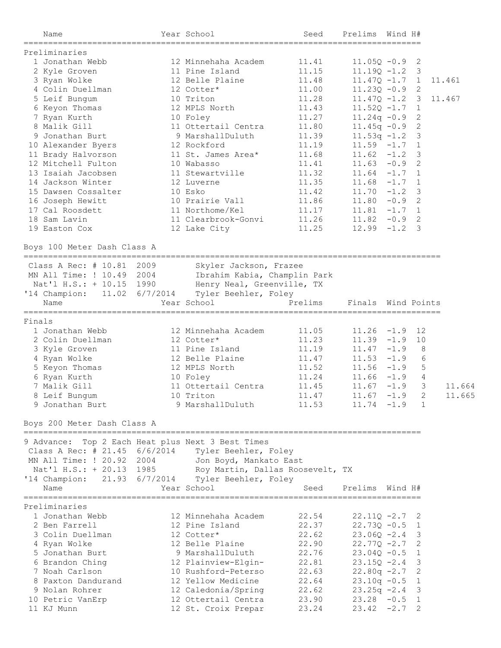|        | Name                                               | Year School                      | Seed                                | Prelims Wind H#    |         |                |        |
|--------|----------------------------------------------------|----------------------------------|-------------------------------------|--------------------|---------|----------------|--------|
|        | Preliminaries                                      |                                  | ====================                |                    |         |                |        |
|        | 1 Jonathan Webb                                    | 12 Minnehaha Academ              | 11.41                               | $11.05Q - 0.9$     |         | 2              |        |
|        | 2 Kyle Groven                                      | 11 Pine Island                   | 11.15                               | $11.19Q - 1.2$     |         | 3              |        |
|        | 3 Ryan Wolke                                       | 12 Belle Plaine                  | 11.48                               | $11.47Q - 1.7$     |         | 1              | 11.461 |
|        | 4 Colin Duellman                                   | 12 Cotter*                       | 11.00                               | $11.23Q - 0.9$ 2   |         |                |        |
|        | 5 Leif Bungum                                      | 10 Triton                        | 11.28                               | $11.47Q - 1.2$ 3   |         |                | 11.467 |
|        | 6 Keyon Thomas                                     | 12 MPLS North                    | 11.43                               | $11.52Q - 1.7$ 1   |         |                |        |
|        | 7 Ryan Kurth                                       | 10 Foley                         | 11.27                               | $11.24q - 0.9$     |         | 2              |        |
|        | 8 Malik Gill                                       | 11 Ottertail Centra              | 11.80                               | $11.45q -0.9$      |         | 2              |        |
|        | 9 Jonathan Burt                                    | 9 MarshallDuluth                 | 11.39                               | $11.53q - 1.2$     |         | 3              |        |
|        | 10 Alexander Byers                                 | 12 Rockford                      | 11.19                               | $11.59 - 1.7$      |         | 1              |        |
|        | 11 Brady Halvorson                                 | 11 St. James Area*               | 11.68                               | $11.62 - 1.2$      |         | 3              |        |
|        | 12 Mitchell Fulton                                 | 10 Wabasso                       | 11.41                               | $11.63 - 0.9$      |         | 2              |        |
|        | 13 Isaiah Jacobsen                                 | 11 Stewartville                  | 11.32                               | $11.64 -1.7 1$     |         |                |        |
|        | 14 Jackson Winter                                  | 12 Luverne                       | 11.35                               | $11.68 - 1.7$      |         | $\mathbf{1}$   |        |
|        | 15 Dawsen Cossalter                                | 10 Esko                          | 11.42                               | $11.70 - 1.2$      |         | 3              |        |
|        | 16 Joseph Hewitt                                   | 10 Prairie Vall                  | 11.86                               | $11.80 - 0.9$      |         | 2              |        |
|        | 17 Cal Roosdett                                    | 11 Northome/Kel                  | 11.17                               | $11.81 - 1.7 1$    |         |                |        |
|        | 18 Sam Lavin                                       | 11 Clearbrook-Gonvi              | 11.26                               | 11.82              | $-0.9$  | 2              |        |
|        | 19 Easton Cox                                      | 12 Lake City                     | 11.25                               | $12.99 - 1.2$      |         | 3              |        |
|        |                                                    |                                  |                                     |                    |         |                |        |
|        | Boys 100 Meter Dash Class A                        |                                  |                                     |                    |         |                |        |
|        | Class A Rec: # 10.81 2009                          | Skyler Jackson, Frazee           |                                     |                    |         |                |        |
|        | MN All Time: ! 10.49 2004                          | Ibrahim Kabia, Champlin Park     |                                     |                    |         |                |        |
|        | Nat'l H.S.: + 10.15 1990                           | Henry Neal, Greenville, TX       |                                     |                    |         |                |        |
|        | '14 Champion: 11.02 6/7/2014                       | Tyler Beehler, Foley             |                                     |                    |         |                |        |
|        | Name                                               | Year School                      | Prelims                             | Finals Wind Points |         |                |        |
|        |                                                    |                                  |                                     |                    |         |                |        |
| Finals |                                                    |                                  |                                     |                    |         |                |        |
|        | 1 Jonathan Webb                                    | 12 Minnehaha Academ              | 11.05                               | $11.26 -1.9$ 12    |         |                |        |
|        | 2 Colin Duellman                                   | 12 Cotter*                       | 11.23                               | $11.39 - 1.9$      |         | 10             |        |
|        | 3 Kyle Groven                                      | 11 Pine Island                   | 11.19                               | $11.47 - 1.9$      |         | 8              |        |
|        | 4 Ryan Wolke                                       | 12 Belle Plaine                  | 11.47                               | $11.53 - 1.9$      |         | 6              |        |
|        | 5 Keyon Thomas                                     | 12 MPLS North                    | 11.52                               | $11.56 - 1.9$      |         | 5              |        |
|        | 6 Ryan Kurth                                       | 10 Foley                         | 11.24                               | 11.66              | $-1.9$  | $\overline{4}$ |        |
|        | 7 Malik Gill                                       | 11 Ottertail Centra              | 11.45                               | 11.67              | $-1.9$  | 3              | 11.664 |
|        | 8 Leif Bungum                                      | 10 Triton                        | 11.47                               | 11.67              | $-1.9$  | 2              | 11.665 |
|        | 9 Jonathan Burt                                    | 9 MarshallDuluth                 | 11.53                               | $11.74 - 1.9$      |         | 1              |        |
|        | Boys 200 Meter Dash Class A                        |                                  |                                     |                    |         |                |        |
|        | 9 Advance: Top 2 Each Heat plus Next 3 Best Times  |                                  |                                     |                    |         |                |        |
|        | Class A Rec: # 21.45 6/6/2014 Tyler Beehler, Foley |                                  |                                     |                    |         |                |        |
|        | MN All Time: ! 20.92 2004                          | Jon Boyd, Mankato East           |                                     |                    |         |                |        |
|        | Nat'l H.S.: + 20.13 1985                           | Roy Martin, Dallas Roosevelt, TX |                                     |                    |         |                |        |
|        | '14 Champion: 21.93 6/7/2014 Tyler Beehler, Foley  |                                  |                                     |                    |         |                |        |
|        | Name                                               | Year School                      | Seed                                | Prelims            | Wind H# |                |        |
|        | Preliminaries                                      |                                  | =================================== |                    |         |                |        |
|        | 1 Jonathan Webb                                    | 12 Minnehaha Academ              | 22.54                               | $22.11Q - 2.7$     |         | 2              |        |
|        | 2 Ben Farrell                                      | 12 Pine Island                   | 22.37                               | $22.73Q - 0.5$     |         | 1              |        |
|        | 3 Colin Duellman                                   | 12 Cotter*                       | 22.62                               | $23.06Q - 2.4$     |         | 3              |        |
|        | 4 Ryan Wolke                                       | 12 Belle Plaine                  | 22.90                               | $22.77Q - 2.7$     |         | 2              |        |
|        | 5 Jonathan Burt                                    | 9 MarshallDuluth                 | 22.76                               | $23.040 - 0.5$     |         | 1              |        |
|        | 6 Brandon Ching                                    | 12 Plainview-Elgin-              | 22.81                               | $23.150 - 2.4$     |         | 3              |        |
|        | 7 Noah Carlson                                     | 10 Rushford-Peterso              | 22.63                               | $22.80q -2.7$      |         | 2              |        |
|        | 8 Paxton Dandurand                                 | 12 Yellow Medicine               | 22.64                               | $23.10q -0.5$      |         | 1              |        |
|        | 9 Nolan Rohrer                                     | 12 Caledonia/Spring              | 22.62                               | $23.25q -2.4$      |         | 3              |        |
|        | 10 Petric VanErp                                   | 12 Ottertail Centra              | 23.90                               | $23.28 - 0.5$      |         | 1              |        |
|        | 11 KJ Munn                                         | 12 St. Croix Prepar              | 23.24                               | $23.42 -2.7$       |         | 2              |        |
|        |                                                    |                                  |                                     |                    |         |                |        |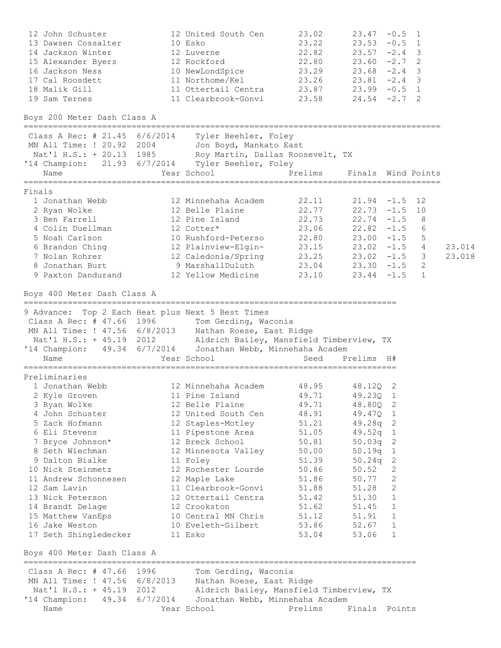| 12 John Schuster<br>13 Dawsen Cossalter<br>14 Jackson Winter<br>15 Alexander Byers<br>16 Jackson Ness<br>17 Cal Roosdett<br>18 Malik Gill<br>19 Sam Ternes                                                                                                                                                                                                                            | 12 United South Cen<br>10 Esko<br>12 Luverne<br>12 Rockford<br>10 NewLondSpice<br>11 Northome/Kel<br>11 Ottertail Centra<br>11 Clearbrook-Gonvi                                                                                                                                                                                               | 23.02<br>23.22<br>22.82<br>22.80<br>23.29<br>23.26<br>23.87<br>23.58                                                                                  | $23.68 - 2.4$                                                                                                                                                              | $23.47 - 0.5$ 1<br>$23.53 - 0.5$ 1<br>$23.57 - 2.4$ 3<br>$23.60 -2.7$<br>2<br>3<br>$23.81 -2.4$ 3<br>$23.99 - 0.5$ 1<br>$24.54 - 2.7$<br>2              |                  |
|---------------------------------------------------------------------------------------------------------------------------------------------------------------------------------------------------------------------------------------------------------------------------------------------------------------------------------------------------------------------------------------|-----------------------------------------------------------------------------------------------------------------------------------------------------------------------------------------------------------------------------------------------------------------------------------------------------------------------------------------------|-------------------------------------------------------------------------------------------------------------------------------------------------------|----------------------------------------------------------------------------------------------------------------------------------------------------------------------------|---------------------------------------------------------------------------------------------------------------------------------------------------------|------------------|
| Boys 200 Meter Dash Class A                                                                                                                                                                                                                                                                                                                                                           |                                                                                                                                                                                                                                                                                                                                               |                                                                                                                                                       |                                                                                                                                                                            |                                                                                                                                                         |                  |
| Class A Rec: # 21.45 6/6/2014<br>MN All Time: ! 20.92 2004<br>Nat'l H.S.: + 20.13 1985 Roy Martin, Dallas Roosevelt, TX<br>'14 Champion: 21.93 6/7/2014 Tyler Beehler, Foley<br>Name                                                                                                                                                                                                  | Tyler Beehler, Foley<br>Jon Boyd, Mankato East<br>Year School                                                                                                                                                                                                                                                                                 | Prelims                                                                                                                                               |                                                                                                                                                                            | Finals Wind Points                                                                                                                                      |                  |
| Finals<br>1 Jonathan Webb<br>2 Ryan Wolke<br>3 Ben Farrell<br>4 Colin Duellman<br>5 Noah Carlson<br>6 Brandon Ching<br>7 Nolan Rohrer<br>8 Jonathan Burt<br>9 Paxton Dandurand                                                                                                                                                                                                        | 12 Minnehaha Academ<br>12 Belle Plaine<br>12 Pine Island<br>12 Cotter*<br>10 Rushford-Peterso<br>12 Plainview-Elgin-<br>12 Caledonia/Spring<br>9 MarshallDuluth<br>12 Yellow Medicine                                                                                                                                                         | 22.11<br>22.77<br>22.73<br>23.06<br>$23.04$ $23.30$ $-1.5$                                                                                            | $22.80$ $23.00$ $-1.5$<br>$23.25$ $23.02$ $-1.5$<br>$23.10$ $23.44$ $-1.5$                                                                                                 | $21.94 - 1.5$ 12<br>$22.73 - 1.5$ 10<br>$22.74 - 1.5$<br>8<br>$22.82 - 1.5$<br>6<br>5<br>$23.15$ $23.02$ $-1.5$ 4<br>$\mathcal{S}$<br>$\mathbf{2}$<br>1 | 23.014<br>23.018 |
| Boys 400 Meter Dash Class A                                                                                                                                                                                                                                                                                                                                                           |                                                                                                                                                                                                                                                                                                                                               |                                                                                                                                                       |                                                                                                                                                                            |                                                                                                                                                         |                  |
| 9 Advance: Top 2 Each Heat plus Next 5 Best Times<br>Class A Rec: # 47.66 1996<br>MN All Time: ! 47.56 6/8/2013 Nathan Roese, East Ridge<br>Nat'l H.S.: + 45.19 2012 Aldrich Bailey, Mansfield Timberview, TX<br>'14 Champion: 49.34 6/7/2014  Jonathan Webb, Minnehaha Academ<br>Name                                                                                                | Tom Gerding, Waconia<br>Year School                                                                                                                                                                                                                                                                                                           | Seed                                                                                                                                                  | Prelims                                                                                                                                                                    | <b>H#</b>                                                                                                                                               |                  |
| Preliminaries<br>1 Jonathan Webb<br>2 Kyle Groven<br>3 Ryan Wolke<br>4 John Schuster<br>5 Zack Hofmann<br>6 Eli Stevens<br>7 Bryce Johnson*<br>8 Seth Wiechman<br>9 Dalton Bialke<br>10 Nick Steinmetz<br>11 Andrew Schonnesen<br>12 Sam Lavin<br>13 Nick Peterson<br>14 Brandt Delage<br>15 Matthew VanEps<br>16 Jake Weston<br>17 Seth Shingledecker<br>Boys 400 Meter Dash Class A | 12 Minnehaha Academ<br>11 Pine Island<br>12 Belle Plaine<br>12 United South Cen<br>12 Staples-Motley<br>11 Pipestone Area<br>12 Breck School<br>12 Minnesota Valley<br>11 Foley<br>12 Rochester Lourde<br>12 Maple Lake<br>11 Clearbrook-Gonvi<br>12 Ottertail Centra<br>12 Crookston<br>10 Central MN Chris<br>10 Eveleth-Gilbert<br>11 Esko | 48.95<br>49.71<br>49.71<br>48.91<br>51.21<br>51.05<br>50.81<br>50.00<br>51.39<br>50.86<br>51.86<br>51.88<br>51.42<br>51.62<br>51.12<br>53.86<br>53.04 | 48.120 2<br>49.23Q 1<br>48.80Q<br>49.47Q 1<br>$49.28q$ 2<br>49.52q 1<br>50.03q<br>50.19q<br>50.24q<br>50.52<br>50.77<br>51.28<br>51.30<br>51.45<br>51.91<br>52.67<br>53.06 | -2<br>2<br>1<br>2<br>2<br>2<br>2<br>1<br>1<br>1<br>1<br>1                                                                                               |                  |
| Class A Rec: # 47.66 1996                                                                                                                                                                                                                                                                                                                                                             | Tom Gerding, Waconia                                                                                                                                                                                                                                                                                                                          |                                                                                                                                                       |                                                                                                                                                                            |                                                                                                                                                         |                  |
| MN All Time: ! 47.56 6/8/2013  Nathan Roese, East Ridge<br>Nat'l H.S.: + 45.19 2012<br>'14 Champion: 49.34 6/7/2014  Jonathan Webb, Minnehaha Academ<br>Name                                                                                                                                                                                                                          | Aldrich Bailey, Mansfield Timberview, TX<br>Year School                                                                                                                                                                                                                                                                                       | Prelims                                                                                                                                               | Finals Points                                                                                                                                                              |                                                                                                                                                         |                  |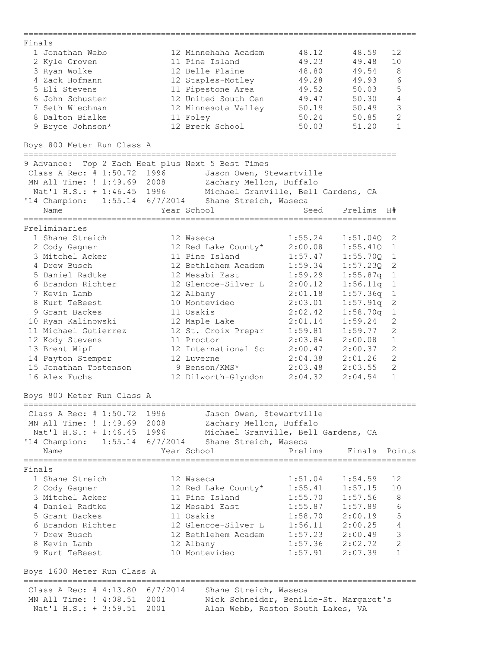| Finals                                                    |                                                      |                                   |                     |                |
|-----------------------------------------------------------|------------------------------------------------------|-----------------------------------|---------------------|----------------|
| 1 Jonathan Webb                                           | 12 Minnehaha Academ                                  | 48.12                             | 48.59               | 12             |
| 2 Kyle Groven                                             | 11 Pine Island                                       | 49.23                             | 49.48               | 10             |
| 3 Ryan Wolke                                              | 12 Belle Plaine                                      | 48.80                             | 49.54               | 8              |
| 4 Zack Hofmann                                            | 12 Staples-Motley                                    | 49.28                             | 49.93               | 6              |
| 5 Eli Stevens                                             | 11 Pipestone Area                                    | 49.52                             | 50.03               | 5              |
| 6 John Schuster                                           | 12 United South Cen                                  | 49.47                             | 50.30               | $\overline{4}$ |
| 7 Seth Wiechman                                           | 12 Minnesota Valley                                  | 50.19                             | 50.49               | $\mathsf 3$    |
| 8 Dalton Bialke                                           | 11 Foley                                             | 50.24                             | 50.85               | $\overline{c}$ |
| 9 Bryce Johnson*                                          | 12 Breck School                                      | 50.03                             | 51.20               | $\mathbf{1}$   |
| Boys 800 Meter Run Class A                                |                                                      |                                   |                     |                |
|                                                           | 9 Advance: Top 2 Each Heat plus Next 5 Best Times    |                                   |                     |                |
| Class A Rec: # 1:50.72 1996                               | Jason Owen, Stewartville<br>Zachary Mellon, Buffalo  |                                   |                     |                |
| MN All Time: ! 1:49.69 2008<br>Nat'l H.S.: + 1:46.45 1996 | Michael Granville, Bell Gardens, CA                  |                                   |                     |                |
|                                                           | '14 Champion: 1:55.14 6/7/2014 Shane Streich, Waseca |                                   |                     |                |
| Name                                                      | Year School                                          | Seed                              | Prelims             | H#             |
| Preliminaries                                             | ====================                                 | _________________________________ |                     |                |
| 1 Shane Streich                                           | 12 Waseca                                            | 1:55.24                           | 1:51.04Q            | 2              |
| 2 Cody Gagner                                             | 12 Red Lake County*                                  | 2:00.08                           | 1:55.41Q            | 1              |
| 3 Mitchel Acker                                           | 11 Pine Island                                       | 1:57.47                           | 1:55.70Q            | $\mathbf 1$    |
| 4 Drew Busch                                              | 12 Bethlehem Academ                                  | 1:59.34                           | 1:57.23Q            | $\sqrt{2}$     |
| 5 Daniel Radtke                                           | 12 Mesabi East                                       | 1:59.29                           | 1:55.87q            | $1\,$          |
| 6 Brandon Richter                                         | 12 Glencoe-Silver L                                  | 2:00.12                           | 1:56.11q            | $\mathbf{1}$   |
| 7 Kevin Lamb                                              | 12 Albany                                            | 2:01.18                           | 1:57.36q            | $\mathbf{1}$   |
| 8 Kurt TeBeest                                            | 10 Montevideo                                        | 2:03.01                           | 1:57.91q            | 2              |
| 9 Grant Backes                                            | 11 Osakis                                            | 2:02.42                           | 1:58.70q            | $\mathbf 1$    |
| 10 Ryan Kalinowski                                        | 12 Maple Lake                                        | 2:01.14                           | 1:59.24             | 2              |
| 11 Michael Gutierrez                                      | 12 St. Croix Prepar                                  | 1:59.81                           | 1:59.77             | $\overline{2}$ |
| 12 Kody Stevens                                           | 11 Proctor                                           | 2:03.84                           | 2:00.08             | $\mathbf{1}$   |
| 13 Brent Wipf                                             | 12 International Sc                                  | 2:00.47                           | 2:00.37             | $\mathbf{2}$   |
| 14 Payton Stemper                                         | 12 Luverne                                           | 2:04.38                           | 2:01.26             | $\mathbf{2}$   |
| 15 Jonathan Tostenson                                     | 9 Benson/KMS*                                        | 2:03.48                           | 2:03.55             | $\mathbf{2}$   |
| 16 Alex Fuchs                                             | 12 Dilworth-Glyndon                                  | 2:04.32                           | 2:04.54             | $\mathbf{1}$   |
| Boys 800 Meter Run Class A                                |                                                      |                                   |                     |                |
| Class A Rec: # 1:50.72 1996                               | Jason Owen, Stewartville                             |                                   |                     |                |
| MN All Time: ! 1:49.69 2008                               | Zachary Mellon, Buffalo                              |                                   |                     |                |
| Nat'l H.S.: + 1:46.45 1996                                | Michael Granville, Bell Gardens, CA                  |                                   |                     |                |
| '14 Champion: 1:55.14 6/7/2014                            | Shane Streich, Waseca                                |                                   |                     |                |
| Name                                                      | Year School                                          | Prelims                           | Finals Points       |                |
| Finals                                                    |                                                      |                                   |                     |                |
| 1 Shane Streich                                           | 12 Waseca                                            | 1:51.04                           | 1:54.59             | 12             |
| 2 Cody Gagner                                             | 12 Red Lake County*                                  | 1:55.41                           | 1:57.15             | 10             |
| 3 Mitchel Acker                                           | 11 Pine Island                                       | 1:55.70                           | 1:57.56             | 8              |
| 4 Daniel Radtke                                           | 12 Mesabi East                                       | 1:55.87                           | 1:57.89             | 6              |
| 5 Grant Backes                                            | 11 Osakis                                            | 1:58.70                           | 2:00.19             | $\mathbb S$    |
| 6 Brandon Richter                                         | 12 Glencoe-Silver L                                  | 1:56.11                           | 2:00.25             | $\sqrt{4}$     |
| 7 Drew Busch                                              | 12 Bethlehem Academ                                  | 1:57.23                           | 2:00.49             | $\mathfrak{Z}$ |
| 8 Kevin Lamb                                              | 12 Albany                                            |                                   | $1:57.36$ $2:02.72$ | $\sqrt{2}$     |
| 9 Kurt TeBeest                                            | 10 Montevideo                                        | 1:57.91                           | 2:07.39             | 1              |
| Boys 1600 Meter Run Class A                               |                                                      |                                   |                     |                |
| Class A Rec: # 4:13.80 6/7/2014                           | Shane Streich, Waseca                                |                                   |                     |                |
| MN All Time: ! 4:08.51 2001                               | Nick Schneider, Benilde-St. Margaret's               |                                   |                     |                |
| Nat'l H.S.: + 3:59.51                                     | Alan Webb, Reston South Lakes, VA<br>2001            |                                   |                     |                |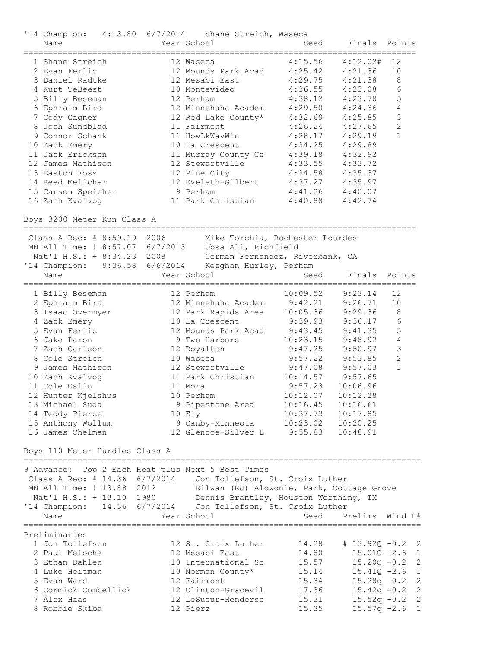| '14 Champion: 4:13.80 6/7/2014<br>Name                                                                                                                                                                                                                                                                                                    |                    | Shane Streich, Waseca<br>Year School                                                                                                                                                                                                                                                   | Seed                                                                                                                                                                                 | Finals                                                                                                                                                                             | Points                                                                          |
|-------------------------------------------------------------------------------------------------------------------------------------------------------------------------------------------------------------------------------------------------------------------------------------------------------------------------------------------|--------------------|----------------------------------------------------------------------------------------------------------------------------------------------------------------------------------------------------------------------------------------------------------------------------------------|--------------------------------------------------------------------------------------------------------------------------------------------------------------------------------------|------------------------------------------------------------------------------------------------------------------------------------------------------------------------------------|---------------------------------------------------------------------------------|
| 1 Shane Streich<br>2 Evan Ferlic<br>3 Daniel Radtke<br>4 Kurt TeBeest<br>5 Billy Beseman<br>6 Ephraim Bird<br>7 Cody Gagner<br>8 Josh Sundblad<br>9 Connor Schank<br>10 Zack Emery<br>11 Jack Erickson<br>12 James Mathison<br>13 Easton Foss<br>14 Reed Melicher<br>15 Carson Speicher                                                   |                    | 12 Waseca<br>12 Mounds Park Acad<br>12 Mesabi East<br>10 Montevideo<br>12 Perham<br>12 Minnehaha Academ<br>12 Red Lake County*<br>11 Fairmont<br>11 HowLkWavWin<br>10 La Crescent<br>11 Murray County Ce<br>12 Stewartville<br>12 Pine City<br>12 Eveleth-Gilbert<br>9 Perham          | 4:15.56<br>4:25.42<br>4:29.75<br>4:36.55<br>4:38.12<br>4:29.50<br>4:32.69<br>4:26.24<br>4:28.17<br>4:34.25<br>4:39.18<br>4:33.55<br>4:34.58<br>4:37.27<br>4:41.26                    | 4:12.02#<br>4:21.36<br>4:21.38<br>4:23.08<br>4:23.78<br>4:24.36<br>4:25.85<br>4:27.65<br>4:29.19<br>4:29.89<br>4:32.92<br>4:33.72<br>4:35.37<br>4:35.97<br>4:40.07                 | 12<br>10<br>8<br>6<br>5<br>4<br>3<br>$\mathbf{2}$<br>$\mathbf{1}$               |
| 16 Zach Kvalvog<br>Boys 3200 Meter Run Class A                                                                                                                                                                                                                                                                                            |                    | 11 Park Christian                                                                                                                                                                                                                                                                      | 4:40.88                                                                                                                                                                              | 4:42.74                                                                                                                                                                            |                                                                                 |
| Class A Rec: # 8:59.19 2006<br>MN All Time: ! 8:57.07 6/7/2013<br>Nat'l H.S.: + 8:34.23 2008<br>'14 Champion:<br>Name                                                                                                                                                                                                                     | $9:36.58$ 6/6/2014 | Mike Torchia, Rochester Lourdes<br>Obsa Ali, Richfield<br>German Fernandez, Riverbank, CA<br>Keeghan Hurley, Perham<br>Year School                                                                                                                                                     | Seed                                                                                                                                                                                 | Finals                                                                                                                                                                             | Points                                                                          |
| 1 Billy Beseman<br>2 Ephraim Bird<br>3 Isaac Overmyer<br>4 Zack Emery<br>5 Evan Ferlic<br>6 Jake Paron<br>7 Zach Carlson<br>8 Cole Streich<br>9 James Mathison<br>10 Zach Kvalvog<br>11 Cole Oslin<br>12 Hunter Kjelshus<br>13 Michael Suda<br>14 Teddy Pierce<br>15 Anthony Wollum<br>16 James Chelman<br>Boys 110 Meter Hurdles Class A |                    | 12 Perham<br>12 Minnehaha Academ<br>12 Park Rapids Area<br>10 La Crescent<br>12 Mounds Park Acad<br>9 Two Harbors<br>12 Royalton<br>10 Waseca<br>12 Stewartville<br>11 Park Christian<br>11 Mora<br>10 Perham<br>9 Pipestone Area<br>10 Ely<br>9 Canby-Minneota<br>12 Glencoe-Silver L | 10:09.52<br>9:42.21<br>10:05.36<br>9:39.93<br>9:43.45<br>10:23.15<br>9:47.25<br>9:57.22<br>9:47.08<br>10:14.57<br>9:57.23<br>10:12.07<br>10:16.45<br>10:37.73<br>10:23.02<br>9:55.83 | 9:23.14<br>9:26.71<br>9:29.36<br>9:36.17<br>9:41.35<br>9:48.92<br>9:50.97<br>9:53.85<br>9:57.03<br>9:57.65<br>10:06.96<br>10:12.28<br>10:16.61<br>10:17.85<br>10:20.25<br>10:48.91 | 12<br>10<br>8<br>6<br>5<br>4<br>3<br>$\overline{2}$<br>$\mathbf{1}$             |
| 9 Advance: Top 2 Each Heat plus Next 5 Best Times<br>Class A Rec: # 14.36 $6/7/2014$<br>MN All Time: ! 13.88 2012<br>Nat'l H.S.: + 13.10 1980<br>'14 Champion: 14.36 6/7/2014<br>Name                                                                                                                                                     |                    | Jon Tollefson, St. Croix Luther<br>Rilwan (RJ) Alowonle, Park, Cottage Grove<br>Dennis Brantley, Houston Worthing, TX<br>Jon Tollefson, St. Croix Luther<br>Year School                                                                                                                | Seed                                                                                                                                                                                 | Prelims                                                                                                                                                                            | Wind H#                                                                         |
| Preliminaries<br>1 Jon Tollefson<br>2 Paul Meloche<br>3 Ethan Dahlen<br>4 Luke Heitman<br>5 Evan Ward<br>6 Cormick Combellick                                                                                                                                                                                                             |                    | 12 St. Croix Luther<br>12 Mesabi East<br>10 International Sc<br>10 Norman County*<br>12 Fairmont<br>12 Clinton-Gracevil                                                                                                                                                                | 14.28<br>14.80<br>15.57<br>15.14<br>15.34<br>17.36                                                                                                                                   | $# 13.92Q -0.2$<br>$15.20Q - 0.2$<br>$15.28q - 0.2$<br>$15.42q -0.2$                                                                                                               | $\overline{\phantom{0}}^2$<br>$15.01Q -2.6$ 1<br>2<br>$15.41Q -2.6$ 1<br>2<br>2 |

 7 Alex Haas 12 LeSueur-Henderso 15.31 15.52q -0.2 2 8 Robbie Skiba 12 Pierz 15.35 15.57q -2.6 1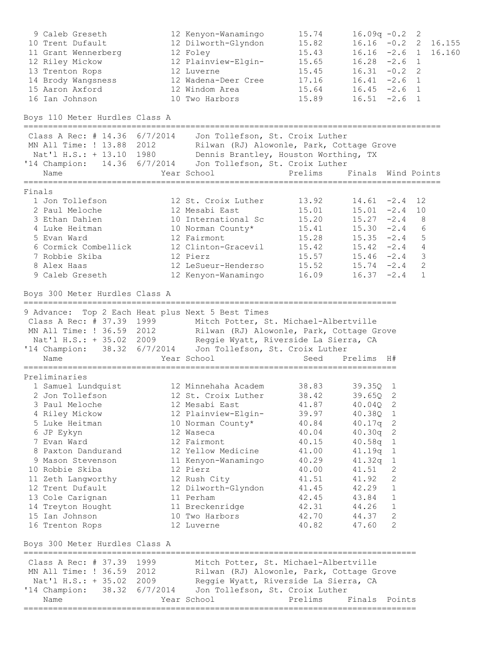| 9 Caleb Greseth<br>10 Trent Dufault<br>11 Grant Wennerberg<br>12 Riley Mickow<br>13 Trenton Rops<br>14 Brody Wangsness<br>15 Aaron Axford<br>16 Ian Johnson<br>Boys 110 Meter Hurdles Class A                                                                                                                                                                     | 12 Kenyon-Wanamingo<br>12 Dilworth-Glyndon<br>12 Foley<br>12 Plainview-Elgin-<br>12 Luverne<br>12 Wadena-Deer Cree<br>12 Windom Area<br>10 Two Harbors                                                                                                                                                           | 15.74<br>15.82<br>15.43<br>15.65<br>15.45<br>17.16<br>15.64<br>15.89                                                       | $16.09q - 0.2$<br>$16.16 -2.6 1$<br>$16.28 -2.6$ 1<br>$16.31 - 0.2$<br>$16.41 -2.6$ 1<br>$16.45 -2.6$ 1<br>$16.51 -2.6$ 1                                   |                                                               | 2<br>2                                               | $16.16 -0.2$ 2 16.155<br>16.160 |
|-------------------------------------------------------------------------------------------------------------------------------------------------------------------------------------------------------------------------------------------------------------------------------------------------------------------------------------------------------------------|------------------------------------------------------------------------------------------------------------------------------------------------------------------------------------------------------------------------------------------------------------------------------------------------------------------|----------------------------------------------------------------------------------------------------------------------------|-------------------------------------------------------------------------------------------------------------------------------------------------------------|---------------------------------------------------------------|------------------------------------------------------|---------------------------------|
| Class A Rec: # 14.36 6/7/2014    Jon Tollefson, St. Croix Luther<br>MN All Time: ! 13.88 2012<br>Nat'l H.S.: + 13.10 1980<br>'14 Champion: 14.36 6/7/2014<br>Name                                                                                                                                                                                                 | Rilwan (RJ) Alowonle, Park, Cottage Grove<br>Dennis Brantley, Houston Worthing, TX<br>Jon Tollefson, St. Croix Luther<br>Year School                                                                                                                                                                             | Prelims                                                                                                                    | Finals Wind Points                                                                                                                                          |                                                               |                                                      |                                 |
| Finals<br>1 Jon Tollefson<br>2 Paul Meloche<br>3 Ethan Dahlen<br>4 Luke Heitman<br>5 Evan Ward<br>6 Cormick Combellick<br>7 Robbie Skiba<br>8 Alex Haas<br>9 Caleb Greseth                                                                                                                                                                                        | 12 St. Croix Luther<br>12 Mesabi East<br>10 International Sc<br>10 Norman County*<br>12 Fairmont<br>12 Clinton-Gracevil<br>12 Pierz<br>12 LeSueur-Henderso<br>12 Kenyon-Wanamingo                                                                                                                                | 13.92<br>15.01<br>15.20<br>15.41<br>15.28<br>15.42<br>15.57<br>15.52<br>16.09                                              | $14.61 - 2.4$<br>$15.01 -2.4 10$<br>$15.27 -2.4$ 8<br>$15.30 -2.4$ 6<br>$15.35 -2.4$ 5<br>$15.42 -2.4$ 4<br>$15.46 - 2.4$<br>$15.74 - 2.4$<br>$16.37 -2.4$  |                                                               | 12<br>$\overline{\mathbf{3}}$<br>$\overline{2}$<br>1 |                                 |
| Boys 300 Meter Hurdles Class A<br>9 Advance: Top 2 Each Heat plus Next 5 Best Times<br>Class A Rec: # 37.39 1999<br>MN All Time: ! 36.59 2012<br>Nat'l H.S.: + 35.02 2009<br>'14 Champion: 38.32 6/7/2014<br>Name                                                                                                                                                 | Mitch Potter, St. Michael-Albertville<br>Rilwan (RJ) Alowonle, Park, Cottage Grove<br>Reggie Wyatt, Riverside La Sierra, CA<br>Jon Tollefson, St. Croix Luther<br>Year School                                                                                                                                    | Seed                                                                                                                       | Prelims H#                                                                                                                                                  |                                                               |                                                      |                                 |
| Preliminaries<br>1 Samuel Lundquist<br>2 Jon Tollefson<br>3 Paul Meloche<br>4 Riley Mickow<br>5 Luke Heitman<br>6 JP Eykyn<br>7 Evan Ward<br>8 Paxton Dandurand<br>9 Mason Stevenson<br>10 Robbie Skiba<br>11 Zeth Langworthy<br>12 Trent Dufault<br>13 Cole Carignan<br>14 Treyton Hought<br>15 Ian Johnson<br>16 Trenton Rops<br>Boys 300 Meter Hurdles Class A | 12 Minnehaha Academ<br>12 St. Croix Luther 38.42<br>12 Mesabi East<br>12 Plainview-Elgin-<br>10 Norman County*<br>12 Waseca<br>12 Fairmont<br>12 Yellow Medicine<br>11 Kenyon-Wanamingo<br>12 Pierz<br>12 Rush City<br>12 Dilworth-Glyndon 41.45<br>11 Perham<br>11 Breckenridge<br>10 Two Harbors<br>12 Luverne | 38.83<br>41.87<br>39.97<br>40.84<br>40.04<br>40.15<br>41.00<br>40.29<br>40.00<br>41.51<br>42.45<br>42.31<br>42.70<br>40.82 | 39.350 1<br>39.65Q 2<br>40.04Q<br>40.38Q 1<br>40.17q<br>40.30q<br>40.58q<br>41.19q<br>41.32q<br>41.51<br>41.92<br>42.29<br>43.84<br>44.26<br>44.37<br>47.60 | 2<br>2<br>2<br>1<br>1<br>1<br>2<br>2<br>1<br>1<br>1<br>2<br>2 |                                                      |                                 |
| Class A Rec: # 37.39 1999<br>MN All Time: ! 36.59 2012 Rilwan (RJ) Alowonle, Park, Cottage Grove<br>Nat'l H.S.: + 35.02 2009 Reggie Wyatt, Riverside La Sierra, CA<br>'14 Champion: 38.32 6/7/2014 Jon Tollefson, St. Croix Luther<br>Name                                                                                                                        | Mitch Potter, St. Michael-Albertville<br>Year School                                                                                                                                                                                                                                                             | Prelims                                                                                                                    | Finals Points                                                                                                                                               |                                                               |                                                      |                                 |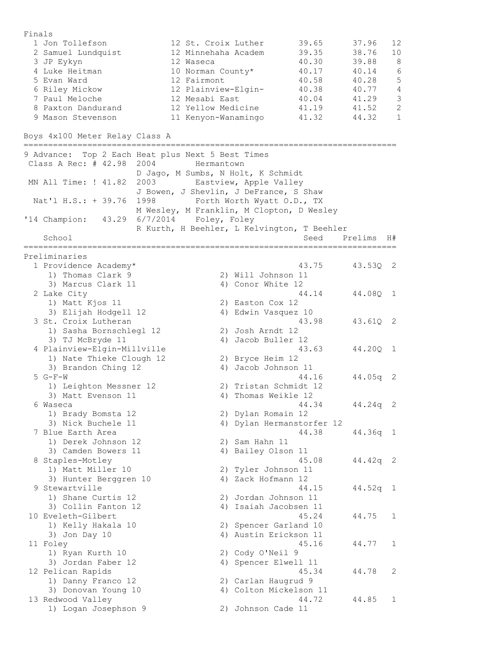Finals 1 Jon Tollefson 12 St. Croix Luther 39.65 37.96 12 2 Samuel Lundquist 12 Minnehaha Academ 39.35 38.76 10 3 JP Eykyn 12 Waseca 40.30 39.88 8 4 Luke Heitman 10 Norman County\* 40.17 40.14 6 5 Evan Ward 12 Fairmont 40.58 40.28 5 6 Riley Mickow 12 Plainview-Elgin- 40.38 40.77 4 7 Paul Meloche 12 Mesabi East 40.04 41.29 3 8 Paxton Dandurand 12 Yellow Medicine 41.19 41.52 2 9 Mason Stevenson 11 Kenyon-Wanamingo 41.32 44.32 1 Boys 4x100 Meter Relay Class A ============================================================================ 9 Advance: Top 2 Each Heat plus Next 5 Best Times Class A Rec: # 42.98 2004 Hermantown D Jago, M Sumbs, N Holt, K Schmidt MN All Time: ! 41.82 2003 Eastview, Apple Valley J Bowen, J Shevlin, J DeFrance, S Shaw Nat'l H.S.: + 39.76 1998 Forth Worth Wyatt O.D., TX M Wesley, M Franklin, M Clopton, D Wesley '14 Champion: 43.29 6/7/2014 Foley, Foley R Kurth, H Beehler, L Kelvington, T Beehler School Seed Prelims H# ============================================================================ Preliminaries 1 Providence Academy\* 43.75 43.53Q 2 1) Thomas Clark 9 2) Will Johnson 11 3) Marcus Clark 11 4) Conor White 12 2 Lake City 44.14 44.08Q 1 1) Matt Kjos 11 2) Easton Cox 12 3) Elijah Hodgell 12 4) Edwin Vasquez 10 3 St. Croix Lutheran 43.98 43.61Q 2 1) Sasha Bornschlegl 12 2) Josh Arndt 12 3) TJ McBryde 11 4) Jacob Buller 12 4 Plainview-Elgin-Millville 43.63 44.20Q 1 1) Nate Thieke Clough 12 2) Bryce Heim 12 3) Brandon Ching 12 4) Jacob Johnson 11 5 G-F-W 44.16 44.05q 2 1) Leighton Messner 12 2) Tristan Schmidt 12 3) Matt Evenson 11 4) Thomas Weikle 12 6 Waseca 44.34 44.24q 2 1) Brady Bomsta 12 2) Dylan Romain 12 3) Nick Buchele 11 4) Dylan Hermanstorfer 12 7 Blue Earth Area 44.38 44.36q 1 1) Derek Johnson 12 2) Sam Hahn 11 3) Camden Bowers 11 (4) Bailey Olson 11 8 Staples-Motley 45.08 44.42q 2 1) Matt Miller 10 2) Tyler Johnson 11 3) Hunter Berggren 10 4) Zack Hofmann 12 9 Stewartville 44.15 44.52q 1 1) Shane Curtis 12 2) Jordan Johnson 11 3) Collin Fanton 12 4) Isaiah Jacobsen 11 10 Eveleth-Gilbert 45.24 44.75 1 1) Kelly Hakala 10 2) Spencer Garland 10 3) Jon Day 10 4) Austin Erickson 11 11 Foley 45.16 44.77 1 1) Ryan Kurth 10 2) Cody O'Neil 9 3) Jordan Faber 12 4) Spencer Elwell 11 12 Pelican Rapids 45.34 44.78 2 1) Danny Franco 12 2) Carlan Haugrud 9 3) Donovan Young 10 4) Colton Mickelson 11 13 Redwood Valley 44.72 44.85 1 1) Redwood Valley (المحمد المحمد المحمد المحمد المحمد المحمد المحمد المحمد المحمد المحمد المحمد المحمد المحمد<br>1) Logan Josephson 9 2) Johnson Cade 11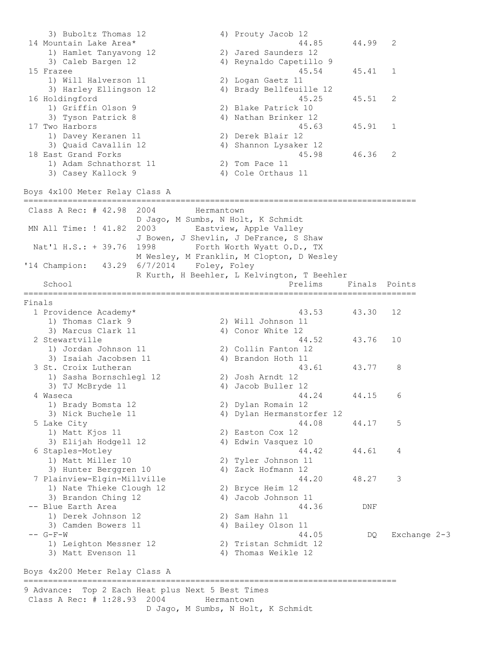3) Buboltz Thomas 12 4) Prouty Jacob 12 14 Mountain Lake Area\* 44.85 44.99 2 1) Hamlet Tanyavong 12 2) Jared Saunders 12 3) Caleb Bargen 12 4) Reynaldo Capetillo 9 15 Frazee 45.54 45.41 1 1) Will Halverson 11 2) Logan Gaetz 11 3) Harley Ellingson 12 4) Brady Bellfeuille 12 16 Holdingford 45.25 45.51 2 1) Griffin Olson 9 2) Blake Patrick 10 3) Tyson Patrick 8 4) Nathan Brinker 12 17 Two Harbors 45.63 45.91 1 1) Davey Keranen 11 2) Derek Blair 12 3) Quaid Cavallin 12 4) Shannon Lysaker 12 18 East Grand Forks 45.98 46.36 2 1) Adam Schnathorst 11 2) Tom Pace 11 3) Casey Kallock 9 4) Cole Orthaus 11 Boys 4x100 Meter Relay Class A ================================================================================ Class A Rec: # 42.98 2004 Hermantown D Jago, M Sumbs, N Holt, K Schmidt MN All Time: ! 41.82 2003 Eastview, Apple Valley J Bowen, J Shevlin, J DeFrance, S Shaw Nat'l H.S.: + 39.76 1998 Forth Worth Wyatt O.D., TX M Wesley, M Franklin, M Clopton, D Wesley '14 Champion: 43.29 6/7/2014 Foley, Foley R Kurth, H Beehler, L Kelvington, T Beehler School **Prelims** Finals Points ================================================================================ Finals 1 Providence Academy\* 43.53 43.30 12 1) Thomas Clark 9 2) Will Johnson 11 3) Marcus Clark 11 4) Conor White 12 2 Stewartville 44.52 43.76 10 1) Jordan Johnson 11 2) Collin Fanton 12 3) Isaiah Jacobsen 11 (4) Brandon Hoth 11 3 St. Croix Lutheran 43.61 43.77 8 1) Sasha Bornschlegl 12 2) Josh Arndt 12 3) TJ McBryde 11 4) Jacob Buller 12 4 Waseca 44.24 44.15 6 1) Brady Bomsta 12 2) Dylan Romain 12 3) Nick Buchele 11 4) Dylan Hermanstorfer 12 5 Lake City 44.08 44.17 5 1) Matt Kjos 11 2) Easton Cox 12 3) Elijah Hodgell 12 4) Edwin Vasquez 10 6 Staples-Motley 44.42 44.61 4 1) Matt Miller 10 2) Tyler Johnson 11 3) Hunter Berggren 10 4) Zack Hofmann 12 7 Plainview-Elgin-Millville 44.20 48.27 3 1) Nate Thieke Clough 12 2) Bryce Heim 12 3) Brandon Ching 12 4) Jacob Johnson 11 -- Blue Earth Area 44.36 DNF 1) Derek Johnson 12 2) Sam Hahn 11 3) Camden Bowers 11 4) Bailey Olson 11 -- G-F-W 44.05 DQ Exchange 2-3 1) Leighton Messner 12 2) Tristan Schmidt 12 3) Matt Evenson 11 4) Thomas Weikle 12 Boys 4x200 Meter Relay Class A

============================================================================ 9 Advance: Top 2 Each Heat plus Next 5 Best Times Class A Rec: # 1:28.93 2004 Hermantown D Jago, M Sumbs, N Holt, K Schmidt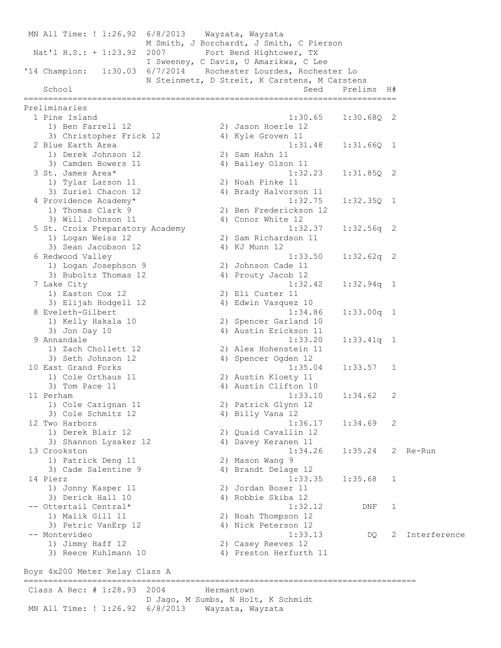MN All Time: ! 1:26.92 6/8/2013 Wayzata, Wayzata M Smith, J Borchardt, J Smith, C Pierson Nat'l H.S.: + 1:23.92 2007 Fort Bend Hightower, TX I Sweeney, C Davis, U Amarikwa, C Lee '14 Champion: 1:30.03 6/7/2014 Rochester Lourdes, Rochester Lo N Steinmetz, D Streit, K Carstens, M Carstens School Seed Prelims H# ============================================================================ Preliminaries 1 Pine Island 1:30.65 1:30.68Q 2 1) Ben Farrell 12 2) Jason Hoerle 12 3) Christopher Frick 12 4) Kyle Groven 11 2 Blue Earth Area 1:31.48 1:31.66Q 1 1) Derek Johnson 12 2) Sam Hahn 11 3) Camden Bowers 11 4) Bailey Olson 11 3 St. James Area\* 1:32.23 1:31.85Q 2 1) Tylar Larson 11 2) Noah Pinke 11 3) Zuriel Chacon 12 4) Brady Halvorson 11 4 Providence Academy\* 1:32.75 1:32.35Q 1 1) Thomas Clark 9 2) Ben Frederickson 12 3) Will Johnson 11 4) Conor White 12 5 St. Croix Preparatory Academy 1:32.37 1:32.56q 2 1) Logan Weiss 12 2) Sam Richardson 11 3) Sean Jacobson 12 4) KJ Munn 12 6 Redwood Valley 1:33.50 1:32.62q 2 1) Logan Josephson 9 2) Johnson Cade 11 3) Buboltz Thomas 12 (4) Prouty Jacob 12 7 Lake City 1:32.42 1:32.94q 1 1) Easton Cox 12 2) Eli Custer 11 3) Elijah Hodgell 12 4) Edwin Vasquez 10 8 Eveleth-Gilbert 1:34.86 1:33.00q 1 1) Kelly Hakala 10 2) Spencer Garland 10 3) Jon Day 10 4) Austin Erickson 11 9 Annandale 1:33.20 1:33.41q 1 1) Zach Chollett 12 2) Alex Hohenstein 11 3) Seth Johnson 12 4) Spencer Ogden 12 10 East Grand Forks 1:35.04 1:33.57 1 1) Cole Orthaus 11 2) Austin Kloety 11 3) Tom Pace 11 4) Austin Clifton 10 11 Perham 1:33.10 1:34.62 2 1) Cole Carignan 11 2) Patrick Glynn 12 3) Cole Schmitz 12 4) Billy Vana 12 12 Two Harbors 1:36.17 1:34.69 2 1) Derek Blair 12 2) Quaid Cavallin 12 3) Shannon Lysaker 12 1988 (4) Davey Keranen 11 13 Crookston 1:34.26 1:35.24 2 Re-Run 1) Patrick Deng 11 2) Mason Wang 9 3) Cade Salentine 9 4) Brandt Delage 12 14 Pierz 1:33.35 1:35.68 1 1) Jonny Kasper 11 2) Jordan Boser 11 3) Derick Hall 10 4) Robbie Skiba 12 -- Ottertail Central\* 1:32.12 DNF 1 1) Malik Gill 11 2) Noah Thompson 12 3) Petric VanErp 12 4) Nick Peterson 12 -- Montevideo 1:33.13 DQ 2 Interference 1) Jimmy Haff 12 2) Casey Reeves 12 3) Reece Kuhlmann 10 4) Preston Herfurth 11

Boys 4x200 Meter Relay Class A

Class A Rec: # 1:28.93 2004 Hermantown D Jago, M Sumbs, N Holt, K Schmidt MN All Time: ! 1:26.92 6/8/2013 Wayzata, Wayzata

================================================================================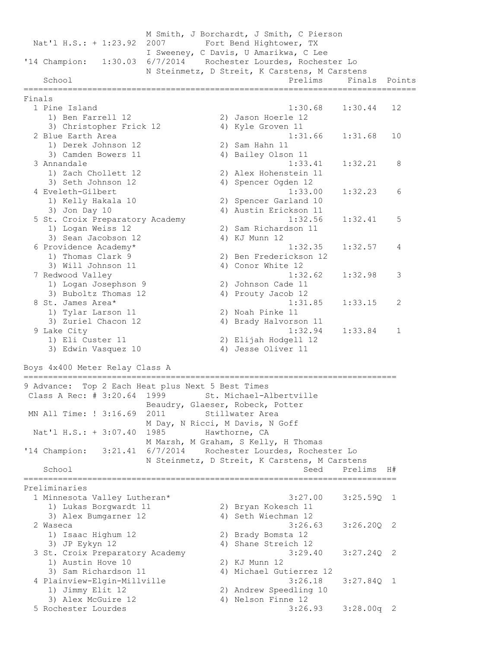M Smith, J Borchardt, J Smith, C Pierson Nat'l H.S.: + 1:23.92 2007 Fort Bend Hightower, TX I Sweeney, C Davis, U Amarikwa, C Lee '14 Champion: 1:30.03 6/7/2014 Rochester Lourdes, Rochester Lo N Steinmetz, D Streit, K Carstens, M Carstens School **Prelims** Finals Points **Prelims** Finals Points ================================================================================ Finals 1 Pine Island 1:30.68 1:30.44 12 1) Ben Farrell 12 2) Jason Hoerle 12 3) Christopher Frick 12 4) Kyle Groven 11 2 Blue Earth Area 1110 and 19 and 1:31.66 1:31.68 10 1) Derek Johnson 12 2) Sam Hahn 11 3) Camden Bowers 11 (4) Bailey Olson 11 3 Annandale 1:33.41 1:32.21 8 1) Zach Chollett 12 2) Alex Hohenstein 11 3) Seth Johnson 12 4) Spencer Ogden 12 4 Eveleth-Gilbert 1:33.00 1:32.23 6 1) Kelly Hakala 10 2) Spencer Garland 10 3) Jon Day 10 4) Austin Erickson 11 5 St. Croix Preparatory Academy 1:32.56 1:32.41 5 1) Logan Weiss 12 2) Sam Richardson 11 3) Sean Jacobson 12 (4) KJ Munn 12 6 Providence Academy\* 1:32.35 1:32.57 4 1) Thomas Clark 9 2) Ben Frederickson 12 3) Will Johnson 11 4) Conor White 12 7 Redwood Valley 1:32.62 1:32.98 3 1) Logan Josephson 9 2) Johnson Cade 11 3) Buboltz Thomas 12 4) Prouty Jacob 12 8 St. James Area\* 1:31.85 1:33.15 2 1) Tylar Larson 11 2) Noah Pinke 11 3) Zuriel Chacon 12 4) Brady Halvorson 11 9 Lake City 1:32.94 1:33.84 1 1) Eli Custer 11 2) Elijah Hodgell 12 3) Edwin Vasquez 10 4) Jesse Oliver 11 Boys 4x400 Meter Relay Class A ============================================================================ 9 Advance: Top 2 Each Heat plus Next 5 Best Times Class A Rec: # 3:20.64 1999 St. Michael-Albertville Beaudry, Glaeser, Robeck, Potter MN All Time: ! 3:16.69 2011 Stillwater Area M Day, N Ricci, M Davis, N Goff Nat'l H.S.: + 3:07.40 1985 Hawthorne, CA M Marsh, M Graham, S Kelly, H Thomas '14 Champion: 3:21.41 6/7/2014 Rochester Lourdes, Rochester Lo N Steinmetz, D Streit, K Carstens, M Carstens School Seed Prelims H# ============================================================================ Preliminaries 1 Minnesota Valley Lutheran\* 3:27.00 3:25.59Q 1 1) Lukas Borgwardt 11 2) Bryan Kokesch 11 3) Alex Bumgarner 12 4) Seth Wiechman 12 2 Waseca 3:26.63 3:26.20Q 2 1) Isaac Highum 12 2) Brady Bomsta 12 3) JP Eykyn 12 4) Shane Streich 12 3 St. Croix Preparatory Academy 3:29.40 3:27.24Q 2 1) Austin Hove 10 2) KJ Munn 12 3) Sam Richardson 11 4) Michael Gutierrez 12 4 Plainview-Elgin-Millville 3:26.18 3:27.84Q 1 1) Jimmy Elit 12 2) Andrew Speedling 10 3) Alex McGuire 12 4) Nelson Finne 12 5 Rochester Lourdes 3:26.93 3:28.00q 2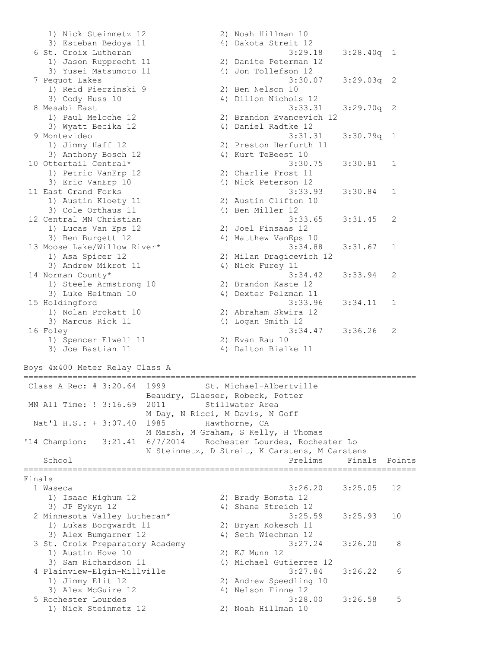```
 1) Nick Steinmetz 12 2) Noah Hillman 10 
3) Esteban Bedoya 11 4) Dakota Streit 12
 6 St. Croix Lutheran 3:29.18 3:28.40q 1 
 1) Jason Rupprecht 11 2) Danite Peterman 12 
3) Yusei Matsumoto 11 4) Jon Tollefson 12
 7 Pequot Lakes 3:30.07 3:29.03q 2 
 1) Reid Pierzinski 9 2) Ben Nelson 10 
 3) Cody Huss 10 4) Dillon Nichols 12 
 8 Mesabi East 3:33.31 3:29.70q 2 
 1) Paul Meloche 12 2) Brandon Evancevich 12 
3) Wyatt Becika 12 4) Daniel Radtke 12
 9 Montevideo 3:31.31 3:30.79q 1 
 1) Jimmy Haff 12 2) Preston Herfurth 11 
3) Anthony Bosch 12 4) Kurt TeBeest 10
10 Ottertail Central* 3:30.75 3:30.81 1 
1) Petric VanErp 12 2) Charlie Frost 11
3) Eric VanErp 10 4) Nick Peterson 12
11 East Grand Forks 3:33.93 3:30.84 1 
 1) Austin Kloety 11 2) Austin Clifton 10 
3) Cole Orthaus 11 4) Ben Miller 12
12 Central MN Christian 3:33.65 3:31.45 2 
 1) Lucas Van Eps 12 2) Joel Finsaas 12 
3) Ben Burgett 12 4) Matthew VanEps 10
13 Moose Lake/Willow River* 3:34.88 3:31.67 1 
 1) Asa Spicer 12 2) Milan Dragicevich 12 
3) Andrew Mikrot 11 4) Nick Furey 11
14 Norman County* 3:34.42 3:33.94 2 
 1) Steele Armstrong 10 2) Brandon Kaste 12 
 3) Luke Heitman 10 4) Dexter Pelzman 11 
15 Holdingford 3:33.96 3:34.11 1 
 1) Nolan Prokatt 10 2) Abraham Skwira 12 
3) Marcus Rick 11 4) Logan Smith 12
16 Foley 3:34.47 3:36.26 2 
1) Spencer Elwell 11 2) Evan Rau 10
3) Joe Bastian 11 4) Dalton Bialke 11
Boys 4x400 Meter Relay Class A
================================================================================
Class A Rec: # 3:20.64 1999 St. Michael-Albertville
                 Beaudry, Glaeser, Robeck, Potter 
MN All Time: ! 3:16.69 2011 Stillwater Area
                 M Day, N Ricci, M Davis, N Goff 
Nat'l H.S.: + 3:07.40 1985 Hawthorne, CA
                 M Marsh, M Graham, S Kelly, H Thomas 
'14 Champion: 3:21.41 6/7/2014 Rochester Lourdes, Rochester Lo 
            N Steinmetz, D Streit, K Carstens, M Carstens 
  School Prelims Finals Points
================================================================================
Finals
 1 Waseca 3:26.20 3:25.05 12 
 1) Isaac Highum 12 2) Brady Bomsta 12 
3) JP Eykyn 12 12 4) Shane Streich 12
 2 Minnesota Valley Lutheran* 3:25.59 3:25.93 10 
 1) Lukas Borgwardt 11 2) Bryan Kokesch 11 
3) Alex Bumgarner 12 4) Seth Wiechman 12
 3 St. Croix Preparatory Academy 3:27.24 3:26.20 8 
 1) Austin Hove 10 2) KJ Munn 12 
 3) Sam Richardson 11 4) Michael Gutierrez 12 
 4 Plainview-Elgin-Millville 3:27.84 3:26.22 6 
 1) Jimmy Elit 12 2) Andrew Speedling 10 
3) Alex McGuire 12 (4) Nelson Finne 12
 5 Rochester Lourdes 3:28.00 3:26.58 5 
    1) Nick Steinmetz 12 2) Noah Hillman 10
```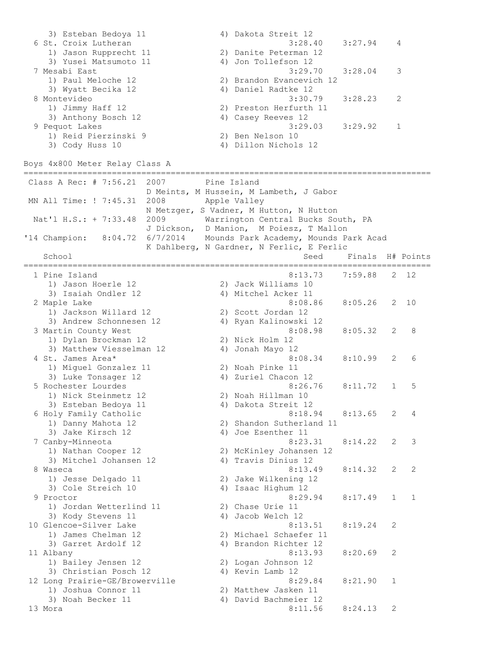3) Esteban Bedoya 11 4) Dakota Streit 12 6 St. Croix Lutheran 3:28.40 3:27.94 4 1) Jason Rupprecht 11 2) Danite Peterman 12 3) Yusei Matsumoto 11 (4) Jon Tollefson 12 7 Mesabi East 3:29.70 3:28.04 3 1) Paul Meloche 12 2) Brandon Evancevich 12 3) Wyatt Becika 12 4) Daniel Radtke 12 8 Montevideo 3:30.79 3:28.23 2 1) Jimmy Haff 12 2) Preston Herfurth 11 3) Anthony Bosch 12 4) Casey Reeves 12 9 Pequot Lakes 3:29.03 3:29.92 1 1) Reid Pierzinski 9 2) Ben Nelson 10 3) Cody Huss 10 4) Dillon Nichols 12 Boys 4x800 Meter Relay Class A =================================================================================== Class A Rec: # 7:56.21 2007 Pine Island D Meints, M Hussein, M Lambeth, J Gabor MN All Time: ! 7:45.31 2008 Apple Valley N Metzger, S Vadner, M Hutton, N Hutton Nat'l H.S.: + 7:33.48 2009 Warrington Central Bucks South, PA J Dickson, D Manion, M Poiesz, T Mallon '14 Champion: 8:04.72 6/7/2014 Mounds Park Academy, Mounds Park Acad K Dahlberg, N Gardner, N Ferlic, E Ferlic School Seed Finals H# Points =================================================================================== 1 Pine Island 8:13.73 7:59.88 2 12 1) Jason Hoerle 12 2) Jack Williams 10 3) Isaiah Ondler 12 4) Mitchel Acker 11 2 Maple Lake 8:08.86 8:05.26 2 10 1) Jackson Willard 12 2) Scott Jordan 12 3) Andrew Schonnesen 12 4) Ryan Kalinowski 12 3 Martin County West 8:08.98 8:05.32 2 8 1) Dylan Brockman 12 2) Nick Holm 12 3) Matthew Viesselman 12 4) Jonah Mayo 12 4 St. James Area\* 8:08.34 8:10.99 2 6 1) Miguel Gonzalez 11 2) Noah Pinke 11 3) Luke Tonsager 12 4) Zuriel Chacon 12 5 Rochester Lourdes 8:26.76 8:11.72 1 5 1) Nick Steinmetz 12 2) Noah Hillman 10 3) Esteban Bedoya 11 <br />
4) Dakota Streit 12 6 Holy Family Catholic 8:18.94 8:13.65 2 4 1) Danny Mahota 12 2) Shandon Sutherland 11 3) Jake Kirsch 12 4) Joe Esenther 11 7 Canby-Minneota 8:23.31 8:14.22 2 3 1) Nathan Cooper 12 2) McKinley Johansen 12 3) Mitchel Johansen 12 (4) Travis Dinius 12 8 Waseca 8:13.49 8:14.32 2 2 1) Jesse Delgado 11 2) Jake Wilkening 12 3) Cole Streich 10 4) Isaac Highum 12 9 Proctor 8:29.94 8:17.49 1 1 1) Jordan Wetterlind 11 2) Chase Urie 11 3) Kody Stevens 11 4) Jacob Welch 12 10 Glencoe-Silver Lake 8:13.51 8:19.24 2 1) James Chelman 12 2) Michael Schaefer 11 3) Garret Ardolf 12 4) Brandon Richter 12 11 Albany 8:13.93 8:20.69 2 1) Bailey Jensen 12 2) Logan Johnson 12 3) Christian Posch 12 (4) Kevin Lamb 12 12 Long Prairie-GE/Browerville 8:29.84 8:21.90 1 1) Joshua Connor 11 2) Matthew Jasken 11 3) Noah Becker 11 4) David Bachmeier 12 13 Mora 8:11.56 8:24.13 2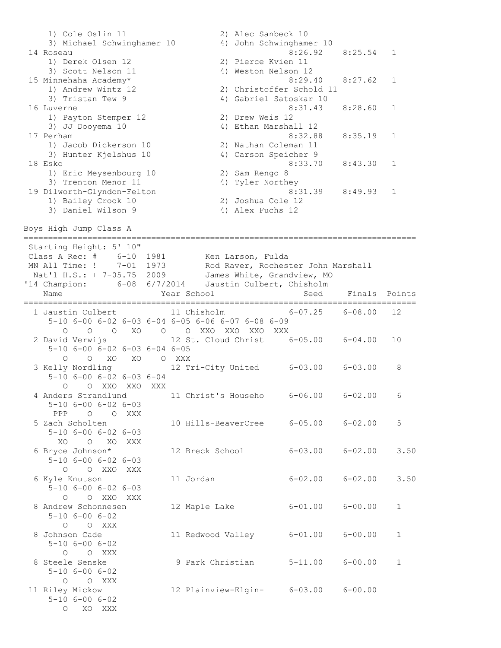1) Cole Oslin 11 2) Alec Sanbeck 10 3) Michael Schwinghamer 10 4) John Schwinghamer 10 14 Roseau 8:26.92 8:25.54 1 1) Derek Olsen 12 2) Pierce Kvien 11 3) Scott Nelson 11 4) Weston Nelson 12 15 Minnehaha Academy\* 8:29.40 8:27.62 1 1) Andrew Wintz 12 2) Christoffer Schold 11 3) Tristan Tew 9 4) Gabriel Satoskar 10 16 Luverne 8:31.43 8:28.60 1 1) Payton Stemper 12 2) Drew Weis 12 3) JJ Dooyema 10 4) Ethan Marshall 12 17 Perham 8:32.88 8:35.19 1 1) Jacob Dickerson 10 2) Nathan Coleman 11 3) Hunter Kjelshus 10 4) Carson Speicher 9 18 Esko 8:33.70 8:43.30 1 1) Eric Meysenbourg 10 2) Sam Rengo 8 3) Trenton Menor 11 4) Tyler Northey 19 Dilworth-Glyndon-Felton 8:31.39 8:49.93 1 1) Bailey Crook 10 2) Joshua Cole 12 3) Daniel Wilson 9 4) Alex Fuchs 12 Boys High Jump Class A ================================================================================ Starting Height: 5' 10" Class A Rec: # 6-10 1981 Ken Larson, Fulda MN All Time: ! 7-01 1973 Rod Raver, Rochester John Marshall Nat'l H.S.: + 7-05.75 2009 James White, Grandview, MO '14 Champion: 6-08 6/7/2014 Jaustin Culbert, Chisholm Name The Year School Seed Finals Points ================================================================================ 1 Jaustin Culbert 11 Chisholm 6-07.25 6-08.00 12 5-10 6-00 6-02 6-03 6-04 6-05 6-06 6-07 6-08 6-09 O O O XO O O XXO XXO XXO XXX 2 David Verwijs 12 St. Cloud Christ 6-05.00 6-04.00 10 5-10 6-00 6-02 6-03 6-04 6-05 O O XO XO O XXX 3 Kelly Nordling 12 Tri-City United 6-03.00 6-03.00 8 5-10 6-00 6-02 6-03 6-04 O O XXO XXO XXX 4 Anders Strandlund 11 Christ's Househo 6-06.00 6-02.00 6 5-10 6-00 6-02 6-03 PPP O O XXX 5 Zach Scholten 10 Hills-BeaverCree 6-05.00 6-02.00 5 5-10 6-00 6-02 6-03 XO O XO XXX 6 Bryce Johnson\* 12 Breck School 6-03.00 6-02.00 3.50 5-10 6-00 6-02 6-03 O O XXO XXX 6 Kyle Knutson 11 Jordan 6-02.00 6-02.00 3.50 5-10 6-00 6-02 6-03 O O XXO XXX 8 Andrew Schonnesen 12 Maple Lake 6-01.00 6-00.00 1 5-10 6-00 6-02 O O XXX 11 Redwood Valley 6-01.00 6-00.00 1 5-10 6-00 6-02 O O XXX 8 Steele Senske 9 Park Christian 5-11.00 6-00.00 1 5-10 6-00 6-02 O O XXX 11 Riley Mickow 12 Plainview-Elgin- 6-03.00 6-00.00 5-10 6-00 6-02 O XO XXX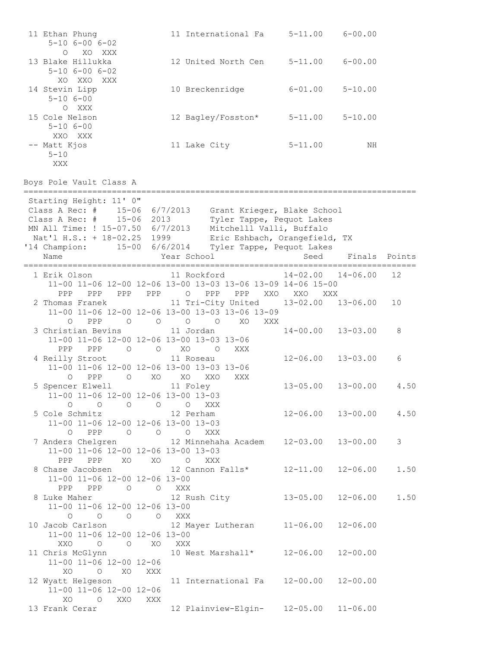| 11 Ethan Phung<br>$5 - 10$ $6 - 00$ $6 - 02$<br>$\circ$<br>XO XXX                                                                                                                                      | 11 International Fa                                                                                                                                               | $5 - 11.00$  | $6 - 00.00$                      |                |
|--------------------------------------------------------------------------------------------------------------------------------------------------------------------------------------------------------|-------------------------------------------------------------------------------------------------------------------------------------------------------------------|--------------|----------------------------------|----------------|
| 13 Blake Hillukka<br>$5 - 10$ $6 - 00$ $6 - 02$                                                                                                                                                        | 12 United North Cen                                                                                                                                               |              | $5 - 11.00$ $6 - 00.00$          |                |
| XO XXO<br>XXX<br>14 Stevin Lipp<br>$5 - 106 - 00$<br>O XXX                                                                                                                                             | 10 Breckenridge                                                                                                                                                   | $6 - 01.00$  | $5 - 10.00$                      |                |
| 15 Cole Nelson<br>$5 - 10$ $6 - 00$<br>XXO XXX                                                                                                                                                         | 12 Bagley/Fosston*                                                                                                                                                | $5 - 11.00$  | $5 - 10.00$                      |                |
| -- Matt Kjos<br>$5 - 10$<br>XXX                                                                                                                                                                        | 11 Lake City                                                                                                                                                      | $5 - 11.00$  | ΝH                               |                |
| Boys Pole Vault Class A                                                                                                                                                                                |                                                                                                                                                                   |              |                                  |                |
| Starting Height: 11' 0"<br>Class A Rec: # 15-06 6/7/2013<br>Class A Rec: #<br>15-06 2013<br>MN All Time: ! 15-07.50 6/7/2013<br>Nat'l H.S.: + 18-02.25 1999<br>'14 Champion:<br>15-00 6/6/2014<br>Name | Grant Krieger, Blake School<br>Tyler Tappe, Pequot Lakes<br>Mitchelll Valli, Buffalo<br>Eric Eshbach, Orangefield, TX<br>Tyler Tappe, Pequot Lakes<br>Year School | Seed         | Finals                           | Points         |
| 1 Erik Olson                                                                                                                                                                                           | 11 Rockford                                                                                                                                                       | $14 - 02.00$ | $14 - 06.00$                     | 12             |
| PPP<br>PPP<br>PPP<br>PPP                                                                                                                                                                               | 11-00 11-06 12-00 12-06 13-00 13-03 13-06 13-09 14-06 15-00<br>$\circ$<br>PPP<br>PPP XXO                                                                          | XXO XXX      |                                  |                |
| 2 Thomas Franek<br>PPP<br>$\circ$<br>$\circ$<br>$\circ$                                                                                                                                                | 11 Tri-City United<br>11-00 11-06 12-00 12-06 13-00 13-03 13-06 13-09<br>$\circ$<br>$\overline{O}$<br>XO.<br>XXX                                                  |              | $13 - 02.00$ $13 - 06.00$        | 10             |
| 3 Christian Bevins<br>11-00 11-06 12-00 12-06 13-00 13-03 13-06<br>PPP<br>PPP<br>$\overline{a}$                                                                                                        | 11 Jordan<br>$O$ XO $O$<br>XXX                                                                                                                                    | 14-00.00     | $13 - 03.00$                     | 8              |
| 4 Reilly Stroot<br>11-00 11-06 12-00 12-06 13-00 13-03 13-06<br>PPP<br>$\overline{O}$<br>$\circ$                                                                                                       | 11 Roseau<br>XO<br>XO<br>XXO<br>XXX                                                                                                                               | $12 - 06.00$ | $13 - 03.00$                     | 6              |
| 5 Spencer Elwell<br>11-00 11-06 12-00 12-06 13-00 13-03<br>$\begin{matrix} 0&0&0&0 \end{matrix}$<br>$\circ$                                                                                            | 11 Foley<br>XXX                                                                                                                                                   | $13 - 05.00$ | $13 - 00.00$                     | 4.50           |
| 5 Cole Schmitz 12 Perham<br>11-00 11-06 12-00 12-06 13-00 13-03                                                                                                                                        |                                                                                                                                                                   |              | $12 - 06.00$ $13 - 00.00$ $4.50$ |                |
| 0 PPP 0 0 0 XXX<br>7 Anders Chelgren 12 Minnehaha Academ 12-03.00 13-00.00<br>11-00 11-06 12-00 12-06 13-00 13-03<br>PPP PPP XO XO O XXX                                                               |                                                                                                                                                                   |              |                                  | 3 <sup>7</sup> |
| 8 Chase Jacobsen 12 Cannon Falls* 12-11.00 12-06.00<br>11-00 11-06 12-00 12-06 13-00<br>PPP PPP 0 0 XXX                                                                                                |                                                                                                                                                                   |              |                                  | 1.50           |
| 8 Luke Maher 12 Rush City 13-05.00<br>11-00 11-06 12-00 12-06 13-00<br>$\begin{matrix} 0 & 0 & 0 & 0 & \text{XXX} \end{matrix}$                                                                        |                                                                                                                                                                   |              | $12 - 06.00$ 1.50                |                |
| 10 Jacob Carlson 12 Mayer Lutheran 11-06.00 12-06.00<br>11-00 11-06 12-00 12-06 13-00<br>XXO O O XO XXX                                                                                                |                                                                                                                                                                   |              |                                  |                |
| 11 Chris McGlynn 10 West Marshall* 12-06.00 12-00.00<br>11-00 11-06 12-00 12-06<br>XO O XO XXX                                                                                                         |                                                                                                                                                                   |              |                                  |                |
| 12 Wyatt Helgeson<br>11-00 11-06 12-00 12-06<br>XO O XXO XXX                                                                                                                                           |                                                                                                                                                                   |              |                                  |                |
| 13 Frank Cerar                                                                                                                                                                                         | 12 Plainview-Elgin- 12-05.00 11-06.00                                                                                                                             |              |                                  |                |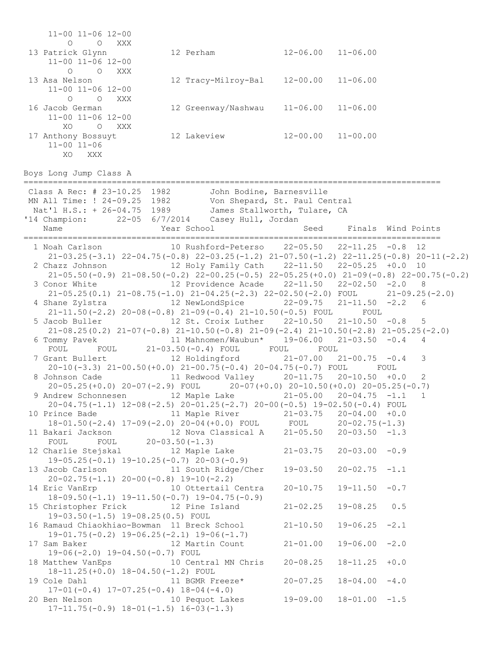11-00 11-06 12-00 O O XXX 13 Patrick Glynn 12 Perham 12-06.00 11-06.00 11-00 11-06 12-00 O O XXX 13 Asa Nelson 12 Tracy-Milroy-Bal 12-00.00 11-06.00 11-00 11-06 12-00 O O XXX 16 Jacob German 12 Greenway/Nashwau 11-06.00 11-06.00 11-00 11-06 12-00 XO O XXX 17 Anthony Bossuyt 12 Lakeview 12-00.00 11-00.00 11-00 11-06 XO XXX Boys Long Jump Class A ===================================================================================== Class A Rec: # 23-10.25 1982 John Bodine, Barnesville MN All Time: ! 24-09.25 1982 Von Shepard, St. Paul Central Nat'l H.S.: + 26-04.75 1989 James Stallworth, Tulare, CA '14 Champion: 22-05 6/7/2014 Casey Hull, Jordan Name The Year School Seed Finals Wind Points ===================================================================================== 1 Noah Carlson 10 Rushford-Peterso 22-05.50 22-11.25 -0.8 12 21-03.25(-3.1) 22-04.75(-0.8) 22-03.25(-1.2) 21-07.50(-1.2) 22-11.25(-0.8) 20-11(-2.2) 2 Chazz Johnson 12 Holy Family Cath 22-11.50 22-05.25 +0.0 10 21-05.50(-0.9) 21-08.50(-0.2) 22-00.25(-0.5) 22-05.25(+0.0) 21-09(-0.8) 22-00.75(-0.2) 3 Conor White 12 Providence Acade 22-11.50 22-02.50 -2.0 8 21-05.25(0.1) 21-08.75(-1.0) 21-04.25(-2.3) 22-02.50(-2.0) FOUL 21-09.25(-2.0) 4 Shane Zylstra 12 NewLondSpice 22-09.75 21-11.50 -2.2 6 21-11.50(-2.2) 20-08(-0.8) 21-09(-0.4) 21-10.50(-0.5) FOUL FOUL 5 Jacob Buller 12 St. Croix Luther 22-10.50 21-10.50 -0.8 5 21-08.25(0.2) 21-07(-0.8) 21-10.50(-0.8) 21-09(-2.4) 21-10.50(-2.8) 21-05.25(-2.0) 6 Tommy Pavek 11 Mahnomen/Waubun\* 19-06.00 21-03.50 -0.4 4 FOUL FOUL 21-03.50(-0.4) FOUL FOUL FOUL 7 Grant Bullert 12 Holdingford 21-07.00 21-00.75 -0.4 3 20-10(-3.3) 21-00.50(+0.0) 21-00.75(-0.4) 20-04.75(-0.7) FOUL FOUL 8 Johnson Cade 11 Redwood Valley 20-11.75 20-10.50 +0.0 2 20-05.25(+0.0) 20-07(-2.9) FOUL 20-07(+0.0) 20-10.50(+0.0) 20-05.25(-0.7) 9 Andrew Schonnesen 12 Maple Lake 21-05.00 20-04.75 -1.1 1 20-04.75(-1.1) 12-08(-2.5) 20-01.25(-2.7) 20-00(-0.5) 19-02.50(-0.4) FOUL 10 Prince Bade 11 Maple River 21-03.75 20-04.00 +0.0 18-01.50(-2.4) 17-09(-2.0) 20-04(+0.0) FOUL FOUL 20-02.75(-1.3) 11 Bakari Jackson 12 Nova Classical A 21-05.50 20-03.50 -1.3 FOUL FOUL 20-03.50(-1.3) 12 Charlie Stejskal 12 Maple Lake 21-03.75 20-03.00 -0.9 19-05.25(-0.1) 19-10.25(-0.7) 20-03(-0.9) 13 Jacob Carlson 11 South Ridge/Cher 19-03.50 20-02.75 -1.1 20-02.75(-1.1) 20-00(-0.8) 19-10(-2.2) 14 Eric VanErp 10 Ottertail Centra 20-10.75 19-11.50 -0.7 18-09.50(-1.1) 19-11.50(-0.7) 19-04.75(-0.9) 15 Christopher Frick 12 Pine Island 21-02.25 19-08.25 0.5 19-03.50(-1.5) 19-08.25(0.5) FOUL 16 Ramaud Chiaokhiao-Bowman 11 Breck School 21-10.50 19-06.25 -2.1 19-01.75(-0.2) 19-06.25(-2.1) 19-06(-1.7) 17 Sam Baker 12 Martin Count 21-01.00 19-06.00 -2.0 19-06(-2.0) 19-04.50(-0.7) FOUL 18 Matthew VanEps 10 Central MN Chris 20-08.25 18-11.25 +0.0 18-11.25(+0.0) 18-04.50(-1.2) FOUL 19 Cole Dahl 11 BGMR Freeze\* 20-07.25 18-04.00 -4.0 17-01(-0.4) 17-07.25(-0.4) 18-04(-4.0)<br>20 Ben Nelson 10 Pequot Lakes 10 Pequot Lakes 19-09.00 18-01.00 -1.5 17-11.75(-0.9) 18-01(-1.5) 16-03(-1.3)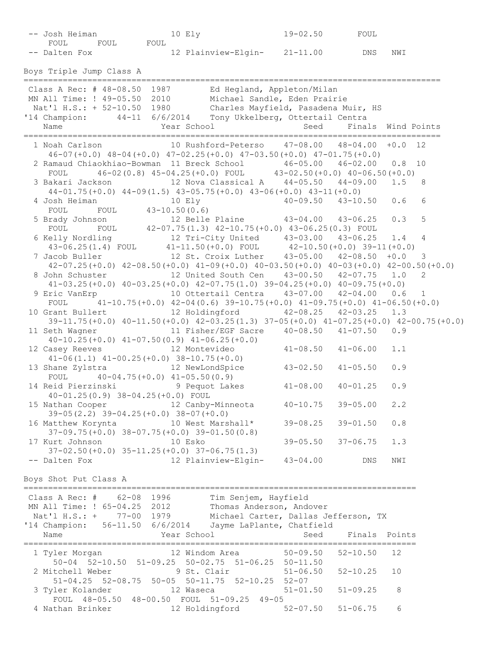| -- Josh Heiman                     | 10 Ely                                                                                                                                                                                        | $19 - 02.50$              | FOUL          |                    |
|------------------------------------|-----------------------------------------------------------------------------------------------------------------------------------------------------------------------------------------------|---------------------------|---------------|--------------------|
| FOUL FOUL<br>FOUL<br>-- Dalten Fox | 12 Plainview-Elgin- 21-11.00                                                                                                                                                                  |                           | DNS           | NWI                |
| Boys Triple Jump Class A           |                                                                                                                                                                                               |                           |               |                    |
|                                    | Class A Rec: # 48-08.50 1987 Ed Hegland, Appleton/Milan                                                                                                                                       |                           |               |                    |
|                                    |                                                                                                                                                                                               |                           |               |                    |
|                                    | MN All Time: ! 49-05.50 2010 Michael Sandle, Eden Prairie<br>Nat'l H.S.: + 52-10.50 1980 Charles Mayfield, Pasadena Muir, HS<br>'14 Champion: 44-11 6/6/2014 Tony Ukkelberg, Ottertail Centra |                           |               |                    |
|                                    |                                                                                                                                                                                               |                           |               |                    |
| Name                               | Year School                                                                                                                                                                                   | Seed                      |               | Finals Wind Points |
|                                    | 1 Noah Carlson 10 Rushford-Peterso 47-08.00 48-04.00 +0.0 12                                                                                                                                  |                           |               |                    |
|                                    | $46-07 (+0.0)$ $48-04 (+0.0)$ $47-02.25 (+0.0)$ $47-03.50 (+0.0)$ $47-01.75 (+0.0)$<br>2 Ramaud Chiaokhiao-Bowman 11 Breck School 46-05.00 46-02.00                                           |                           |               | $0.8$ 10           |
| FOUL                               | $46-02(0.8)$ $45-04.25(+0.0)$ FOUL $43-02.50(+0.0)$ $40-06.50(+0.0)$                                                                                                                          |                           |               |                    |
|                                    |                                                                                                                                                                                               |                           |               | 1.5 8              |
|                                    | $44-01.75(+0.0)$ $44-09(1.5)$ $43-05.75(+0.0)$ $43-06(+0.0)$ $43-11(+0.0)$                                                                                                                    |                           |               |                    |
|                                    | 4 Josh Heiman 10 Ely 10 200 10 -09.50 43-10.50 0.6                                                                                                                                            |                           |               | 6                  |
| FOUL FOUL 43-10.50(0.6)            |                                                                                                                                                                                               |                           |               |                    |
|                                    | 5 Brady Johnson 12 Belle Plaine 43-04.00 43-06.25                                                                                                                                             |                           |               | 5<br>0.3           |
|                                    | FOUL FOUL $42-07.75(1.3)$ $42-10.75(+0.0)$ $43-06.25(0.3)$ FOUL                                                                                                                               |                           |               |                    |
|                                    | 6 Kelly Nordling 12 Tri-City United 43-03.00 43-06.25 1.4                                                                                                                                     |                           |               | $\overline{4}$     |
|                                    | $43-06.25(1.4)$ FOUL $41-11.50(+0.0)$ FOUL $42-10.50(+0.0)$ $39-11(+0.0)$                                                                                                                     |                           |               |                    |
|                                    | 7 Jacob Buller 12 St. Croix Luther 43-05.00 42-08.50 +0.0 3                                                                                                                                   |                           |               |                    |
|                                    | $42-07.25(+0.0)$ $42-08.50(+0.0)$ $41-09(+0.0)$ $40-03.50(+0.0)$ $40-03(+0.0)$ $42-03(+0.0)$ $42-00.50(+0.0)$                                                                                 |                           |               |                    |
|                                    | 8 John Schuster 12 United South Cen  43-00.50  42-07.75  1.0<br>$41-03.25(+0.0)$ $40-03.25(+0.0)$ $42-07.75(1.0)$ $39-04.25(+0.0)$ $40-09.75(+0.0)$                                           |                           |               | 2                  |
|                                    | 9 Eric VanErp 10 Ottertail Centra 43-07.00 42-04.00 0.6 1                                                                                                                                     |                           |               |                    |
|                                    | FOUL $41-10.75(+0.0)$ $42-04(0.6)$ $39-10.75(+0.0)$ $41-09.75(+0.0)$ $41-06.50(+0.0)$                                                                                                         |                           |               |                    |
|                                    | 10 Grant Bullert 12 Holdingford 42-08.25 42-03.25 1.3                                                                                                                                         |                           |               |                    |
|                                    | 39-11.75(+0.0) 40-11.50(+0.0) 42-03.25(1.3) 37-05(+0.0) 41-07.25(+0.0) 42-00.75(+0.0)                                                                                                         |                           |               |                    |
| 11 Seth Wagner                     | 11 Fisher/EGF Sacre  40-08.50  41-07.50  0.9<br>$40-10.25 (+0.0)$ $41-07.50(0.9)$ $41-06.25 (+0.0)$                                                                                           |                           |               |                    |
| 12 Casey Reeves 12 Montevideo      | $41-06(1.1)$ $41-00.25(+0.0)$ $38-10.75(+0.0)$                                                                                                                                                | $41 - 08.50$ $41 - 06.00$ |               | 1.1                |
|                                    | 13 Shane Zylstra 12 NewLondSpice 43-02.50                                                                                                                                                     |                           | $41 - 05.50$  | 0.9                |
| FOUL                               | $40-04.75(+0.0)$ $41-05.50(0.9)$                                                                                                                                                              |                           |               |                    |
|                                    | 14 Reid Pierzinski<br>9 Pequot Lakes                                                                                                                                                          | $41 - 08.00$ $40 - 01.25$ |               | 0.9                |
|                                    | $40-01.25(0.9)$ $38-04.25(+0.0)$ FOUL                                                                                                                                                         |                           |               |                    |
| 15 Nathan Cooper                   | 12 Canby-Minneota<br>$39-05(2.2)$ $39-04.25(+0.0)$ $38-07(+0.0)$                                                                                                                              | $40 - 10.75$ 39-05.00     |               | 2.2                |
|                                    | 16 Matthew Korynta 10 West Marshall*<br>$37-09.75(+0.0)$ $38-07.75(+0.0)$ $39-01.50(0.8)$                                                                                                     | $39 - 08.25$              | $39 - 01.50$  | 0.8                |
| 17 Kurt Johnson                    | 10 Esko                                                                                                                                                                                       | $39 - 05.50$              | $37 - 06.75$  | 1.3                |
|                                    | $37-02.50 (+0.0)$ $35-11.25 (+0.0)$ $37-06.75(1.3)$                                                                                                                                           |                           |               |                    |
| -- Dalten Fox                      | 12 Plainview-Elgin-                                                                                                                                                                           | $43 - 04.00$              | DNS           | NWI                |
| Boys Shot Put Class A              |                                                                                                                                                                                               |                           |               |                    |
|                                    | Class A Rec: # 62-08 1996 Tim Senjem, Hayfield                                                                                                                                                |                           |               |                    |
|                                    | MN All Time: ! 65-04.25 2012 Thomas Anderson, Andover                                                                                                                                         |                           |               |                    |
|                                    | Nat'l H.S.: + 77-00 1979 Michael Carter, Dallas Jefferson, TX                                                                                                                                 |                           |               |                    |
|                                    | '14 Champion: 56-11.50 6/6/2014 Jayme LaPlante, Chatfield                                                                                                                                     |                           |               |                    |
| Name                               | Year School                                                                                                                                                                                   | Seed                      | Finals Points |                    |
| 1 Tyler Morgan                     | 12 Windom Area                                                                                                                                                                                | $50 - 09.50$              | $52 - 10.50$  | 12                 |
| 2 Mitchell Weber                   | 50-04 52-10.50 51-09.25 50-02.75 51-06.25 50-11.50<br>9 St. Clair                                                                                                                             | $51 - 06.50$              | $52 - 10.25$  | 10                 |
| 3 Tyler Kolander                   | 51-04.25 52-08.75 50-05 50-11.75 52-10.25 52-07<br>12 Waseca                                                                                                                                  | $51 - 01.50$              | $51 - 09.25$  | 8                  |
|                                    | FOUL 48-05.50 48-00.50 FOUL 51-09.25 49-05                                                                                                                                                    |                           |               |                    |
|                                    | 4 Nathan Brinker 12 Holdingford                                                                                                                                                               | $52 - 07.50$              | $51 - 06.75$  | 6                  |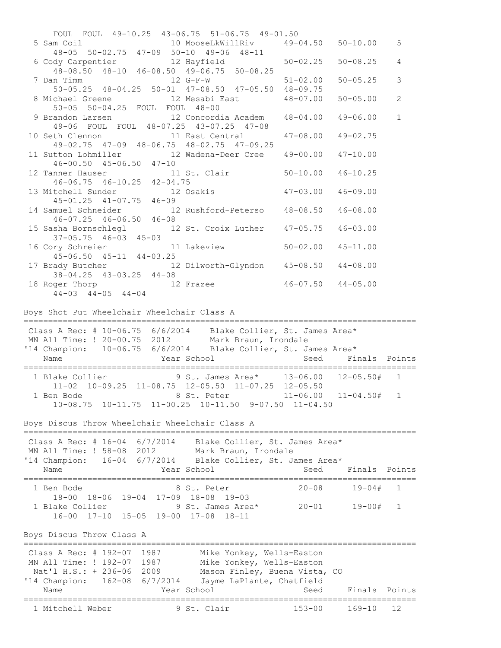FOUL FOUL 49-10.25 43-06.75 51-06.75 49-01.50 5 Sam Coil 10 MooseLkWillRiv 49-04.50 50-10.00 5 48-05 50-02.75 47-09 50-10 49-06 48-11 6 Cody Carpentier 12 Hayfield 50-02.25 50-08.25 4 48-08.50 48-10 46-08.50 49-06.75 50-08.25 7 Dan Timm 12 G-F-W 51-02.00 50-05.25 3 50-05.25 48-04.25 50-01 47-08.50 47-05.50 48-09.75 8 Michael Greene 12 Mesabi East 48-07.00 50-05.00 2 50-05 50-04.25 FOUL FOUL 48-00 9 Brandon Larsen 12 Concordia Academ 48-04.00 49-06.00 1 49-06 FOUL FOUL 48-07.25 43-07.25 47-08 10 Seth Clennon 11 East Central 47-08.00 49-02.75 49-02.75 47-09 48-06.75 48-02.75 47-09.25 11 Sutton Lohmiller 12 Wadena-Deer Cree 49-00.00 47-10.00 46-00.50 45-06.50 47-10 12 Tanner Hauser 11 St. Clair 50-10.00 46-10.25 46-06.75 46-10.25 42-04.75 13 Mitchell Sunder 12 Osakis 47-03.00 46-09.00 45-01.25 41-07.75 46-09 14 Samuel Schneider 12 Rushford-Peterso 48-08.50 46-08.00 46-07.25 46-06.50 46-08 15 Sasha Bornschlegl 12 St. Croix Luther 47-05.75 46-03.00 37-05.75 46-03 45-03 16 Cory Schreier 11 Lakeview 50-02.00 45-11.00 45-06.50 45-11 44-03.25 17 Brady Butcher 12 Dilworth-Glyndon 45-08.50 44-08.00 38-04.25 43-03.25 44-08 18 Roger Thorp 12 Frazee 46-07.50 44-05.00 44-03 44-05 44-04 Boys Shot Put Wheelchair Wheelchair Class A ================================================================================ Class A Rec:  $# 10-06.75 6/6/2014$  Blake Collier, St. James Area\* MN All Time: ! 20-00.75 2012 Mark Braun, Irondale '14 Champion: 10-06.75 6/6/2014 Blake Collier, St. James Area\* Name The Year School Seed Finals Points ================================================================================ 1 Blake Collier 9 St. James Area\* 13-06.00 12-05.50# 1 11-02 10-09.25 11-08.75 12-05.50 11-07.25 12-05.50 1 Ben Bode 8 St. Peter 11-06.00 11-04.50# 1 10-08.75 10-11.75 11-00.25 10-11.50 9-07.50 11-04.50 Boys Discus Throw Wheelchair Wheelchair Class A ================================================================================ Class A Rec: # 16-04 6/7/2014 Blake Collier, St. James Area\* MN All Time: ! 58-08 2012 Mark Braun, Irondale '14 Champion: 16-04 6/7/2014 Blake Collier, St. James Area\* Name The Year School Seed Finals Points ================================================================================ 1 Ben Bode 8 St. Peter 20-08 19-04# 1 18-00 18-06 19-04 17-09 18-08 19-03 10 00 10 00 19 01 17 09 10 00 19 00<br>1 Blake Collier 9 St. James Area\* 20-01 19-00# 1 16-00 17-10 15-05 19-00 17-08 18-11 Boys Discus Throw Class A ================================================================================ Class A Rec: # 192-07 1987 Mike Yonkey, Wells-Easton MN All Time: ! 192-07 1987 Mike Yonkey, Wells-Easton Nat'l H.S.: + 236-06 2009 Mason Finley, Buena Vista, CO '14 Champion: 162-08 6/7/2014 Jayme LaPlante, Chatfield Name Year School Seed Finals Points ================================================================================ 1 Mitchell Weber 9 St. Clair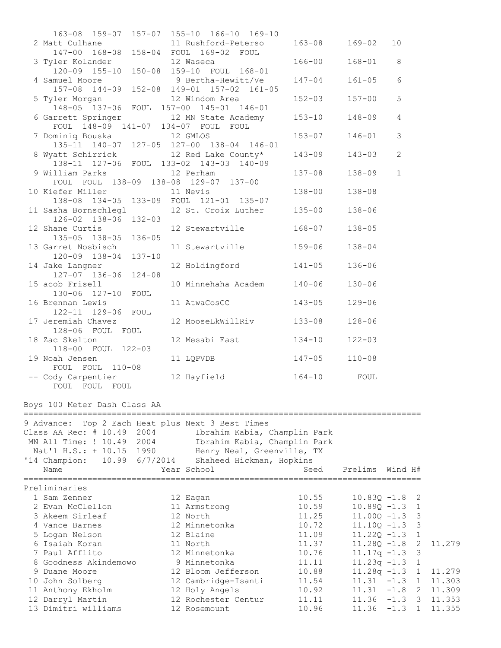| 163-08 159-07 157-07 155-10 166-10 169-10                                                                                                    |                                                                                                                                                                                 |                                  |                                                                      |                                                   |                                      |
|----------------------------------------------------------------------------------------------------------------------------------------------|---------------------------------------------------------------------------------------------------------------------------------------------------------------------------------|----------------------------------|----------------------------------------------------------------------|---------------------------------------------------|--------------------------------------|
| 2 Matt Culhane 11 Rushford-Peterso<br>147-00 168-08 158-04 FOUL 169-02 FOUL                                                                  | 11 Rushford-Peterso 163-08 169-02                                                                                                                                               |                                  |                                                                      | 10                                                |                                      |
| 3 Tyler Kolander 12 Waseca<br>120-09 155-10 150-08 159-10 FOUL 168-01                                                                        |                                                                                                                                                                                 | $166 - 00$                       | $168 - 01$                                                           | 8                                                 |                                      |
| 4 Samuel Moore 9 Bertha-Hewitt/Ve<br>157-08 144-09 152-08 149-01 157-02 161-05                                                               |                                                                                                                                                                                 | $147 - 04$                       | $161 - 05$                                                           | 6                                                 |                                      |
| 5 Tyler Morgan 12 Windom Area<br>148-05 137-06 FOUL 157-00 145-01 146-01                                                                     |                                                                                                                                                                                 | $152 - 03$                       | $157 - 00$                                                           | 5                                                 |                                      |
| 6 Garrett Springer 12 MN State Academy<br>FOUL 148-09 141-07 134-07 FOUL FOUL                                                                |                                                                                                                                                                                 | $153 - 10$                       | $148 - 09$                                                           | $\overline{4}$                                    |                                      |
| 7 Dominiq Bouska 12 GMLOS<br>135-11 140-07 127-05 127-00 138-04 146-01                                                                       |                                                                                                                                                                                 | $153 - 07$                       | $146 - 01$                                                           | 3                                                 |                                      |
| 8 Wyatt Schirrick 12 Red Lake County*<br>138-11 127-06 FOUL 133-02 143-03 140-09                                                             |                                                                                                                                                                                 | $143 - 09$                       | $143 - 03$                                                           | $\mathbf{2}$                                      |                                      |
| 9 William Parks<br>FOUL FOUL 138-09 138-08 129-07 137-00                                                                                     | 12 Perham                                                                                                                                                                       | $137 - 08$                       | $138 - 09$                                                           | $\mathbf{1}$                                      |                                      |
| 10 Kiefer Miller<br>138-08 134-05 133-09 FOUL 121-01 135-07                                                                                  | 11 Nevis                                                                                                                                                                        | 138-00                           | $138 - 08$                                                           |                                                   |                                      |
| 11 Sasha Bornschlegl 12 St. Croix Luther 135-00<br>126-02 138-06 132-03                                                                      |                                                                                                                                                                                 |                                  | $138 - 06$                                                           |                                                   |                                      |
| 12 Shane Curtis<br>135-05 138-05 136-05                                                                                                      | 12 Stewartville 168-07                                                                                                                                                          |                                  | $138 - 05$                                                           |                                                   |                                      |
| 13 Garret Nosbisch<br>120-09 138-04 137-10                                                                                                   | 11 Stewartville 159-06                                                                                                                                                          |                                  | $138 - 04$                                                           |                                                   |                                      |
| 14 Jake Langner<br>127-07 136-06 124-08                                                                                                      | 12 Holdingford                                                                                                                                                                  | $141 - 05$                       | $136 - 06$                                                           |                                                   |                                      |
| 15 acob Frisell<br>130-06 127-10 FOUL                                                                                                        | 10 Minnehaha Academ 140-06                                                                                                                                                      |                                  | $130 - 06$                                                           |                                                   |                                      |
| 16 Brennan Lewis<br>122-11 129-06 FOUL                                                                                                       | 11 AtwaCosGC                                                                                                                                                                    | $143 - 05$                       | $129 - 06$                                                           |                                                   |                                      |
| 17 Jeremiah Chavez<br>128-06 FOUL FOUL                                                                                                       | 12 MooseLkWillRiv 133-08                                                                                                                                                        |                                  | $128 - 06$                                                           |                                                   |                                      |
| 18 Zac Skelton<br>118-00 FOUL 122-03                                                                                                         | 12 Mesabi East 134-10                                                                                                                                                           |                                  | $122 - 03$                                                           |                                                   |                                      |
| 19 Noah Jensen<br>FOUL FOUL 110-08                                                                                                           | 11 LQPVDB 147-05                                                                                                                                                                |                                  | $110 - 08$                                                           |                                                   |                                      |
| -- Cody Carpentier<br>FOUL FOUL FOUL                                                                                                         | 12 Hayfield 164-10 FOUL                                                                                                                                                         |                                  |                                                                      |                                                   |                                      |
| Boys 100 Meter Dash Class AA                                                                                                                 |                                                                                                                                                                                 |                                  |                                                                      |                                                   |                                      |
| 9 Advance:<br>Class AA Rec: # 10.49 2004<br>MN All Time: ! 10.49 2004<br>Nat'l H.S.: + 10.15 1990<br>10.99 6/7/2014<br>'14 Champion:<br>Name | Top 2 Each Heat plus Next 3 Best Times<br>Ibrahim Kabia, Champlin Park<br>Ibrahim Kabia, Champlin Park<br>Henry Neal, Greenville, TX<br>Shaheed Hickman, Hopkins<br>Year School | Seed                             | Prelims                                                              | Wind H#                                           |                                      |
| ======================<br>Preliminaries                                                                                                      | -----------------                                                                                                                                                               | =============================    |                                                                      |                                                   |                                      |
| 1 Sam Zenner<br>2 Evan McClellon<br>3 Akeem Sirleaf<br>4 Vance Barnes                                                                        | 12 Eagan<br>11 Armstrong<br>12 North<br>12 Minnetonka                                                                                                                           | 10.55<br>10.59<br>11.25<br>10.72 | $10.83Q - 1.8$<br>$10.89Q - 1.3$<br>$11.00Q - 1.3$<br>$11.10Q - 1.3$ | 2<br>1<br>3<br>3                                  |                                      |
| 5 Logan Nelson<br>6 Isaiah Koran<br>7 Paul Afflito<br>8 Goodness Akindemowo                                                                  | 12 Blaine<br>11 North<br>12 Minnetonka<br>9 Minnetonka                                                                                                                          | 11.09<br>11.37<br>10.76<br>11.11 | $11.22Q - 1.3$<br>$11.28Q - 1.8$<br>$11.17q - 1.3$<br>$11.23q - 1.3$ | $\mathbf 1$<br>$\mathbf{2}$<br>3<br>1             | 11.279                               |
| 9 Duane Moore<br>10 John Solberg<br>11 Anthony Ekholm<br>12 Darryl Martin                                                                    | 12 Bloom Jefferson<br>12 Cambridge-Isanti<br>12 Holy Angels<br>12 Rochester Centur                                                                                              | 10.88<br>11.54<br>10.92<br>11.11 | $11.28q - 1.3$<br>$11.31 - 1.3$<br>11.31<br>11.36                    | $\mathbf{1}$<br>1<br>$-1.8$<br>2<br>$-1.3$<br>- 3 | 11.279<br>11.303<br>11.309<br>11.353 |
| 13 Dimitri williams                                                                                                                          | 12 Rosemount                                                                                                                                                                    | 10.96                            | 11.36                                                                | $-1.3$<br>1                                       | 11.355                               |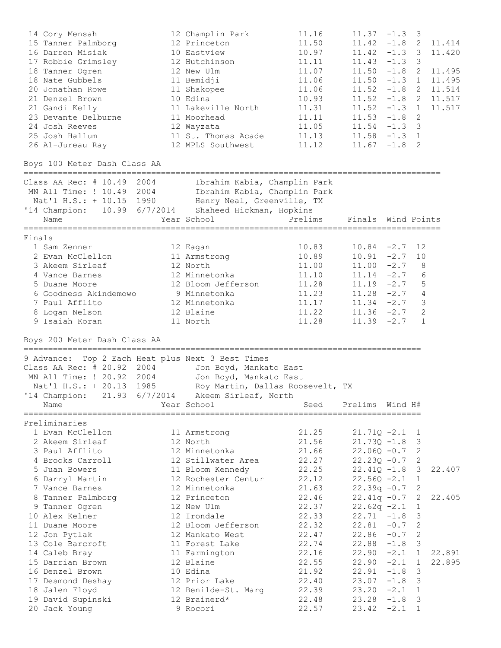| 14 Cory Mensah                                            | 12 Champlin Park                                           | 11.16   | 11.37              | $-1.3$  | 3              |        |
|-----------------------------------------------------------|------------------------------------------------------------|---------|--------------------|---------|----------------|--------|
| 15 Tanner Palmborg                                        | 12 Princeton                                               | 11.50   | $11.42 - 1.8$      |         | 2              | 11.414 |
| 16 Darren Misiak                                          | 10 Eastview                                                | 10.97   | $11.42 -1.3$ 3     |         |                | 11.420 |
| 17 Robbie Grimsley                                        | 12 Hutchinson                                              | 11.11   | $11.43 - 1.3$      |         | 3              |        |
| 18 Tanner Ogren                                           | 12 New Ulm                                                 | 11.07   | 11.50              | $-1.8$  | 2              | 11.495 |
| 18 Nate Gubbels                                           | 11 Bemidji                                                 | 11.06   | 11.50              | $-1.3$  | 1              | 11.495 |
| 20 Jonathan Rowe                                          | 11 Shakopee                                                | 11.06   | 11.52              | $-1.8$  | 2              | 11.514 |
| 21 Denzel Brown                                           | 10 Edina                                                   | 10.93   | 11.52              | $-1.8$  | 2              | 11.517 |
| 21 Gandi Kelly                                            | 11 Lakeville North                                         | 11.31   | $11.52 -1.3 1$     |         |                | 11.517 |
| 23 Devante Delburne                                       | 11 Moorhead                                                | 11.11   | $11.53 - 1.8$      |         | 2              |        |
| 24 Josh Reeves                                            | 12 Wayzata                                                 | 11.05   | $11.54 - 1.3$      |         | 3              |        |
| 25 Josh Hallum                                            | 11 St. Thomas Acade                                        | 11.13   | $11.58 - 1.3 1$    |         |                |        |
| 26 Al-Jureau Ray                                          | 12 MPLS Southwest                                          | 11.12   | $11.67 - 1.8$      |         | 2              |        |
| Boys 100 Meter Dash Class AA                              |                                                            |         |                    |         |                |        |
|                                                           |                                                            |         |                    |         |                |        |
| Class AA Rec: # 10.49 2004<br>MN All Time: ! 10.49 2004   | Ibrahim Kabia, Champlin Park                               |         |                    |         |                |        |
|                                                           | Ibrahim Kabia, Champlin Park<br>Henry Neal, Greenville, TX |         |                    |         |                |        |
| Nat'l H.S.: + 10.15 1990                                  |                                                            |         |                    |         |                |        |
| '14 Champion: 10.99 6/7/2014                              | Shaheed Hickman, Hopkins                                   |         | Finals Wind Points |         |                |        |
| Name                                                      | Year School                                                | Prelims |                    |         |                |        |
| Finals                                                    |                                                            |         |                    |         |                |        |
| 1 Sam Zenner                                              | 12 Eagan                                                   | 10.83   | $10.84 -2.7$       |         | 12             |        |
| 2 Evan McClellon                                          | 11 Armstrong                                               | 10.89   | $10.91 - 2.7$      |         | 10             |        |
| 3 Akeem Sirleaf                                           | 12 North                                                   | 11.00   | $11.00 -2.7$       |         | 8              |        |
| 4 Vance Barnes                                            | 12 Minnetonka                                              | 11.10   | $11.14 -2.7$       |         | 6              |        |
| 5 Duane Moore                                             | 12 Bloom Jefferson                                         | 11.28   | $11.19 - 2.7$      |         | 5              |        |
| 6 Goodness Akindemowo                                     | 9 Minnetonka                                               | 11.23   | $11.28 - 2.7$      |         | $\overline{4}$ |        |
| 7 Paul Afflito                                            | 12 Minnetonka                                              | 11.17   | $11.34 -2.7$       |         | 3              |        |
| 8 Logan Nelson                                            | 12 Blaine                                                  | 11.22   | $11.36 -2.7$       |         | 2              |        |
| 9 Isaiah Koran                                            | 11 North                                                   | 11.28   | $11.39 - 2.7$      |         | 1              |        |
| Boys 200 Meter Dash Class AA                              |                                                            |         |                    |         |                |        |
|                                                           |                                                            |         |                    |         |                |        |
| 9 Advance: Top 2 Each Heat plus Next 3 Best Times         |                                                            |         |                    |         |                |        |
| Class AA Rec: # 20.92 2004                                | Jon Boyd, Mankato East                                     |         |                    |         |                |        |
| MN All Time: ! 20.92 2004                                 | Jon Boyd, Mankato East                                     |         |                    |         |                |        |
| Nat'l H.S.: + 20.13 1985                                  | Roy Martin, Dallas Roosevelt, TX                           |         |                    |         |                |        |
| '14 Champion: 21.93 6/7/2014 Akeem Sirleaf, North<br>Name | Year School                                                | Seed    | Prelims            | Wind H# |                |        |
|                                                           |                                                            |         |                    |         |                |        |
| Preliminaries                                             |                                                            |         |                    |         |                |        |
| 1 Evan McClellon                                          | 11 Armstrong                                               | 21.25   | $21.71Q - 2.1$     |         | 1              |        |
| 2 Akeem Sirleaf                                           | 12 North                                                   | 21.56   | $21.73Q - 1.8$     |         | 3              |        |
| 3 Paul Afflito                                            | 12 Minnetonka                                              | 21.66   | $22.06Q - 0.7$     |         | 2              |        |
| 4 Brooks Carroll                                          | 12 Stillwater Area                                         | 22.27   | $22.23Q - 0.7$     |         | 2              |        |
| 5 Juan Bowers                                             | 11 Bloom Kennedy                                           | 22.25   | $22.41Q - 1.8$     |         | 3              | 22.407 |
| 6 Darryl Martin                                           | 12 Rochester Centur                                        | 22.12   | $22.56Q - 2.1$     |         | $\mathbf 1$    |        |
| 7 Vance Barnes                                            | 12 Minnetonka                                              | 21.63   | $22.39q -0.7$      |         | 2              |        |
| 8 Tanner Palmborg                                         | 12 Princeton                                               | 22.46   | $22.41q - 0.7$     |         | 2              | 22.405 |
| 9 Tanner Ogren                                            | 12 New Ulm                                                 | 22.37   | $22.62q -2.1$      |         | 1              |        |
| 10 Alex Kelner                                            | 12 Irondale                                                | 22.33   | 22.71              | $-1.8$  | 3              |        |
| 11 Duane Moore                                            | 12 Bloom Jefferson                                         | 22.32   | 22.81              | $-0.7$  | $\mathbf{2}$   |        |
| 12 Jon Pytlak                                             | 12 Mankato West                                            | 22.47   | 22.86              | $-0.7$  | $\mathbf{2}$   |        |
| 13 Cole Barcroft                                          | 11 Forest Lake                                             | 22.74   | 22.88              | $-1.8$  | 3              |        |
|                                                           |                                                            |         |                    |         |                |        |
| 14 Caleb Bray                                             | 11 Farmington                                              | 22.16   | 22.90              | $-2.1$  | $\mathbf 1$    | 22.891 |
| 15 Darrian Brown                                          | 12 Blaine                                                  | 22.55   | 22.90              | $-2.1$  | $\mathbf 1$    | 22.895 |
| 16 Denzel Brown                                           | 10 Edina                                                   | 21.92   | 22.91              | $-1.8$  | 3              |        |
| 17 Desmond Deshay                                         |                                                            |         |                    |         |                |        |
|                                                           | 12 Prior Lake                                              | 22.40   | 23.07              | $-1.8$  | 3              |        |
| 18 Jalen Floyd                                            | 12 Benilde-St. Marg                                        | 22.39   | 23.20              | $-2.1$  | 1              |        |
| 19 David Supinski                                         | 12 Brainerd*                                               | 22.48   | 23.28              | $-1.8$  | 3              |        |
| 20 Jack Young                                             | 9 Rocori                                                   | 22.57   | 23.42              | $-2.1$  | 1              |        |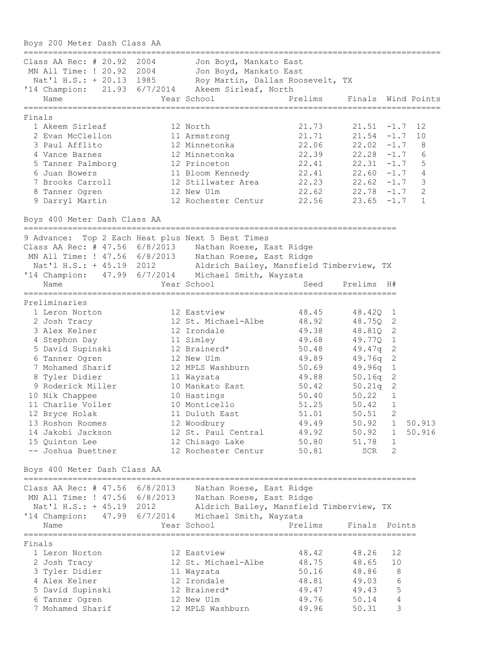Boys 200 Meter Dash Class AA ===================================================================================== Class AA Rec: # 20.92 2004 Jon Boyd, Mankato East MN All Time: ! 20.92 2004 Jon Boyd, Mankato East Nat'l H.S.: + 20.13 1985 Roy Martin, Dallas Roosevelt, TX '14 Champion: 21.93 6/7/2014 Akeem Sirleaf, North Name The Year School Prelims Finals Wind Points ===================================================================================== Finals 1 Akeem Sirleaf 12 North 21.73 21.51 -1.7 12 2 Evan McClellon 11 Armstrong 21.71 21.54 -1.7 10 3 Paul Afflito 12 Minnetonka 22.06 22.02 -1.7 8 4 Vance Barnes 12 Minnetonka 22.39 22.28 -1.7 6 5 Tanner Palmborg 12 Princeton 22.41 22.31 -1.7 5 6 Juan Bowers 11 Bloom Kennedy 22.41 22.60 -1.7 4 7 Brooks Carroll 12 Stillwater Area 22.23 22.62 -1.7 3 8 Tanner Ogren 12 New Ulm 22.62 22.78 -1.7 2 9 Darryl Martin 12 Rochester Centur 22.56 23.65 -1.7 1 Boys 400 Meter Dash Class AA ============================================================================ 9 Advance: Top 2 Each Heat plus Next 5 Best Times Class AA Rec: # 47.56 6/8/2013 Nathan Roese, East Ridge MN All Time: ! 47.56 6/8/2013 Nathan Roese, East Ridge Nat'l H.S.: + 45.19 2012 Aldrich Bailey, Mansfield Timberview, TX '14 Champion: 47.99 6/7/2014 Michael Smith, Wayzata Name The Year School Seed Prelims  $H#$ ============================================================================ Preliminaries 1 Leron Norton 12 Eastview 48.45 48.42Q 1 2 Josh Tracy 12 St. Michael-Albe 48.92 48.75Q 2 3 Alex Kelner 12 Irondale 49.38 48.81Q 2 4 Stephon Day 11 Simley 49.68 49.77Q 1 5 David Supinski 12 Brainerd\* 50.48 49.47q 2 6 Tanner Ogren 12 New Ulm 49.89 49.76q 2 7 Mohamed Sharif 12 MPLS Washburn 50.69 49.96q 1 8 Tyler Didier 11 Wayzata 49.88 50.16q 2 9 Roderick Miller 10 Mankato East 50.42 50.21q 2 10 Nik Chappee 10 Hastings 50.40 50.22 1 11 Charlie Voller 10 Monticello 51.25 50.42 1 12 Bryce Holak 11 Duluth East 51.01 50.51 2 13 Roshon Roomes 12 Woodbury 49.49 50.92 1 50.913 14 Jakobi Jackson 12 St. Paul Central 49.92 50.92 1 50.916 15 Quinton Lee 12 Chisago Lake 50.80 51.78 1 -- Joshua Buettner 12 Rochester Centur 50.81 SCR 2 Boys 400 Meter Dash Class AA ================================================================================ Class AA Rec: # 47.56 6/8/2013 Nathan Roese, East Ridge MN All Time: ! 47.56 6/8/2013 Nathan Roese, East Ridge Nat'l H.S.: + 45.19 2012 Aldrich Bailey, Mansfield Timberview, TX '14 Champion: 47.99 6/7/2014 Michael Smith, Wayzata Name Year School Prelims Finals Points ================================================================================ Finals 1 Leron Norton 12 Eastview 48.42 48.26 12 2 Josh Tracy 12 St. Michael-Albe 48.75 48.65 10 3 Tyler Didier 11 Wayzata 50.16 48.86 8 4 Alex Kelner 12 Irondale 48.81 49.03 6 5 David Supinski 12 Brainerd\* 49.47 49.43 5 6 Tanner Ogren 12 New Ulm 49.76 50.14 4 7 Mohamed Sharif 12 MPLS Washburn 49.96 50.31 3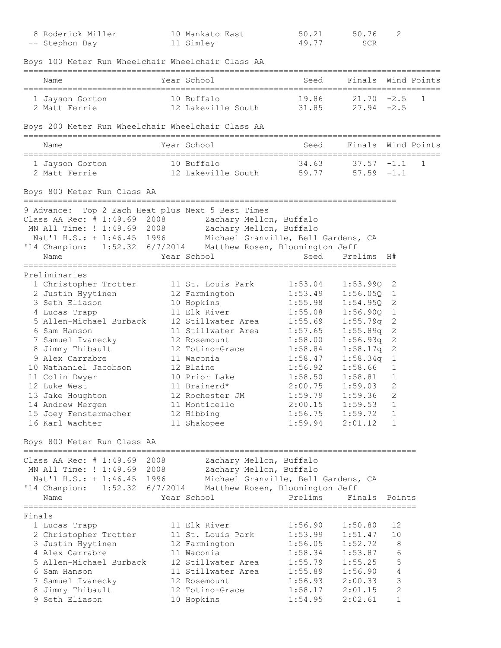| 8 Roderick Miller<br>-- Stephon Day                                                                                                                                                                                                                                                                                                                                                 | 10 Mankato East<br>11 Simley                                                                                                                                                                                                                                                 | 50.21<br>49.77                                                                                                                                                               | 50.76<br>SCR                                                                                                                                                                          | 2                                                                                                 |             |
|-------------------------------------------------------------------------------------------------------------------------------------------------------------------------------------------------------------------------------------------------------------------------------------------------------------------------------------------------------------------------------------|------------------------------------------------------------------------------------------------------------------------------------------------------------------------------------------------------------------------------------------------------------------------------|------------------------------------------------------------------------------------------------------------------------------------------------------------------------------|---------------------------------------------------------------------------------------------------------------------------------------------------------------------------------------|---------------------------------------------------------------------------------------------------|-------------|
| Boys 100 Meter Run Wheelchair Wheelchair Class AA                                                                                                                                                                                                                                                                                                                                   |                                                                                                                                                                                                                                                                              |                                                                                                                                                                              |                                                                                                                                                                                       |                                                                                                   |             |
| Name                                                                                                                                                                                                                                                                                                                                                                                | Year School                                                                                                                                                                                                                                                                  | Seed                                                                                                                                                                         | Finals                                                                                                                                                                                |                                                                                                   | Wind Points |
| 1 Jayson Gorton<br>2 Matt Ferrie                                                                                                                                                                                                                                                                                                                                                    | 10 Buffalo<br>12 Lakeville South                                                                                                                                                                                                                                             | 19.86<br>31.85                                                                                                                                                               | $21.70 - 2.5$<br>$27.94 - 2.5$                                                                                                                                                        |                                                                                                   | 1           |
| Boys 200 Meter Run Wheelchair Wheelchair Class AA                                                                                                                                                                                                                                                                                                                                   |                                                                                                                                                                                                                                                                              |                                                                                                                                                                              |                                                                                                                                                                                       |                                                                                                   |             |
| Name                                                                                                                                                                                                                                                                                                                                                                                | Year School                                                                                                                                                                                                                                                                  | Seed                                                                                                                                                                         | Finals Wind Points                                                                                                                                                                    |                                                                                                   |             |
| 1 Jayson Gorton<br>2 Matt Ferrie                                                                                                                                                                                                                                                                                                                                                    | 10 Buffalo<br>12 Lakeville South                                                                                                                                                                                                                                             | 34.63<br>59.77                                                                                                                                                               | 37.57<br>$57.59 - 1.1$                                                                                                                                                                | $-1.1$                                                                                            | 1           |
| Boys 800 Meter Run Class AA                                                                                                                                                                                                                                                                                                                                                         |                                                                                                                                                                                                                                                                              |                                                                                                                                                                              |                                                                                                                                                                                       |                                                                                                   |             |
| 9 Advance: Top 2 Each Heat plus Next 5 Best Times<br>Class AA Rec: # 1:49.69 2008<br>MN All Time: ! 1:49.69 2008 Zachary Mellon, Buffalo<br>Nat'l H.S.: + 1:46.45 1996 Michael Granville, Bell Gardens, CA<br>'14 Champion: 1:52.32 6/7/2014 Matthew Rosen, Bloomington Jeff<br>Name                                                                                                | Zachary Mellon, Buffalo<br>Year School                                                                                                                                                                                                                                       | Seed                                                                                                                                                                         | Prelims H#                                                                                                                                                                            |                                                                                                   |             |
| Preliminaries<br>1 Christopher Trotter<br>2 Justin Hyytinen<br>3 Seth Eliason<br>4 Lucas Trapp<br>5 Allen-Michael Burback<br>6 Sam Hanson<br>7 Samuel Ivanecky<br>8 Jimmy Thibault<br>9 Alex Carrabre<br>10 Nathaniel Jacobson<br>11 Colin Dwyer<br>12 Luke West<br>13 Jake Houghton<br>14 Andrew Mergen<br>15 Joey Fenstermacher<br>16 Karl Wachter<br>Boys 800 Meter Run Class AA | 11 St. Louis Park<br>12 Farmington<br>10 Hopkins<br>11 Elk River<br>12 Stillwater Area<br>11 Stillwater Area<br>12 Rosemount<br>12 Totino-Grace<br>11 Waconia<br>12 Blaine<br>10 Prior Lake<br>11 Brainerd*<br>12 Rochester JM<br>11 Monticello<br>12 Hibbing<br>11 Shakopee | 1:53.04<br>1:53.49<br>1:55.98<br>1:55.08<br>1:55.69<br>1:57.65<br>1:58.00<br>1:58.84<br>1:58.47<br>1:56.92<br>1:58.50<br>2:00.75<br>1:59.79<br>2:00.15<br>1:56.75<br>1:59.94 | 1:53.990<br>1:56.05Q<br>1:54.95Q<br>1:56.90Q<br>1:55.79q<br>1:55.89q<br>1:56.93q<br>1:58.17q<br>1:58.34q<br>1:58.66<br>1:58.81<br>1:59.03<br>1:59.36<br>1:59.53<br>1:59.72<br>2:01.12 | 2<br>1<br>2<br>1<br>2<br>2<br>$\mathbf 2$<br>2<br>$\mathbf{1}$<br>1<br>1<br>2<br>2<br>1<br>1<br>1 |             |
| Class AA Rec: $# 1:49.69$<br>2008<br>MN All Time: ! 1:49.69 2008<br>Nat'l H.S.: + 1:46.45<br>1996<br>'14 Champion:<br>Name                                                                                                                                                                                                                                                          | Zachary Mellon, Buffalo<br>Zachary Mellon, Buffalo<br>Michael Granville, Bell Gardens, CA<br>1:52.32 6/7/2014 Matthew Rosen, Bloomington Jeff<br>Year School                                                                                                                 | Prelims                                                                                                                                                                      | Finals                                                                                                                                                                                | Points                                                                                            |             |
| Finals<br>1 Lucas Trapp<br>2 Christopher Trotter<br>3 Justin Hyytinen<br>4 Alex Carrabre<br>5 Allen-Michael Burback<br>6 Sam Hanson<br>7 Samuel Ivanecky<br>8 Jimmy Thibault<br>9 Seth Eliason                                                                                                                                                                                      | 11 Elk River<br>11 St. Louis Park<br>12 Farmington<br>11 Waconia<br>12 Stillwater Area<br>11 Stillwater Area<br>12 Rosemount<br>12 Totino-Grace<br>10 Hopkins                                                                                                                | 1:56.90<br>1:53.99<br>1:56.05<br>1:58.34<br>1:55.79<br>1:55.89<br>1:56.93<br>1:58.17<br>1:54.95                                                                              | 1:50.80<br>1:51.47<br>1:52.72<br>1:53.87<br>1:55.25<br>1:56.90<br>2:00.33<br>2:01.15<br>2:02.61                                                                                       | 12<br>10<br>8<br>6<br>5<br>4<br>3<br>$\mathbf 2$<br>$\mathbf 1$                                   |             |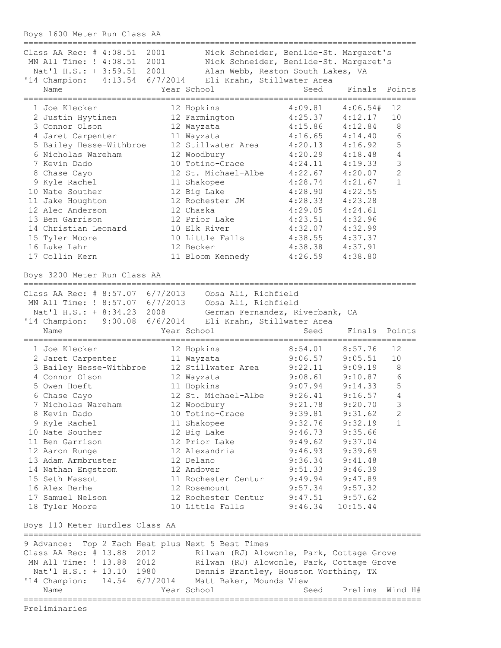Boys 1600 Meter Run Class AA

| Class AA Rec: # 4:08.51 2001<br>MN All Time: ! 4:08.51 2001<br>Nat'l H.S.: + 3:59.51 2001 | Nick Schneider, Benilde-St. Margaret's<br>Nick Schneider, Benilde-St. Margaret's<br>Alan Webb, Reston South Lakes, VA |                     |          |                |
|-------------------------------------------------------------------------------------------|-----------------------------------------------------------------------------------------------------------------------|---------------------|----------|----------------|
| '14 Champion: 4:13.54 6/7/2014<br>Name                                                    | Eli Krahn, Stillwater Area<br>Year School                                                                             | Seed                | Finals   | Points         |
|                                                                                           |                                                                                                                       |                     |          |                |
| 1 Joe Klecker                                                                             | 12 Hopkins                                                                                                            | 4:09.81             | 4:06.54# | 12             |
| 2 Justin Hyytinen                                                                         | 12 Farmington                                                                                                         | 4:25.37             | 4:12.17  | 10             |
| 3 Connor Olson                                                                            | 12 Wayzata                                                                                                            | 4:15.86             | 4:12.84  | 8              |
| 4 Jaret Carpenter                                                                         | 11 Wayzata                                                                                                            | 4:16.65             | 4:14.40  | 6              |
| 5 Bailey Hesse-Withbroe                                                                   | 12 Stillwater Area                                                                                                    | 4:20.13             | 4:16.92  | 5              |
| 6 Nicholas Wareham                                                                        | 12 Woodbury                                                                                                           | 4:20.29             | 4:18.48  | $\overline{4}$ |
| 7 Kevin Dado                                                                              | 10 Totino-Grace                                                                                                       | 4:24.11             | 4:19.33  | 3              |
|                                                                                           | 12 St. Michael-Albe                                                                                                   | 4:22.67             | 4:20.07  | $\mathbf{2}$   |
| 8 Chase Cayo                                                                              |                                                                                                                       |                     |          | $\mathbf{1}$   |
| 9 Kyle Rachel                                                                             | 11 Shakopee                                                                                                           | 4:28.74             | 4:21.67  |                |
| 10 Nate Souther                                                                           | 12 Big Lake                                                                                                           | 4:28.90             | 4:22.55  |                |
| 11 Jake Houghton                                                                          | 12 Rochester JM                                                                                                       | 4:28.33             | 4:23.28  |                |
| 12 Alec Anderson                                                                          | 12 Chaska                                                                                                             | 4:29.05             | 4:24.61  |                |
| 13 Ben Garrison                                                                           | 12 Prior Lake                                                                                                         | 4:23.51             | 4:32.96  |                |
| 14 Christian Leonard                                                                      | 10 Elk River                                                                                                          | 4:32.07             | 4:32.99  |                |
| 15 Tyler Moore                                                                            | 10 Little Falls                                                                                                       | 4:38.55             | 4:37.37  |                |
| 16 Luke Lahr                                                                              | 12 Becker                                                                                                             | 4:38.38             | 4:37.91  |                |
|                                                                                           |                                                                                                                       |                     |          |                |
| 17 Collin Kern                                                                            | 11 Bloom Kennedy                                                                                                      | 4:26.59             | 4:38.80  |                |
|                                                                                           |                                                                                                                       |                     |          |                |
| Boys 3200 Meter Run Class AA                                                              |                                                                                                                       |                     |          |                |
| Class AA Rec: # 8:57.07 6/7/2013                                                          | Obsa Ali, Richfield                                                                                                   |                     |          |                |
| MN All Time: ! 8:57.07 6/7/2013                                                           | Obsa Ali, Richfield                                                                                                   |                     |          |                |
| Nat'l H.S.: + 8:34.23 2008                                                                | German Fernandez, Riverbank, CA                                                                                       |                     |          |                |
| '14 Champion: 9:00.08 6/6/2014                                                            |                                                                                                                       |                     |          |                |
|                                                                                           | Eli Krahn, Stillwater Area                                                                                            |                     |          |                |
| Name                                                                                      | Year School                                                                                                           | Seed                | Finals   | Points         |
| 1 Joe Klecker                                                                             | 12 Hopkins                                                                                                            | 8:54.01             | 8:57.76  | 12             |
| 2 Jaret Carpenter                                                                         | 11 Wayzata                                                                                                            | 9:06.57             | 9:05.51  | 10             |
| 3 Bailey Hesse-Withbroe                                                                   | 12 Stillwater Area                                                                                                    | 9:22.11             | 9:09.19  | $8\,$          |
| 4 Connor Olson                                                                            | 12 Wayzata                                                                                                            | 9:08.61             | 9:10.87  | $6\,$          |
|                                                                                           |                                                                                                                       |                     |          |                |
| 5 Owen Hoeft                                                                              | 11 Hopkins                                                                                                            | 9:07.94             | 9:14.33  | 5              |
| 6 Chase Cayo                                                                              | 12 St. Michael-Albe                                                                                                   | 9:26.41             | 9:16.57  | $\overline{4}$ |
| 7 Nicholas Wareham                                                                        | 12 Woodbury                                                                                                           | 9:21.78             | 9:20.70  | 3              |
| 8 Kevin Dado                                                                              | 10 Totino-Grace                                                                                                       | 9:39.81             | 9:31.62  | 2              |
| 9 Kyle Rachel                                                                             | 11 Shakopee                                                                                                           | 9:32.76             | 9:32.19  | $\mathbf{1}$   |
| 10 Nate Souther                                                                           | 12 Big Lake                                                                                                           | 9:46.73             | 9:35.66  |                |
| 11 Ben Garrison                                                                           | 12 Prior Lake                                                                                                         | 9:49.62             | 9:37.04  |                |
| 12 Aaron Runge                                                                            | 12 Alexandria                                                                                                         | 9:46.93             | 9:39.69  |                |
| 13 Adam Armbruster                                                                        | 12 Delano                                                                                                             | 9:36.34             | 9:41.48  |                |
|                                                                                           |                                                                                                                       |                     |          |                |
| 14 Nathan Engstrom                                                                        | 12 Andover                                                                                                            | 9:51.33             | 9:46.39  |                |
| 15 Seth Massot                                                                            | 11 Rochester Centur                                                                                                   | 9:49.94             | 9:47.89  |                |
| 16 Alex Berhe                                                                             | 12 Rosemount                                                                                                          | 9:57.34             | 9:57.32  |                |
| 17 Samuel Nelson                                                                          | 12 Rochester Centur                                                                                                   | $9:47.51$ $9:57.62$ |          |                |
| 18 Tyler Moore                                                                            | 10 Little Falls                                                                                                       | 9:46.34             | 10:15.44 |                |
|                                                                                           |                                                                                                                       |                     |          |                |
| Boys 110 Meter Hurdles Class AA                                                           |                                                                                                                       |                     |          |                |
| 9 Advance: Top 2 Each Heat plus Next 5 Best Times                                         |                                                                                                                       |                     |          |                |
| Class AA Rec: # 13.88 2012                                                                | Rilwan (RJ) Alowonle, Park, Cottage Grove                                                                             |                     |          |                |
| MN All Time: ! 13.88 2012 Rilwan (RJ) Alowonle, Park, Cottage Grove                       |                                                                                                                       |                     |          |                |
|                                                                                           |                                                                                                                       |                     |          |                |
| Nat'l H.S.: + 13.10 1980                                                                  | Dennis Brantley, Houston Worthing, TX                                                                                 |                     |          |                |
| '14 Champion: 14.54 6/7/2014 Matt Baker, Mounds View                                      |                                                                                                                       |                     |          |                |
| Name                                                                                      | Year School                                                                                                           | Seed                | Prelims  | Wind H#        |
| Preliminaries                                                                             |                                                                                                                       |                     |          |                |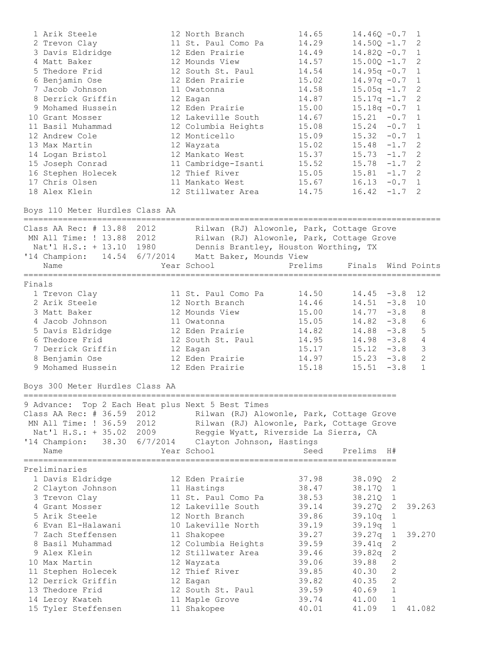| 1 Arik Steele<br>2 Trevon Clay<br>3 Davis Eldridge<br>4 Matt Baker<br>5 Thedore Frid<br>6 Benjamin Ose<br>7 Jacob Johnson<br>8 Derrick Griffin<br>9 Mohamed Hussein<br>10 Grant Mosser<br>11 Basil Muhammad<br>12 Andrew Cole<br>13 Max Martin<br>14 Logan Bristol<br>15 Joseph Conrad<br>16 Stephen Holecek<br>17 Chris Olsen<br>18 Alex Klein |                                                                                                                                                 | 12 North Branch<br>11 St. Paul Como Pa<br>12 Eden Prairie<br>12 Mounds View<br>12 South St. Paul<br>12 Eden Prairie<br>11 Owatonna<br>12 Eagan<br>12 Eden Prairie<br>12 Lakeville South<br>12 Columbia Heights<br>12 Monticello<br>12 Wayzata<br>12 Mankato West<br>11 Cambridge-Isanti<br>12 Thief River<br>11 Mankato West<br>12 Stillwater Area | 14.65<br>14.29<br>14.49<br>14.57<br>14.54<br>15.02<br>14.58<br>14.87<br>15.00<br>14.67<br>15.08<br>15.09<br>15.02<br>15.37<br>15.52<br>15.05<br>15.67<br>14.75 | $14.46Q - 0.7$<br>$14.50Q - 1.7$<br>$14.820 - 0.7$<br>$15.00Q - 1.7$<br>$14.95q -0.7$<br>$14.97q - 0.7$<br>$15.05q -1.7$<br>$15.17q -1.7$<br>$15.18q -0.7$<br>$15.21 - 0.7$<br>$15.24 -0.7$<br>$15.32 - 0.7$<br>$15.48 - 1.7$<br>$15.73 - 1.7$ 2<br>$15.78 - 1.7$ 2<br>$15.81 - 1.7$ 2<br>$16.13 - 0.7$ 1<br>16.42 | $-1.7$ 2                                                                                                                                      | 1<br>2<br>$\mathbf{1}$<br>2<br>$\mathbf{1}$<br>$\mathbf{1}$<br>2<br>2<br>1<br>1<br>$\overline{1}$<br>$\mathbf{1}$<br>2 |
|-------------------------------------------------------------------------------------------------------------------------------------------------------------------------------------------------------------------------------------------------------------------------------------------------------------------------------------------------|-------------------------------------------------------------------------------------------------------------------------------------------------|----------------------------------------------------------------------------------------------------------------------------------------------------------------------------------------------------------------------------------------------------------------------------------------------------------------------------------------------------|----------------------------------------------------------------------------------------------------------------------------------------------------------------|--------------------------------------------------------------------------------------------------------------------------------------------------------------------------------------------------------------------------------------------------------------------------------------------------------------------|-----------------------------------------------------------------------------------------------------------------------------------------------|------------------------------------------------------------------------------------------------------------------------|
| Boys 110 Meter Hurdles Class AA                                                                                                                                                                                                                                                                                                                 |                                                                                                                                                 |                                                                                                                                                                                                                                                                                                                                                    |                                                                                                                                                                |                                                                                                                                                                                                                                                                                                                    |                                                                                                                                               |                                                                                                                        |
| Class AA Rec: # 13.88 2012<br>MN All Time: ! 13.88 2012 Rilwan (RJ) Alowonle, Park, Cottage Grove<br>Nat'l H.S.: + 13.10 1980 Dennis Brantley, Houston Worthing, TX<br>'14 Champion: 14.54 6/7/2014 Matt Baker, Mounds View<br>Name                                                                                                             |                                                                                                                                                 | Rilwan (RJ) Alowonle, Park, Cottage Grove<br>Year School                                                                                                                                                                                                                                                                                           | Prelims                                                                                                                                                        | Finals                                                                                                                                                                                                                                                                                                             |                                                                                                                                               | Wind Points                                                                                                            |
| Finals<br>1 Trevon Clay<br>2 Arik Steele<br>3 Matt Baker<br>4 Jacob Johnson<br>5 Davis Eldridge<br>6 Thedore Frid<br>7 Derrick Griffin<br>8 Benjamin Ose<br>9 Mohamed Hussein                                                                                                                                                                   |                                                                                                                                                 | 11 St. Paul Como Pa<br>12 North Branch<br>12 Mounds View<br>11 Owatonna<br>12 Eden Prairie<br>12 South St. Paul<br>12 Eagan<br>12 Eden Prairie<br>12 Eden Prairie                                                                                                                                                                                  | 14.50<br>14.46<br>15.00<br>15.05<br>14.82<br>14.95<br>15.17<br>14.97<br>15.18                                                                                  | $14.45 - 3.8$<br>$14.51 - 3.8$<br>$14.77 - 3.8$<br>14.82<br>$14.88 - 3.8$<br>$14.98 - 3.8$<br>$15.12 - 3.8$<br>$15.23 - 3.8$<br>15.51                                                                                                                                                                              | $-3.8$<br>$-3.8$                                                                                                                              | 12<br>10<br>8<br>6<br>5<br>4<br>3<br>$\mathbf{2}$<br>$\mathbf{1}$                                                      |
| Boys 300 Meter Hurdles Class AA<br>9 Advance: Top 2 Each Heat plus Next 5 Best Times<br>Class AA Rec: $# 36.59$<br>MN All Time: ! 36.59<br>Nat'l H.S.: + 35.02<br>'14 Champion:<br>38.30<br>Name                                                                                                                                                | 2012<br>2012<br>2009 — 2009 — 2009 — 2009 — 2009 — 2009 — 2009 — 2009 — 2009 — 2009 — 2009 — 2009 — 2009 — 2009 — 2009 — 2009 — 200<br>6/7/2014 | Rilwan (RJ) Alowonle, Park, Cottage Grove<br>Rilwan (RJ) Alowonle, Park, Cottage Grove<br>Reggie Wyatt, Riverside La Sierra, CA<br>Clayton Johnson, Hastings<br>Year School                                                                                                                                                                        | Seed                                                                                                                                                           | Prelims                                                                                                                                                                                                                                                                                                            | H#                                                                                                                                            |                                                                                                                        |
| Preliminaries<br>1 Davis Eldridge<br>2 Clayton Johnson<br>3 Trevon Clay<br>4 Grant Mosser<br>5 Arik Steele<br>6 Evan El-Halawani<br>7 Zach Steffensen<br>8 Basil Muhammad<br>9 Alex Klein<br>10 Max Martin<br>11 Stephen Holecek<br>12 Derrick Griffin<br>13 Thedore Frid<br>14 Leroy Kwateh<br>15 Tyler Steffensen                             |                                                                                                                                                 | 12 Eden Prairie<br>11 Hastings<br>11 St. Paul Como Pa<br>12 Lakeville South<br>12 North Branch<br>10 Lakeville North<br>11 Shakopee<br>12 Columbia Heights<br>12 Stillwater Area<br>12 Wayzata<br>12 Thief River<br>12 Eagan<br>12 South St. Paul<br>11 Maple Grove<br>11 Shakopee                                                                 | 37.98<br>38.47<br>38.53<br>39.14<br>39.86<br>39.19<br>39.27<br>39.59<br>39.46<br>39.06<br>39.85<br>39.82<br>39.59<br>39.74<br>40.01                            | 38.09Q<br>38.17Q<br>38.21Q<br>39.27Q<br>39.10q<br>39.19q<br>39.27q<br>39.41q<br>39.82q<br>39.88<br>40.30<br>40.35<br>40.69<br>41.00<br>41.09                                                                                                                                                                       | 2<br>$\mathbf{1}$<br>$\perp$<br>2<br>$\mathbf{1}$<br>1<br>$\mathbf 1$<br>2<br>2<br>2<br>$\mathbf{2}$<br>2<br>$\mathbf 1$<br>1<br>$\mathbf{1}$ | 39.263<br>39.270<br>41.082                                                                                             |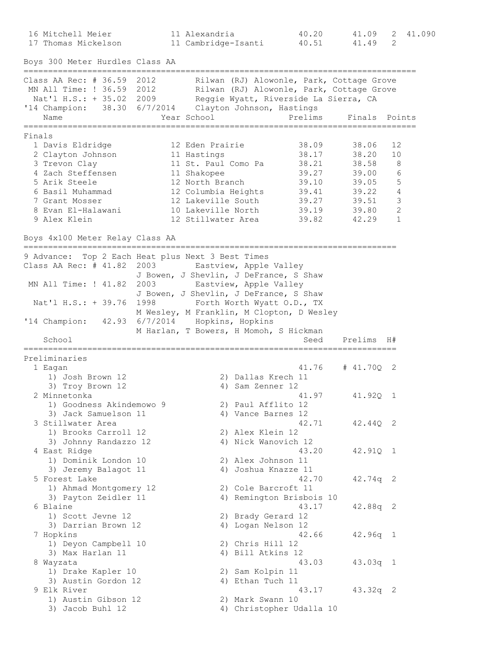16 Mitchell Meier 11 Alexandria 40.20 41.09 2 41.090 17 Thomas Mickelson 11 Cambridge-Isanti 40.51 41.49 2 Boys 300 Meter Hurdles Class AA ================================================================================ Class AA Rec: # 36.59 2012 Rilwan (RJ) Alowonle, Park, Cottage Grove MN All Time: ! 36.59 2012 Rilwan (RJ) Alowonle, Park, Cottage Grove Nat'l H.S.: + 35.02 2009 Reggie Wyatt, Riverside La Sierra, CA '14 Champion: 38.30 6/7/2014 Clayton Johnson, Hastings Name Year School Prelims Finals Points ================================================================================ Finals 1 Davis Eldridge 12 Eden Prairie 38.09 38.06 12 2 Clayton Johnson 11 Hastings 38.17 38.20 10 3 Trevon Clay 11 St. Paul Como Pa 38.21 38.58 8 4 Zach Steffensen 11 Shakopee 39.27 39.00 6 5 Arik Steele 12 North Branch 39.10 39.05 5 6 Basil Muhammad 12 Columbia Heights 39.41 39.22 4 7 Grant Mosser 12 Lakeville South 39.27 39.51 3 8 Evan El-Halawani 10 Lakeville North 39.19 39.80 2 9 Alex Klein 12 Stillwater Area 39.82 42.29 1 Boys 4x100 Meter Relay Class AA ============================================================================ 9 Advance: Top 2 Each Heat plus Next 3 Best Times Class AA Rec: # 41.82 2003 Eastview, Apple Valley J Bowen, J Shevlin, J DeFrance, S Shaw MN All Time: ! 41.82 2003 Eastview, Apple Valley J Bowen, J Shevlin, J DeFrance, S Shaw Nat'l H.S.: + 39.76 1998 Forth Worth Wyatt O.D., TX M Wesley, M Franklin, M Clopton, D Wesley '14 Champion: 42.93 6/7/2014 Hopkins, Hopkins M Harlan, T Bowers, H Momoh, S Hickman School Seed Prelims H# ============================================================================ Preliminaries 1 Eagan 41.76 # 41.70Q 2 1) Josh Brown 12 2) Dallas Krech 11 3) Troy Brown 12 4) Sam Zenner 12 2 Minnetonka 41.97 41.92Q 1 1) Goodness Akindemowo 9 2) Paul Afflito 12 3) Jack Samuelson 11 (4) Vance Barnes 12 3 Stillwater Area 42.71 42.44Q 2 1) Brooks Carroll 12 2) Alex Klein 12 3) Johnny Randazzo 12 4) Nick Wanovich 12 4 East Ridge 43.20 42.91Q 1 1) Dominik London 10 2) Alex Johnson 11 3) Jeremy Balagot 11 4) Joshua Knazze 11 5 Forest Lake 42.70 42.74q 2 1) Ahmad Montgomery 12 2) Cole Barcroft 11 3) Payton Zeidler 11 4) Remington Brisbois 10 6 Blaine 43.17 42.88q 2 1) Scott Jevne 12 2) Brady Gerard 12 3) Darrian Brown 12 4) Logan Nelson 12 7 Hopkins 42.66 42.96q 1 1) Deyon Campbell 10 2) Chris Hill 12 3) Max Harlan 11 4) Bill Atkins 12 8 Wayzata 43.03 43.03q 1 1) Drake Kapler 10 2) Sam Kolpin 11 3) Austin Gordon 12 4) Ethan Tuch 11 9 Elk River 43.17 43.32q 2 1) Austin Gibson 12 2) Mark Swann 10 3) Jacob Buhl 12 4) Christopher Udalla 10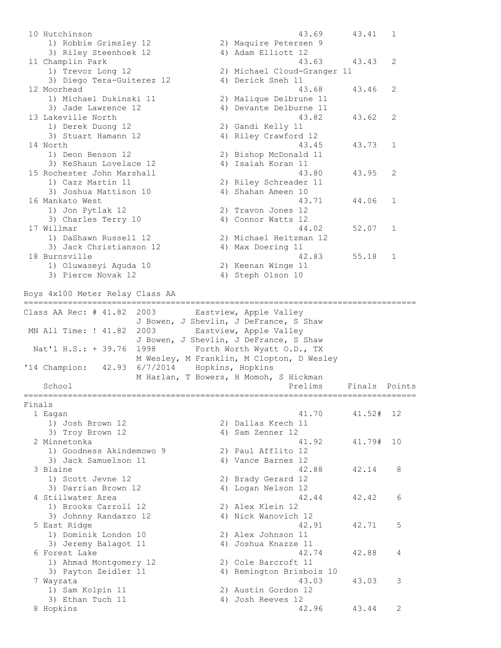10 Hutchinson 43.69 43.41 1 1) Robbie Grimsley 12 2) Maquire Petersen 9 3) Riley Steenhoek 12 (4) Adam Elliott 12 11 Champlin Park 2012 12:30 13:43 43.63 43.43 2 1) Trevor Long 12 2) Michael Cloud-Granger 11 3) Diego Tera-Guiterez 12 <a>
4) Derick Sneh 11 12 Moorhead 43.68 43.46 2 1) Michael Dukinski 11 2) Malique Delbrune 11 3) Jade Lawrence 12 4) Devante Delburne 11 13 Lakeville North 43.82 43.62 2 1) Derek Duong 12 2) Gandi Kelly 11 3) Stuart Hamann 12 4) Riley Crawford 12 14 North 43.45 43.73 1 1) Deon Benson 12 2) Bishop McDonald 11 3) KeShaun Lovelace 12 4) Isaiah Koran 11 15 Rochester John Marshall 43.80 43.95 2 1) Cazz Martin 11 2) Riley Schreader 11 3) Joshua Mattison 10 (4) Shahan Ameen 10 16 Mankato West 43.71 44.06 1 1) Jon Pytlak 12 2) Travon Jones 12 3) Charles Terry 10 4) Connor Watts 12 17 Willmar 44.02 52.07 1 1) DaShawn Russell 12 2) Michael Heitzman 12 3) Jack Christianson 12 4) Max Doering 11 18 Burnsville 42.83 55.18 1 1) Oluwaseyi Aguda 10 2) Keenan Winge 11 3) Pierce Novak 12 4) Steph Olson 10 Boys 4x100 Meter Relay Class AA ================================================================================ Class AA Rec: # 41.82 2003 Eastview, Apple Valley J Bowen, J Shevlin, J DeFrance, S Shaw MN All Time: ! 41.82 2003 Eastview, Apple Valley J Bowen, J Shevlin, J DeFrance, S Shaw Nat'l H.S.: + 39.76 1998 Forth Worth Wyatt O.D., TX M Wesley, M Franklin, M Clopton, D Wesley '14 Champion: 42.93 6/7/2014 Hopkins, Hopkins M Harlan, T Bowers, H Momoh, S Hickman School **Prelims** Finals Points For Prelims Finals Points Points Prelims Finals Points ================================================================================ Finals 1 Eagan 41.70 41.52# 12 1) Josh Brown 12 2) Dallas Krech 11 3) Troy Brown 12 4) Sam Zenner 12 2 Minnetonka 41.92 41.79# 10 1) Goodness Akindemowo 9 2) Paul Afflito 12 3) Jack Samuelson 11 (4) Vance Barnes 12 3 Blaine 42.88 42.14 8 1) Scott Jevne 12 2) Brady Gerard 12 3) Darrian Brown 12 (4) Logan Nelson 12 4 Stillwater Area 6 and 12.44 42.42 6 1) Brooks Carroll 12 2) Alex Klein 12 3) Johnny Randazzo 12 4) Nick Wanovich 12 5 East Ridge 42.91 42.71 5 1) Dominik London 10 2) Alex Johnson 11 3) Jeremy Balagot 11 (4) Joshua Knazze 11 6 Forest Lake 42.74 42.88 4 1) Ahmad Montgomery 12 2) Cole Barcroft 11 3) Payton Zeidler 11 4) Remington Brisbois 10 7 Wayzata 43.03 43.03 3 1) Sam Kolpin 11 2) Austin Gordon 12 3) Ethan Tuch 11 4) Josh Reeves 12 8 Hopkins 42.96 43.44 2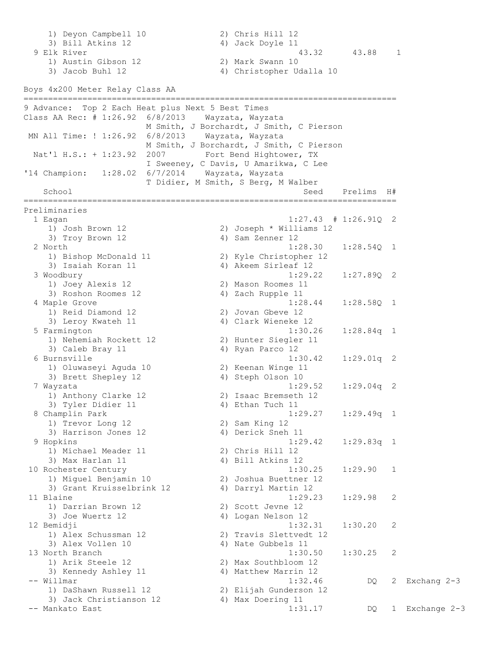1) Deyon Campbell 10 2) Chris Hill 12 3) Bill Atkins 12 4) Jack Doyle 11 9 Elk River 12.0 and 12.88 1 and 13.32 43.88 1 1) Austin Gibson 12 2) Mark Swann 10 3) Jacob Buhl 12 4) Christopher Udalla 10 Boys 4x200 Meter Relay Class AA ============================================================================ 9 Advance: Top 2 Each Heat plus Next 5 Best Times Class AA Rec: # 1:26.92 6/8/2013 Wayzata, Wayzata M Smith, J Borchardt, J Smith, C Pierson MN All Time: ! 1:26.92 6/8/2013 Wayzata, Wayzata M Smith, J Borchardt, J Smith, C Pierson Nat'l H.S.: + 1:23.92 2007 Fort Bend Hightower, TX I Sweeney, C Davis, U Amarikwa, C Lee '14 Champion: 1:28.02 6/7/2014 Wayzata, Wayzata T Didier, M Smith, S Berg, M Walber School Seed Prelims H# ============================================================================ Preliminaries 1 Eagan 1:27.43 # 1:26.91Q 2 1) Josh Brown 12 2) Joseph \* Williams 12 3) Troy Brown 12 (a) 4) Sam Zenner 12 2 North 1:28.30 1:28.54Q 1 1) Bishop McDonald 11 2) Kyle Christopher 12 3) Isaiah Koran 11  $\qquad \qquad$  4) Akeem Sirleaf 12 3 Woodbury 1:29.22 1:27.89Q 2 1) Joey Alexis 12 2) Mason Roomes 11 3) Roshon Roomes 12 4) Zach Rupple 11 4 Maple Grove 1:28.44 1:28.58Q 1 1) Reid Diamond 12 2) Jovan Gbeve 12 3) Leroy Kwateh 11 4) Clark Wieneke 12 5 Farmington 1:30.26 1:28.84q 1 1) Nehemiah Rockett 12 2) Hunter Siegler 11 3) Caleb Bray 11 4) Ryan Parco 12 6 Burnsville 1:30.42 1:29.01q 2 1) Oluwaseyi Aguda 10 2) Keenan Winge 11 3) Brett Shepley 12 4) Steph Olson 10 7 Wayzata 1:29.52 1:29.04q 2 1) Anthony Clarke 12 2) Isaac Bremseth 12 3) Tyler Didier 11 4) Ethan Tuch 11 8 Champlin Park 1:29.27 1:29.49q 1 1) Trevor Long 12 2) Sam King 12 3) Harrison Jones 12 (4) Derick Sneh 11 9 Hopkins 1:29.42 1:29.83q 1 1) Michael Meader 11 2) Chris Hill 12 3) Max Harlan 11 4) Bill Atkins 12 10 Rochester Century 1:30.25 1:29.90 1 1) Miguel Benjamin 10 2) Joshua Buettner 12 3) Grant Kruisselbrink 12 <a>4) Darryl Martin 12 3) Grant Kruisselbrink 12 (a) 11 Blaine<br>11 Blaine (a) 1:29.23 1:29.98 2 1) Darrian Brown 12 2) Scott Jevne 12 3) Joe Wuertz 12 4) Logan Nelson 12 12 Bemidji 1:32.31 1:30.20 2 1) Alex Schussman 12 2) Travis Slettvedt 12 3) Alex Vollen 10 4) Nate Gubbels 11 13 North Branch 1:30.50 1:30.25 2 1) Arik Steele 12 2) Max Southbloom 12 3) Kennedy Ashley 11 4) Matthew Marrin 12 -- Willmar 1:32.46 DQ 2 Exchang 2-3 1) DaShawn Russell 12 2) Elijah Gunderson 12 3) Jack Christianson 12 4) Max Doering 11 -- Mankato East 1:31.17 DQ 1 Exchange 2-3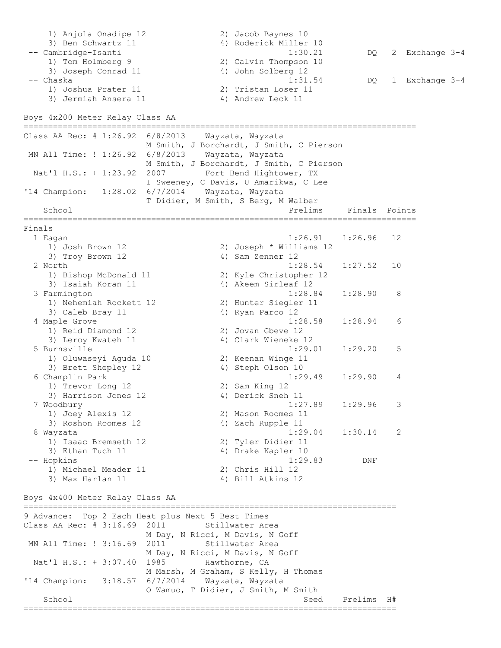1) Anjola Onadipe 12 2) Jacob Baynes 10 3) Ben Schwartz 11 4) Roderick Miller 10 -- Cambridge-Isanti 1:30.21 DQ 2 Exchange 3-4 1) Tom Holmberg 9 2) Calvin Thompson 10 3) Joseph Conrad 11 4) John Solberg 12 -- Chaska 1:31.54 DQ 1 Exchange 3-4 1) Joshua Prater 11 2) Tristan Loser 11 3) Jermiah Ansera 11 (4) Andrew Leck 11 Boys 4x200 Meter Relay Class AA ================================================================================ Class AA Rec: # 1:26.92 6/8/2013 Wayzata, Wayzata M Smith, J Borchardt, J Smith, C Pierson MN All Time: ! 1:26.92 6/8/2013 Wayzata, Wayzata M Smith, J Borchardt, J Smith, C Pierson Nat'l H.S.: + 1:23.92 2007 Fort Bend Hightower, TX I Sweeney, C Davis, U Amarikwa, C Lee '14 Champion: 1:28.02 6/7/2014 Wayzata, Wayzata T Didier, M Smith, S Berg, M Walber School **Prelims** Finals Points ================================================================================ Finals 1 Eagan 1:26.91 1:26.96 12 1) Josh Brown 12 2) Joseph \* Williams 12 3) Troy Brown 12 4) Sam Zenner 12 2 North 1:28.54 1:27.52 10 1) Bishop McDonald 11 2) Kyle Christopher 12 3) Isaiah Koran 11 4) Akeem Sirleaf 12 3 Farmington 1:28.84 1:28.90 8 1) Nehemiah Rockett 12 2) Hunter Siegler 11 3) Caleb Bray 11 4) Ryan Parco 12 4 Maple Grove 1:28.58 1:28.94 6 1) Reid Diamond 12 2) Jovan Gbeve 12 3) Leroy Kwateh 11 4) Clark Wieneke 12 5 Burnsville 12<br>5 Burnsville 1:29.01 1:29.20 5 1) Oluwaseyi Aguda 10 2) Keenan Winge 11 3) Brett Shepley 12 (4) Steph Olson 10 6 Champlin Park 1:29.49 1:29.90 4 1) Trevor Long 12 2) Sam King 12 3) Harrison Jones 12 (4) Derick Sneh 11 7 Woodbury 1:27.89 1:29.96 3 1) Joey Alexis 12 2) Mason Roomes 11 3) Roshon Roomes 12 4) Zach Rupple 11 8 Wayzata 1:29.04 1:30.14 2 1) Isaac Bremseth 12 2) Tyler Didier 11 3) Ethan Tuch 11 1 4) Drake Kapler 10 -- Hopkins 1:29.83 DNF 1) Michael Meader 11 2) Chris Hill 12 3) Max Harlan 11 4) Bill Atkins 12 Boys 4x400 Meter Relay Class AA ============================================================================ 9 Advance: Top 2 Each Heat plus Next 5 Best Times Class AA Rec:  $# 3:16.69 2011$  Stillwater Area M Day, N Ricci, M Davis, N Goff MN All Time: ! 3:16.69 2011 Stillwater Area M Day, N Ricci, M Davis, N Goff Nat'l H.S.: + 3:07.40 1985 Hawthorne, CA M Marsh, M Graham, S Kelly, H Thomas '14 Champion: 3:18.57 6/7/2014 Wayzata, Wayzata O Wamuo, T Didier, J Smith, M Smith School Seed Prelims H# ============================================================================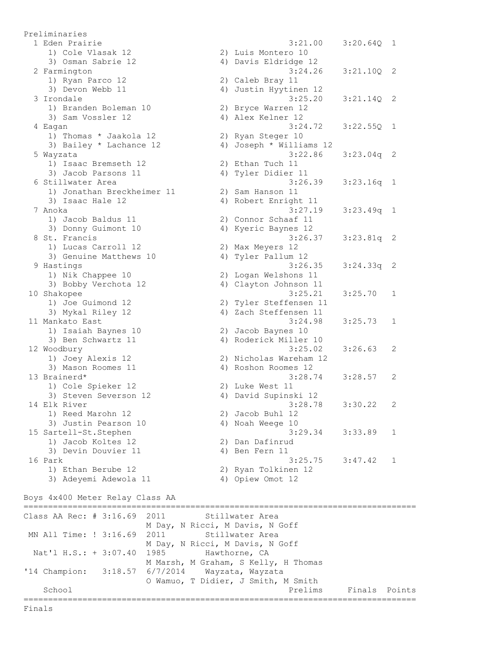Preliminaries 1 Eden Prairie 3:21.00 3:20.64Q 1 1) Cole Vlasak 12 2) Luis Montero 10 3) Osman Sabrie 12 4) Davis Eldridge 12 2 Farmington 3:24.26 3:21.10Q 2 1) Ryan Parco 12 2) Caleb Bray 11 3) Devon Webb 11 4) Justin Hyytinen 12 3 Irondale 3:25.20 3:21.14Q 2 1) Branden Boleman 10 2) Bryce Warren 12 3) Sam Vossler 12 (4) Alex Kelner 12 4 Eagan 3:24.72 3:22.55Q 1 1) Thomas \* Jaakola 12 2) Ryan Steger 10 3) Bailey \* Lachance 12 4) Joseph \* Williams 12 5 Wayzata 3:22.86 3:23.04q 2 1) Isaac Bremseth 12 2) Ethan Tuch 11 3) Jacob Parsons 11 4) Tyler Didier 11 6 Stillwater Area 3:26.39 3:23.16q 1 1) Jonathan Breckheimer 11 2) Sam Hanson 11 3) Isaac Hale 12 4) Robert Enright 11 7 Anoka 3:27.19 3:23.49q 1 1) Jacob Baldus 11 2) Connor Schaaf 11 3) Donny Guimont 10 4) Kyeric Baynes 12 8 St. Francis 3:26.37 3:23.81q 2 1) Lucas Carroll 12 2) Max Meyers 12 3) Genuine Matthews 10 4) Tyler Pallum 12 9 Hastings 3:26.35 3:24.33q 2 1) Nik Chappee 10 2) Logan Welshons 11 3) Bobby Verchota 12 4) Clayton Johnson 11 10 Shakopee 3:25.21 3:25.70 1 1) Joe Guimond 12 2) Tyler Steffensen 11 3) Mykal Riley 12 4) Zach Steffensen 11 11 Mankato East 3:24.98 3:25.73 1 1) Isaiah Baynes 10 2) Jacob Baynes 10 3) Ben Schwartz 11 4) Roderick Miller 10 12 Woodbury 3:25.02 3:26.63 2 1) Joey Alexis 12 2) Nicholas Wareham 12 3) Mason Roomes 11 4) Roshon Roomes 12 13 Brainerd\* 3:28.74 3:28.57 2 1) Cole Spieker 12 2) Luke West 11 3) Steven Severson 12 4) David Supinski 12 14 Elk River 3:28.78 3:30.22 2 1) Reed Marohn 12 2) Jacob Buhl 12 3) Justin Pearson 10 4) Noah Weege 10 15 Sartell-St.Stephen 3:29.34 3:33.89 1 1) Jacob Koltes 12 2) Dan Dafinrud 3) Devin Douvier 11 (4) Ben Fern 11 16 Park 3:25.75 3:47.42 1 1) Ethan Berube 12 2) Ryan Tolkinen 12 3) Adeyemi Adewola 11 4) Opiew Omot 12 Boys 4x400 Meter Relay Class AA ================================================================================ Class AA Rec:  $# 3:16.69$  2011 Stillwater Area M Day, N Ricci, M Davis, N Goff MN All Time: ! 3:16.69 2011 Stillwater Area M Day, N Ricci, M Davis, N Goff Nat'l H.S.: + 3:07.40 1985 Hawthorne, CA M Marsh, M Graham, S Kelly, H Thomas '14 Champion: 3:18.57 6/7/2014 Wayzata, Wayzata O Wamuo, T Didier, J Smith, M Smith School **Prelims** Finals Points **Prelims** Finals Points ================================================================================

Finals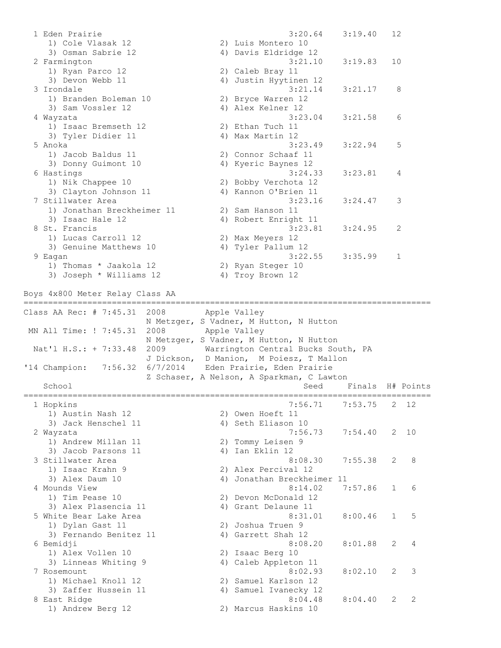1 Eden Prairie 3:20.64 3:19.40 12 1) Cole Vlasak 12 2) Luis Montero 10 3) Osman Sabrie 12 4) Davis Eldridge 12 2 Farmington 3:21.10 3:19.83 10 1) Ryan Parco 12 2) Caleb Bray 11 3) Devon Webb 11 4) Justin Hyytinen 12 3 Irondale 3:21.14 3:21.17 8 1) Branden Boleman 10 2) Bryce Warren 12 3) Sam Vossler 12 (4) Alex Kelner 12 3:23.04 3:21.58 6<br>4 Mayzata 3:23.04 3:21.58 6 1) Isaac Bremseth 12 2) Ethan Tuch 11 3) Tyler Didier 11 4) Max Martin 12 5 Anoka 3:23.49 3:22.94 5 1) Jacob Baldus 11 2) Connor Schaaf 11 3) Donny Guimont 10 4) Kyeric Baynes 12 6 Hastings 3:24.33 3:23.81 4 1) Nik Chappee 10 2) Bobby Verchota 12 3) Clayton Johnson 11 4) Kannon O'Brien 11 7 Stillwater Area 3:23.16 3:24.47 3 1) Jonathan Breckheimer 11 2) Sam Hanson 11 3) Isaac Hale 12 4) Robert Enright 11 8 St. Francis 3:23.81 3:24.95 2 1) Lucas Carroll 12 2) Max Meyers 12 3) Genuine Matthews 10 4) Tyler Pallum 12 9 Eagan 3:22.55 3:35.99 1 1) Thomas \* Jaakola 12 2) Ryan Steger 10 3) Joseph \* Williams 12 4) Troy Brown 12 Boys 4x800 Meter Relay Class AA =================================================================================== Class AA Rec: # 7:45.31 2008 Apple Valley N Metzger, S Vadner, M Hutton, N Hutton MN All Time: ! 7:45.31 2008 Apple Valley N Metzger, S Vadner, M Hutton, N Hutton Nat'l H.S.: + 7:33.48 2009 Warrington Central Bucks South, PA J Dickson, D Manion, M Poiesz, T Mallon '14 Champion: 7:56.32 6/7/2014 Eden Prairie, Eden Prairie Z Schaser, A Nelson, A Sparkman, C Lawton School Seed Finals H# Points =================================================================================== 1 Hopkins 7:56.71 7:53.75 2 12 1) Austin Nash 12 2) Owen Hoeft 11 3) Jack Henschel 11 4) Seth Eliason 10 2 Wayzata 7:56.73 7:54.40 2 10 1) Andrew Millan 11 2) Tommy Leisen 9 3) Jacob Parsons 11 (4) Ian Eklin 12 3 Stillwater Area 8:08.30 7:55.38 2 8 1) Isaac Krahn 9 2) Alex Percival 12 3) Alex Daum 10 4) Jonathan Breckheimer 11 4 Mounds View 8:14.02 7:57.86 1 6 1) Tim Pease 10 2) Devon McDonald 12 3) Alex Plasencia 11 (4) Grant Delaune 11 5 White Bear Lake Area 6:31.01 8:00.46 1 5 1) Dylan Gast 11 2) Joshua Truen 9 3) Fernando Benitez 11 (4) Garrett Shah 12 6 Bemidji 8:08.20 8:01.88 2 4 1) Alex Vollen 10 2) Isaac Berg 10 3) Linneas Whiting 9 4) Caleb Appleton 11 7 Rosemount 8:02.93 8:02.10 2 3 1) Michael Knoll 12 2) Samuel Karlson 12 3) Zaffer Hussein 11 4) Samuel Ivanecky 12 8 East Ridge 8:04.48 8:04.40 2 2 1) Andrew Berg 12 2) Marcus Haskins 10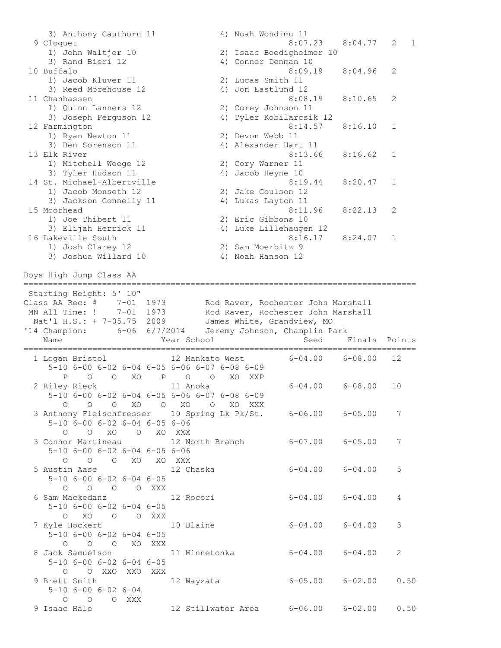3) Anthony Cauthorn 11 4) Noah Wondimu 11 9 Cloquet 8:07.23 8:04.77 2 1 1) John Waltjer 10 2) Isaac Boedigheimer 10 3) Rand Bieri 12 4) Conner Denman 10 10 Buffalo 8:09.19 8:04.96 2 1) Jacob Kluver 11 2) Lucas Smith 11 3) Reed Morehouse 12 4) Jon Eastlund 12 11 Chanhassen 8:08.19 8:10.65 2 1) Quinn Lanners 12 2) Corey Johnson 11 3) Joseph Ferguson 12 4) Tyler Kobilarcsik 12 12 Farmington 8:14.57 8:16.10 1 1) Ryan Newton 11 2) Devon Webb 11 3) Ben Sorenson 11 4) Alexander Hart 11 13 Elk River 8:13.66 8:16.62 1 1) Mitchell Weege 12 2) Cory Warner 11 3) Tyler Hudson 11 4) Jacob Heyne 10 14 St. Michael-Albertville 19 and 19 and 19 and 19 and 19 and 19 and 19 and 19 and 19 and 19 and 19 and 19 and 1 1) Jacob Monseth 12 2) Jake Coulson 12 3) Jackson Connelly 11 (4) Lukas Layton 11 15 Moorhead 8:11.96 8:22.13 2 1) Joe Thibert 11 2) Eric Gibbons 10 3) Elijah Herrick 11 4) Luke Lillehaugen 12 16 Lakeville South 8:16.17 8:24.07 1 1) Josh Clarey 12 2) Sam Moerbitz 9 3) Joshua Willard 10 4) Noah Hanson 12 Boys High Jump Class AA ================================================================================ Starting Height: 5' 10" Class AA Rec: # 7-01 1973 Rod Raver, Rochester John Marshall MN All Time: ! 7-01 1973 Rod Raver, Rochester John Marshall Nat'l H.S.: + 7-05.75 2009 James White, Grandview, MO '14 Champion: 6-06 6/7/2014 Jeremy Johnson, Champlin Park Name The Year School Seed Finals Points ================================================================================ 1 Logan Bristol 12 Mankato West 6-04.00 6-08.00 12 5-10 6-00 6-02 6-04 6-05 6-06 6-07 6-08 6-09 P O O XO P O O XO XXP 2 Riley Rieck 11 Anoka 6-04.00 6-08.00 10 5-10 6-00 6-02 6-04 6-05 6-06 6-07 6-08 6-09 O O O XO O XO O XO XXX 3 Anthony Fleischfresser 10 Spring Lk Pk/St. 6-06.00 6-05.00 7 5-10 6-00 6-02 6-04 6-05 6-06 O O XO O XO XXX 3 Connor Martineau 12 North Branch 6-07.00 6-05.00 7 5-10 6-00 6-02 6-04 6-05 6-06 O O O XO XO XXX 5 Austin Aase 12 Chaska 6-04.00 6-04.00 5 5-10 6-00 6-02 6-04 6-05 O O O O XXX 6 Sam Mackedanz 12 Rocori 6-04.00 6-04.00 4 5-10 6-00 6-02 6-04 6-05 O XO O O XXX 7 Kyle Hockert 10 Blaine 6-04.00 6-04.00 3 5-10 6-00 6-02 6-04 6-05 O O O XO XXX 8 Jack Samuelson 11 Minnetonka 6-04.00 6-04.00 2 5-10 6-00 6-02 6-04 6-05 O O XXO XXO XXX 9 Brett Smith 12 Wayzata 6-05.00 6-02.00 0.50 5-10 6-00 6-02 6-04 O O O XXX 9 Isaac Hale 12 Stillwater Area 6-06.00 6-02.00 0.50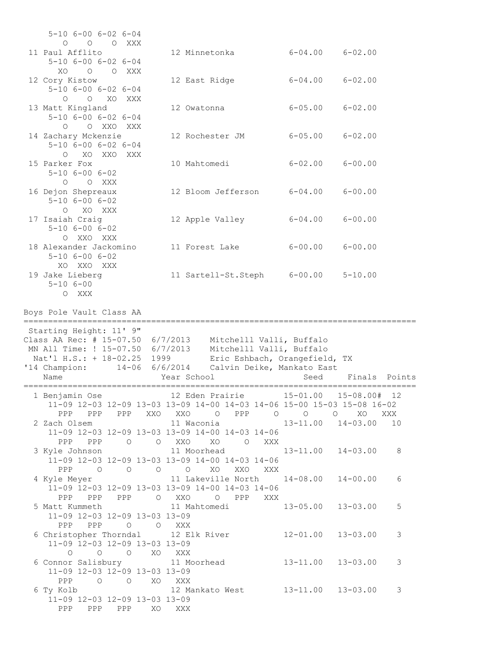| $5 - 10$ $6 - 00$ $6 - 02$ $6 - 04$                                                                                                                        |                                                                                                                                                      |                         |                                |     |
|------------------------------------------------------------------------------------------------------------------------------------------------------------|------------------------------------------------------------------------------------------------------------------------------------------------------|-------------------------|--------------------------------|-----|
| O O O XXX<br>11 Paul Afflito<br>$5 - 10$ $6 - 00$ $6 - 02$ $6 - 04$                                                                                        | 12 Minnetonka                                                                                                                                        |                         | $6 - 04.00$ $6 - 02.00$        |     |
| XO<br>O O XXX<br>12 Cory Kistow<br>$5 - 10$ $6 - 00$ $6 - 02$ $6 - 04$                                                                                     | 12 East Ridge                                                                                                                                        |                         | $6 - 04.00$ $6 - 02.00$        |     |
| O XO XXX<br>$\circ$<br>13 Matt Kingland<br>$5 - 10$ $6 - 00$ $6 - 02$ $6 - 04$                                                                             | 12 Owatonna                                                                                                                                          |                         | $6 - 05.00$ $6 - 02.00$        |     |
| O O XXO XXX<br>14 Zachary Mckenzie<br>$5 - 10$ $6 - 00$ $6 - 02$ $6 - 04$                                                                                  | 12 Rochester JM                                                                                                                                      |                         | $6 - 05.00$ $6 - 02.00$        |     |
| XO XXO XXX<br>$\bigcirc$<br>15 Parker Fox<br>$5 - 10$ $6 - 00$ $6 - 02$                                                                                    | 10 Mahtomedi                                                                                                                                         | $6 - 02.00$ $6 - 00.00$ |                                |     |
| O O XXX<br>16 Dejon Shepreaux<br>$5 - 10$ $6 - 00$ $6 - 02$                                                                                                | 12 Bloom Jefferson                                                                                                                                   | $6 - 04.00$ $6 - 00.00$ |                                |     |
| O XO XXX<br>17 Isaiah Craig<br>$5 - 10$ $6 - 00$ $6 - 02$                                                                                                  | 12 Apple Valley                                                                                                                                      | $6 - 04.00$             | $6 - 00.00$                    |     |
| O XXO XXX<br>18 Alexander Jackomino<br>$5 - 10$ $6 - 00$ $6 - 02$                                                                                          | 11 Forest Lake                                                                                                                                       | $6 - 00.00$             | $6 - 00.00$                    |     |
| XO XXO XXX<br>19 Jake Lieberg<br>$5 - 106 - 00$                                                                                                            | 11 Sartell-St.Steph 6-00.00                                                                                                                          |                         | $5 - 10.00$                    |     |
|                                                                                                                                                            |                                                                                                                                                      |                         |                                |     |
| O XXX<br>Boys Pole Vault Class AA                                                                                                                          | ====================================                                                                                                                 |                         |                                |     |
| Starting Height: 11' 9"<br>Class AA Rec: # $15-07.50$ 6/7/2013<br>MN All Time: ! 15-07.50 6/7/2013<br>Nat'l H.S.: + 18-02.25 1999<br>'14 Champion:<br>Name | Mitchelll Valli, Buffalo<br>Mitchelll Valli, Buffalo<br>Eric Eshbach, Orangefield, TX<br>14-06 6/6/2014<br>Calvin Deike, Mankato East<br>Year School | Seed                    | Finals Points                  |     |
| 1 Benjamin Ose                                                                                                                                             | 12 Eden Prairie<br>11-09 12-03 12-09 13-03 13-09 14-00 14-03 14-06 15-00 15-03 15-08 16-02                                                           | ========                | $15 - 01.00$ $15 - 08.00$ # 12 |     |
| 2 Zach Olsem                                                                                                                                               | PPP PPP PPP XXO XXO O PPP 0 0 0<br>11-09 12-03 12-09 13-03 13-09 14-00 14-03 14-06                                                                   |                         | XO                             | XXX |
|                                                                                                                                                            | PPP PPP 0 0 XXO XO 0 XXX<br>11-09 12-03 12-09 13-03 13-09 14-00 14-03 14-06                                                                          |                         |                                |     |
|                                                                                                                                                            | PPP 0 0 0 0 XO XXO XXX<br>4 Kyle Meyer 11 Lakeville North 14-08.00 14-00.00<br>11-09 12-03 12-09 13-03 13-09 14-00 14-03 14-06                       |                         |                                | 6   |
| 11-09 12-03 12-09 13-03 13-09                                                                                                                              | PPP PPP PPP O XXO O PPP XXX<br>5 Matt Kummeth 11 Mahtomedi 13-05.00 13-03.00                                                                         |                         |                                | 5   |
| PPP PPP 0 0 XXX<br>11-09 12-03 12-09 13-03 13-09                                                                                                           | 6 Christopher Thorndal 12 Elk River 12-01.00 13-03.00                                                                                                |                         |                                | 3   |
| O O O XO XXX<br>11-09 12-03 12-09 13-03 13-09                                                                                                              | 6 Connor Salisbury 11 Moorhead 13-11.00 13-03.00                                                                                                     |                         |                                | 3   |
| PPP<br>O O XO XXX<br>6 Ty Kolb<br>11-09 12-03 12-09 13-03 13-09<br>PPP PPP PPP XO XXX                                                                      |                                                                                                                                                      |                         |                                | 3   |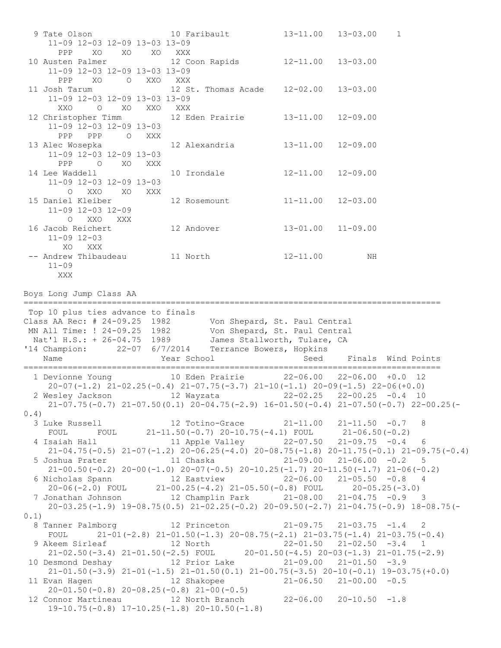9 Tate Olson 10 Faribault 13-11.00 13-03.00 1 11-09 12-03 12-09 13-03 13-09 PPP XO XO XO XXX 10 Austen Palmer 12 Coon Rapids 12-11.00 13-03.00 11-09 12-03 12-09 13-03 13-09 PPP XO O XXO XXX 11 Josh Tarum 12 St. Thomas Acade 12-02.00 13-03.00 11-09 12-03 12-09 13-03 13-09 XXO O XO XXO XXX 12 Christopher Timm 12 Eden Prairie 13-11.00 12-09.00 11-09 12-03 12-09 13-03 PPP PPP O XXX 13 Alec Wosepka 12 Alexandria 13-11.00 12-09.00 11-09 12-03 12-09 13-03 PPP O XO XXX 14 Lee Waddell 10 Irondale 12-11.00 12-09.00 11-09 12-03 12-09 13-03 O XXO XO XXX 15 Daniel Kleiber 12 Rosemount 11-11.00 12-03.00 11-09 12-03 12-09 O XXO XXX 16 Jacob Reichert 12 Andover 13-01.00 11-09.00 11-09 12-03 XO XXX -- Andrew Thibaudeau 11 North 12-11.00 NH 11-09 XXX Boys Long Jump Class AA ===================================================================================== Top 10 plus ties advance to finals Class AA Rec: # 24-09.25 1982 Von Shepard, St. Paul Central MN All Time: ! 24-09.25 1982 Von Shepard, St. Paul Central Nat'l H.S.: + 26-04.75 1989 James Stallworth, Tulare, CA '14 Champion: 22-07 6/7/2014 Terrance Bowers, Hopkins Name Year School Seed Finals Wind Points ===================================================================================== 1 Devionne Young 10 Eden Prairie 22-06.00 22-06.00 +0.0 12  $20-07(-1.2)$   $21-02.25(-0.4)$   $21-07.75(-3.7)$   $21-10(-1.1)$   $20-09(-1.5)$   $22-06(+0.0)$  2 Wesley Jackson 12 Wayzata 22-02.25 22-00.25 -0.4 10 21-07.75(-0.7) 21-07.50(0.1) 20-04.75(-2.9) 16-01.50(-0.4) 21-07.50(-0.7) 22-00.25(- 0.4) 3 Luke Russell 12 Totino-Grace 21-11.00 21-11.50 -0.7 8 FOUL FOUL 21-11.50(-0.7) 20-10.75(-4.1) FOUL 21-06.50(-0.2) 4 Isaiah Hall 11 Apple Valley 22-07.50 21-09.75 -0.4 6 21-04.75(-0.5) 21-07(-1.2) 20-06.25(-4.0) 20-08.75(-1.8) 20-11.75(-0.1) 21-09.75(-0.4) 5 Joshua Prater 11 Chaska 21-09.00 21-06.00 -0.2 5 21-00.50(-0.2) 20-00(-1.0) 20-07(-0.5) 20-10.25(-1.7) 20-11.50(-1.7) 21-06(-0.2) 6 Nicholas Spann 12 Eastview 22-06.00 21-05.50 -0.8 4 20-06(-2.0) FOUL 21-00.25(-4.2) 21-05.50(-0.8) FOUL 20-05.25(-3.0) 7 Jonathan Johnson 12 Champlin Park 21-08.00 21-04.75 -0.9 3 20-03.25(-1.9) 19-08.75(0.5) 21-02.25(-0.2) 20-09.50(-2.7) 21-04.75(-0.9) 18-08.75(- 0.1) 8 Tanner Palmborg 12 Princeton 21-09.75 21-03.75 -1.4 2 FOUL 21-01(-2.8)  $21-01.50(-1.3)$   $20-08.75(-2.1)$   $21-03.75(-1.4)$   $21-03.75(-0.4)$  9 Akeem Sirleaf 12 North 22-01.50 21-02.50 -3.4 1 21-02.50(-3.4) 21-01.50(-2.5) FOUL 20-01.50(-4.5) 20-03(-1.3) 21-01.75(-2.9) 10 Desmond Deshay 12 Prior Lake 21-09.00 21-01.50 -3.9 21-01.50(-3.9) 21-01(-1.5) 21-01.50(0.1) 21-00.75(-3.5) 20-10(-0.1) 19-03.75(+0.0) 11 Evan Hagen 12 Shakopee 21-06.50 21-00.00 -0.5 20-01.50(-0.8) 20-08.25(-0.8) 21-00(-0.5) 12 Connor Martineau 12 North Branch 22-06.00 20-10.50 -1.8 19-10.75(-0.8) 17-10.25(-1.8) 20-10.50(-1.8)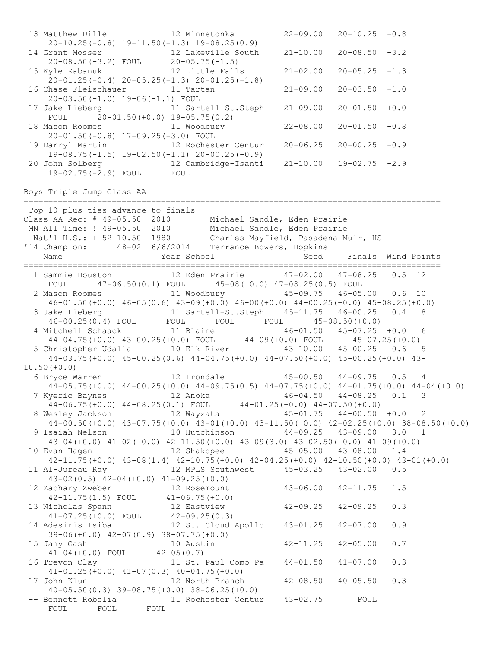13 Matthew Dille 12 Minnetonka 22-09.00 20-10.25 -0.8 20-10.25(-0.8) 19-11.50(-1.3) 19-08.25(0.9) 14 Grant Mosser 12 Lakeville South 21-10.00 20-08.50 -3.2 20-08.50(-3.2) FOUL 20-05.75(-1.5) 15 Kyle Kabanuk 12 Little Falls 21-02.00 20-05.25 -1.3 20-01.25(-0.4) 20-05.25(-1.3) 20-01.25(-1.8) 16 Chase Fleischauer 11 Tartan 21-09.00 20-03.50 -1.0 20-03.50(-1.0) 19-06(-1.1) FOUL 17 Jake Lieberg 11 Sartell-St.Steph 21-09.00 20-01.50 +0.0 FOUL 20-01.50(+0.0) 19-05.75(0.2) 18 Mason Roomes 11 Woodbury 22-08.00 20-01.50 -0.8 20-01.50(-0.8) 17-09.25(-3.0) FOUL 19 Darryl Martin 12 Rochester Centur 20-06.25 20-00.25 -0.9 19-08.75(-1.5) 19-02.50(-1.1) 20-00.25(-0.9) 20 John Solberg 12 Cambridge-Isanti 21-10.00 19-02.75 -2.9 19-02.75(-2.9) FOUL FOUL Boys Triple Jump Class AA ===================================================================================== Top 10 plus ties advance to finals Class AA Rec: # 49-05.50 2010 Michael Sandle, Eden Prairie MN All Time: ! 49-05.50 2010 Michael Sandle, Eden Prairie Nat'l H.S.: + 52-10.50 1980 Charles Mayfield, Pasadena Muir, HS '14 Champion: 48-02 6/6/2014 Terrance Bowers, Hopkins Name The Year School Seed Finals Wind Points ===================================================================================== 1 Sammie Houston 12 Eden Prairie 47-02.00 47-08.25 0.5 12 FOUL 47-06.50(0.1) FOUL 45-08(+0.0) 47-08.25(0.5) FOUL 2 Mason Roomes 11 Woodbury 45-09.75 46-05.00 0.6 10 46-01.50(+0.0) 46-05(0.6) 43-09(+0.0) 46-00(+0.0) 44-00.25(+0.0) 45-08.25(+0.0) 3 Jake Lieberg 11 Sartell-St.Steph 45-11.75 46-00.25 0.4 8 46-00.25(0.4) FOUL FOUL FOUL FOUL 45-08.50(+0.0) 4 Mitchell Schaack 11 Blaine 46-01.50 45-07.25 +0.0 6 44-04.75(+0.0) 43-00.25(+0.0) FOUL 44-09(+0.0) FOUL 45-07.25(+0.0) 5 Christopher Udalla 10 Elk River 43-10.00 45-00.25 0.6 5 44-03.75(+0.0) 45-00.25(0.6) 44-04.75(+0.0) 44-07.50(+0.0) 45-00.25(+0.0) 43- 10.50(+0.0) 6 Bryce Warren 12 Irondale 45-00.50 44-09.75 0.5 4 44-05.75(+0.0) 44-00.25(+0.0) 44-09.75(0.5) 44-07.75(+0.0) 44-01.75(+0.0) 44-04(+0.0) 7 Kyeric Baynes 12 Anoka 46-04.50 44-08.25 0.1 3 44-06.75(+0.0) 44-08.25(0.1) FOUL 44-01.25(+0.0) 44-07.50(+0.0) 8 Wesley Jackson 12 Wayzata 45-01.75 44-00.50 +0.0 2 44-00.50(+0.0) 43-07.75(+0.0) 43-01(+0.0) 43-11.50(+0.0) 42-02.25(+0.0) 38-08.50(+0.0) 9 Isaiah Nelson 10 Hutchinson 44-09.25 43-09.00 3.0 1 43-04(+0.0) 41-02(+0.0) 42-11.50(+0.0) 43-09(3.0) 43-02.50(+0.0) 41-09(+0.0) 10 Evan Hagen 12 Shakopee 45-05.00 43-08.00 1.4 42-11.75(+0.0) 43-08(1.4) 42-10.75(+0.0) 42-04.25(+0.0) 42-10.50(+0.0) 43-01(+0.0) 11 Al-Jureau Ray 12 MPLS Southwest 45-03.25 43-02.00 0.5 43-02(0.5) 42-04(+0.0) 41-09.25(+0.0) 12 Zachary Zweber 12 Rosemount 43-06.00 42-11.75 1.5 42-11.75(1.5) FOUL 41-06.75(+0.0) 13 Nicholas Spann 12 Eastview 42-09.25 42-09.25 0.3 41-07.25(+0.0) FOUL 42-09.25(0.3) 14 Adesiris Isiba 12 St. Cloud Apollo 43-01.25 42-07.00 0.9 39-06(+0.0) 42-07(0.9) 38-07.75(+0.0) 15 Jany Gash 10 Austin 42-11.25 42-05.00 0.7 41-04(+0.0) FOUL 42-05(0.7)<br>16 Trevon Clay 11 St. I 11 St. Paul Como Pa 44-01.50 41-07.00 0.3 41-01.25(+0.0) 41-07(0.3) 40-04.75(+0.0) 17 John Klun 12 North Branch 42-08.50 40-05.50 0.3 40-05.50(0.3) 39-08.75(+0.0) 38-06.25(+0.0) -- Bennett Robelia and 11 Rochester Centur 43-02.75 FOUL FOUL FOUL FOUL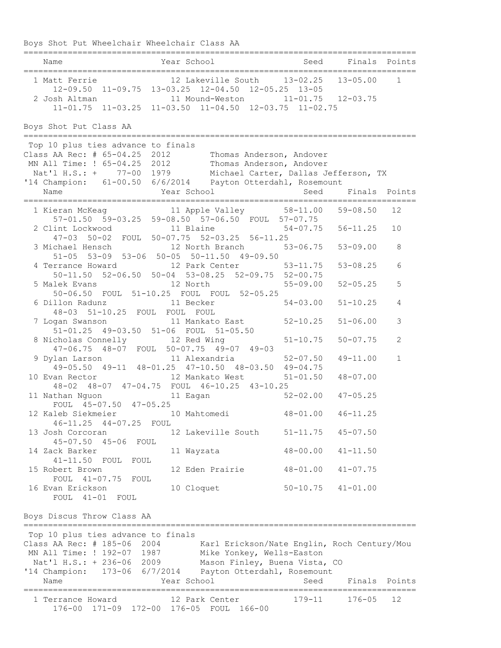Boys Shot Put Wheelchair Wheelchair Class AA ================================================================================ Name The Year School Seed Finals Points ================================================================================ 1 Matt Ferrie 12 Lakeville South 13-02.25 13-05.00 1 12-09.50 11-09.75 13-03.25 12-04.50 12-05.25 13-05 2 Josh Altman 11 Mound-Weston 11-01.75 12-03.75 11-01.75 11-03.25 11-03.50 11-04.50 12-03.75 11-02.75 Boys Shot Put Class AA ================================================================================ Top 10 plus ties advance to finals Class AA Rec: # 65-04.25 2012 Thomas Anderson, Andover MN All Time: ! 65-04.25 2012 Thomas Anderson, Andover Nat'l H.S.: + 77-00 1979 Michael Carter, Dallas Jefferson, TX '14 Champion: 61-00.50 6/6/2014 Payton Otterdahl, Rosemount Name The Year School Seed Finals Points ================================================================================ 1 Kieran McKeag 11 Apple Valley 58-11.00 59-08.50 12 57-01.50 59-03.25 59-08.50 57-06.50 FOUL 57-07.75 2 Clint Lockwood 11 Blaine 54-07.75 56-11.25 10 47-03 50-02 FOUL 50-07.75 52-03.25 56-11.25 3 Michael Hensch 12 North Branch 53-06.75 53-09.00 8 51-05 53-09 53-06 50-05 50-11.50 49-09.50 4 Terrance Howard 12 Park Center 53-11.75 53-08.25 6 50-11.50 52-06.50 50-04 53-08.25 52-09.75 52-00.75 5 Malek Evans 12 North 55-09.00 52-05.25 5 50-06.50 FOUL 51-10.25 FOUL FOUL 52-05.25 6 Dillon Radunz 11 Becker 54-03.00 51-10.25 4 48-03 51-10.25 FOUL FOUL FOUL 7 Logan Swanson 11 Mankato East 52-10.25 51-06.00 3 51-01.25 49-03.50 51-06 FOUL 51-05.50 8 Nicholas Connelly 12 Red Wing 51-10.75 50-07.75 2 47-06.75 48-07 FOUL 50-07.75 49-07 49-03 9 Dylan Larson 11 Alexandria 52-07.50 49-11.00 1 49-05.50 49-11 48-01.25 47-10.50 48-03.50 49-04.75 10 Evan Rector 12 Mankato West 51-01.50 48-07.00 48-02 48-07 47-04.75 FOUL 46-10.25 43-10.25 11 Nathan Nguon 11 Eagan 52-02.00 47-05.25 FOUL 45-07.50 47-05.25 12 Kaleb Siekmeier 10 Mahtomedi 48-01.00 46-11.25 46-11.25 44-07.25 FOUL 13 Josh Corcoran 12 Lakeville South 51-11.75 45-07.50 45-07.50 45-06 FOUL 14 Zack Barker 11 Wayzata 48-00.00 41-11.50 41-11.50 FOUL FOUL 15 Robert Brown 12 Eden Prairie 48-01.00 41-07.75 FOUL 41-07.75 FOUL 16 Evan Erickson 10 Cloquet 50-10.75 41-01.00 FOUL 41-01 FOUL Boys Discus Throw Class AA ================================================================================ Top 10 plus ties advance to finals Class AA Rec: # 185-06 2004 Karl Erickson/Nate Englin, Roch Century/Mou MN All Time: ! 192-07 1987 Mike Yonkey, Wells-Easton Nat'l H.S.: + 236-06 2009 Mason Finley, Buena Vista, CO '14 Champion: 173-06 6/7/2014 Payton Otterdahl, Rosemount Name Year School Seed Finals Points ================================================================================ 1 Terrance Howard 12 Park Center 179-11 176-05 12 176-00 171-09 172-00 176-05 FOUL 166-00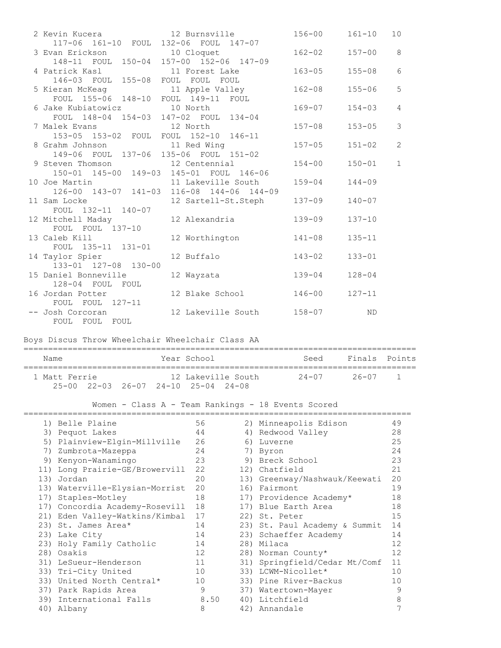| 2 Kevin Kucera                                                        | 12 Burnsville                             | $156 - 00$ | $161 - 10$ | 10 <sup>°</sup> |
|-----------------------------------------------------------------------|-------------------------------------------|------------|------------|-----------------|
| 117-06 161-10 FOUL 132-06 FOUL 147-07                                 |                                           |            |            |                 |
| 3 Evan Erickson 10 Cloquet<br>148-11 FOUL 150-04 157-00 152-06 147-09 |                                           | $162 - 02$ | $157 - 00$ | 8               |
|                                                                       |                                           |            |            |                 |
| 4 Patrick Kasl 11 Forest Lake                                         |                                           | $163 - 05$ | $155 - 08$ | 6               |
| 146-03 FOUL 155-08 FOUL FOUL FOUL                                     |                                           |            |            |                 |
| 5 Kieran McKeag                         11 Apple Valley               |                                           | $162 - 08$ | $155 - 06$ | 5               |
| FOUL 155-06 148-10 FOUL 149-11 FOUL                                   |                                           |            |            |                 |
|                                                                       |                                           | $169 - 07$ | $154 - 03$ | $\overline{4}$  |
| FOUL 148-04 154-03 147-02 FOUL 134-04                                 |                                           |            |            |                 |
|                                                                       |                                           | $157 - 08$ | $153 - 05$ | 3               |
| 153-05 153-02 FOUL FOUL 152-10 146-11                                 |                                           |            |            |                 |
| 8 Grahm Johnson 11 Red Wing                                           |                                           | $157 - 05$ | $151 - 02$ | 2               |
| 149-06 FOUL 137-06 135-06 FOUL 151-02                                 |                                           |            |            |                 |
| 9 Steven Thomson 12 Centennial                                        |                                           | $154 - 00$ | $150 - 01$ | $\mathbf{1}$    |
|                                                                       | 150-01 145-00 149-03 145-01 FOUL 146-06   |            |            |                 |
| 10 Joe Martin 11 Lakeville South                                      |                                           | $159 - 04$ | $144 - 09$ |                 |
|                                                                       | 126-00 143-07 141-03 116-08 144-06 144-09 |            |            |                 |
|                                                                       | 11 Sam Locke 12 Sartell-St.Steph          | $137 - 09$ | $140 - 07$ |                 |
| FOUL 132-11 140-07                                                    |                                           |            |            |                 |
| 12 Mitchell Maday                                                     | 12 Alexandria                             | $139 - 09$ | $137 - 10$ |                 |
| FOUL FOUL 137-10                                                      |                                           |            |            |                 |
| 13 Caleb Kill                                                         | 12 Worthington                            | $141 - 08$ | $135 - 11$ |                 |
| FOUL 135-11 131-01                                                    |                                           |            |            |                 |
| 14 Taylor Spier                                                       | 12 Buffalo                                | $143 - 02$ | $133 - 01$ |                 |
| 133-01 127-08 130-00                                                  |                                           |            |            |                 |
| 15 Daniel Bonneville                                                  | 12 Wayzata                                | $139 - 04$ | $128 - 04$ |                 |
| 128-04 FOUL FOUL                                                      |                                           |            |            |                 |
| 16 Jordan Potter                                                      | 12 Blake School                           | 146-00     | $127 - 11$ |                 |
| FOUL FOUL 127-11                                                      |                                           |            |            |                 |
| -- Josh Corcoran                                                      | 12 Lakeville South                        | $158 - 07$ | <b>ND</b>  |                 |
| FOUL FOUL FOUL                                                        |                                           |            |            |                 |
|                                                                       |                                           |            |            |                 |

## Boys Discus Throw Wheelchair Wheelchair Class AA

| Name          |  | Year School                                                           |  | Seed  | Finals Points |  |
|---------------|--|-----------------------------------------------------------------------|--|-------|---------------|--|
| 1 Matt Ferrie |  | 12 Lakeville South<br>$25-00$ $22-03$ $26-07$ $24-10$ $25-04$ $24-08$ |  | 24-07 | 26-07 1       |  |

# Women - Class A - Team Rankings - 18 Events Scored

|     | 1) Belle Plaine                | 56   |     | 2) Minneapolis Edison         | 49 |
|-----|--------------------------------|------|-----|-------------------------------|----|
| 3)  | Pequot Lakes                   | 44   |     | 4) Redwood Valley             | 28 |
|     | 5) Plainview-Elgin-Millville   | 26   | 6)  | Luverne                       | 25 |
| 7)  | Zumbrota-Mazeppa               | 24   | 7)  | Byron                         | 24 |
| 9)  | Kenyon-Wanamingo               | 23   |     | 9) Breck School               | 23 |
|     | 11) Long Prairie-GE/Browervill | 22   |     | 12) Chatfield                 | 21 |
| 13) | Jordan                         | 20   |     | 13) Greenway/Nashwauk/Keewati | 20 |
| 13) | Waterville-Elysian-Morrist     | 20   |     | 16) Fairmont                  | 19 |
| 17) | Staples-Motley                 | 18   |     | 17) Providence Academy*       | 18 |
|     | 17) Concordia Academy-Rosevill | 18   |     | 17) Blue Earth Area           | 18 |
|     | 21) Eden Valley-Watkins/Kimbal | 17   |     | 22) St. Peter                 | 15 |
|     | 23) St. James Area*            | 14   |     | 23) St. Paul Academy & Summit | 14 |
|     | 23) Lake City                  | 14   |     | 23) Schaeffer Academy         | 14 |
|     | 23) Holy Family Catholic       | 14   |     | 28) Milaca                    | 12 |
|     | 28) Osakis                     | 12   |     | 28) Norman County*            | 12 |
|     | 31) LeSueur-Henderson          | 11   | 31) | Springfield/Cedar Mt/Comf     | 11 |
|     | 33) Tri-City United            | 10   |     | 33) LCWM-Nicollet*            | 10 |
| 33) | United North Central*          | 10   |     | 33) Pine River-Backus         | 10 |
| 37) | Park Rapids Area               | 9    | 37) | Watertown-Mayer               | 9  |
| 39) | International Falls            | 8.50 |     | 40) Litchfield                | 8  |
| 40) | Albany                         | 8    |     | 42) Annandale                 |    |
|     |                                |      |     |                               |    |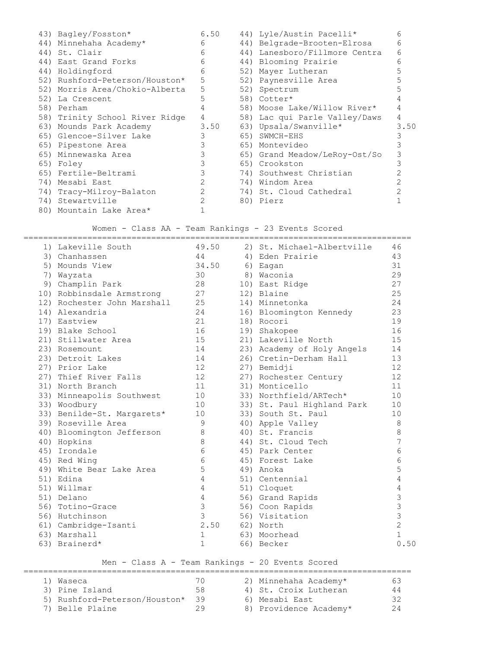|  | 43) Bagley/Fosston*            | 6.50           | 44) Lyle/Austin Pacelli*      | 6    |
|--|--------------------------------|----------------|-------------------------------|------|
|  | 44) Minnehaha Academy*         | 6              | 44) Belgrade-Brooten-Elrosa   | б    |
|  | 44) St. Clair                  | 6              | 44) Lanesboro/Fillmore Centra | 6    |
|  | 44) East Grand Forks           | 6              | 44) Blooming Prairie          | 6    |
|  | 44) Holdingford                | 6              | 52) Mayer Lutheran            |      |
|  | 52) Rushford-Peterson/Houston* | 5              | 52) Paynesville Area          |      |
|  | 52) Morris Area/Chokio-Alberta | 5              | 52) Spectrum                  |      |
|  | 52) La Crescent                | 5              | 58) Cotter*                   |      |
|  | 58) Perham                     | 4              | 58) Moose Lake/Willow River*  |      |
|  | 58) Trinity School River Ridge | 4              | 58) Lac qui Parle Valley/Daws | 4    |
|  | 63) Mounds Park Academy        | 3.50           | 63) Upsala/Swanville*         | 3.50 |
|  | 65) Glencoe-Silver Lake        | 3              | 65) SWMCH-EHS                 |      |
|  | 65) Pipestone Area             | 3              | 65) Montevideo                |      |
|  | 65) Minnewaska Area            | 3              | 65) Grand Meadow/LeRoy-Ost/So |      |
|  | 65) Foley                      | 3              | 65) Crookston                 |      |
|  | 65) Fertile-Beltrami           | 3              | 74) Southwest Christian       |      |
|  | 74) Mesabi East                | $\overline{2}$ | 74) Windom Area               |      |
|  | 74) Tracy-Milroy-Balaton       | 2              | 74) St. Cloud Cathedral       |      |
|  | 74) Stewartville               | 2              | 80) Pierz                     |      |
|  | 80) Mountain Lake Area*        |                |                               |      |

## Women - Class AA - Team Rankings - 23 Events Scored

|                             |                 | -------------------        |                |
|-----------------------------|-----------------|----------------------------|----------------|
| 1) Lakeville South          | 49.50           | 2) St. Michael-Albertville | 46             |
| 3) Chanhassen               | 44              | 4) Eden Prairie            | 43             |
| 5) Mounds View              | 34.50           | 6) Eagan                   | 31             |
| 7) Wayzata                  | 30              | 8) Waconia                 | 29             |
| 9) Champlin Park            | 28              | 10) East Ridge             | 27             |
| 10) Robbinsdale Armstrong   | 27              | 12) Blaine                 | 25             |
| 12) Rochester John Marshall | 25              | 14) Minnetonka             | 24             |
| 14) Alexandria              | 24              | 16) Bloomington Kennedy    | 23             |
| 17) Eastview                | 21              | 18) Rocori                 | 19             |
| 19) Blake School            | 16              | 19) Shakopee               | 16             |
| 21) Stillwater Area         | 15              | 21) Lakeville North        | 15             |
| 23) Rosemount               | 14              | 23) Academy of Holy Angels | 14             |
| 23) Detroit Lakes           | 14              | 26) Cretin-Derham Hall     | 13             |
| 27) Prior Lake              | 12              | 27) Bemidji                | 12             |
| 27) Thief River Falls       | 12              | 27) Rochester Century      | 12             |
| 31) North Branch            | 11              | 31) Monticello             | 11             |
| 33) Minneapolis Southwest   | 10              | 33) Northfield/ARTech*     | 10             |
| 33) Woodbury                | 10              | 33) St. Paul Highland Park | 10             |
| 33) Benilde-St. Margarets*  | 10              | 33) South St. Paul         | 10             |
| 39) Roseville Area          | $\overline{9}$  | 40) Apple Valley           | $\,8\,$        |
| 40) Bloomington Jefferson   | $\,8\,$         | 40) St. Francis            | 8              |
| 40) Hopkins                 | $8\,$           | 44) St. Cloud Tech         | 7              |
| 45) Irondale                | $6\phantom{.}6$ | 45) Park Center            | 6              |
| 45) Red Wing                | $6\overline{6}$ | 45) Forest Lake            | 6              |
| 49) White Bear Lake Area    | 5               | 49) Anoka                  | 5              |
| 51) Edina                   | $\overline{4}$  | 51) Centennial             | 4              |
| 51) Willmar                 | $\overline{4}$  | 51) Cloquet                | 4              |
| 51) Delano                  | $\overline{4}$  | 56) Grand Rapids           | $\mathfrak{Z}$ |
| 56) Totino-Grace            | 3               | 56) Coon Rapids            | $\mathfrak{Z}$ |
| 56) Hutchinson              | $\mathfrak{Z}$  | 56) Visitation             | $\overline{3}$ |
| 61) Cambridge-Isanti        | 2.50            | 62) North                  | $\overline{2}$ |
| 63) Marshall                | 1               | 63) Moorhead               | $\mathbf{1}$   |
| 63) Brainerd*               | $\mathbf{1}$    | 66) Becker                 | 0.50           |
|                             |                 |                            |                |

### Men - Class A - Team Rankings - 20 Events Scored

| 1) Waseca                     | 70. | 2) Minnehaha Academy*  | 63 |
|-------------------------------|-----|------------------------|----|
| 3) Pine Island                | 58  | 4) St. Croix Lutheran  | 44 |
| 5) Rushford-Peterson/Houston* | 39  | 6) Mesabi East         | 32 |
| 7) Belle Plaine               | 2 Y | 8) Providence Academy* | 24 |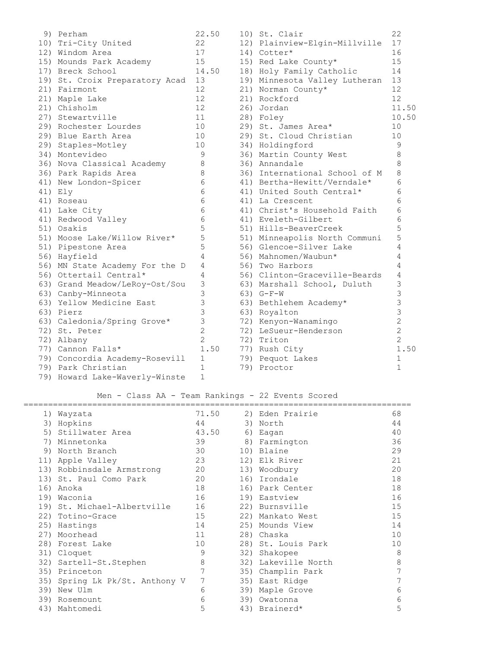| 9) Perham                      | 22.50          | 10) St. Clair                 | 22             |
|--------------------------------|----------------|-------------------------------|----------------|
| 10) Tri-City United            | 22             | 12) Plainview-Elgin-Millville | 17             |
| 12) Windom Area                | 17             | 14) Cotter*                   | 16             |
| 15) Mounds Park Academy        | 15             | 15) Red Lake County*          | 15             |
| 17) Breck School               | 14.50          | 18) Holy Family Catholic      | 14             |
| 19) St. Croix Preparatory Acad | 13             | 19) Minnesota Valley Lutheran | 13             |
| 21) Fairmont                   | 12             | 21) Norman County*            | 12             |
| 21) Maple Lake                 | 12             | 21) Rockford                  | 12             |
| 21) Chisholm                   | 12             | 26) Jordan                    | 11.50          |
| 27) Stewartville               | 11             | 28) Foley                     | 10.50          |
| 29) Rochester Lourdes          | 10             | 29) St. James Area*           | 10             |
| 29) Blue Earth Area            | 10             | 29) St. Cloud Christian       | 10             |
| 29) Staples-Motley             | 10             | 34) Holdingford               | 9              |
| 34) Montevideo                 | $\mathcal{G}$  | 36) Martin County West        | 8              |
| 36) Nova Classical Academy     | $\,8\,$        | 36) Annandale                 | 8              |
| 36) Park Rapids Area           | 8              | 36) International School of M | 8              |
| 41) New London-Spicer          | 6              | 41) Bertha-Hewitt/Verndale*   | 6              |
| 41) Ely                        | 6              | 41) United South Central*     | 6              |
| 41) Roseau                     | 6              | 41) La Crescent               | 6              |
| 41) Lake City                  | 6              | 41) Christ's Household Faith  | 6              |
| 41) Redwood Valley             | 6              | 41) Eveleth-Gilbert           | 6              |
| 51) Osakis                     | 5              | 51) Hills-BeaverCreek         | 5              |
| 51) Moose Lake/Willow River*   | 5              | 51) Minneapolis North Communi | 5              |
| 51) Pipestone Area             | 5              | 56) Glencoe-Silver Lake       | 4              |
| 56) Hayfield                   | 4              | 56) Mahnomen/Waubun*          | 4              |
| 56) MN State Academy For the D | 4              | 56) Two Harbors               | 4              |
| 56) Ottertail Central*         | 4              | 56) Clinton-Graceville-Beards | 4              |
| 63) Grand Meadow/LeRoy-Ost/Sou | 3              | 63) Marshall School, Duluth   | 3              |
| 63) Canby-Minneota             | 3              | $63) G-F-W$                   | 3              |
| 63) Yellow Medicine East       | 3              | 63) Bethlehem Academy*        | 3              |
| 63) Pierz                      | $\mathfrak{Z}$ | 63) Royalton                  | 3              |
| 63) Caledonia/Spring Grove*    | 3              | 72) Kenyon-Wanamingo          | $\overline{2}$ |
| 72) St. Peter                  | $\overline{2}$ | 72) LeSueur-Henderson         | $\overline{2}$ |
| 72) Albany                     | $\overline{c}$ | 72) Triton                    | $\overline{2}$ |
| 77) Cannon Falls*              | 1.50           | 77) Rush City                 | 1.50           |
| 79) Concordia Academy-Rosevill | $\mathbf 1$    | 79) Pequot Lakes              | $\mathbf{1}$   |
| 79) Park Christian             | $\mathbf 1$    | 79) Proctor                   | $\mathbf{1}$   |
| 79) Howard Lake-Waverly-Winste | 1              |                               |                |

# Men - Class AA - Team Rankings - 22 Events Scored

|     | 1) Wayzata                     | 71.50 |     | 2) Eden Prairie     | 68 |
|-----|--------------------------------|-------|-----|---------------------|----|
|     | 3) Hopkins                     | 44    |     | 3) North            | 44 |
|     | 5) Stillwater Area             | 43.50 |     | 6) Eagan            | 40 |
| 7)  | Minnetonka                     | 39    |     | 8) Farmington       | 36 |
| 9)  | North Branch                   | 30    |     | 10) Blaine          | 29 |
|     | 11) Apple Valley               | 23    |     | 12) Elk River       | 21 |
|     | 13) Robbinsdale Armstrong      | 20    |     | 13) Woodbury        | 20 |
|     | 13) St. Paul Como Park         | 20    |     | 16) Irondale        | 18 |
|     | 16) Anoka                      | 18    |     | 16) Park Center     | 18 |
|     | 19) Waconia                    | 16    |     | 19) Eastview        | 16 |
|     | 19) St. Michael-Albertville    | 16    |     | 22) Burnsville      | 15 |
|     | 22) Totino-Grace               | 15    |     | 22) Mankato West    | 15 |
|     | 25) Hastings                   | 14    |     | 25) Mounds View     | 14 |
|     | 27) Moorhead                   | 11    |     | 28) Chaska          | 10 |
|     | 28) Forest Lake                | 10    |     | 28) St. Louis Park  | 10 |
|     | 31) Cloquet                    | 9     |     | 32) Shakopee        | 8  |
|     | 32) Sartell-St. Stephen        | 8     |     | 32) Lakeville North | 8  |
|     | 35) Princeton                  | 7     |     | 35) Champlin Park   | 7  |
|     | 35) Spring Lk Pk/St. Anthony V | 7     |     | 35) East Ridge      | 7  |
| 39) | New Ulm                        | 6     |     | 39) Maple Grove     | 6  |
| 39) | Rosemount                      | 6     | 39) | Owatonna            | 6  |
|     | 43) Mahtomedi                  | 5     |     | 43) Brainerd*       | 5  |